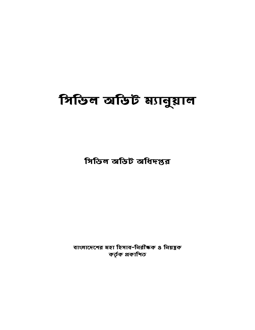## সিভিল অডিট ম্যানুয়াল

সিভিল অডিট অধিদপ্তর

বাংলাদেশের মহা হিসাব-নিরীক্ষক ও নিয়ন্ত্রক কৰ্তৃক প্ৰকাশিত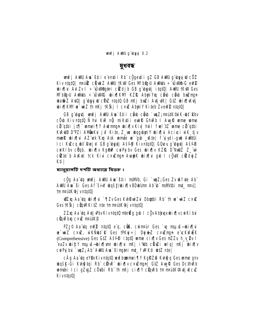#### <u> ब्रुश्च वक्त</u>

**unfj ANU Am`߇ii e enții Rb cÖgetii gZ GB ANU g buyiw cÖZ** Kiv ntatül majíž cílokz AWU tKW Ges Mfb@oU AWMJs ÷ ÚWMh G eW2 bix[|vi AviZv I ÷ Uwmgani cizdjb GB g bytj itqt0| AWU †KW Ges **NFb@pU AWMUs ÷ ÚWIEC wix¶KNY KZf2 AbutYxq chub chub bwZmqn** ba@iZ AvtQ| g`byyjw cÖz ntqtQ GB nKj bxZi AvtjvK| GtZ bix¶\Kvtj bixTKM' w<sup>-</sup>wiZ th nKj tKŠkj I c×w AbujY Kiteb ZveW2 ntatQl

GB g`ub**gutj unfj AWU Aua`߇ii cềub cềub `uqZ; nruµk©ù K-uht` Rhv** cörb Kiv ntatü Ñ hri KrR nỹ mikutii eulik GhrRb I Arme wanne wanne citatbi jiti umejily Aulmun ubixiv Kivl hwl fuel iz ume citatbi KRUB D'PZI AMBAKU juf Kite, Z\_uc ubqqubriY ubix[hi Aciuci w`K\_tjv mmelê do ixijhi AZ ek Kxq Ask umute ve gob \_vKte | f yiydi-gub AwktUi Ici Kuzcq uht Rejxi GB g bytj Ašff Kivntatü Güov a buti Ašff cuikiby cügb, ubixily Kginp cuipuiby Ges ubixily KZIR D'ihuluz Z\_"wi cù te b Avkuti tck Kivi c×u man Avaub K wix w b b c out cù duj Z K‡i l

ম্যানুয়ালটি দশটি অধ্যায়ে বিশুক্ত ঃ

c<u>ôg</u> Aa **tg unfj AWU Au `** B‡ii maWb, Gi ` uqZ; Ges Zv uK fute Ab ` ANIU Ava`ßi Ges Af šinY whqšy/wix¶v BDwllm Ab w mawthi mt\_mpu3 tmmai#K@jvntqtQ

**wiZxq Aa tq wixflyi `flZv Ges KvhRwiZvi Dbgtbi Rb" th w wiZ c×uZ** Ges †KŠkj cümMKi‡Z n‡e †mn¤ú‡K®jvn‡q‡Q

**ZZxq Aa dq Adj PbvKivntat0 nteËq qvb I cövAbluqxvbix¶vcwiKíbvi** c**ünRbig c×uZ matitK®** 

**PZz© Aa tq eW2 ntqt0 e q, c@C, cum¤úr Ges `u msu š—bix[\i** w wiz cxiz, wkMbt R Ges tPKwj÷ | Dwjwlz cxuzmyn e ckwfulk (Comprehensive) Ges G1Z Ašf<sup>8</sup> itat0 ume cix[v Ges m2Zy h\_v\_2v I ^eaZv bićY msuš-bix¶vm bix¶vi nKj i'dib cËvZi velq| nKj bix¶v cuiPuj bui `wqZ; Ab" AWU Ava`Bimq‡ni mt\_fWIK‡i ub‡Z n‡e|

cÂg Aa ya eYByKivntatQ wyfboumei¶Y KgRZ@ Kyh@g Geswme gnv **wašk-Gi Kvhina Rb cünR wirth cx Emani G1Z AwR Ges DcthRb** wmtei Ici qZvgZ cÖytbi Rb" th nKj cix[|Y cünRb tm n¤wtK©Avtj KcwZ Kivntat01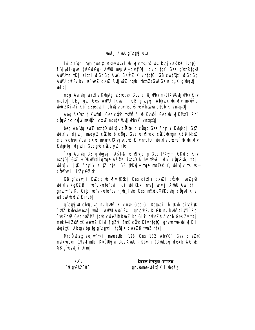lô Aa du i'dib emf2 usev wiki wixiv manš-ut RejxAšff? itatül f y ydi-gub (uf GdGg) ANU msu s-cuit "Q" cuidita Y Ges a utb Rtalu AWUm nKj aitbi wfGdGg AWU GKwiZ Kiv ntqtQ| GB cwit'Qt` wfGdGg ANU curi bu www.cxuz Auti wiz ngub, thtn ZzGw GKw c<sub>a</sub>K q buyti i **ueligi** 

**mßg Aa dig wix in Kungg Zeigaub Ges ch@j Pbv mpudK©Adtj Pbv Kiv** ntatû DÊq qub Ges AWW tKWV I GB q ubeyi Ablayax whix ily neviv b **bið ZKitVi Rb** ZËjeab I ch**@j P**bvmsuvš-ævfbæva c**Ö**gb KivntgtQ

Aóg Aa ta tik**we**n? Ges c**hw mani A\_@ Kuh@î Ges wix¶KMtYi Rb**" cünRbıq cöll malüni cxuz mattik@utjuPbvKivmtqtQ

beg Aa itg eW2 ntat0 wix(|v cittle b citgb Ges Abrily Kuhag| GtZ **bixilvi divdi meyiZ cüzte`b cüab Ges bixilvab cüzô bmun KZR MuZ** e'e<sup>-</sup>vch**êi P**bu c×u mank@di Kcv Kivntatû bixivcûte`th bixiv Kuh@tgi djudj Gesgub cildujZ nte

`ka Aaïda GB aïbudii Ašfê bixlîv dia Ges tPKui÷ GKuÎZ Kiv ntqtQ| GtZ ÷ ŴW@digngn Aš#? itqtQ Ñ hv nt/# illui c@qRtb, nKj bix[|v `j#K AburiY Ki#Z n‡e| GB †PKuj÷ngn nPuHRiY, bix[|v nsµvšcQWwi iZcYAsk

GB g'ibnti i KwZca whifly tKŠki Ges chfly c×wZi cünM `wnZcG's wixily KgRZQ`i wPui-wtePbui Ici wffkxj ntel wnfj AulU Aw`ßtii amcwPuiK, Gic wPui-wtePby h h fute Ges mt/mcY©Dcuta cümM Kivi wlqw wwo Z Kitebl

a busi W châuta mi bW Kiv nte Ges Gi Dbatbi th tKb civak\$K "WE Rubitby nte | unfj ANU Au ` Bti i gmcui Puj K GB mg bWG KitY i Rb" `wyZc® Ges bxiZMZ †K\b cwieZ® RwZ bg Gi£ cwieZ® A\bgb Ges Zv nKj mské-KZ@¶#K AemZ Kivi ¶gZvl ZutK cÖvb Kivnta#Q| gnvumne-ubix¶K I **whost Ki Abtov buto o butj i toši K cweZD mmZ ntel** 

McRuzšy exjut tki marauthi 128 Ges 132 Aby'O Ges ciezy<sup>®</sup> mstkvabram 1974 mibi K¤útUti vi Ges AvMUi-tRbuti i (Gwlkbyi dvskbmkG e. GB a basti i Drml

| <b>XKv</b>  | সৈয়দ ইউসুফ হোসেন                    |
|-------------|--------------------------------------|
| 19 gyP©2000 | gnv <b>ume-bix</b> ]K I bqš <b>K</b> |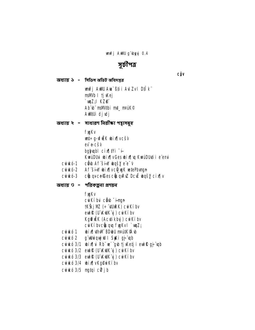unfj AWU g'byyj 0.4

## সূচীপত্র

**CÔV** 

অধ্যায় ১ - সিভিল অডিট অধিদপ্তর

unfj AWU Au ` B‡i i Aul Zv I D‡I k" msWb I tj Kej  $\mathbf{w}$ z<sub>i</sub> kz $\mathbf{e}$ Ab b msMtbi mt\_ maik® AWAUi djudj

অধ্যায় ২ - সাধারণ নিরীক্ষা পন্থাসমূহ

**fygKv** 

**wt÷g-vfik bix[**vcšv

ev e-cšv

bgyupl cix[|IYi +

KwiDUi bix¶vGes bix¶yq KwiDUtii e emi

- cutkó-1 chb Af šin bqšy e e v
	-
- curkó-2 Af šin bix[vc@wk wtePbvm
- curkó-3 cünqvce Ces cünqRvZ DcuE ubqšy cix[v
- অধ্যায় ৩ পরিকল্পনা প্রণয়ন

**fygKv** cuikíbui ciub "imun **†KŠkj MZ (÷ "¢URK) curkí bv** eul R (U KuK y ) cu Ki bv Kgffük (Actikby) cukíbv

- cuikí bvciuqu fygkvl `uqZ;
- curko 1 bix[kthM BDbU nrutKonb
- curukó 2 gʻuluniquyjul I Syki gjʻupb
- cư kó 3/1 bixhi Rb w'gb tj Ketj i eull gj ub
- curkó 3/2 eurl@ (U'KuK'yj) curkíbv
- curkó 3/3 euroR (U Kulk ú) curkí by
- 
- cuinkó 3/4 ubix v Kg@uikíbv
- cuiukó 3/5 mgtqi cữ jb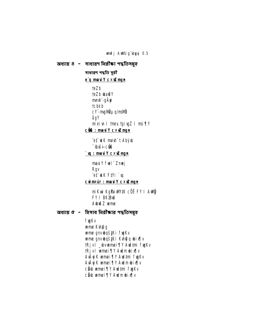unfj AWU g'byyj 0.5

অধ্যায় ৪ - সাধারণ নিরীক্ষা পদ্ধতিসমূহ সাধারণ পদ্ধতি সূচী e'q mauiY cxuZmgn **teZb** teZb wa@Y mmh -gÄyi **tcbkb** cY-mgMiµq/msMi ågY mieiw I twey tgivgZ I msi¶Y cüß : maui Y cxuZmgn et kK mnh t Abyb *<u>buši-cül</u>*  $\mathbf{u}$ : maxi Y c $\mathbf{x}$ uzing n maviy fuel" Zmej **Rgv** et kK FtYi `u curmit : maulY cxuZmgn mi Kui KgPi xW#K cÖË FY I Aulij **FY I BK<sup>B</sup>W** Abið Zume অধ্যায়  $c -$  হিসাব নিরীক্ষার পদ্ধতিসমূহ **fygKv ume Kupg ume gnvbqš#Ki fygKv** wme gnvbqš#Ki Kvhg q bix[v tRjvl \_wvmei¶Y Audtmi fygKv tRjvl wmei¶Y Awlmubix¶v AvÂyj K wmei ¶Y Awltmi fygKv

**Avity K umei TV Audmubix Tv** cibb umei ¶Y Aud‡mi fygKv

c**ôb umei** TY Audmubix Tv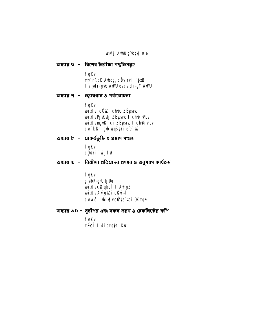#### **unfj AWU g`byyj 0.6**

অধ্যায় ৬ - বিশেষ নিরীক্ষা পদ্ধতিসমূহ

**fygKv** mb`nRbK Awqg, cü u Yvl `yaZ f y ydi-gwb AWU evcuiditg Ý AWU

অধ্যায় ৭ - তহ্বাবধান ৪ পর্যালোচনা

**fygKv bix[|vi cÖ@i ch@q ZË}eab wix vej Kutj ZEpearb I choj Pbv** bix[vmgußi ci ZËpeaub I ch@jvPbv cưi kĐ I gu ungšựi e e ún

অধ্যায় ৮ - রেকর্ডডুঙ্কি ৪ প্রমাণ সংগ্রহ

#### **fygKv** cĝ\Yi `yjfn<sup>2</sup>

অধ্যায় ৯ - নিরীক্ষা প্রতিবেদন প্রণয়ন ৪ অনুসরণ কার্যক্রম

#### **fygKv** g **ubRtg**JU tj Uui **bix vcü qbcî l AwfgZ** bix[vAwfgtZi cäutf cutkó - bix[vcite` thi OKnyn

অধ্যায় ১০ - সূচীপত্র এবং সকল ফরম ৪ চেকলিস্টের কপি

**fygKv** nPcî I dignytni Kw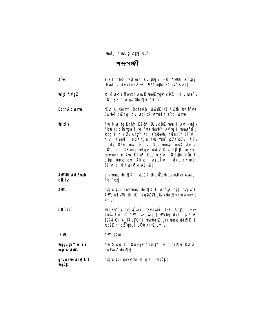unfj AWU g`byyj 0.7

শব্দপঞ্জী

| A e                                                | 1983 ch <sup>e</sup> -mstkunz K¤útUğui GÛ AWUi-tRbutij<br>(Gulkbyj duskbnjk A"v: (1974 ntbi 24 b¤t AvBb)                                                                                                                                                                                                                                                                                                          |
|----------------------------------------------------|-------------------------------------------------------------------------------------------------------------------------------------------------------------------------------------------------------------------------------------------------------------------------------------------------------------------------------------------------------------------------------------------------------------------|
| <b>wi£ AvfgZ</b>                                   | <b>bix[\axb cito\thi AvyR weyZmg#n citZ.l h_v_@e-v</b><br>cidy Z nqb gtg@bix[\i AwfqZ]                                                                                                                                                                                                                                                                                                                            |
| DcthRb ume                                         | tKub A_©ernti DcthkRb (ubwi6KiY) AuBtb ubwi6fute<br>Dujuk Z KuZcq `dui wecixtZ wmef? e tqi wme                                                                                                                                                                                                                                                                                                                    |
| <b>uhidu</b>                                       | Aug Rueltq Dchy? KZ@¶ Guiv cünZueun I Aut kuejx<br>AbyiY; c@ngn h_h_f\te \a@Y, Av \q I wmefi?;<br>wag I h_v_ Pv Abyl Kti e qwesh; cwma BZ wi<br>h_wh_e eni I msi¶Y; miKwi m¤uî wyZe wyZy `¶Zv<br>I djcëZui mt_ e emi Ges umte mik Ae u<br>cêzdjb – GB nKj velquì wõi X Kivi D‡l̃‡k¨ miKvi,<br>maguaex mikui KZ@¶ Ges mikui ciżôubi cis I<br>e tại wme ew, Ab b ` yjclw, futu, cwmeur<br>BZ w cix (Y bix (vi Ašfe) |
| <b>AWAUI AV Zuab</b><br><b>cizôb</b>               | gnv ume-bix¶K I bosk th cizôb ev maMb Awtui<br>Rb" ` upl                                                                                                                                                                                                                                                                                                                                                          |
| AWUi                                               | evsj¢ tki gnv ume-bix¶K I boqštKict¶ evsj¢`k<br>AWU vefythi th nKj KgRZOKgPuxubixflyKyh9nAw b<br>K‡ib                                                                                                                                                                                                                                                                                                             |
| <b>cü gbcî</b>                                     | McRužšy evsjut tki manautbi 128 Aby'Q` Ges<br>K¤útUğ u GÛ AWUi-‡Rbutij (GWkbyj duskbnjk A e,<br>1974-Gi 4_@Aby'Qt` i wawbgtZ gnv wme-whix[ K I<br><b>wašk th cit abcit cow Kitz cutibl</b>                                                                                                                                                                                                                        |
| <b>tKWV</b>                                        | <b>AWU †KW</b>                                                                                                                                                                                                                                                                                                                                                                                                    |
| <b>wagubyri Y wi<i>f</i>cY</b><br><b>UMA-ävuan</b> | Aug Ruen I cheman Abrity i win cix i Dilitk<br>cuiPuj Z wix[ v                                                                                                                                                                                                                                                                                                                                                    |
| gnv <b>u</b> me-bix¶K I<br><b>wask</b>             | evsj¢`#ki gnvwme-wix¶K I wqšK                                                                                                                                                                                                                                                                                                                                                                                     |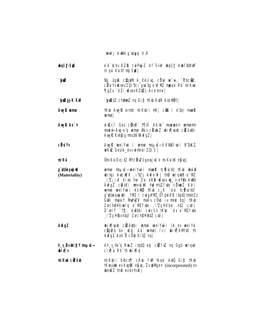- **waśy-S#C** e e-tcbv KZŘ cuiPujZ Af šin bqšy AbffinM niqui Kuity mý Sykl
- Ny, ûguk cündin A\_©Av`uq, cü've ve~u∔, "Rbcükz,  $\mathbf{r}$ cü u Yvuksev ZQi 'tc i qua tq e w MZ meau Rb" mi Kwi ¶qZy`dZi KsevKZ&j Ace emi
- `**biZ**gjK K\R **`bi212 chêm2 ng Gi£ fK\b K\tR AskNBY**
- **Aw<sub>k</sub>** wme tKub Aug Rernti miKutii nKj col I e tai mue R **umel**

will cf Ces curve that Ab b masses with the AwR Ae<sup>-</sup>V mské Au-e q ume Suv cäukZ ubin pab cizoubi Aug R Kung man Ruff Galeg 2

- Augit weiYuù I wme msuvš-tikvi@îwì B'OckZ. **cäulv wKwZ Ges/A\_evcwint4ur ZQi'c|**
- miKui dnikuó ejtz McRwšxewj t`k miku#k e\$u|
- gʻ**illi quj il** wme msus—weiYwii mwek to (juctu tKub www (Materiality) weltgi AvicuilK itzi Aufew? | tnB welquiB e MZ  $\mathbf{I}^T$  i'z; juf Kite hw Zui eRD usev un veYDv AWU AvfgZ cüctKi unxuš#K hy?nt/Zfvte cürveZ Kti| wme weiYw`i AšM2 †Kw c<sub>a</sub>K du tc@ctUI g d**ünquj di YNE I cuig YNE Dfqu KB it qtü tatazı**<br>Güli madi YMYOZK msAv cü biv m¤ê bq| tKub Zvch@¥©wlq e<sup>-</sup>MZfvte iZc¥©bul n‡Z cvti| D'uiY <sup>-1</sup>fc, Austhi cuicšk tKub dv e<sup>-</sup>MZfute **i'Zc¥®vn‡qi Zvch@¥%‡Z cvtil**
- bix[\axb cicotbi ume weiYw`i (A\_ev weiYxi **AvfgZ** cünRb bv Ktj Ab ume) Ici bix KM#K th **AvfgZ Aek B cÖb KitZ nq|**
- h\_v\_@vubif:Y msuvš-Ah\_v\_@e\*q RwZ itqtQ etj citefvZ nq Ggb wlqw cix i Rb th bix Iv **ulkid**
- mikui cilôb mikutii b-bct¶ cÂuk fwl tkqui Aut0 Gi£ tKub tkvaint ev dysk e\$u, Zv thMgex (incorporated) ev **Jeli Z tmK evby tmK I**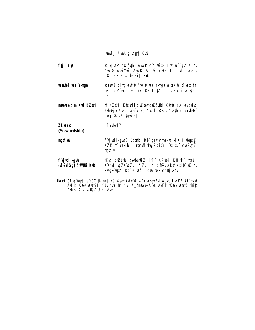- **bix[\ab citothi AvyRe e'e witZ T4U ve gb A\_ev** ftji SK Aug R wei Yui Aug R Ae G c RZ I h\_h\_ Ae V cidui Z Kite bvGic StK
- **umtei wei Yxmn** bati Z ditg eut R Aug R wei Ymgn Wsev bir fluob th nKj cizôvbi weiYxcÖZ KitZ ng bv Zyt i wmtei  $e\overline{B}$
- th KZ@¶, K‡c@ikb Wsevcicôtbi Kth@jxA\_evc@b maewex mikui KZ@¶ Kuh@jx AuBb, Aa'ut'k, Aut'k uKsev AuBtb ejerthuM `vij Øviv Abtavi Z I

#### **ZËjeab i** ¶Yvte¶Y

(Stewardship)

f ýydi-gubű Dbatbi Rb" gnv ume-bix l k hašk **úv/Rum** KZŘ m bkyj b I mih M Duý ZKitY i Dtítk curpuj Z **VRgm** 

- tkb citôb cesatiz j¶ AR\$bi D‡I# maî f y ydi-gub (ufGdGg) AWIUi K\R e enti wze wzy `¶zv I djcôzv ARD KtitQ w bv Zvaj "vatbi Rb" e "thô I c'uj xex cho i Pbvl
- UnKvt GB g'ubytj e'eüZ th mKj kã uKsev Aufe'ü? A e uKsev Zui Aaxtb RuinKZ Ab'' tKub At k iksev watZI t Lv hte tm tju A\_@nské A e, At k uksev watZ thif Avrive Kivntoto Z' EB\_Wte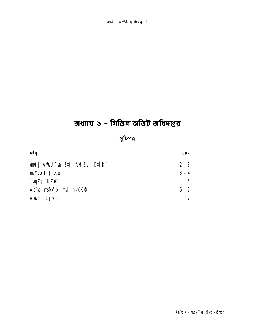## অধ্যায় ১ - সিভিল অডিট অধিদপ্তর

সুচিপত্র

| wig                                  | CÔV     |
|--------------------------------------|---------|
| <b>unfj AWU Am`߇ii AvIZv I D‡Ik¨</b> | $2 - 3$ |
| <b>msWb I tj</b> ikej                | $3 - 4$ |
| ` <b>w</b> iz;i kz@`                 | 5.      |
| Ab b msMtbi mt_m¤úK©                 | $6 - 7$ |
| AWAUi djulj                          |         |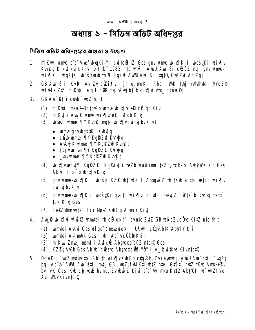## অধ্যায় ১ - সিভিল অডিট অধিদপ্তর

সিভিল অডিট অধিদপ্তৱের আগুতা ও উদ্দেশ্য

- mikui ume e'e<sup>-</sup>v wfWlqKitVi cuitcültZ Ges qnv ume-bix[|K | bqštKi bix[|v  $\mathbf{1}$ Kyh@atK kw?kwixKivi Dtitk" 1985 ntb wnfi AWU Aw`Bi citoZ nal any wmewix K I was Ki was Yezh th 9 (ba) w AWU Am Bi itat 0, Gw Zu Ab Zal
- 2. GB Aun B‡i i Kutri Aul Zu cüzi¶u †ij I‡q, moK I Rbc\_, WuK, †Uuj‡hWuthWI I WcZ© vefWe ZX, mikuti i e q I cük maustibi b cix[vi mt\_ mauk?]
- 3. GB Ava`ßti i câub `wuZ:ni t
	- (1) miktii maké-DcthRb ume bix[ceR ci qb Kiv
	- (2) miktii Auyl wme bix cel ci ab Kiv
	- (3) **bize<sup>3</sup> umei** TY Kung qmatn bix Tycur Py by Kivt
		- ume anvuos iki Kulti a
		- city wmei TIY Kaleza Kyha a
		- AvÂyj K wmei TY KgRZO Kvhog q
		- TRjvmmei TY KgRZG Kungq
		- · \_wwmei¶Y KgRZ@ Kuh@q
	- (4) **bix wefull KgRZ@I KgPix** i teZb batYm, teZb, tcbkb, Abtwk e q Ges Ab b tibt b bixlyKiv
	- (5) gnv wme-bix (K I bgš) KZŘ bt &Z I Abtguì Z th tKb aitbi vetkl bix (v cuiPuj by Kiy
	- (6) gnv mme-bix (K I byštki gva to bix (vi djudj meyj Z cikte b Ruky mant **tck Kiv Ges**
	- (7) ceeZxîngwitki Ici Muz Kuhâg AbyiY Kiv
- 4. Avyi bixju vfitz vantej th ci qb t` l gynte Zytz GB wðgZyc0 b Kitz nte th t
	- (1) uniter Avku Gesuelge<sup>-</sup>; maguex I tururi cünebik Aburiy Kti;
	- (2) umtei A14mWK Gesh\_uh\_ Ae<sup>-</sup>vcÖkD Kti;
	- (3) mikui Znuej mant i Aufcü Abhugxe eüZ ntatū Ges
	- (4) KZ2; A\Bb Ges Ab b citab Ablugucius MBY I A\_&witkva KivntqtQ
- DcuiD<sup>3</sup> `uqZ;m¤ú) thi Rb¨ th ubix[|vKuh@g cüqRb, Zviayunfj AWU Am`ßti i `uqZ; 5. bg | Ab b AWU Aw Stii mt GB wyZ; fWKti wtZ ntel GtTitl htZ tKw Ann YEv by the Ges the chiver by ng, Zythosz Kivi e e the mathematical Aby at we wiz fute Avtj v<sup>b</sup>v Kivntat<sup>o</sup>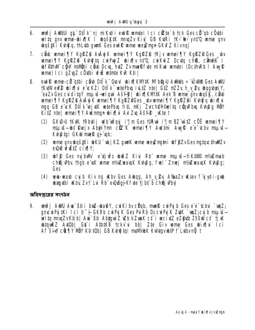- 6. unfj AWAU qk D‡Ik nj miK¢ii eulk umtei Ici cite b tck Ges ci qb cödbi welta anv wme-wix li wasktk muazv Kivi GB KutRi tKo teo vnt'Q wme anv **ubgšiki Kuhti q, th Lutb quark Ges euri R unne weyzman GKxfZ Kivng**
- 7. city warei 11Y Kgi 22 Avauj K warei 11Y Kgi 22 ti ku warei 11Y Kgi 22 Ges by wmei TY KgRZ & Kung to cur Puj Z ubix Tv nt'O, cur Kur Z Dcyto ch B, cünt/K I **Ibfethull cov mayoni cab Dcw, htz Zv munk fite mikui wmtei (DcthiRb I Aw R** wme) I ci gZvgZ cÖytbi vfw wtmte KvR Kti |
- 8. eut Rume-cë atbi cërb Dilk Qroul rind KIVIK Ni bia Andis ÷ Unim Ges And tKuWeW2 ubixTui e ckZi Dilk wtePbu iultZ ntel GtZ mZZu h v 2v waavbuiY, ea Zv Ges cviditaý msuvš-velový Ašf $\widehat{\phi}$ i vbixik Mytk Aek B vame any vbašk, cůvb wmei TY KgRZQ AvÂy K wmei TY KgRZOGes\_wvwmei TY KgRZQi Kuhg q wbix Tu mgq GB e ck Dtik ejxtk wtePbu titL mkj Zvch@Y@eltq cünRbu Kuhaq MöY KitZ ntel wmei TIY Awimma wixiki Awi Zw Ašff<sup>e</sup> Ktet
	- (1) GKWJ 1KW 1Rbiti i wilb wa ii ii n Ges turwi i'im BZ witZ cOE wmei TIY msuvš-bi Rejx Abri Ym ctr K umei TV Aulini Aw R e e toby msuvš-Kuh@tqi GKw mweR qj"uph;
	- (2) ume gnybošiki uku `ukj KZ gunk ume vee Zmajni uhf\$Zy Ges matacthull Ev ever write cinely:
	- (3) **bf** Ges mjbWi e tjiv's budz Kivi Rb ume msus-tiK#MP m/zmab ch@j\Pby thgb e xK wme nt/#waxqK K\h@g, fwl" Znwj nt/#waxqK K\h@g; **Ges**
	- (4) wewn-wearb cyib Kiv ng wilby Ges Aubgg, Ah\_y\_2y A%aZv wisev fiyiydi-qub wanthi Kby Zvt Lui Rb eQuBqj Kfyte tj bt b ch@j Pby

#### অধিদপ্তৱের সংগঠন

unfj AWU Au ` B‡i i bnZ-batiY, cu Kibv cüqb, muel cu Pg b Ges e e c cbu ` uqZ;  $\mathbf{9}$ gnow PutKi Ici b + GKRb cw PutK Ges PuRb Dccw PutK 2uK `wz; cu b msu iswelta mnaZvKtibl Aw`ßti AbtawiZ wZb kZwaK ct`i wcixtZ eZ@tb 250W ct` fivK what are a controlled a state of the state of the state of the state of the state of the state of the state of the state of the state of the state of the state of the state of the state of the state of the state of the sta Af Sin Cikily NDY Ktitüb | GB Kuhi tai malliubK KulutavubtP † Lutbynü t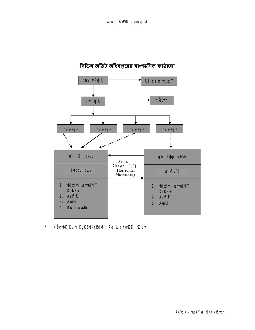

## সিডিল অডিট অধিদপ্তৱের সাংগঠনিক কাঠামো

 $\star$ cümbK KuilY KgRZ@KgPui#`i Ae"(b cuieuZ2 ntZ cuti |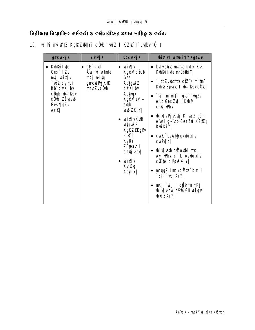নিরীক্ষায় নিয়োজিত কর্ষকর্তা ৪ কর্ষচারীদের প্রধান দায়িত্ব ৪ কর্তব্য

## 10. btPi miWtZ KgRZMIVi côb `wqZ;I KZ@ †` Lutbvnĝ t

| • kulvcënb minte kului KuR<br>• Kyh <b>Rifyte</b><br>• g‡¨÷vd<br><b>ulkid</b><br>$\bullet$<br><b>Kgini cüqb</b><br><b>Audmi untrie</b><br>KvhRifyte madddei Y<br>Ges ` ¶Zui<br>nKj witq<br>i/[kid_‡m<br><b>Ges</b><br>• $\int$ j $\frac{1}{2}$ bZvw $\frac{1}{2}$ nte c $\frac{1}{2}$ K m $\frac{1}{2}$ mi<br><b>gnicuri Pyj K‡K</b><br><b>Abigwi Z</b><br>` <b>vqZ;cyj#bi</b><br>KuhZ Eyeaub I ubt RhvcOub <br>Rb <sup>"</sup> curkiby<br><b>muqZvcÖvb</b><br><b>cuikíby</b><br><b>cÜqb, thin Rhy</b><br><b>Ablyqx</b><br>$\bullet$ ` $\ddagger$ ji m`m̃‡ i g‡a¨`wqZ;<br>cÖvb, ZËjeavb<br>$Kg$ $\mathbf{\hat{m}}$ $\mathbf{e}$ $\mathbf{v}$ $\mathbf{-}$<br>exub Ges Zut i Kyh <sup>®</sup><br>Ges ¶gZv<br><b>eugb</b><br>ch <b>êj P</b> bv<br><b>wið ZKi Y </b><br><b>Acti</b><br>• bix¶vPjKvtj DI wcZ gš—<br>• bix¶vKtR<br>e wi gj up Ges Zu KZ钇;<br><b>ubtquire Z</b><br><b>RuiKiY</b><br><b>KgRZAKgPv</b><br>-i≴ i<br>• cwkibvAbhyaxwix<br><b>Kuri</b><br>$\text{c}$ uiPyj $\text{b}$<br>ZË <sub>jea</sub> b I<br>• bix[\axb cizôtbi mt_<br><b>chej Pbv</b><br>Avtj Pbvi ci Lmovbixlv<br>v <b>ixid</b> •<br>$c\mathbf{Z}$ te`b Povški $V$<br><b>Kungg</b><br>• mgqgZ LmovciZte`b m`i<br>AbyiY <br>`߇i `wLjKiY <br>• nKj`yj I cĝWnn nKj<br><b>wix Vby cY#2GB wiqW</b><br><b>JuðZKiY</b> | gnc <b>ure</b> K | cui Pyj K | DccwPy K | <b>bix[v] ume if[Y KgRZO</b> |
|---------------------------------------------------------------------------------------------------------------------------------------------------------------------------------------------------------------------------------------------------------------------------------------------------------------------------------------------------------------------------------------------------------------------------------------------------------------------------------------------------------------------------------------------------------------------------------------------------------------------------------------------------------------------------------------------------------------------------------------------------------------------------------------------------------------------------------------------------------------------------------------------------------------------------------------------------------------------------------------------------------------------------------------------------------------------------------------------------------------------------------------------------------------------------------------------------------------------------------------------------------------------------------------------|------------------|-----------|----------|------------------------------|
|                                                                                                                                                                                                                                                                                                                                                                                                                                                                                                                                                                                                                                                                                                                                                                                                                                                                                                                                                                                                                                                                                                                                                                                                                                                                                             |                  |           |          |                              |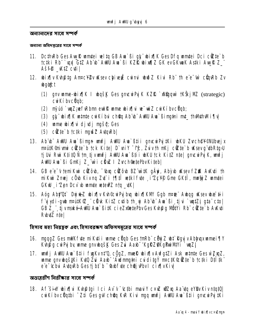অন্যান্যদেৱ সাথে সম্পৰ্ক

অন্যান্য অধিদপ্তরের সাথে সম্পর্ক

- 11. DcthRb Ges Aug Rumtei witg GB Au Bigt" wix RK Ges Dfg umtei Dci cite b tctki Rb `wy GtZ Ab b AWU Aw Ci KZR bix(1)Z GK ev GKwaK Astki Aw R Z Ašf<sup>o</sup>\_K‡Z cvii
- 12. bix iv Kuhâtg Annec Y Ev u sev chive jî cu mi bud Z Kivi Rb the e ur cûn Rb Zv **ubgigt:** 
	- (1) qnv wme-bix[|K I bqšk Ges qmc iPg K KZR `xkgquì †KŠkj MZ (strategic) **cuikí bycüab:**
	- (2) myū́o `uqZ;wfkbm eut R ume wix[|ui we wiZ cuiKibvcUqb;
	- (3) qt" wixilk winte cukibu cheq Ab"b" AulU Aw' Bingini mt\_ thMthMifly
	- (4) ume bix[|ui djudj myšty; Ges
	- (5) cittle b tctki mynish Autor Rb
- 13. Ab b ANU Am Bingn unfj ANU Am B‡ii gncur Pj#Ki uku Zvch@Y©NUbejx mputK@nivmi citte b tck Kite| D \niY -tfc, Zuivth mKj citte b uKsev g \tbRtg>U tj Usi Rui Ktitû Ñ tm tj vunfj AWU Au ` Bti i uku tck Kitz nte | gncui Puj K, unfj AWU Aw`ßi GnKj Z\_'wi c duZ I Zvch @etePbvKiteb|
- 14. GB e e<sup>-</sup>v temi Kui cizôu, <sup>-</sup>ung cizôu BZ witk gäyi, Abyu uksev fZik Avkuti th mikui Zmej côub Kivng Zur i 17 fî wiki fute i Zc¥® Gme GK‡Î, mwigj Z umutei GKW i'Zen Dcv b wmte wte PZ ntq \_\tK|
- 15. Aóg Aby'Ot` Dujuk Z ubix [v Kuh©cui Puj buq ubix [KM Ggb mate` Aubag uksev ubæ #i i f y ydi-gub nrutKIZ cürk KitZ cutib th y Ab b Am Bi tju `untZi gta cto GB Z\_", tjvmské AWU Aw` BitK cieZxetePbvGes Kvh@g MOtYi Rb" citte`b AvKuti Rubut**Z** n‡e

হিসাব মহা নিয়ন্ত্রক এবং হিসাবরক্ষণ অফিসসম্বৃহের সাধে সম্পর্ক

- 16. ngggZ Ges mWK fyte miKytii wme cügb Ges tnRb" cügiZ wht Rgyjv Ablygxwmei TIY Kuhpiq cui Puj by unne qnvubqšk Ges Zui Aaxb<sup>-</sup> KqlRZ@KqPui MIYi `uqZj
- 17. unfj AWU Aua` ߇i i fygKvn‡'Q, cÖgZ, muelê ubix¶vAvfg‡Zi Ask untrte Ges w`ZxqZ, ume gnvugšiki Kup Zu Aab<sup>-</sup>'Aulmutni cu ditay nectk®ite`b tctki Dilik e e tchu AugRh Gestiht b and fue chej Phyl cin IvKiv

অভ্যুররীণ নিরীক্ষার সাথে সম্পর্ক

18. Af šin bir i Kupta Ici Av v choi mau v cxu wan Aa ta ev Bv Kivntatu cwiKibvcUqtbi ~Zti Ges qw chQq KvR Kivi mgq wnfj Aww Awa`ßtii qmcwiPyjtKi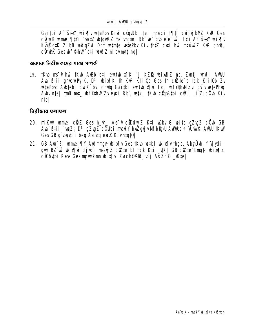Gaithi Af sin bin wete by Kivi curk nte met i fift cury bill Ky Ges cë u Kumei Tivi `uutz; utqukz ns 'mutai Rb' w `qub e e 'wi I ci Af sin ubix v Kuhpig#K ZLbB ubodqZui Drm untmte wetePbv Kiv thtz cuti hw maturiz KuR ch®, c**ünitik Ges ih f@thM** etj ubið Z nil gymre ng

অন্যান্য নির্বীক্ষকদের সাথে সম্পর্ক

19. †Kub ms<sup>-</sup>v hw †Kub AuBb etj euntubix¶K `j KZŘ ubix¶Z ng, Zvatj unnfj AuHU Am Biji ancwriik. D<sup>3</sup> wixik th KvR Kijiub Ges th cittle b tck Kijiub Zv wtePbu Auteb| cuiKíbu chou Gaithi emtubix[u Ici uf@thWIZu quivwtePbu Aby nte | tmB mt\_ whffthwizv eux i Rb", wiki tKw cünRtbi cüzi i'z; cÜb Kiv **ntel** 

<u> तितीक्रात कलाकल</u>

- 20. mikui ume, cüz Ges h\_vh\_ Ae<sup>-</sup>v cüzdyj Z K‡i uKbv G vel‡q gZygZ cÖvb GB Am Bii uuZi D<sup>3</sup> qZvqZ cÜybi mauY buZgyjvMfb@yU AWMs ÷ UWM, AWU tKW Ges GB g'**bytj i beg Aa'tg eW2 KivntgtQ**
- 21. GB Am`ßi mmei¶Y Andmmgn wix¶v Ges †Kw wiki wix¶v †hgb, AbyrÜw, f `yjydigub BZ wì ubix [| ui djudj meeyj Z citte bl tck Kti \_uk| GB citte brath ubix [| Z cizô thi Ree Ges nywkm wir [u Zvchevoljulj AšZf? \_ Kte|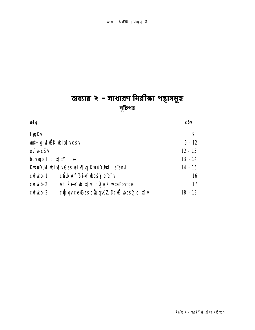## অধ্যায় ২ - সাধারণ নিরীক্ষা পন্থাসমূহ সুচিপত্ৰ

| œlg                                               | <b>CÔV</b> |
|---------------------------------------------------|------------|
| <b>fygKv</b>                                      | 9          |
| <b>ut÷g-vfük bix¶vcšv</b>                         | $9 - 12$   |
| ev e cšv                                          | $12 - 13$  |
| bg wab $\blacksquare$ cix $\P$ illi $\ddots$      | $13 - 14$  |
| KwuDU bix v Ges bix y KwuDU ti e emi              | $14 - 15$  |
| c <b>âb Af siw basy</b> e e v<br>cuirkó-1         | 16         |
| Af šin bix[ u c@wk wtePbvrgn<br>cuirkó-2          | 17         |
| cuque ce Ces cupure De Le basy cix lv<br>cuirkó-3 | $18 - 19$  |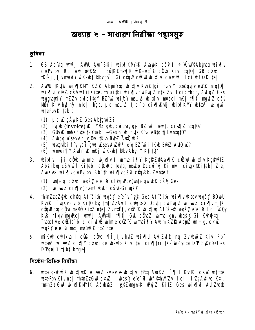## অধ্যায় ২ - সাধারণ নিরীক্ষা পন্থাসমূহ

#### ভূমিকা

- GB Aa'itq unfj AWU Au Stii bix[KW#K AughK cšv I ÷ ÚWPAbhux bix[v  $\mathbf{1}$ cuiPy bu Rb wufbatKškj nrutK©nsqR wK-ut R cOb Kiv ntqtQ| GB cxuZ I **TKŠKI tjvmani Y wK-bt Rbvgil Gi chnMckW bix hi cuwki Ici bfPKitel**
- AWU 1KWW bix HKW KZIŁ Abyri Yxq bix Hv Kungtgi mavi Y brizgyj v eW2 ntqt 0  $2.$ bix[|u cliz cšv bf? Kite, th aithi bix[|v curPuj Z nte Zu Ici; thgb, AvfgZ Ges ubqgubyniy, m2Zy cuiditgy BZ w ubifcy msuns-ubix[|v| metci mkj tylti mgušZ cšv MOV Kiv hy?hy? nte| thgb, µq msuš-tjbt b cix[| Kutj wix[| Kw wtas wlqw w<sub>te</sub>PbvKitebt
	- (1) µq *W* gÄyiKZ Ges AbygwiZ?
	- $(2)$  Py ib (invoice)  $\mathbf{K}$  . Will gib, cuig V, g j BZ wi i ubuit cinf 2 ntat0?
	- (3) GUvuk mWK fute tkYmeb"-Gesh\_vh\_fute K'uk eBtq tj Lvntqt0?
	- (4) Aubag usev Ah\_v\_2vi 1Kub Burz Auto us?
	- (5) ubanyutbi f yiydi-gub uKsev AuZui<sup>3</sup> e q BZ wii tKub BuYZ AutO uK?
	- (6) umei TY Aulmuk nKj wK-ut RbvAbyiY Ktit0?
- 3. bix [v ` tj i câb wtnte, bix [v I wme i [V Kg RZ PAax [K cit w bix [v Kg R PtZ Abyibu cšv w i Kiteb cünRb tevta, mské DccuiPyjtKi mt\_civgk®Kiteb Zte, AunKusk ubinflycuiPuj bui Rb" th ubinflycšui cünRb, Zvntet
	- **(1) wit+g, cxw2, ubqšy e e<sup>-</sup>G ch@j Pbv (wit+gvf EK c s0 Ges**
	- (2) w wiz cixily (menti wilf cs0-Gi wkY)
- thtnZzeZ@b ch@q Af sin bqsY e e v eg Ges Af sin bin v Ksev bqsY BDbU 4. Kuhki funkv cu b Kitû bu tnin ZzAull cüyi xex Douta cui Puiz w wiZ cixilv t\_tK cünRbu cğW maWb KitZ nte| ZvntË#, cüz K wix[|u Af šiw wqšy e e u I ci Küy KVR ni gv mg/Pb | wnfj Awrtui 1911 Gw câ b Z wme gnv bgšk-Gi Kvh@tg I "Chapture citie" b to the winte cite K unnei TV Audm KZR Aby & unt÷q, c x il bgšý e'e<sup>-</sup>ti mt\_ nrúké n‡Z ntel
- mikui cuitkva I cüßi cüb t¶î tjv hutZ ubix¶vi AviZufi? nq, Zv ubuð Z Kivi Rb"  $5.$ what's we will civilly cxwing a week Kiv ntel civility it with the D'P Succy of the last with the D'Pgij i tj bi bnunl

সিস্টেম-ডিভিক নিৰ্বীক্ষা

6. wrt÷g-uf EK wix | uK w - wiz evev e-wix | ui tPtq AwKZi ` | I KuhRi c x w wutnte wetePbv Kiv ng | thtnZzGW cxw | what's e e "G wf PthWIZG" I ci i'Z; Attive Kti, tntnZz GW wixjKW#K AšwaZ `výZvnun#K www. Ki#Z Ges wixju AwlZuab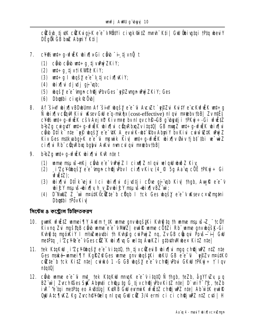cizôib tjikk cizkuigjik e e vilinty i civak®itz mmh Kti | Gill @bivatai tPta ibeuiy DËG**Q** GB bx**Z** AbuiY Ktil

- 7. c¥%ant÷q-wfi K wix¶y Gi câ b -i tjvn û t
	- (1) cầu cầu unt÷g tj vuhý ZKiY;
	- $(2)$  **urt** $\div$ q tjvtikWPPKiY;
	- (3)  $wt+g \, l \, \text{logs}$   $g \, \text{e} \, \text{e} \, \text{e} \, \text{t}$   $\text{logis} \, l \, \text{logis}$
	- (4) bix[|ui djudj qji'unb;
	- (5) **bgšy** e'e<sup>-</sup>ingn ch**ếj P**bvGes`efZvngn PuýZKiY; Ges
	- (6) Dhathi civak @ Obl
- 8. Af šin bix v BDbum Af šin bašve e "G" Avc Zt " v PZ u Kutve c c Kuf i K ut÷g  $\ddot{\mathbf{N}}$  whis  $\mathbf{N}$  we channot in the set of  $\mathbf{q}$ -mk  $\mathbf{\hat{q}}$  and  $\mathbf{c}$  ost-effective) ning in the by the sum  $\ddot{\mathbf{r}}$ c¥%art÷q-vfiëK cšv Aej¤b Kiv m¤e by nl gy ch\$-GB q doutj i tPKyj ÷-Gi vfiëtZ b+bZq cwqutY wt÷q-wf#K wix¶wi cQuRbxqZvitqtQ| GB muqZ wt÷q-wf#K wix¶wi ch bilk nie `ej bašy e e tk A\_ev wK-bi kby Abriy by Kivi cuw ZtK Dwz Kiv Ges mstkvabgjiK e e "ci mpunk Kiv| wrt÷g-vfi KK ubix w fisi thi w wiz cix[|vi Rb" cüqRbxq bgbui AvKu nuncul qui nmebvtbB|
- 9. b+bZq wt÷q-vf#K whix¶vi KvR nte t
	- (1) wme nsuvš-nKj câ be e v Próz I cinflz n I gui vel gw buð Z Kiv
	- (2) i Zcł<sup>o</sup>bąsy e e myn ch**ej P**bv I cirlly Kiy (4\_9 5g Aa q cOE tPKy ÷ Gi **witz):**
	- (3) bixilai Dillkëvejxi lici abixilai dijudtiji cëve qëëup Kivl thab. Aavik eje v bićy nauš-bixiu h v Žvbićy nauš-bixivBZ w:
	- (4) D'NullZ Z\_"wi mautK©citze`b cityb I tck Ges ubgšy e e v uksev c×uzmatni Dbathi †PóvKiv

সিস্টেম ৪ কন্টোল চিহ্নিতকরণ

- 10. gunK vfiëtZ unnei¶Y Audmt\_#K unne gnvubgš#Ki Kvh@tq th unne msuvš-Z\_"tc0Y Kivng Zvi maštaB cirb wme e e v MWZ ewift wme c0tZi Rb wme gnv bgšK-Gi Kuht to mnokiy I mt/ Lueauthi th Kuhao cui Puji Z no, Zv GB cou qui Povs—i-i Gul metPtg i'ZcY®e-vGesciz K bix[\g G wltg AwKZi gtbuthMubex KitZ ntel
- **11. tek K‡qKW i Zc¥®bqšX e e vita‡Q, th tjvc@euiB wix[\u mqq ch@jw2 ntZ nte** Ges maké wmei TV KgŘZ® Ges wme gnv wgštKi wkU GB e e u spýzv nrutK® c**ikte** b tck Kitz ntel curukó 1 - G GB ubqšy e e<sup>-</sup>v ch@j Pbui GKW tPKyj÷ t lqv  $|q$
- 12. cih ume e e u mt\_ tek Ktaku mnak e e v itatû jî thab, teZb, ågYfuzy µg BZ wi | Zvch©es Sta Abmti ch@utg G tjvch@jvbvKitZ nte | D wiY t£, teZb ive "e tai meteta eo Avetual Kuteb Gwl evrnik vfiëtz ch@ivwez ntel Ab witk evrl@ Odi Atc¶kZ. Kg Zvch@Y@elg nigg Gw ciz 3/4 ermi ci ci ch@jw2 ntZ cyti | H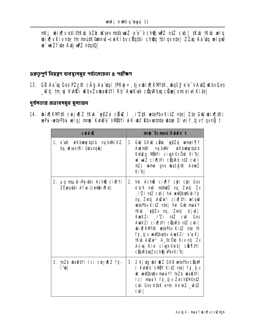mKj ubix¶v etl©tKub bZb uKsev mstkunaZ e e v ch@jun2z ntZ cuti| tKub tKub uelq whis iv hte two mant streets in the control of the change of the state of the state of the state of the state of the state of the state of the state of the state of the state of the state of the state of the state of the s ve wiZfyte Aytj uPZ ntqtQ

৪ক্লতৃপূর্ণ নিয়ন্ত্রণ ব্যবস্থাসমূহ পর্যালোচনা ৪ পরীক্ষণ

**13. GB Aa u Ges PZz. GÂg Aa tui tPKyj ÷ tjvbix HKW#K, wqšy e e VAttO KbvGes** \_Ktj tm yj Kuhki Wbv Žvubati i Rb Awkyk cün Rba cünej xmiej v Kitel

দুর্বলতার প্রভাবসমূহ মূল্যায়ন

14. bix KMK cuju z tKb `yyzu cüx I izx wtePbv KitZ nte Zte Gw bix HKi wePui-wetePbui wellg| mpde Kuh@e VMBIYi wK-whi Rbvwamte whai D'wiY tjvf gvnG t

| cuivī (Z                                                    | nrie Donani /Kyhee-v                                                                                                                                                                                                                                                                                                                                                                                                                               |
|-------------------------------------------------------------|----------------------------------------------------------------------------------------------------------------------------------------------------------------------------------------------------------------------------------------------------------------------------------------------------------------------------------------------------------------------------------------------------------------------------------------------------|
| 1. e usk wikbungitakb mg buwik Z.<br>bq, uKsev†Ri Ubbvnqub  | 1. GW GKW ch b gy Zy mmei TY<br>AudntK nyjbWi uiKbunyjtqkb<br>Kuhâg Mütyi civak©c vb Ki b <br>w wiZ cix[ IVi cunRb ntZ cuti <br><b>mzi wme gnv bqšk#K Aewz</b><br>Kibl                                                                                                                                                                                                                                                                             |
| 2. µg msµuš—Pyjutbi Ach® cix¶Y/<br>ZËpaqibi Afre (ce@bix[ ) | 2. hw Ach® cix[ Y cht cht Ges<br>e ck mti mshluz ng, Zvntj Zv<br>i'Zi n‡Z c√ti  hŵ ww0bd#Kvb fj<br>nq, Zutj Awi <sup>3</sup> cix TVi wlqW<br>wetePbv KitZ nte hiv GW maviY<br>tK\b `y∳Zv nq, Zvn‡j djvdj<br>AwaKZi j'Zi n‡Z cv‡i Ges<br>AwaKZi cix[ #Yi cüqRb n#Z cuti <br>bix[KM#K wtePbv KitZ nte th<br>fj tjv wuObœbv AwKZi e cK<br>tKub Auzui <sup>3</sup> A_©cÖub Kiv n‡j Zv<br>Av`uq Kiui ciugk©ẁb  cikt¶#Yi<br><b>cünRbxqZvch@jvPbvKib </b> |
| 3. teZb wa@#i Ici cwju¶Z fj-<br><b>TWI</b>                  | 3. 2 Kj utg uht @ Z GKB wetePbv cümM<br>I Kvh@e <sup>-</sup> v NBY KitZ nte  fj tjv<br><b>K wiQboby may Y?</b> teZb what IYi<br>Ici mauY fj tjv Zvche¥©n‡Z<br>cui Ges AtbK ermi Ae w2 _wtz<br>c¢i                                                                                                                                                                                                                                                  |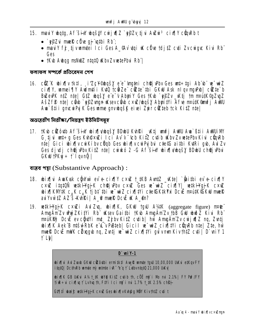- **15. mau`l bqtg, Af šin' bqšt' cu ju[|Z `yŷZv tj u AuZu`3 c ix[|Y cünRb t** 
	- $\cdot$   $\cdot$  epzy muely clies at at the Rb;
	- may'l fj tjvmmtei Ici Ges A qiv ugi uk cüve tdjiz cuti Zvcwigu: Kivi Rb **Ges**
	- †Kub Aubgg msNullZ ntatū uklbv ZvuetePbui Rb"

ফলাফল সম্পর্কে প্রতিবেদন পেশ

**16. ctk bixiv tktl, i Zcy@bašy e e (ngtni ch@j Pbv Ges wt÷tgi Ab b e wiZ** cixily, wmei IIV Awimtii Kud tcëze cëte thi GKW Ask nilov muPubl cëte b BuZeuPK n‡Z n‡e| G‡Z ubqšy e e<sup>-</sup>v AbuniY Ges †Kub `y@Zv\_wktj †m m¤ú#K©qZvqZ AšZfP ntel côw `vyZvnan Wsevcôw c×wZ/wašy Abuityi Afve nrutK®mfj AWU Au Biji gncu Pik Gesume gnvugške i zir citeb tck Kitz ntel

অভ্যূেৱীণ নিৱীক্ষা/নিয়ন্ত্ৰণ ইউনিটসমূহ

17. tkib cizôith Af šiny ibia ping vida sy bondu kihri kitji umfj Annu Aun` B‡i i Annui Inv G tivi wrt÷g Ges Kyh@×uZi Ici Av v "tcb KitZ cytib uKby Zv wetePby Kivi cümRb n‡e] Gici wix¶v cwkibv c dqb Ges wix¶v cw Pyj bvi c‡e Gaithi KutRi gw, Aw Zv Ges djudj ch@jvbv KitZ nte| cwirkó 2 - G Af šinY wix¶vwqšY BDwU ch@jvbui  $GKW$  † $PK\vec{y}$  ÷ †  $\vec{I}$  qvn $\tilde{G}$  |

<u> বায়ুব পয়</u> (Substantive Approach):

u<br>ti

- 18. bix i AuaKusk cğu'uù ev e-cix || x cxuz t\_#KB Auntz \_wkte | `ğaitbi ev e-cix || Y cxuz itqtuñ wetki Paj K chej Pbv cxuz Ges w wiz cinqy wetki Paj K cxuz **bix KWK C\_K C\_K tjbt thi w wiZ cix TVi cte CK#XY a DCE mAUK CKW muck** au Yvù ‡Z AZ š-KvhRi | A\_@ mueR Dc E uK A\_@n?
- 19. wikHgjK cxili AulZu, bix[K, GKiU tgiU A¼K (aggregate figure) mare AmgÄmzv WyzKitYi Rb" Wsev Gaithi tKub AmgÄmzv tbB Gw wwdz Kivi Rb" mpukný Dcu ev cůny i mt\_ Zi by KitZ cytib | hw Amgämzy cw ju[z ng, Zvutj **whing K** Aek B mtsul RbK e L v Pusteb | Gicil w wiZ cing tvi cun Rb nte | Zte, hw muel? DcuE mulK citizaanb ng, Zunti ne miz cixilty i and ymm Kiythtz cutil D'wiy 1 t Lbi

| $D$ ` uni Y-1                                                                                                                                        |
|------------------------------------------------------------------------------------------------------------------------------------------------------|
| ix¶vi Avi Zvaxb GKW ciZôvtbi ermitk‡l AvyK wmte tgW 10,00,000 UKvi etKqv FY<br><b>tgtQ  Dcth\Rb wmte nỳ wtnte i\R~^e*q f` L\tbvntgtQ 21,000 UK\d</b> |
| ix¶K GB UKu A¼†_tK wY@ KitZ cuib th, cöë nj`i Nb mu 2.1%  FY Pn?/FY<br>i:" + i cix( vq t` Lvhvq th, Ft'Yi Ici nt)` i mi 1.7% t_tK 2.5% ch\$ +        |
| ‡¶‡Î wai£ w‡kHgjK c×w Geswix¶vKvh@g MÖY Kiv†h‡Z cyti t                                                                                               |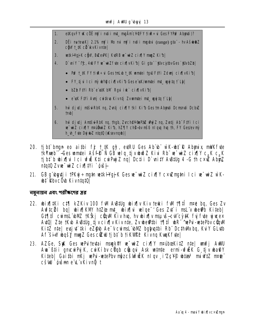- etKqvFY UK cÖË mỹ i mții mț\_ mgÄmc¥@FY fiue÷ui Ges FYPn? Abmți)?  $1.$
- $2.$ DËi nu tevaK | 2.1% mỹ i Mb mi mỹ i mții mgubi (range) gia - hv AšubâZ cow t\_#K cit kvKivnte
- 3. w#kHgjKc@W, BwZewPK| KuRB w wiZ cix[|Y mmgZ Ki1b|
- $\mathbf{A}$ D' will <sup>-t</sup>tc, 4W FY w<sup>-</sup>wiZf te cix[|vKi b| Gi gta" `#UvcitbvGes `#UvbZb|
	- Puf t\_tK FY tiuR÷ui GestmLub t\_tK unntei tquU FtYi Zdunj cix[|vKib|
	- FY tjui Ici nỳ uby ecix juki to Gese us the matei mt\_ way to the libi
	- bZb F#Yi Rb" e"s#K bM Rqui iuk" cix[|vKib|
	- e'uk Ft'i Avnj cuitku Kivntj Zvumtei mt\_unjtq f`Lb|
- hw djulj ntšdRbK ng, Zutj cix[|Y |k| Kib Ges |m Abuti Dcmmti Dcbz 5. **tmb**
- 6. hù djulj Antšul RbK ng, thgb, Zvch@Y@PaZ wyz ng, Zvrtj Ab FtVi Ici w wiz cix[IY nraidwiz Kib, hz[IY chg-bv nšó niquq hu th, FY Geslev my h\_vh\_fvte DujukZ ntqtQ (uKsevnqub) |
- 20. tjbt bngn eo aithi fj t\_tK gŷ, euRU Ges Ab b wK-bt R Abynix mWK fute **tkYmeb"-Ges wmtei Ašfê N GB wiq tjvbið Z Kivi Rb" w-wiZ cixty c,k c,k** tj bi b wixiju l ci ufw K‡i curpuj Z ng | Dc‡i i D` wity Au8tug 4 - G th c×w Abuy. ntat0 Zvw-wiZ cix[ltVi ` guš+
- 21. GB g`iby tij i †PKyj÷ng‡n ve‡k H'gjjK Gesve~wiZ cix¶Y c×vZmg‡ni Ici ve~wiZ w`K**ut RhycOu KivntatO**

নম্বনায়ন এবং পরীক্ষণের স্তর

- 22. bix[]#Ki c#[] kZKiv 100 fW A\B#Uq bix[]v Kiv terki fW t[]#i nrot bq, Ges Zv Avf‡cël bq| ubix¶KMV h‡Zëe m‡\_ ubix¶vi velqe<sup>-</sup>'Ges Zyt`i msL`v ube@b Ki‡eb| G17 fil cuinsl bMZ tKŠkj cünM Kiv hu, hv bix v nsu s-cul cy#K fuj fute u ucex Aut0| Zte tKub AuBtUg tijv cix[|v Kiv nte, Zv ube@tbi t¶lfi ubR<sup>-\*</sup>uePui-wetePbv cünMI KitZ nte evsit tki eZ@b Ae v cwimd blwZ babutbi Rb DcthWkbq, KulY GLutb Af šin vašy muz Gesci v tibi b tikype Kivna Kunkfytel
- 23. AZGe, StK Ges vePuitevtai mauktY ve viz cixily mpuboskitZ ntel vonfi AWU Ava Biji anycyj Prik, cyj Kíby cijab cijuani Ask winte ermi-yfy K G tiv wati Y Kiteb| Gaithi nKj wePui-wetePbv nopzcsufulk nl gv iZcV® whta <sup>3</sup> miWtZ new" cš**úl** `óvšmn e L v Kivn**ũ** t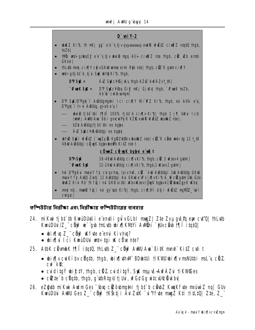

কম্পিউটার নিরীক্ষা এবং নিরীক্ষায় কম্পিউটারের ব্যবহার

- 24. mi Kui tj bi ib Kumi Duți i e emți i gui v GL bi mug z | Zie Zv prgusta eux cu "Q | th Luib" KwuDUu /Z\_" cihi? w`"qub tnl.utb ubixiikMtYi Awihii `#Uvceub t¶lî itatQl
	- $\boldsymbol{\omega}$ ix $\P$ kg Z $\tilde{a}$  chef Kfide e enu Kivhug?
	- bixini ici Kwaduli mt÷tgi uk cüre nte?
- 25. AtbK cümbK 1911 itatü, thLutb Z\_" cüyf AWU Awa BitK mmh" KitZ cuti t
	- bix¶v cwkiby c0qtb, thgb, bix¶\th\M BD\btUi tiK\\@bix¶v msNUtbi msL v chtZ.  $c$ ui  $k$ **B**
	- cuditaý wi£ty, thab, cHZ cuditaý, SK msuš-AvfÁZu tikVrGes
	- cikte`b cüqtb, thgb, g`\tbRtg>U tj Uwi, wfGdGg witc\U&ili\kbv|
- 26. eZ@Wb miKwi Awlm Ges "(b)g cizô\bmatni tibt" b cë\bZ KwaKf\te m¤uw) Z ng | GUv KwiDUi AWU Ges Z chip Kštji Au ZuK `u'Yfue muz Kti titLtQ| Zte, Z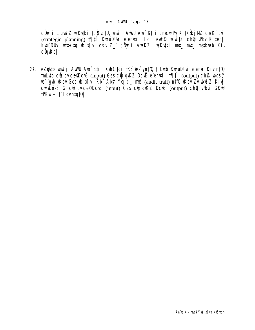c**öy**fi µgušZ veKyki †c@\vc#U, vmfj AWU Ava`߇ii gnvcwiPyjK †KŠkjMZ cwiKíbvi (strategic planning) **1911 KwiDUi e'entii Ici eurR ufutz chej Pbv Kitebl** KwuDUu wit÷tg wix[ju cšv Z\_" city?i AwKZi weKutki mt\_ mt\_ mstkwb Kiv  $c$ **Q** $n$ Rb

27. eZ@4b unfj AWU Aua`߇ii Kuh@tgi †K>`@e>`ynt'Q †hLutb KumiDUui e emi Kiv nt'Q tril utb cünqu ce Ocu (input) Ges cünquk Z Dcu e emiti i 1911 (output) chß ungšy we gub who Ges wing to Rb Abyri Yxq c\_ mp (audit trail) nt Q who Zv wo Z Kiy cuinco-3 G câuqu-ce Dc E (input) Ges câuqu KZ Dc E (output) che j Pbui GK U  $H$ Kui $\div$  1 avntat0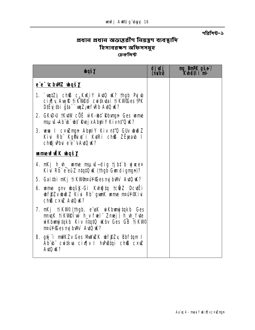পৱিশিষ্ট-১

# প্রধান প্রধান অভ্যন্তরীণ নিয়ন্ত্রণ ব্যবস্থাদি<br>হিসাবরক্ষণ অফিসসমূহ<br>চেকলিষ্ট

| <b><i><u>bqšy</u></i></b>                                                                                                                                                                                                                                                                                                                                                              | djulj<br><b>(mdby</b> | <b>ng_BnPK gšei/</b><br><b>Kheti i mi</b> |
|----------------------------------------------------------------------------------------------------------------------------------------------------------------------------------------------------------------------------------------------------------------------------------------------------------------------------------------------------------------------------------------|-----------------------|-------------------------------------------|
| e e tc <b>bwe waśy</b>                                                                                                                                                                                                                                                                                                                                                                 |                       |                                           |
| 1. $m\ddot{ }$ $m\ddot{ }$ $m\ddot{ }$ $m\ddot{ }$ $m\ddot{ }$ $m\ddot{ }$ $m\ddot{ }$ $m\ddot{ }$ $m\ddot{ }$ $m\ddot{ }$ $m\ddot{ }$ $m\ddot{ }$ $m\ddot{ }$ $m\ddot{ }$ $m\ddot{ }$ $m\ddot{ }$ $m\ddot{ }$ $m\ddot{ }$ $m\ddot{ }$ $m\ddot{ }$ $m\ddot{ }$ $m\ddot{ }$ $m\ddot{ }$ $m\ddot{ }$ $m$<br>cixily AwR tikWeff cwtkytai tikWGes TPK<br>DiËyj ibi gia `wqZ;wf\Rb A\tQ \{? |                       |                                           |
| 2. GKWJU †KUHU cÖË w`K-uh‡ Rbungn Ges unne<br>msuvš-Ab b b b kej x Abyri Y Kivn#0 k?                                                                                                                                                                                                                                                                                                   |                       |                                           |
| 3. WHO I C×WINGIN Abyriy Kiv nt'Q GUv und Z<br>Kivi Rb <sup>.</sup> Kg <b>Pux</b> î i Kuri ch <b>® Z</b> Êpeaub l<br>chej Pbu e e vAuto K?                                                                                                                                                                                                                                             |                       |                                           |
| <b>unneufik bqšy</b>                                                                                                                                                                                                                                                                                                                                                                   |                       |                                           |
| 4. mKj h_wh_ wame mspuš-dig tjbt b yjvcex<br>Kivi Rb" e"eüZ ntqtQ uK (thgb Gundigman)?                                                                                                                                                                                                                                                                                                 |                       |                                           |
| 5. Gaithi nKj tiKVAnnuWGes mjbWi AvtO uK?                                                                                                                                                                                                                                                                                                                                              |                       |                                           |
| <b>6. mme gnv bašk-Gi Kvhijta tců Z Dcuti</b><br><b>ubfjezvuhið Z Kivi Rhi gunk ume nrúfliki</b><br>ch® cxwZ Aut0 uK?                                                                                                                                                                                                                                                                  |                       |                                           |
| 7. mKj ti KW <sup>®</sup> (thgb, e uk wi Kbumjtqkb Ges<br>mnqK tikVl@Twi h_v fuel" Zmej) h_vh_fvte<br>wiKbung takb Kiv ntatū uKbv Ges GB tiKVIC<br>nrul Ces mj bWi Auto K?                                                                                                                                                                                                             |                       |                                           |
| 8. g指 i mWKZv Ges MwWZK 山f参Zy Bbftqm I<br>Ab b cutku cix y I hPBtqi ch® cxw<br><b>Auto K?</b>                                                                                                                                                                                                                                                                                          |                       |                                           |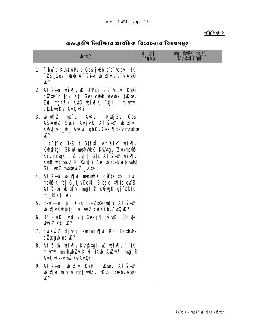#### পরিশিষ্ট-২

| <b>Thus</b>                                                                                                                                                                               | djulj<br>( <b>nuby</b> | <b>ng BnPK gše<sup>:</sup>/<br/>Kyheti i mi</b> |
|-------------------------------------------------------------------------------------------------------------------------------------------------------------------------------------------|------------------------|-------------------------------------------------|
| <b>1. "bui b Kuh@uiPyj b Ges juBb e"e"(cbv t_#K)</b><br><b>72š;Ges "larb Af sin" wirth e e " y Avio"</b><br><b>K?</b>                                                                     |                        |                                                 |
| 2. Af šin bix v K D'PZi e c'chi KuQ<br>citte b tck K‡i Ges citub whethei (uksev<br>Zui ngK¶) KutQ ubix¶K `tji miwni<br><b>cůskunku Autů uk?</b>                                           |                        |                                                 |
| <b>3. wixq2 ms<sup>-</sup>ú Avkui, RuljZv Ges</b><br>Ašdû Z Siki Aujuk Afsin din<br><b>Kuktgv h_vh_ AvKui, gh®v Ges ¶gZv m¤úbœ</b><br>W?                                                  |                        |                                                 |
| [ c`t¶c 1-3 t Gt¶‡Î Af`šinY win¶v<br><b>Kungatgi GKW msMubK Kulutgy 2ui/msMb</b><br>Kiv mnqK n‡Z c¢i  G‡Z Af šinY wix¶v<br>Kur whunded KgPu x i Ae U Ges who who<br>Gi `wqZ;mbtekZ _Wte ] |                        |                                                 |
| 4. Af šin bix i matk cëte thi Kur<br>msivio Ki b   G tj v Dcti i 3 bs c`t¶tc ew 2<br>Af šin bix vi mgt © cQ y Kgj qbtK<br><b>ng_DK‡i W?</b>                                               |                        |                                                 |
| 5. maké ermtii Ges cieZx <sup>e</sup> ermții Af šin<br>bix[vK\h@tgive~wiZcwKibvA\tQK?                                                                                                     |                        |                                                 |
| 6. $D^3$ cuikí by djudj Gesj $\P$ guluk $\overline{\phantom{a}}$ uófue<br><b>WýZ K‡i K?</b>                                                                                               |                        |                                                 |
| 7. cwkwaz djudj ewtwix wi Rb Dcthwk<br><b>cüxqgub nq uk?</b>                                                                                                                              |                        |                                                 |
| 8. Аfš <del>in</del> bix¶v Кuptgi u bix¶v`jtK<br>mivni muhumi Kivi †Kub Auzui <sup>3</sup> mg_©<br>Aut0 uKsev miv 'Qv Aut0?                                                               |                        |                                                 |
| 9. Afšin bixīv kuri usev Afšin<br>Dixini mivni mthulizui †Kub m¤tebv AvtO<br>W?                                                                                                           |                        |                                                 |

## অভত্তরীণ নিরীক্ষার প্রাথমিক বিবেচনার বিষয়সমূহ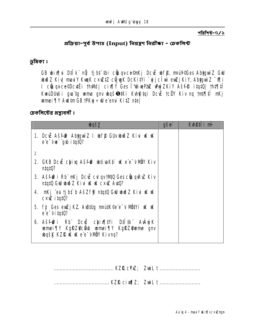পরিশিষ্ট-৩/১

প্ৰক্ৰিয়া-পূৰ্ব উপাহ (Input) নিয়ন্ত্ৰণ নিৱীক্ষা - চেকলিৰ্স্ট

छन्निका ঃ

GB wix[|vi D‡Ik" nỹ tjbt thi cũuquce@nKj DcuE whfp, nruiN@Ges AbtgwiZ Gwl wið Z Kiv mau Y Kuun Cxw 12 cin un DcKifYi `yjc Twi ew Zj KiY, Abygwi Z -0 [i I ciuqvce©Dcutë i thMdj cix[|Y Ges T4LwPaZ whyzKiY Ašfe itqt0| tht||il KwiDU ti ga'tg wme gnv basetki Kung tai Dcië tcëy Kiv na thte fili umei ¶Y Aultm GB tPKy ÷ W e eni KitZ nte

চেকলিস্টের প্রশ্নাবলীঃ

| <b><i><u>bqšy</u></i></b>                                                                                                          | <b>gše</b> | <b>Kuetii</b> m |
|------------------------------------------------------------------------------------------------------------------------------------|------------|-----------------|
| 1. Dc EA SFOP Abyguiz I wff GU wid Z Kiu w w<br>e'e 'vue' "gub itat0?                                                              |            |                 |
| 2.                                                                                                                                 |            |                 |
| 2. GKB Dc Ë chi q Ašfff bijuaktí w e e v NDY Kiv<br>n!q!0?                                                                         |            |                 |
| 3. Ašfir i Rb" mkj Dcië cul qv tht Q Ges cë u qRv Kiv<br>ntato GW www. Kivi W. W. Cxw. Avto?                                       |            |                 |
| <b>4. nKj ^ea tjb‡`b AšZf\$ n‡q‡Q GW wiðZ Kivi uK uK</b><br><b>cxiz itat0?</b>                                                     |            |                 |
| 5. fj Ges euzj KZ Austug mant Kee e v Nütvi uk uk<br>ee-vitato?                                                                    |            |                 |
| 6. Ašfir i Rb Dcë chia tri Dilitk Avajk<br>wmei¶Y KgRZ <b>@c@b wmei¶Y KgRZ@wme gnv</b><br><b>bgšk KZRK K &amp; e e VIDY Kivng?</b> |            |                 |

|--|--|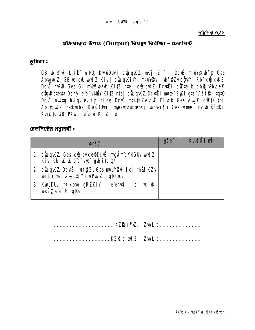পরিশিষ্ট ৩/২

প্ৰক্ৰিয়াকৃত উপাহ (Output) নিয়ন্ত্ৰণ নিৱীক্ষা - চেকলিৰ্দ্ট

ড়মিকা ঃ

GB winflui Dtilk" ntPQ, KwaiDUti cünqKZ. nKj Z\_" I Dcuë nrang wff Ges AbygwiZ, GB welqw wwoZ Kiv | cünq KitVi maiY2v I wff Zvc gutVi Rb cünq KZ. Douë hPB Ges Gi m/silwanb Kitz nte cijuq KZ Doutei citte b cho u PhuceR cünRbievia Dchý e e v MBY KitZ nie cůnovkZ Dcviči mate SyKi gia Ašfie itotů Dcut muitq huiqu ev fj nlqy Dcut mantK©Avcut Dich Ges AvuR cutte thi Abbiguì Z mskvaba KuruDU zi mpavraubom Kj umei TV Ges ume gnv ubgši tKi Kuhğ tq GB tPKyj ÷ e emu KitZ nte

চেকলিস্টের প্রশ্নাবলীঃ

| <b><i><u>bqšy</u></i></b>                                                                 | <b>gše</b> | Kuefii mi |
|-------------------------------------------------------------------------------------------|------------|-----------|
| 1. cünqKZ Ges cünquce©Dc EmgÄmc¥©GUv ubið Z<br>Kiu Rb" KK K e"e" vw" gub itat0?           |            |           |
| 2. cünqKZ Dcutë i ubfjizv Ges manivizai Ici thširkzv<br>bify mauseix   Y curry Z ntato U? |            |           |
| 3. KwuDUui t÷kbui gRZKiY I e enții Ici uK uK<br><b>bašy</b> e'e vitat0?                   |            |           |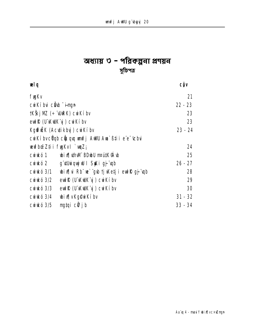## অধ্যায় ৩ - পরিকল্পনা প্রণয়ন সুচিপত্ৰ<br>\*

| œlg                            |                                                        | <b>CÔV</b> |
|--------------------------------|--------------------------------------------------------|------------|
| <b>fygKv</b>                   |                                                        | 21         |
| cuikíbui ciab <del>Tinga</del> |                                                        | $22 - 23$  |
|                                | <b>†KŠkj NZ (÷ "WRK) cu Kíbv</b>                       | 23         |
|                                | eut R (U'KuK'y) cu Kíbv                                | 23         |
| Kgffik (Actikby) cwKíbv        |                                                        | $23 - 24$  |
|                                | cuikí bvc <b>vob cůuqu unfj AWU Aua</b> Bii i e e chui |            |
|                                | <b>vevfboë Z‡i i fygKv l`vqZ;</b>                      | 24         |
| <b>curukó 1</b>                | wix Him Udold main Rid                                 | 25         |
| <b>Curukó 2</b>                | g <b>duiquj W I Saki gj</b> qo                         | $26 - 27$  |
| <b>Curukó 3/1</b>              | bix[ ui Rb" we`"gub tj Wetj i euth@gj"upb              | 28         |
| <b>Curikó 3/2</b>              | eut R (U KuK y ) cut K i bv                            | 29         |
| <b>Curikó 3/3</b>              | eut R (U'KuK'y') curk i bv                             | 30         |
| <b>Curikó 3/4</b>              | <b>wix</b> v Kgew Kiby                                 | $31 - 32$  |
| <b>Curikó 3/5</b>              | mgtqi c $\ddot{\mathbf{v}}$ jb                         | $33 - 34$  |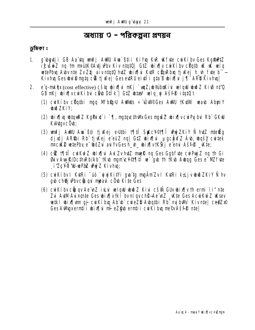## অধ্যায় ৩ - পরিকল্পনা প্রণয়ন

#### ড়মিকা ঃ

- g butji GB Aa'tg unfj AWU Au Stii Kiyg KR Kfte cu Kíby Ges Kgfrad  $1<sub>1</sub>$ if is set and the maint of the Kiv number of the set of the south of the set of the set of the set of the set o wetePbu Aubv nie Zv Zij aiv nict0 hui bix[u KuR cupRbu tj Kej h\_uh\_fute b"-Kivhu Ges bù 0 nuta c'il i Kej Ges et RU ei t'i i gia B bix lui j'i ARD Kivhul
- e'q-mkàx(cost effective) cšíg bix[hi nKj `unZ;b@iboKiu velgil buðZ KiuB n#Q 2. GB nKj bix wcukíbu câb Dilk | G1Z blas<sup>3</sup> wlq u Ašf<sup>8</sup> itatût
	- (1) cuiKiby cüqtbi ngq Mfb@pU AuMils ÷ UUIOGes AuMU tKutMi waab AbyriY **Juin ZKiY:**
	- (2) bix ng btquRZ KgPuix" i ` 1, mgtqucthwk Ges mguis Z bix ny cui Pui bui Rb" GKW KuldavcÖub;
	- (3) unfj AWU Aua`߇i tjvKej e>Utbi t¶‡î SyKc¥©t¶î whyjZKiY Ñ hutZ nteëg djulj AR\$bi Rb tjučej e euz nq G1Z bix u pgc#xfZ Ab, bqšy cwtek m¤cuK® wztePby e woodzy au YvGesh yn whixflivtKški e emi Ašfe kkte:
	- (4) cit 1911 cui Kuí Z ubix qui Aul Zv hut Z muelle ng Ges Ggbfute cui Puj Z ng th Gi Buv Avy R/DcthRb/Ab" tKub mamic Vot 11 if we gub the tKub Aubag Ges e MZ fute i'ZcYq'd-wPaZ WyZ Kivhu:
	- (5) cư Kíbv I Kự Ri "úó `ư yữ KitYi gu tg mgàm Zv I Kự Ri k,Lj vươn DZKiY Ñ hv qub ch@j uPbvc@uqui meaul c Oub Kite Ges
	- (6) cui Kíby cũngy Ae nz i Lui wlgw buồ Z Kiui cší Guy bi xiy th ermi ii" nte Zui AutM Auizunte Ges wix |v tki bv nl gv ch S-Ae un Z \_ wite Ges Acui Kui Z Wsev wetki wix [um qj cwiKibuq Ab b cwieZD A bqtbi Rb mg bWd Kivnte | ce@ZxO Ges AWIgxerntii wix hi mi eZ@b erntii cu Kibu me®vAšf@ ntel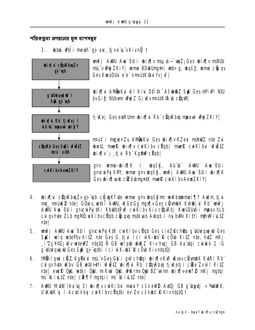পরিকল্পনা প্রণয়নের মূল ধাপসমূহ

#### whai will mmth aj ac tive LyKivng t  $3<sub>1</sub>$



- 4. bixini cünRbxqZv gj qb cüngKfvte ume gnv bgšKm verfbommei in Audm tj vi mt\_ nruke nte| GOoy wiki AWU, wfGdGg ngx[jv Ges clivnbK Kvhej xi Rb" wnfj AWU Am`߇i i gncwPyj#Ki Kbubb#Rw cwiKiby Kiv c@nRb| KwaOUwti impay hLb cul gyhute ZLb malWcwiKi bycijgb ciju gya mstkyab Avbgb 1 majbuW KitYi mthwlivLtZ  $nte$
- **5. unfj AWU Aua`߇i i gnœuiPyjK#K cuiKíbv cüqb Ges cieZ@ch@q g'uthiqujW Ges** Stki welq wtePbv Kitz nte Ges G tjui Ici wK-wt R cow Kitz nte, huz nKj  $\mathbf{A}^T$  i Zcł $\mathbf{C}$ j Kv wte PZ ntatu  $\tilde{\mathbf{N}}$  GB welqu with  $\mathbf{Z}$  Kiv hur GB Aa tai curkó 2 - G g dibiquj w Ges Syk gj udbi Ici w K-wit R c Ob Kivntatul
- **tivülliqui cüz KgPuixi msL v Ges Gü i gw ch@qi ubix[|v KvR uKsev cüvmbK KvtRi Rb"** 6. cul qv hute uKbv GB wetk HYi vfužtZ ubix[vi Rb" cümRbxq tj vKetj i cüke Zvwi f KitZ nte euff Od, wiki Od, nikui Od, Wikrn Od BZ wm bin venf2 nKj ngtqi ms to iultz ntel circy mytail ms to iultz ntel
- 7. AWU TKQW (Aa'q 3) wix jv curkibui may cšv eW AQQ GB g bytj ÷ WRK, U KUK y I Actikby cu Kíbvc duthi ev Ze cšvut R Kivntutů t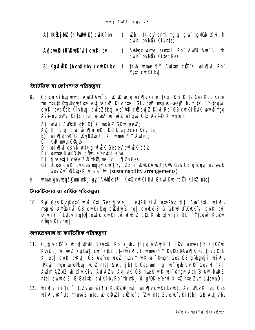| A) †KŠkj MZ (÷ <sup>a</sup> dbRK) curkí bv |              | <b>t «Zb†_tK cvP ermi mytqi gta¨ myNÖbix¶vi th</b><br>cuik i by NBY Kivnte; |
|--------------------------------------------|--------------|-----------------------------------------------------------------------------|
| A) eut R (U KUK y cu Ki bv                 |              | AWIgx wime erntii Rb" AWIU Awa`ßi th<br>cuiKibvMOY Kite; Ges                |
| <b>B) Kgffräk (Actikby) cwkiby</b>         | $\mathbf{t}$ | tKub unnei TV Audim cüz"K ubixTui Rb"<br>Muz cukí by                        |

শ্ট্যাটঙ্কিক বা কৌশলগত পৱিকল্পনা

- 8. GB cw Kiby wufj AWU Aw`Bi W W wlg wix w Kite, tKgb Kti Kite Ges KLb Kite tm nrauk@dqubquifte Attit KcuZ Kiv ntel Guv buiZ msu is-weez hv t\_tK -f-tgguv cuikíbycügb Kivhul cuiezbkyj Ae "#K cizdyj Z Kivi Rb" GB cuikíbuk ww@mgg Aši-ný bWi KitZ nie bias<sup>3</sup> ve viz velovů GIZ Aši P Kivnie t
	- A) unfi Aultui at Dilk new Z GKW wew:
	- A) th matai ata bix hi mkj Dtik ej xci Y Kivnte;
	- B) using the Cj KyBDubU (nKj umei T|Y Audn);
	- C) KVR nrutk@wb:
	- D) birflui cšvÑ unt÷q-vfiëK Gesev evfiëK cšu
	- E) umite KurúDU i cihý? e enti i e uß;
	- **F) ti Ketj i cike ZW thu mal vi `Ti ZvGes**
	- G) Dbgb cwikiby Ges mggN cik  $\Pi$ Y, bZb ÷ UWPAWU TKW Ges GB g by ev expb **Ges Zv`xVCtrix in ete transformation** (sustainability arrangements)
- 9. ume gnybaškm nKj at" AWÖC! Ti KuQ cu Kíbu GKW Kuc tcöy KitZ ntel

ট্যাকটিক্যাল বা বাৰ্ষিক পৱিকল্পনা

10. St Ges KuhpigtK uf ü Kti Ges tj Kej I eur U eiu wete bu tit Am Btii wix Iv msuvš-AMinku GB curkíbu cůdují ng curkó-3 G GKW U Kulk j curkíbu D'uiY † Lubv ntqtQ| eulf? cuiKíbu ufütz cüz K ubix[|v tji Rb" ftgquv KgfnP **cÜqb Kivhul** 

অপাৱেশনাল বা কৰ্মভিত্তিক পৱিকল্পনা

- 11. G tjvciZK bix[|\thM BDbtUi Rb" (\_by tRjy AvâyjK I câb wmei [|Y KgiRZ@ Kung a) w wiz Kampi cui kibi cae@bixilv I wmei Tiy Karazona alk G tjv cüqb Kiteb| cwKibKutj GB Aa'utq wez mau'Y wK-wht Rmgn Ges GB q'ubytji wix[v tPKyj÷ngn wetePbuq ivLtZ nte SyK, tjbt b Ges wrt÷tgi w gub cv\_R Ges H nKj Audm AZXZ ubix wik AufAZu Autjuk GB muel wK-ut king aek B Aufthul Z nțe cuiula 3 - G Gaithi cui Kíbv Rb th nKj dig/QK e enu KitZ nțe Zvt Lubvnũ |
- 12. bix[|vi `i''tZ `jtbZv mmei'||Y KgRZ@ mt\_ bix[|v cuiKibv btq Avtj vbv Kiteb Ges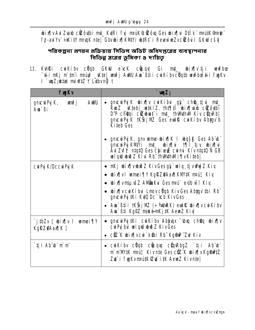bix[|v Aul Zuab cüZôutbi mt\_ KutRi fyj mauk@üZôuq Ges bix[|vi D‡Ik" mautK@mate" fj-au'Yv`i KitY muqK nte| GUvbix¶KMYi btRt`i RevewwZvciZôuil GKW cšv

পরিকল্পনা প্রণয়ন প্রক্রিয়ায় সিভিল অডিট অধিদপ্তরের ব্যবস্থাপনার বিভিন্ন ম্তরের ভূমিকা ৪ দায়িত

13. Kuhki cuiKíbv cüqb GKW e ck cüuqv| Gi mt\_ ubix[|v̀tji weufbœ The magnetic term of the contract of the contract of the contract of the contract of the contract of the contract of the contract of the contract of the contract of the contract of the contract of the contract of the contr I `wqZ;wtaa miwtZ i` Lubvnĝ t

| <b>fygKv</b>                                         | `wµZ;                                                                                                                                                                                                                                                                             |  |  |
|------------------------------------------------------|-----------------------------------------------------------------------------------------------------------------------------------------------------------------------------------------------------------------------------------------------------------------------------------|--|--|
| <b>gnicuri Pyj K,</b><br>AWU<br><u>unfj</u><br>Aw`ßi | gmcwPyjK wbix¶v cwiKibui gy chej tju mt_<br>RwZ _Wteb  wtklZ, tht¶ti wix¶wwb ciZôwbi<br>D'P choqi columnat i mt_thMthM Kiv cunRb<br>gnocu Pyj K †KŠkj NZ Ges euli R cu Kíbv Abigy b<br><b>Kiteb Ges</b>                                                                           |  |  |
|                                                      | gnc <b>u Pj K, gnv ume-bix (K I bašk Ges Ab b</b><br>gmcwPyKMYi mt_ bix[ u till tjv bix[ u<br>Aul Zuf $\tilde{\bm{\tilde{P}}}$ ntatū Ges chiveji cuimi Kivntatū N GB<br>wlqw wwo Z Kivi Rb" thwithwli fly Kitebl                                                                  |  |  |
| <b>cư Pý K/Dccư Pý K</b>                             | • nKj wix¶vwwðZ KivGesgķ¨welq tjvwhýZ Kiv<br><b>bix views where the state of the state of the state of the state of the state of the state of the state of the state of the state of the state of the state of the state of the state of the state of the state of the state </b> |  |  |
|                                                      | • bix¶vmsµvšZ AMČnaKvi Gesm¤u` edb wī fKiy                                                                                                                                                                                                                                        |  |  |
|                                                      | <b>wix</b> wiki bui Lmov cuqb Kiv Ges Abygy thi Rb<br>gmcwPy #Ki Kup Dc "Cb KivGes                                                                                                                                                                                                |  |  |
|                                                      | • Am` $\beta$ ti i †KŠkj $\mathbf{M}$ (÷ <sup>a</sup> ddr $\mathbf{K}$ ) eut $\mathbf{\bar{R}}$ bix $\eta$ v cut $\mathbf{K}$ íbv<br>Ava`߇i Kgf2 maké-mKj#K AevaZ Kiv                                                                                                             |  |  |
| `j#bZv [ wix¶v I wmei¶Y<br>Kg <b>rz%Aax</b> ¶K]      | • gmcwd ji Ki cwi Kiby Abhuqx "wha choq whix quote $\mathbf{r}$<br>cuiPy bu welqu wid Z KivGes                                                                                                                                                                                    |  |  |
|                                                      | • ciz K wix¶vcw`k\$bi Rb Kgind ^Zw Kiv                                                                                                                                                                                                                                            |  |  |
| ` <b>iji Ab</b> `b` m`m`                             | • cư Kíbv c <b>ũ qb cù qu</b> c <b>ù n Rhan số ti</b> i Ab bì<br>m' m'IW#K maú, Kiv nte Ges ciz K wix[ v KgmP#Z<br>Zu` i fygKvmaú#K@u` i#K AemZ Kivn‡e                                                                                                                            |  |  |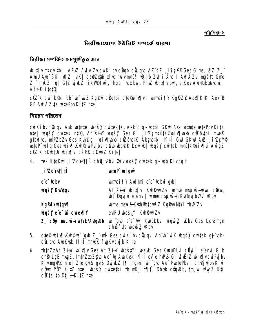পৱিশিষ্ট-১

নিৱীক্ষাযোগ্য ইউনিট সম্পৰ্কে ধাৱণা

নিৱীক্ষা সম্পৰ্কিত ক্ৰমপুঞ্জীভূত জ্ঞান

**bix[v n¤cv thi AZxZ AwfÁZv cwiKíbv c@qb c@uqxq AZ šZ \_iZc¥© Ges G msuxisZ Z\_"** AWU Ava`B‡i iv¶Z \_vtK | ce@Zx@bix[|vq huivm¤u;3 w2tjb Zut`i Avb | AvfAZvi myštq Gme Z\_" mÂZ nq | G‡Z yjuŁZ †iKVI@Îwì, †hqb ~'qxby, PjuZ ubix¶vby, e#KqvAub®uboAvcuEl **Ašfê itatû** 

ctz K cu kibi Rb ve wiz Kgind cüqibi cte@bixijv I umei jiy Kgikz@ Aaxijkik, Aek B **GB AvfÁZviK vetePbvKitZ ntel** 

নিয়ন্ত্রণ পরিবেশ

cui Kíbv cůu qui Ask unhate, ubqšy cui tekt K, Aek B gj unhi GKW Ask unhate w te Pbv KitZ nte | ubqšy cuitek nt'0, Af šiw ubqšy Ges Gi i'Z; npútK©bix[laxb ciZôutbi mueR gtbufte, ntPZbZv Ges Kuh@g| whis was diffused to the status of the status and the status of the status of the wieP wig Ges bix N the wird bu cab bath Dcv b wasy cutek mank bix ni AwgZ ciz K BDb#i bix i cš#K cowz Kitel

tek KtaKW i Zc¥¶11 ch@jvPbui Øuvwašy cuitek aj "up Kivna t  $\mathbf{A}$ 

| <u>i'Zcygqii</u>              | veteP vel qui                                                                                                  |
|-------------------------------|----------------------------------------------------------------------------------------------------------------|
| ee <sup>-</sup> tcbv          | umei¶Y Aud‡mi e e cbui gub                                                                                     |
| <b>ubqšy Kulutgv</b>          | Af šiny bixiju Kuhkuizu ume napuš-wa, cina,<br><b>ubi Rgyj ui e emui   unne msu is-ti KWAny bWV uKbv</b>       |
| <b>KgPú xub‡qM</b>            | wme mské-Kuth@utquRZ KgPuriMtYi thMZv                                                                          |
| <b>what's e'e wi cureally</b> | evtRU ubqštvi KvhRuizv                                                                                         |
|                               | <b>Z_" cibj? msu š-evitek/AvtqvRb ve`"gvb e"e" www. KwauDUui wbqwisz wKbv Ges DcuEmgn</b><br>ch®fyte workZ Why |

- 5. ctep bix[|K\h©ue`"g\b Z\_"-mi Ges cuiKibv cüuqui Ab"b" w`K bqšy cuitek gj"upcünqu Auskuk 1911 muq fuq Kvcu b Kitel
- **thtnZzAf šin bixty Ges Af šin bqštví vekvk Ges kvrúðui chý í e emi GLb** 6. ch<sup>e</sup>-LeB mmgZ, tntnZzeZ@b Ae<sup>-</sup>tq AwKuk t¶lil ev e-hPB-Gi uf EtZ wix¶vcwPyj bv KivngrPhb nte | Zte gutS gutS DyjukZ 19 | Tingthi we`gub Ae VwetePhv I ch@jvPhvKivi cijum MBY Kitz ntej ubašy cuitetki th mKj t¶tî Dbab cünRb, tm uj uhuý Z Kti  $c\ddot{\mathbf{z}}$  to  $D$ ti  $L$  Kitz ntel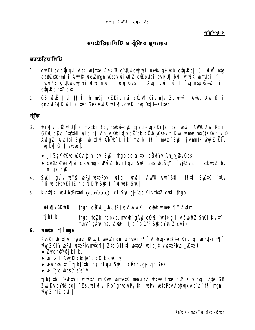পৱিশিষ্ট-২

### ম্যার্টেরিয়ালিটি ও ঝুঁকির মূল্যায়ন

ম্যাটেরিয়ালিটি

- 1. cui Kíby cũngui Ask untrate Aek B g uthui quy thi ui Wille guy up cũng Rb Gi ufui nhe ce@Zxerntii AuyR weyZmun Wsev wixt[]Z ciZôubi euRU| bM wriik wmtei 1911 maui YZ g'uthiqujuli ufuž nte 'j e'q Ges 'j Aug cuimpur l `u msu is-Zt\_'il  $c$ **u**n $Rb$   $ntZ$   $c$ **u** $i$   $\vdash$
- GB wfür tij ui 1911 th mKj kZKiv mui cümm Kiv nte Zv umfj AWW Aua Btii 2. gnow Py K w i Kiteb Ges ew R wix work i by Dtj I-Kiteb

ঝুঁকি

- 3. bix[|vi cikw D‡lk" matbi Rb", mské-Stk tjvgj "up KitZ nte| unfj AWU Ava " Bti i GKW câu D1811Vi welg nj Ah y @bix[ly cit gb côu Wsev mi Kwi wme nrutK@Ah y © AvfgZ Ávctbi StK bixflyi Ab b DIIK matbi 1911 nroe StK tjvmtR Wwz Kiv hu by G tjvbaict
	- i Zcł Kb Kuyfj ni gu SK | thab eo ai thi cü u Yu Ah\_y\_ 2v Ges
	- ce@Zx@bix{|vi c×uZmun uPwyZ bv nl gvi StK Ges ubustYi `e@Zvmun mstkvmZ bv **niqui Siki**
- Stki gutv byg webi-wtePbu welq| unfj AWU Au Stii 19 ft Stk tk 4. **E** is wetePbvKitZ nte N D'P StK I "Of weK StK
- Kung Til wufbod rimi (attribute) I ci Sul qj ub Kivthiz cuti, thab, 5.

**bixly BDbU** thab, c**êcu \_ by tRj y AvÂyj K I câb umei ¶Y Aulm** 

tibt b thgb, teZb, tcbkb, mmh" gäyi cüyz (wt÷g i Ašub@Z StKi KuitY mmh güyi mauso tjbt b D'P-SylcV®nZ cuti)

6. um‡ei †¶Îman

Kuhki wixju mpat\_Auyk weyZngn, wmtei 1910 AbhuqxwtkH Kivnq| wmtei 1910 Why ZKiY wePui-wetePbvmtc¶| Zte Gt¶ti whta<sup>3</sup> welq tj vwtePbuq \_wtet

- Zvch@Y@jbt`b;
- $\bullet$  unne I Auy & cittle b cu ab cu qu
- werfboaithi tjibt thi fj nlqu SK I cëYZvqj ub Ges
- **N w** dup dup dup a •

tj bi înti î eukto îi wfulitz mi Kwi wanet K mani YZ what a fwl Kiv ku kiv huq | Zte GB Zuj Kv c¥%2 bg | ~Zš¿bix¶vi Rb" qmcwiPyj#Ki vePui-vetePbv Abhyyx Ab bi t¶l imgnl  $M / Z n / Z c$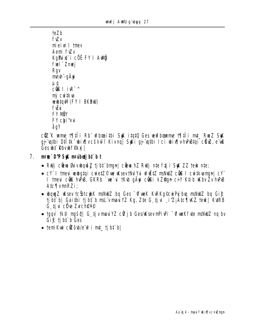```
teZb
fwv
miei I they
Aemi fwZy
KaPux i cöë FY I Aug
fuel" Znuei
Rgv
mmh - gÄyi
Мđ
c@ \mathbf{R}^{-1}mì cuitkua
veubtqvM (FY I BKBul)
fŵi
FY MÄY
FY chi'ku
åqY
```
ctz"K wme 19. The wheat the St that Ces withow me 19. The Rue Z St gj "utbi Dtitk" bir yošuwi Kivng | SKi gj "utbi Ici bir [vhPBtgi cäw. e us Ges **bi** Rbv **bffky** 

- 7. nrobe D'P Sak mruinden bit b t
	- Ruij c**iew ši vbašž ti bi** bran| ciew hz Ruij nte fžj i StK ZZ tem nte;
	- cY I tmevi vevbataj cvietZ© ve vksev tNdYvi vfužtZ msNWZ c@8 I cvitkvaman| cY I trevi cũ hPB, GKRb `we`vi tKub gävi cũ li kZfran ci'l Ktib uKbv Zv hPB AtcflvmRZi:
	- Long Z Lasev tc Sotcub K manual by Ges "Of wek Kurk g Cui Puj buy manual by Gi  $\epsilon$ tjbt b| Gaithi tjbt b md vmau YZ Kg, Zte G tju i Z; AtcTNXZ teu | KuRB **G tivi cüre Zyrch@VO**
	- tgqv`tk‡l mgšq| G tjvmaviYZ c $\hat{\mathbf{v}}$ jb GestKsev mPivPi ~ofweKfyte msNWZ ng bv Gichtibi b Ges
	- $\bullet$  temikui cülôub/e up i mt\_ tj bt b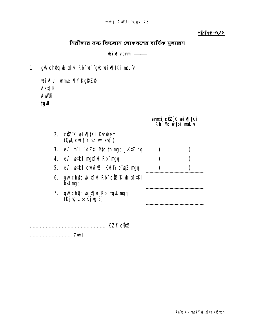নিরীক্ষার জন্য বিদ্যমান লোকবলের বার্ষিক মূল্যায়ন

 $\boldsymbol{\mathsf{bi}}$ Alvermi $\boldsymbol{\mathsf{---}}$ 

1. gW choq wix hi Rb" we "gub wix || #Ki msL"v

**wix y l wmei TY KgRZO AaxqK AWUi Upt** 

ernți ciz K bixjiki<br>Rb Wb wibi mil v

|    | 2. c忆 K bix[jtKi Kuh@em<br>(Oji, cit¶Y BZ wi et )            |  |
|----|--------------------------------------------------------------|--|
| 3. | ev̀, m̀ i `dZ‡i Mto †h ngq _\K‡Z nq                          |  |
| 4. | ev`, ve‡ki mgx¶vi Rb¨ mgq                                    |  |
| 5. | ev`, we‡ki cwiwīoZi Kvi‡Ye ewqZ mgq                          |  |
| 6. | gw ch <b>ậ</b> g bix[ vi Rb¨ cữ¨K bix[ ‡Ki<br><b>bid mgq</b> |  |
|    | 7. gw cholaeth bix qw raid ng q<br>(Kjy 1 × Kjy 6)           |  |
|    |                                                              |  |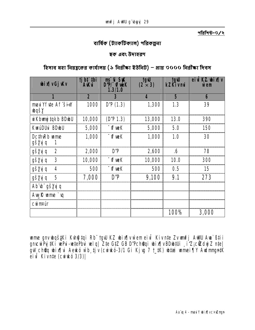পৱিশি**উ-**৩/২

ৰাৰ্ষিক (ট্যাকটিক্যা**ল) পৱিক**ল্পনা

**ছক এবং উদাহৱণ** 

**হিসাব মহা নিয়ন্তুকের কার্যালয় (১ নিরীক্ষা ইউনিট) − প্রায় ৩০০০ নিরীক্ষা দিবস** 

| <b>bix vGj Kv</b>                        | tjbt thi<br><b>AK</b> ui | ms 'ú St<br>D'P/ <sup>-</sup> of wek<br>1.3/1.0 | tgw<br>$(2 \times 3)$ | <b>tgW</b><br>kZKivmi | eid KZ bixly<br>w`em |
|------------------------------------------|--------------------------|-------------------------------------------------|-----------------------|-----------------------|----------------------|
|                                          | $\overline{\mathbf{2}}$  |                                                 | Д                     | 5                     | 6                    |
| mau <b>Yfue Af</b> Sin<br><b>Tranger</b> | 1000                     | D'P(1.3)                                        | 1,300                 | 1.3                   | 39                   |
| wi Kbung takb BDwU                       | 10,000                   | (D'P 1.3)                                       | 13,000                | <b>13.0</b>           | 390                  |
| <b>KwiDUi BDbU</b>                       | 5,000                    | <b>T</b> of weK                                 | 5,000                 | 5.0                   | 150                  |
| DcthRb ume<br><b>gšyý q</b><br>1         | 1,000                    | <b>TimeK</b>                                    | 1,000                 | 1.0                   | 30                   |
| 2<br><b>gšyjq</b>                        | 2,000                    | D'P                                             | 2,600                 | .6                    | 78                   |
| 3<br><b>gšyj q</b>                       | 10,000                   | <b>T</b> of ueK                                 | 10,000                | <b>10.0</b>           | 300                  |
| <b>gšyjq</b><br>4                        | 500                      | " <b>\f\ueK</b>                                 | 500                   | 0.5                   | 15                   |
| 5<br><b>gšyjq</b>                        | 7,000                    | D'P                                             | 9,100                 | 9.1                   | 273                  |
| Ab v gš <b>ygq</b>                       |                          |                                                 |                       |                       |                      |
| Aug R ume `u                             |                          |                                                 |                       |                       |                      |
| <b>Curintur</b>                          |                          |                                                 |                       |                       |                      |
|                                          |                          |                                                 |                       | <b>100%</b>           | 3,000                |

wnme gnv wbqš $x_i$ Ki Kvh@jtqi Rb¨ †gwU KZ wbix¶v w`em eivi Kiv n‡e Zv wmfj AwWU Awa`ßtii gnvcwiPvj‡Ki wePvi-we‡ePbvi welq| Z‡e G‡Z GB D"Pch©v‡qi wbix¶v BDwb‡Ui ¸i"Z¡ cÖwZdwjZ n‡e| gw ch@q wix¶vi Aewkó wb tjv (cwiwkó-3/1 Gi Kjvg 7 †\_#K) what wnmei¶Y Awdmmgn#K eivi Kivn‡e (cwirkó 3/3)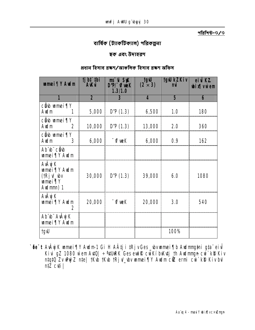### বাৰ্ষিক (ট্যাকটিক্যাল) পৱিকল্পনা

### ছক এবং উদাহরণ

#### প্ৰধান হিসাব ৱক্ষণ/আৰুলিক হিসাব ৱক্ষণ অফিস

| <b>amei ¶Y Audm</b>                                                             | <b>tjbt</b> thi<br><b>AKu</b> | ms us St<br>D'P/ <sup>-</sup> of weK<br>1.3/1.0 | <b>tgw</b><br>$(2 \times 3)$ | <b>tgW kZKiv</b> | eivikz<br><b>bix</b> vù em |
|---------------------------------------------------------------------------------|-------------------------------|-------------------------------------------------|------------------------------|------------------|----------------------------|
| 1                                                                               | $\overline{\mathbf{2}}$       | 3                                               | 4                            | 5                | 6                          |
| c <b>ê</b> b <b>umei</b> TY<br>Auim                                             | 5,000                         | D'P(1.3)                                        | 6,500                        | <b>1.0</b>       | <b>180</b>                 |
| c <b>ê</b> d wmei TY<br><b>Avdm</b>                                             | 10,000                        | D'P(1.3)                                        | 13,000                       | 2.0              | 360                        |
| c <b>ê</b> b <b>umei</b> TY<br><b>Auim</b>                                      | 6,000                         | −ûfweK                                          | 6,000                        | 0.9              | 162                        |
| <b>АЬ Ф сёф</b><br><b>umei</b> TY Audm                                          |                               |                                                 |                              |                  |                            |
| <b>AvÂyj K</b><br><b>umei TY Audm</b><br>(fRj√_\w<br><b>umei</b> TY<br>Audmm) 1 |                               | $30,000$ D'P (1.3)                              | 39,000                       | 6.0              | 1080                       |
| <b>AvÂyj K</b><br><b>umei ¶Y Audm</b>                                           | 20,000                        | ™ of we K                                       | 20,000                       | 3.0              | 540                        |
| Ab b Avay K<br><b>umei</b> TY Audm                                              |                               |                                                 |                              |                  |                            |
| <b>tgW</b>                                                                      |                               |                                                 |                              | 100%             |                            |

`õe¨t AvÂyjK wmei¶Y Awlm1 Gi H A‡j i ‡RjvGes\_bvwmei¶b Awlmng‡ni g‡a¨ eivi Kivi gZ 1080 wem AvtQ| ÷ 4tURK Ges evir R cwkí bykytj th Avdmngn cvi`ki? Kivi<br>ntqtQ Zv vhýZ nte| tKvb tKvb tRjv\_vbv vamei¶Y Avdm ciZ ermi cvi`ki? Kiv byl  $n\overline{z}$   $\overline{c}$   $\overline{u}$   $\overline{u}$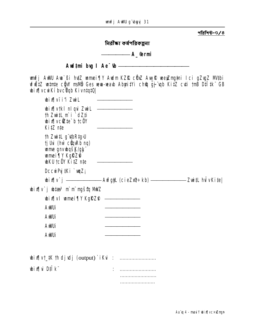নিৱীক্ষা কৰ্ষপৱিকল্পনা

## **A**\_@rmi

Aud<sub>i</sub>mi bug I Ae<sup>-</sup>th-

**unfj AWU Ava`ßi htz umei¶Y Audm KZfL cÖz Av<u>u</u>fl veeyZng‡ni Ici gZygZ M#bi<br>vfilitz w‡nte cğW msMb Ges veva-veavb Abyni‡Yi ch@q gj qb KitZ ctli †mB D‡I‡k GB wix** vcwKibvcUqb KivntqtQ

| <b>bix</b> vii'i Zwil                                                                                                                                    |                           |  |
|----------------------------------------------------------------------------------------------------------------------------------------------------------|---------------------------|--|
| bix[vtkl nlqui ZwiL ———————<br>th ZwitL m`i `dZ‡i<br><b>bix</b> vcite b tc0Y<br>KitZ nte                                                                 |                           |  |
| th ZwitL g"utbRtg>U<br><b>tj Usi (hw cünRb ng)</b><br><b>ume gnvbqšK/glj</b><br><b>umei TY KgRZ@</b><br>$\Phi$ KU tc $\ddot{\theta}$ Y Kitz nte $\qquad$ |                           |  |
| DccuiPy <b>Ki</b> `uqZ <sub>i</sub>                                                                                                                      |                           |  |
| <b>bix[v`j __________ Avfgjl (cieZx?÷kb) __________ ZwitL hulvKite </b>                                                                                  |                           |  |
| <b>bix[v`j b‡ar<sup>3</sup> m`m`mgštq MWZ</b>                                                                                                            |                           |  |
| $\psi$ ix[ v   wmei [ Y KgRZ $\degree$ $\qquad$                                                                                                          |                           |  |
| <b>AWUi</b>                                                                                                                                              |                           |  |
| <b>AWUi</b>                                                                                                                                              |                           |  |
| <b>AWUi</b>                                                                                                                                              |                           |  |
| AWUi                                                                                                                                                     |                           |  |
| <b>bix[vt_#K th djudj (output) `iKui : </b>                                                                                                              |                           |  |
| <b>bixi</b> Dilk                                                                                                                                         |                           |  |
|                                                                                                                                                          | ----------------------    |  |
|                                                                                                                                                          | ------------------------- |  |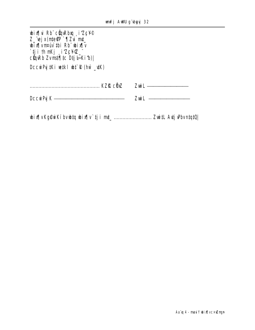| <b>bix di Rb cün Rbn</b> i'Zcy®<br>Z_"vejx(nte#P ` ¶Zvi mt_<br><b>wix weak</b> thi Rb" wix w |                                 |  |
|----------------------------------------------------------------------------------------------|---------------------------------|--|
| `‡j i †h nKj <sub>_</sub> i 'Zc¥'Z_"<br>cüqkb Zvnst¶‡c Dtj l–Ki b)                           |                                 |  |
| DccwPy #Ki w#kl wt R (hw _vtK)                                                               |                                 |  |
|                                                                                              |                                 |  |
|                                                                                              |                                 |  |
|                                                                                              | <b>Zuil</b> <u>____________</u> |  |
|                                                                                              |                                 |  |
|                                                                                              |                                 |  |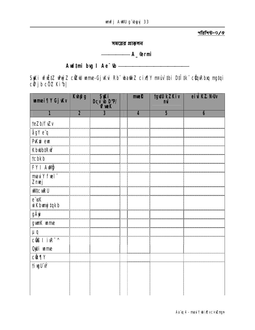সময়ের প্রাক্কলন

# **A**\_@rmi

## 

**Syki vfiž‡Z whýZ cikw wme-Gjvku Rb" wa@fZ cix¶Y m¤úv ‡bi D‡i ‡k" cüqvRbxq ng‡qi<br>cữ jb cöz Ki b|** 

| <b>umei¶Y Gj</b> Wv           | <b>Kupg</b>             | S <b>Ki</b><br>Dcv <b>b</b> D'Pl<br>Turk | muel                    | <b>tgvtU kZKiv</b><br>mĭ | eiu KZ NW |
|-------------------------------|-------------------------|------------------------------------------|-------------------------|--------------------------|-----------|
| 1                             | $\overline{\mathbf{2}}$ | $\overline{\mathbf{3}}$                  | $\overline{\mathbf{4}}$ | 5                        | 6         |
| teZb/fwv                      |                         |                                          |                         |                          |           |
| ågY e <sup>"</sup> q          |                         |                                          |                         |                          |           |
| <b>PKi em</b>                 |                         |                                          |                         |                          |           |
| <b>KbubtRw</b>                |                         |                                          |                         |                          |           |
| <b>tcbkb</b>                  |                         |                                          |                         |                          |           |
| FY I AUG                      |                         |                                          |                         |                          |           |
| maviY fuel"<br>Znuej          |                         |                                          |                         |                          |           |
| <b>WICWRU</b>                 |                         |                                          |                         |                          |           |
| e dK<br>wi Kbungi ‡qkb        |                         |                                          |                         |                          |           |
| gÄyi                          |                         |                                          |                         |                          |           |
| gunK ume                      |                         |                                          |                         |                          |           |
| $\mu$ q                       |                         |                                          |                         |                          |           |
| c <b>iß</b> I i\ <sup>7</sup> |                         |                                          |                         |                          |           |
| Oji ume                       |                         |                                          |                         |                          |           |
| <b>c</b> k¶Y                  |                         |                                          |                         |                          |           |
| <b>tivgUW</b>                 |                         |                                          |                         |                          |           |
|                               |                         |                                          |                         |                          |           |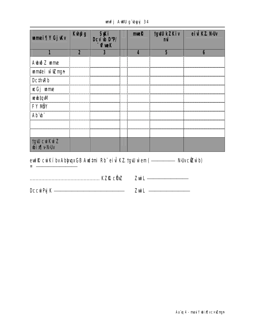**unfj AWU g`byyj 34** 

| <b>umei¶Y Gj</b> Kv           | <b>Kupg</b>             | <b>SKI<br/>Dcv &amp; D'Pl</b><br><b>T</b> Vf we K | mmR | <b>tgvW kZKiv</b> | eiviKZ.NUv |
|-------------------------------|-------------------------|---------------------------------------------------|-----|-------------------|------------|
|                               | $\overline{\mathbf{2}}$ |                                                   | Δ   | 5                 | 6          |
| Aubið Zume                    |                         |                                                   |     |                   |            |
| <b>umtei wizmyn</b>           |                         |                                                   |     |                   |            |
| <b>DcthRb</b>                 |                         |                                                   |     |                   |            |
| <b>ucGjume</b>                |                         |                                                   |     |                   |            |
| <b>Mptdrav</b>                |                         |                                                   |     |                   |            |
| <b>FY NÖY</b>                 |                         |                                                   |     |                   |            |
| АЬ Ф                          |                         |                                                   |     |                   |            |
|                               |                         |                                                   |     |                   |            |
|                               |                         |                                                   |     |                   |            |
| <b>tgW cŵKŵZ<br/>wix¶vNUv</b> |                         |                                                   |     |                   |            |
|                               |                         | $\bullet\bullet$                                  |     |                   |            |

| eut R cui Kíbv Abhuax GB Aud tmi Rb" ei ui KZ tgu wem (- |  |  | <b>NUvc資wb)</b> |
|----------------------------------------------------------|--|--|-----------------|
|                                                          |  |  |                 |

|--|--|

| A217<br><b>Dccurp</b><br>1 I V |  |
|--------------------------------|--|
|                                |  |

-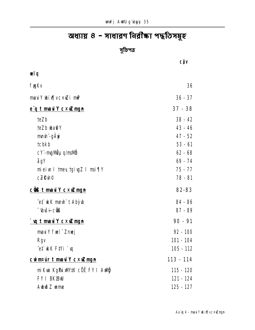# অধ্যায় ৪ - সাধারণ নিরীক্ষা পদ্ধতিসমূহ

সুচিপত্র

|                                          | <b>CÔV</b>  |
|------------------------------------------|-------------|
| <b>vel q</b>                             |             |
| <b>fygKv</b>                             | 36          |
| $maxY \text{ b} \cdot x \cdot x$ i m $P$ | $36 - 37$   |
| e'q t maulY cxuZmgn                      | $37 - 38$   |
| <b>teZb</b>                              | $38 - 42$   |
| <b>teZb ba@Y</b>                         | 43 - 46     |
| mnuh -gÄyi                               | 47 - 52     |
| <b>tcbkb</b>                             | $53 - 61$   |
| <b>cY-mgMguq/msMg</b>                    | $62 - 68$   |
| ågY                                      | $69 - 74$   |
| mieiw I twey tgivg ZI msi TV             | 75 - 77     |
| <b>cZR</b> h <sup>©</sup>                | 78 - 81     |
| <b>c@&amp;t maviY cxuZmgn</b>            | 82-83       |
| ^e‡`ukK mmuh"t Abỳub                     | 84 - 86     |
| <b><i>Diši-cik</i></b>                   | $87 - 89$   |
| `vqtmaviYc×wZmgn                         | $90 - 91$   |
| may fuel" Znuej                          | $92 - 100$  |
| <b>Rgv</b>                               | 101 - 104   |
| et kK FtYi `u                            | $105 - 112$ |
| cummuir t mauilY cxuZmgn                 | 113 - 114   |
| mi Kui KgPLi XW#K cÖË FY I Aulij         | $115 - 120$ |
| <b>FY I BK<sup>B</sup>W</b>              | 121 - 124   |
| Abið Zume                                | 125 - 127   |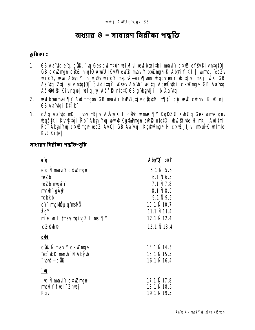# অধ্যায় ৪ - সাধারণ নিরীক্ষা পদ্ধতি

ড়মিকা ঃ

- 1. GB Aa'dq e'q, cũB, ` u Ges cuinnur ubix[|ui weufboaithi mauilY c xuZ elfbv Kivntqt0. **GB cxigm cOZ** ntqtQ AWU tKitWeW2 mailY bright AbyiY Kti | ume, ^eaZv<br>bif:Y, wa AbyiY, h\_v\_2v bif:Y msu s-bix\\m bqgbyiY bix\\i nKj wK GB Aa'utq Ztj aiv ntqt0| cviditgY uksev Ab'u" wiltq Abyükbi c×wmgn GB Aa'utq AšOfe Kivngb velg vi Ašte ntatū GB g'byti i lô Aa'yal
- 2. vevfbommei TV Avdmmatn GB mavi Y hvPB tjv cüntuli 1711 Chivevi cvinvi KivB nj **GB Aa tgi Dilk |**
- cÂg Aa tq nKj \_ by tRjy AvÂyjK I ch b mmei TV KgRZ@ Kvh@q Ges mme gnv  $3<sub>1</sub>$ bqštki Kung tai Rb Abytiva buv@ KgmDmgn eW@ ntatQ| buv@fute H nKj Audtmi Rb" Abui Yxu c xw mun waZ AviQ| GB Aa viqi Kgfrimun H c xw ti vi mavik winte **Kw** Kitel

সাধাৱণ নিৱীক্ষা পদ্ধতি-সচি

| Aby'Q b¤t               |
|-------------------------|
| $5.1 \, \text{N}$ 5.6   |
| $6.1 \hat{N} 6.5$       |
| 7.1 Ñ 7.8               |
| 8.1 N 8.9               |
| $9.1\,\rm{N}$ 9.9       |
| $10.1$ $\tilde{N}$ 10.7 |
| <b>11.1 Ñ 11.4</b>      |
| 12.1 N 12.4             |
| 13.1 N 13.4             |
|                         |
| 14.1 N 14.5             |
| <b>15.1 Ñ 15.5</b>      |
| 16.1 N 16.4             |
|                         |
| 17.1 N 17.8             |
| <b>18.1 N 18.6</b>      |
| 19.1 N 19.5             |
|                         |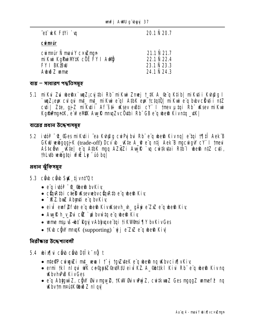et kK Fiyi `w

**20.1 Ñ 20.7** 

**Curintur** 

| cwinfur Ñ mauiY c×wingn              | <b>21.1 Ñ 21.7</b> |
|--------------------------------------|--------------------|
| nikwi kg <b>Pwi</b> M#K cöË FY I AWÖ | <b>22.1 N 22.4</b> |
| <b>FY I BK<sup>aw</sup></b>          | <b>23.1 Ñ 23.3</b> |
| <b>Aubið Zume</b>                    | 24.1 N 24.3        |
|                                      |                    |

#### ব্যয় – সাধারণ পদ্ধতিসম্বহ

5.1 mi Kui Zui ubeshx`unz;cui thi Rh" mi Kui Zmej t\_tK A\_@"q Ktib| mi Kuti i Kuh@g I `wyZ;ew: culqui mt\_mt\_miKui e ql AtbK ew: tctatQ| miKui e q bubv c tit i nt Z cuti | Zte, gj Z mikuti i Af šti uksev eusti cy i tmev utgj Rb uksev mikut KgfalmantK, e wellek Aug & mnazvc Outbi Rb GB e g best Kivnta \_uK]

ব্যয়ের প্রধান উদ্দেশ্যসমূহ

5.2 iutói "Cesmi Kuti i ^ea Kuhang cui Puj bui Rb" e qubesa Kivnq | e "tqi 19 | 19 Aek B GKW webgqgjK (trade-off) Dcv b \_Wte A\_@ e q ntj Aek B mgcwgW cV I tmeu Ašteôn Wiel e'u AtbK myu AZTZI Aw R `u cwtkytai Rtb'l wen ntZ cyti, thLuth verbatai vfri Le vio bal

প্ৰধান ঝুঁকিসমূহ

- 5.3 cho cho Stat tj vnt'Q t
	- $\bullet$  e'a ivtot  $\alpha$  when by Kiy
	- $\bullet$  current cleen in sevie by current end in Kiv.
	- $\bullet$   $\neg$  **KZ**. buZ Abunti e q bvKiv
	- eiù euf eft te e q be a Kiv K sevh\_h\_ q Ä v e Z x E q be a Kiv
	- Aw Rh y **2ui cit** `w by witge" g wheth Kiv
	- ume mauš-bi Rguv Abhuxe tai tik Vinsi TIY by Kiv Ges
	- *Kb cQV mngK* (supporting) `uj e ZZ e q be<sup>n</sup> Kiv

<u> वितीकात ऊँटक गतावली</u>

- 5.4 bix i cho cho Dilk núit
	- ntefP cuiuguZi mt\_ ueua II † gi tguZuteK e q ubeth nq uKbvcix[|vKiv,
	- ermi †kl nlqvi WK ce©qu‡Z©evtR‡U eiviKZ. A\_@bt‡kl Kivi Rb" e"q ube®n Kiv nq **KhyhPR KivGes**
	- e'q Abhyuì Z, cồ V đầu ngu 2, tKuV đầu vuy Z, cu tkun Z Ges ngo g Z unne f $\mathcal P$  ng KbytmnpútK@biðZnlavi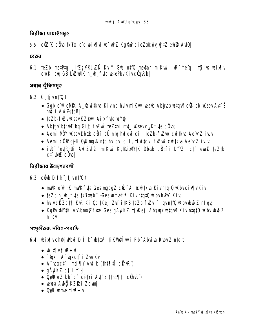নিৱীক্ষা যাচাইসমূহ

## 5.5 ctz K cho tky i e q wix tu w wiz Kging ciez reĝov ujtz en 2 Auto.

<u>বেতন</u>

6.1 teZb metPtq i ZcY©LiZÑ KuiY Gw nt'Q me@pr miKwi i R<sup>-^</sup>e q| mZi is whix[|v cuikibu GB Luzulik h\_uh\_fute wiePbvKivcümRb|

প্ৰধান ঝুঁকিসমূহ

- 6.2 G tjvnt<sup>7</sup>Q t
	- Gab e  $\hat{\mathbf{w}}$ elVRK A\_Qcwitkya Kivng huivmiKwi waxb Abbyyxwhtawic  $\hat{\mathbf{w}}$  bb wisey Ay  $\hat{\mathbf{S}}$ hd`i AwZitbB|
	- teZb-fwVwKsevKZBwi Aixfute wVQ;
	- Abtuv bihwi bg Gif: fww teZtbi mt\_ wsevc<sub>u</sub>Kfote c0b;
	- Aemi NBY WsevDbgb cili eü ntg hulgui cil teZb-fuZuì cuitkua Ae nz iuly
	- Aemi cöizgj K Qu mg S nta hul gui cil, tLuitcul fuzur cuitkua Ae nz iuly
	- ivR<sup>-^</sup>evtR#Ji AvlZvf? miKwi KgPuixW#K Dbgb cätíi D'PZi ct eva2 teZ#b ct . **pose** come

<u> वितीकात ऊँटक गंगतली</u>

- 6.3 ch Dilk tjvnt Qt
	- mWK e w<sup>2</sup>#K mWK f the Ges magg Z c \& " A\_ \witk a Kivntat Q w bvc in TvKiv
	- teZb h\_vh\_fyte tkYxmeb" Ges wmef<sup>2</sup> KivntqtQ uKbvhvPB Kiv
	- huvcüZct¶ K\R KitOb †Kej Z\t`itKB †eZb f\Zv†`l qvnt'Q \KbvbiðZ nlqv
	- KgPu MV#K A BbnPSZ fyte Ges gÄwrKZ tj Wej Abbygx wha MK iv nhatQ Why wwd Z n I avl

সংগ্হীতব্য দলিল-পত্রাদি

- 6.4 bix wchej Pbu Dilitk bias<sup>3</sup> tik Vielwi Rb Abii a Rbuz nie t
	- i ÷ **A**itv¶xid •
	- $\bullet$   $\pi$ (qx | A  $\pi$ (qxc $\uparrow$  i Zuj Kv
	- $\bullet$  A  $\overline{\phantom{a}}$  (qxct i msi¶Y Ay k (tht¶li $\overline{\phantom{a}}$  cün $\overline{\phantom{a}}$ x)
	- gÄyiKZ c‡ i † g
	- QURUSZ  $kb^{\prime\prime} c^{\prime\prime} c$  city i Aq<sup>+</sup> k (tht¶ti  $c$ ünR)
	- vevea Aulij KZ\$bi Zdwrj
	- $\bullet$  Odli ume tire  $\div$ ui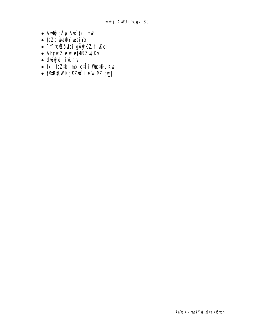- A**ur**ĝ gÄyi Ad`‡ki m**P**
- · teZb wa@Y weiYx
- · <sup>- ^-</sup> cizô thi gäyiKZ tj Kej
- · Abywz e wetwe Zuj Kv
- $\bullet$  dwgd tire ÷u
- · tkl teZtbi mb`cfli WatKU Kwe
- **INRIUWKGRZ@`ie**`wPMZbw\_|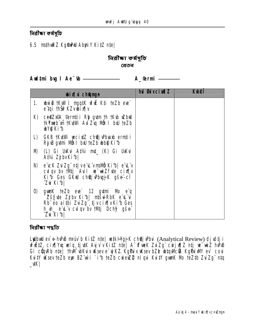নিৱীক্ষা কৰ্মসূচি

#### 6.5 msthuRZ KgmDNJ AbyriY KitZ nte

### নিৱীক্ষা কৰ্ষসূচি

#### বেতন

|    | <b>bixi</b> champh                                                                                                                                                             | hui Buvcin¶Z | <b>Kthe<sup>®</sup></b> |
|----|--------------------------------------------------------------------------------------------------------------------------------------------------------------------------------|--------------|-------------------------|
| 1. | <b>bud that I myatk which is the set of the set of the set of the set of the set of the set of the set of the set </b><br>e tqi thir KZvbixlv                                  |              |                         |
|    | K) ce@Zx@A_©erntii Rh gutm th tKub uZbuU<br>tk <b>Yxeb un tKuWi Aul Zug Nöh I bxU teZb</b><br><b>WQKib</b>                                                                     |              |                         |
| L) | GKB TKVIMI vecixtZ chQijVbvaxb ermții<br>Rj B gumi Nin I bu teZb ube Kib                                                                                                       |              |                         |
| M) | (L) Gi UKvi A‡¼ mț_ (K) Gi UKvi<br>At⁄a ZjbvKib                                                                                                                                |              |                         |
| N) | e ck Zuzg ntjve Lvmand Kib e Lv<br>culqv bv thutj Auil we wizfute cix [v<br>Kib Ges GKW ch <b>Qj P</b> byjk gše-cl<br>^Z <b>u</b> Kib                                          |              |                         |
| O) | <b>gunK teZb eue` 12 gutmi Mb eïq</b><br><b>"Zšfue Zjbv Ki1b  mtšulRbK e'L'ui</b><br>Rb eo aithi Zuzg tjvcinwKib Ges<br>h_th_ e L v culqv bv thui Dchy gše i<br><b>2u Kibl</b> |              |                         |

নিৱীক্ষা পদ্ধতি

Lubul ev e-hPB nruv b KitZ nte wtkHgjK chtj Pbu (Analytical Review) djudtj i writz, cix ya welq tj wk Ay v kitz nte A "www Zu Zg" cw j v [Z ntj w wi Z hv B Gi cünRb nte | thwi wkux uksev e`yj KZ. KgPux uksev bZb wtqwbis KgPux M' ev` coul Kuity uksev te Zb eux BZ wi i 'i b te Zb cwiew Z nl qui Kuity quark Nb te Ztb Zui Zg ntq  $\mathbf{W}_{-}$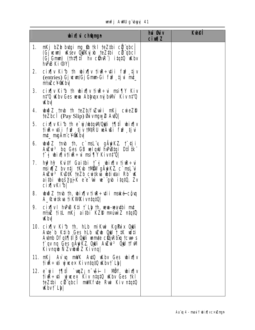## unfj AWU gʻbyyj 41

|    | <b>bixi</b> champh                                                                                                                                                                                                          | hui <b>G</b> uv<br><b>cimal</b> | <b>Kulei</b> |
|----|-----------------------------------------------------------------------------------------------------------------------------------------------------------------------------------------------------------------------------|---------------------------------|--------------|
| 1. | nKj bZb butgi ng \$b tkl teZtbi cil qbcl<br>(Gjueun) uksev Odklyjsh teZthi cili ghci<br>(Gj Gmm) (Th‡¶‡ii hv cühke) itatü uKbv<br><b>hPiB Ki</b> © Y                                                                        |                                 |              |
| 2. | cix w Kib th bix w tire÷tii fire tjv<br>(entries) Gjwm/GjGmmGi fn <sup>2</sup> tju mt<br><b>nt/single CV QK by</b>                                                                                                          |                                 |              |
| 3. | cix $\left  \mathbf{v} \right $ Kib th wix $\left  \mathbf{v} \right $ time $\div$ is mail that Kiv<br>n‡'Q uKbv Ges wewn Ablyuqx myjbWv Kiv n‡'Q<br><b>Khy</b>                                                             |                                 |              |
| 4. | <b>www.2 tmb th teZb/fww.in mKj cwieZD</b><br>teZbcT (Pay Slip) <b>Suvngw2 AuQ</b>                                                                                                                                          |                                 |              |
|    | 5. cix iv Ki b the y Auto Mouli 19.11 wix iv<br>tirtii fif tiv MRU wAri fif tiv<br><b>mt_mgAmcYQKby</b>                                                                                                                     |                                 |              |
| 6. | whoibital timular the c`mality galyrik at the timular<br>Auzui <sup>3</sup> by Ges GB wlgw hunding Dtlik<br>†^j bix¶vti&÷u msi¶Y Kivn‡'Q                                                                                    |                                 |              |
| 7. | hy <sup>s</sup> hy <sup>s</sup> Kui∜ Gai‡bi †^g wix¶v tiwa÷u<br>msivi z bv ntj tKub tMOW gAyiKZ c`msL`vi<br>Auzui <sup>3</sup> Kudik teZb cuitkva ustivtai Rb" uk<br><b>aithi wqšygjK e'e'w w`gw itqtQ, Zv</b><br>cix[vKib] |                                 |              |
|    | 8. whoich that the binally time $\div$ with make-computed states.<br><b>A_&amp;witkya fiKWAKivntqtQ </b>                                                                                                                    |                                 |              |
| 9. | $ci$ x $\vert v \vert$ hvPB K‡i $\uparrow$ Lb th, www-waxibi mt_<br><b>ni/siz titl nKj aithi KZD nruwiz ntqt0</b><br><b>Khy</b>                                                                                             |                                 |              |
|    | 10. cix¶v Ki1b †h, hLb miKwi Kg <b>Puix Oyli</b><br>Avte b Ktib Ges hLb who Oju t_#K witi<br>Aumb Dfqt¶iiB OjJi umte cüqRbiq tcut-s<br>t`qv nq Ges gAyiKZ. Qyli Auzui <sup>3</sup> Qyl tfWl<br>Kivngib Ñ Zvibuð Z Kivng     |                                 |              |
|    | 11. nKj Av`uq mWK AutO uKbv Ges ubix¶v<br>ti <b>R</b> ÷ ti yi we× Kivntat Q Kbvt` Lb                                                                                                                                        |                                 |              |
|    | 12. e`yji 1¶‡lî `wqZ; n~vši I MÖY, wbix¶v<br>tive: ti yiwex Kiv ntqtQ wbv Ges tkl<br>teZtbi cittabci mukfuje Rui Kiv ntatū<br><b>Kbvt Ly</b>                                                                                |                                 |              |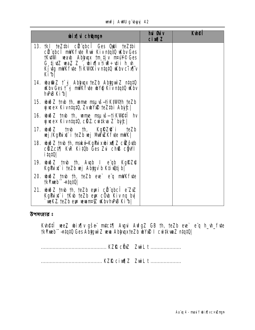|  | mufi AWU a'y | w |  |
|--|--------------|---|--|
|--|--------------|---|--|

| <b>wixivich@mgn</b>                                                                                                                                                                                                                                                | <b>hủ đủ</b> y<br><b>cixilZ</b> | <b>Kthen</b> |
|--------------------------------------------------------------------------------------------------------------------------------------------------------------------------------------------------------------------------------------------------------------------|---------------------------------|--------------|
| <b>13. tkl te thi cilled Ges Qui te Zthi</b><br>cü qbcî mWKfyte Rui Kiv ntqtû Wbv Ges<br><b>tKutMi waxb Abiyuax tm tjv n¤uY© Ges</b><br>$G_t$ ijuZ waZ Z_", wix $\left v\right $ in $\mathbb{R}$ ÷uii h_w_<br>Kj vig mWK fyte fi KWPK iv ntat 0 Wbv cix Tv<br>Kibl |                                 |              |
| <b>14. uba@iZ † gj Ablyuqx teZb AblyguìZ ntqtQ</b><br><b>Kby Ges t<sup>-</sup>g mWK fyte wVQ Kiv ntat0 Kby</b><br><b>hPB Kibl</b>                                                                                                                                  |                                 |              |
| 15. whoid z trub th, wome map is trial that the zb<br>wwex Kivntat0, ZvwYw teZtbi Abyc                                                                                                                                                                             |                                 |              |
| <b>16. wwd 7 th th, wine map 16. Wett</b> hv<br>yjucex KivntatO, cHZ cuitkua Z`bitC                                                                                                                                                                                |                                 |              |
| <b>17. www.2 tmb th, Kgikz@i teZb</b><br>vej /KgPux* i teZb vej MnVwZKfvte mWK                                                                                                                                                                                     |                                 |              |
| <b>18. wiž Z tmb th, maké-KgPuxubixij Z cikovib</b><br><b>CHAZCITI KVR Kitüb Ges Zvi chß chwill</b><br><b>Stpti</b>                                                                                                                                                |                                 |              |
| <b>19. www.2 tmb th, Augh I eagh KgRZQ</b><br>Kg <b>Pist</b> i teZb wj Abygv b Ktiwtj b                                                                                                                                                                            |                                 |              |
| 20. while the the text can be a milk fitte<br><b>tkYmeb -- ntqtQ </b>                                                                                                                                                                                              |                                 |              |
| 21. whoich that the the text can experience it is the text.<br>KgPuix i †Kub †eZb eyx cÖub Kiv ng byl<br>`weKZ teZb eux wevant¤§Z wKbvhvPuB Ki <sup>7</sup> b                                                                                                      |                                 |              |

উপসংহার ঃ

**Kvh@ff`vee,Z ubix[|v gše: m‡c‡[| Avgui AvfgZ GB †h, †eZb eve` e'q h\_vh\_fvte<br>†kYxmeb''<del>-ntqt</del>Q Ges Ab<b>iy**guù Z veva Abiyuqx†eZb ubYx@ I cwi‡kvmZ ntqtQ|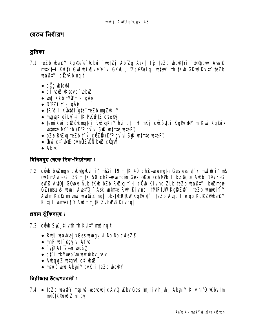বেতন নিৰ্ধাৱণ

ভূমিকা

- 7.1 teZb what's Kgyfe e 'chui `wutZj Ab Zg Ask| fj teZb what's Yi' Migqui Aug R mstk#i KutY GW wixTvee "G GKW i ZcY elg wta<sup>3</sup> th tKw GKW KutY teZb **wa@tYi cünRb ng t** 
	- $\cdot$  c0g what
	- ct bu ksevc ebu
	- wtj Kkb †MW†~ g qÄÿ
	- D'PZi t j gÄy
	- tR'ô I Kutôi gta' teZb muZWiY
	- $\bullet$  may K ei Lv  $\div$  #K PK  $\div$  EZ chend
	- · temikui cížôubnytní Ružnykiy hui dži H nkj cížôutbi KgPui M nikui KgPuix winte M' nb (D'P qui u St winte wieP)
	- $\bullet$  bZb RwZxq teZb  $\uparrow$  g c  $\ddot{\theta}$ ZD (D'P qui u Su  $\ddot{\theta}$  where we teP)
	- Ônù c‡ biz bvnữ Zuối biz cũnM
	- . Ah h

বিধিসম্বৃহ থেকে দিক-নিৰ্দেশনা ঃ

7.2 c**ërb braz**ngn drûrtgr**uig** i'j m**i Gida 19 t** KK 40 ch**e revangt**in Gesersjet k muffin i'j m& (wGmAu)-Gi 39 1 K 50 ch<sup>e</sup> wwmgin Ges PKw (chilib I kZ@j) AuBb, 1975-G eW2 Au10 GOLOY hLb 1Kb bZb Ru2xq 1 g cOb Kiv nq ZLb teZb ba@tYi bxuZngn GZrmspoš-sevai Avet'O" Ask wante Rui Kivng | tMR#UWKgRZ@ i teZb wmei¶Y Aulm KZIR mi uni ubati Z nq | bb-#MR#UW KgPu x i teZb Aupb I e qb KgRZ@badY Kitj I wmei¶Y Awlmt\_#K ZvhPB Kivng|

প্ৰধান ঝুঁকিসমূহ ঃ

- 7.3 c**â b Shă** ti vin th Kuity mọi ng t
	- Rulj warbrej x Ges wrag y i Nb Nb crie ZD
	- $\cdot$  mnR  $\psi$ <sup>+</sup> Ray  $\psi$  Afte
	- **V** Sp**d** Wiš' **A** Gy
	- $\bullet$  cf i tk**Yxeb** music by Ky
	- AubquyZ ubtqM ct but
	- · mské w AbyiY bvKti teZb batYl

নিরীক্ষার উদ্দেশ্যাবলী ঃ

7.4 · teZb what's msun swarbejx Auto who Ges tm tj v h\_wh\_ Abyri Y Kiv nt'O who tm **n¤ú#(%bið Z n I qy**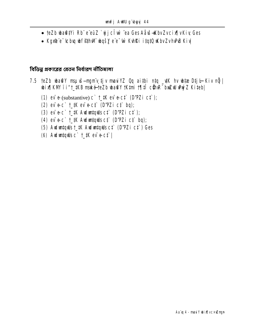- teZb what in Rb" e"euz `vjjcl w`ea Ges Aåvš-Kbv Zvcix |v Kiv, Ges
- Kgxê e tcbu w f fin w wqšy e e w Kuhki itatu w bv ZvhPB Kiv

বিভিন্ন প্ৰকাৱেৱ বেতন নিৰ্ধাৱণ নীতিমালা

- 7.5 teZb whate Y mspuš—ngmv tjv maviYZ Oq aithi ntq \_vtK hv whtae Dtj l Kiv nij bix]KM'i'i"t\_#KB maké-teZb ba@Y tKtmi t¶tî cünR" baZW wyz Kiteb|
	- (1) ev  $\bullet$  (substantive) c  $\cdot$  t  $\sharp$  ev  $\bullet$  cf  $\bullet$  (D'PZi cf);
	- $(2)$  ev  $\div$  c  $\div$  t  $\div$  ev  $\div$  c  $\div$  from  $\div$  from  $\div$
	- $(3)$  ev  $\div$  t\_#K Auduntquils ct  $(D'$ PZ i ct  $);$
	- (4) ev e-c `t\_#K Auduntquis ct` (D'PZi ct` bq);
	- (5) Auduntquils t\_tK Auduntquils ct (D'PZi ct ) Ges
	- (6) Auduntquils  $c^{\dagger}$   $\uparrow$  HK ev e-ct |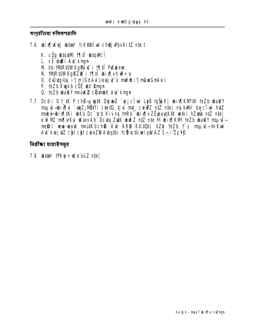সংগৃহীতব্য দলিলপত্রাদি

- 7.6 bix[Kutj bitas<sup>3</sup> ti KVIe luv chej Pbv KitZ nte t
	- K. cog wtatMi 1911 wtaMc1
	- L. ct but At kmn
	- M bb-tMR#WKgPux i t¶#î PKwew
	- N. tMR#WKgRZ@ i t¶‡Î bix¶vti£÷u
	- 0. dulutgyby i'j m (GdAui)/exy u' k muffh i'j mi(wGmAui)
	- P. teZb Kunkb cöë ut Runn
	- 0. teZb wa@Y nruk@ clivmbK Avt`kmun
- 7.7 Dc‡i i 0 † # P ch® puy# Dyju Z `yjcîw` LeB †gŠjK | wix¶ KM# †eZb wa@Y msuvš-bix[|vi `vqZ; NBIYi c‡e©C tj vi mt\_ cvivPZ ntZ nte| mj bWr byci w htZ mské bir¶#Ki bKU Dc Cb Kivng tnRb bir¶v ZË pau K#K ve‡ki hZeab n‡Z n‡e e w<sup>2</sup> NZ m/[vKu Wsev Ab" Dcvtq ZuK wwDZ ntZ nte th wix[KW teZb wa@Y msuvs metki wwa-waub mautk©ch® Aub ARD KtitOb| bZb teZb t j msuus—mikwi Auf kvej x Z cht cht cuie ZD Audathi te dive tu vel qui AZ s- i ZcYP

নিৱীক্ষা যাচাইসম্বহ

7.8  $\text{th}$   $\tan 3$   $\tan 10$   $\tan 10$   $\tan 10$   $\tan 10$   $\tan 10$   $\tan 10$   $\tan 10$   $\tan 10$   $\tan 10$   $\tan 10$   $\tan 10$   $\tan 10$   $\tan 10$   $\tan 10$   $\tan 10$   $\tan 10$   $\tan 10$   $\tan 10$   $\tan 10$   $\tan 10$   $\tan 10$   $\tan 10$   $\tan 10$   $\tan 10$   $\tan 10$   $\t$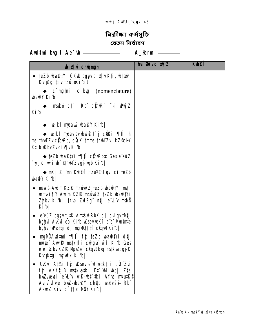# নিৱীক্ষা কৰ্মসূচি

বেতন নিৰ্ধাৱণ

**Aud‡mi bug I Ae<sup>-</sup>tb** <u>\_\_\_\_\_\_\_\_\_\_\_\_\_\_\_\_\_</u> A\_@rmi \_\_\_\_\_\_

| <b>bix</b> champh                                                                                                                                                                                   | <b>hui Guivcin¶Z</b> | <b>Kulei</b> |
|-----------------------------------------------------------------------------------------------------------------------------------------------------------------------------------------------------|----------------------|--------------|
| • teZb wa@#Yi GKw bgyvcix[ vK#i, w#aa <sup>3</sup><br>Kvh@g tjvn¤úbdKi1bt                                                                                                                           |                      |              |
| $\leftrightarrow$ c mg <sub>m</sub> i c by (nomenclature)<br><b>baty Kibl</b>                                                                                                                       |                      |              |
| → mské c† i Rbï c∰nRï † gj whýZ<br>Kibl                                                                                                                                                             |                      |              |
| $\leftrightarrow$ wetki mpauù wa@Y Kifb                                                                                                                                                             |                      |              |
| $\div$ wiki mpavev bud $\uparrow$ i culti this<br>me thwizv cüqvRb, cück timme thwizvi kz©ciY<br>K‡ib WbvZvcix[vKib]                                                                                |                      |              |
| ◆ teZb wha tVi t¶il cünRbuq Ges e eüZ<br>`yjjcTw`i wf@hWZvgj"up Ki^b                                                                                                                                |                      |              |
| → mKj Z_~mm Kvh@l`m¤ú¥®nlqvi ci teZb<br><b>ba@Y Ki</b> b                                                                                                                                            |                      |              |
| • maké-Audm KZIŽ m¤úuù Z teZb uba@‡Yi m‡<br>wmei TY Audm KZIR nPúnì Z teZb wa@#Yi<br>Zjbv Kib  †Kub ZuiZgïntj eïLïv msMD<br>Kibl                                                                    |                      |              |
| • e e <b>uz bglyt_#K Antšul-RbK dj cul qv tMtj</b><br>bgyui Aukui eo Kifo uksevuekí e e vumte<br>bglyvhPBtqi dj ngMUT tî cünMKib                                                                    |                      |              |
| mgMDAwdtmi 1¶tî fj teZb wa@tYi dtj<br>$\bullet$<br>mpre: Aug R mstk#i cwig W wif Kith Ges<br>e e <sup>-</sup> tcbv KZI& MpiZe cüqRbiq msikuabgj K<br>Kuhatgi nyuik Kibl                             |                      |              |
| <b>UK'u Atki fj K'sev e werkili cû Z'u</b><br>fj AKztjB mstkvatbi D‡ W ubb  Zte<br><b>bxiz/wai e'd'y wk-bt fki Afe matk@</b><br>Ayj v of ute braz-wa@Y choqq unsutsi-Rb"<br>AemZ Kivi c`t¶c MÖY Kib |                      |              |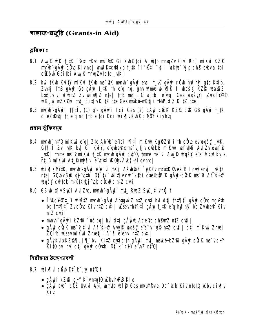गाशया-सञ्जूति (Grants-in Aid)

ড়মিকা ঃ

- 8.1 Aug R w K t\_tK <sup>-</sup> taxb tKub ms<sup>-</sup>ttK Gi Kuh@tgi A\_@tb mmqZv Kiui Rb", miKui KZR mmh -gÄyi cÖyb Kivng| unu K‡c@ikb †\_‡K ti"K‡i ~g I wekte` yig ch\$-bubvai‡bi cicou Gaithi Aug & muq Zvtctq \_uk|
- 8.2 hù tKub KuitY miKui tKub ms~4tK mmh" güyi eve` t\_vK güyi cÖub huif hif gtb Ktiib, Zuitj tinB gäyi Gs gäyi t\_tK th e'q nq, gnv wme-bixqk I wqsk KZR wa@iZ bulgujui wfilizz zv whim [2 nte] twb mt., G aithi e dqi Ges wqstvi Zvrchev® wK w mZK2vi mt\_cix[vKitZ nte Ges mské-nKtj i tMPixfZ KitZ nte
- 8.3 mmh güyri 171 î (1) gi güyri ici Ges (2) güyr cück KZR cük GB güyr t\_tK cieZkktj the q ng thBe tai Dci bix |v Kupg NBY Kivha|

প্ৰধান ঝুঁকিসমূহ

- 8.4 mmh n‡'Q mi Kui e q| Zte Ab b e tai 19 fî mi Kui KgRZ@ i th cü e evuloys y \_utk, G‡¶‡Î Zv\_\#K bv| Ĝi K\iY, e qube®x ms v tjv c@kB miK\ni wef\#Mi A\ulZv eunf@ \_\tK | thme ms~v mi K ui t\_tK mmh q A pi c t Q, tmme ms~ui A vy R do s y e e v kw?k y x ntjB miKui At\_P niflui e cti WOWAK! -nl qvhq|
- 8.5 bix¶KM#K, mmh¨-gÄyi e¨e¯úi mKj Ašub@Z `y§Zv m¤ú#K©Aek`B lquKemyi \_K‡Z ntel GOLOVSK qj "utbi Dtitk" bix |vcu khi cte®iZ"K qävi-cick m5"u Af sin bqšy cuitek maitk@j up curkb ntZ cuti
- 8.6 GB wix¶vStKi Awl Zug, mmhï-qÄwii mt\_ RwZ StK tjvnÕ t
	- Î4dc¥©‡\_¨i vfiˇZ mmh¨-gÄwi AbtgwìZ n‡Z cuti hui d‡j †h‡¶i‡Î gÄwi cÖvb nguPub bg tnt¶tî ZvcÖb KivntZ cuti | usevtht¶tî gäwi t\_tK e g hw?hy? bg Zvube® Kiv ntZ cvti l
	- mmh" gäri kZŵ "úó bg| hui dtj gäriw Ace"tg chêmz n‡Z cyti|
	- gÄvi cÖcK ms<sup>-</sup>v tjvi Af šiw Avuk wašy e e<sup>-</sup>v ep ntZ cyti | dtj miKvi Zmej ŽQi'd WsevmiKui Zmetj i A`¶ e emi n‡Z cyti |
	- gÄjkuxKZ@¶, j¶ bul Ki‡Z cytib th gÄyji mt\_maké-kZ@ gÄyj cücK ms vciY Ki‡Q by hư dịi gÂn cömbi Dịlk ciYe'nZ n‡Q|

নিরীক্ষার উদ্দেশ্যাবলী

- 8.7 bix¶ui cë b D‡Ik yi n‡ Qt
	- gÄwi kZ® ciY KivntatQ KbvhPB Kiv
	- gÄvi eve` cÖË UKvi A¼ umte wfp Ges mail Pyte Dc cb Kiv ntatü uKbv cix [v Kiv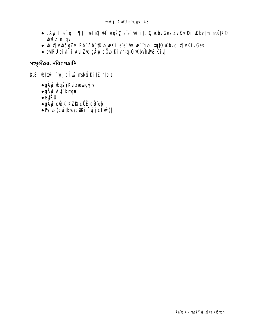- gÄyi I e'tai 17|tî ub fethwi ub e'e' w itatû ukby Ges Zv KvhRi ukby tm nradk® **und Sout**
- · wix[|vwðqZui Rb" Ab" | Kub weKí e'e 'w we' "gub itatū w bvcix[|vKivGes
- evtRÜ ei vil i Avl Zvq gÄyi cÖvb KivntqtQ uKbvhPuB Kiv

সংগৃহীতব্য দলিলপত্রাদি

- 8.8 **biza<sup>3</sup> `yjjcî w mallö KitZ niet** 
	- gäyi wqšyku xwwgyj v
	- gÄyi Avi kngn
	- $\bullet$  eviRU
	- · gÄyi cü:K KZIL cÖË cü qb
	- . Py b (cwtkw/c@li `yjclw)|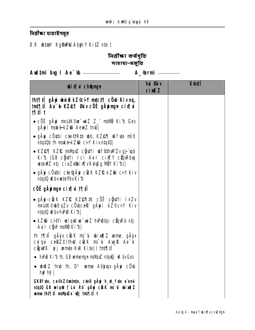विद्रीका याष्टित्रभूट

# 8.9 **bize<sup>3</sup> KgfhDU AbyiY KitZ niet**

নিৱীক্ষা কৰ্ষসূচি সাহায্য-মঞ্চুৱি

Audtmi bug I Ae<sup>-</sup>tb <u>\_\_\_\_\_\_\_\_\_\_\_\_\_\_\_\_\_\_\_\_</u> A\_@rmi \_\_\_\_\_\_

| <b>bixi</b> chamun                                                                                                                                                     | hui <b>Giv</b><br><b>cixqZ</b> | <b>Kulei</b> |
|------------------------------------------------------------------------------------------------------------------------------------------------------------------------|--------------------------------|--------------|
| <b>tht¶tī gäyi wù@ kZ®iY mtct¶ côb Kiv nq,</b><br><b>tnt¶‡î Aa^b KZ@¶ Guv cöË qÄyingn cix¶vi</b><br><b>Mill</b> t                                                      |                                |              |
| • cố c gây mai the wiz z_" mai b Ki b Ges<br>gÄyii maké-kZ@i AewaZ †mb                                                                                                 |                                |              |
| $\cdot$ gäyi cöybi c $te^{\odot}$ Rtb wb, KZ $e$ q ukfyte mš $\delta$<br>ntqt0b th maké-kZ@ ciY Kivntqt0                                                               |                                |              |
| • KZ@¶ KZR msMpz cğuYi wf@thWiZvgj up<br>Kib (GB cğutYi Ici Auil cix    Y cüm Rhxq<br>wtew Z ntj cie Zxibix (v Kvhpig NBY Ki b)                                        |                                |              |
| • gäyi cöybi c‡e©gäyi cück kZf& kZ®i ci¥ Kiv<br>ntqtQ uKbvuetePbvKi b                                                                                                  |                                |              |
| <b>cÖË gÄyingn cix¶vi 1¶‡T</b>                                                                                                                                         |                                |              |
| • gäyi-cück kziž kzestik cöë cökvi ï×zv<br><b>nrútk©bðqZv cÖbceR gÄyji kZ©ciY Kiv</b><br>ntqtQ uKbvhPB Ki b                                                            |                                |              |
| • kZ® citYi wlqW w~wiZ hvPBtqi cüqvRb ntj<br>Avil cŷw mavô Kib                                                                                                         |                                |              |
| th 1911 gäyx cück ms u bixqlZ ume, gäyx<br>culqui cerez <sup>®</sup> (thui cuck ms <sup>-</sup> ui Aunura Ae <sup>-</sup> ui<br><b>cŷwK `yj umte K\R Kite ) fnt¶‡l</b> |                                |              |
| • $hP$ B Ki b th, GB unnergn mallpool ntque i us by Ges                                                                                                                |                                |              |
| • $\omega \gg 2$ tmb th, $D^3$ unne Ablyuqx g $\ddot{A}$ yi c $\ddot{O}$ ub<br>hy <sup>2</sup> hy <sup>2</sup>                                                         |                                |              |
| <b>GKBfute, ce©kZ©mtnte, cte® gÄyi h_vh_fute e emi</b><br>ntatû GB welqwi jî Lui Rbî güyê cûcK msîcî ubixa¶Z<br>wme tht¶ii mdVjuZe" wj tnt¶ii t                        |                                |              |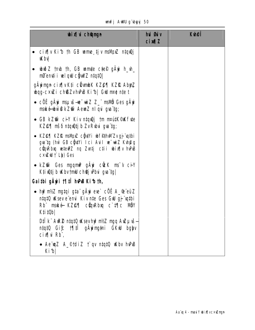|  |  | <b>unfj AWU g`byyj 50</b> |  |
|--|--|---------------------------|--|
|--|--|---------------------------|--|

| <b>bix</b> champh                                                                                                                                    | hui Guv<br>$ci$ $M1Z$ | <b>K</b> hei |
|------------------------------------------------------------------------------------------------------------------------------------------------------|-----------------------|--------------|
| cix[ v Ki b th GB unne tj v msMpxZ ntquQj<br>$\bullet$<br><b>Khy</b>                                                                                 |                       |              |
| • $\omega \gg 2$ tmb th, GB wamte ctep gay in $\omega$<br><b>nß</b> emti i wlaw câw Z ntatū                                                          |                       |              |
| gÄyingn cix¶vK‡i cüvnbK KZ@¶ KZf& AbyıZ<br><b>ubag-cxizi ch@ZvhPBKib GW nret ntet</b>                                                                |                       |              |
| $\bullet$ cố c gây mau s-re $\vec{w}$ z z mavô Ges gây<br><b>mské-bùê kZŵ AewZ niqui guitg;</b>                                                      |                       |              |
| • GB kZŴ ciY Kiv ntquy tm mattK©Kfvte<br>KZ@¶ mšő ntqu0tj b ZvRubui gva tg;                                                                          |                       |              |
| • KZ@¶ KZŔ msMpZ cÖvtYi wf@mMZvgj qtbi<br>gva tg (hù GB cồnt'i Ici Avil ve wiz Kvh@g<br>cünRbu wiew2 ng Zutj cii wix[v hPB<br><b>Cxiel T Lb) Ges</b> |                       |              |
| • kZ®n Ges mgqmiP gÄyi cück ms <sup>-</sup> v ci+Y<br>Kti ŵtj b Wbv tmll chej Pbui gva tg                                                            |                       |              |
| Gaithi gÀy i 1911 hPB Kib th,                                                                                                                        |                       |              |
| <b>• hy?nt/2 ngtqi gta¨ gÄyi eve` cÖË A_®¨eüZ</b><br>ntat0 Wsev e emi Kiv nte Ges GW gj "witbi<br>Rb mské KZOSI cůpRba c tic MÖY<br>K‡i‡Ob           |                       |              |
| <b>D‡Ïk¨ A\R® n‡q‡Q \Ksev hy? nf⁄Z ngq A\Zµ\š—</b><br>ntqtQ Gi£ †¶lil gÄying‡ni GKW bglyv<br><b>cixidation</b>                                       |                       |              |
| • Ae waz A_©tdiz t`qv ntqtQ wkbv hvPuB<br>Kib                                                                                                        |                       |              |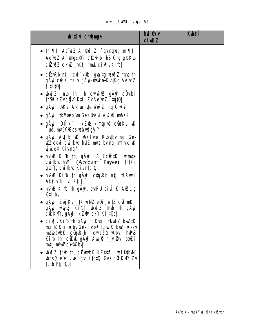|  |  | mfj AWU gïbyyj 51 |  |
|--|--|-------------------|--|
|--|--|-------------------|--|

| <b>bix</b> champh                                                                                                                                                                                                                                                                                | <b>hui Guiv</b><br>$ci$ $M1Z$ | <b>Kuhei</b> |
|--------------------------------------------------------------------------------------------------------------------------------------------------------------------------------------------------------------------------------------------------------------------------------------------------|-------------------------------|--------------|
| • th‡¶‡i Aeïwz A_¶diz †` gvngub, tnt¶‡i<br>Ae wiz A_Imgc#i cunkb tbB G gtg TK b<br><b>cizoz c×uz_ktj tmu cix[vKib </b>                                                                                                                                                                           |                               |              |
| $\bullet$ cũn Rb ntj, cư ki khi qua tạ uhið Z tmb th<br><b>gÂyi cử K ms 'ý gÂyi-maké-Kvh@g Ae vnZ</b><br><b>fiil 10</b>                                                                                                                                                                          |                               |              |
| $\bullet$ which $Z$ trub th, th curvict gay couthing<br>thŠiPKZvcğW K‡i, ZvAe nZ i‡q‡Q                                                                                                                                                                                                           |                               |              |
| • gAyi UKvi A‰umte whýZ ntątQ W?                                                                                                                                                                                                                                                                 |                               |              |
| • gAyi i †kYxeb m Ges UKui A¼uK mWK?                                                                                                                                                                                                                                                             |                               |              |
| • gävri D‡ik" I kZ@jx msµvš-cümkvi vK<br><b>úó, n¤ú¥©es wåušgÿ?</b>                                                                                                                                                                                                                              |                               |              |
| • gAyi At'k uK wikfute Rubutby ng Ges<br><b>Williams</b> cuitions held not be no the right of<br><b>yjucex Kivng?</b>                                                                                                                                                                            |                               |              |
| • INPLB Kith th, gayii A_©coctKi wante<br><b>cutkuthWI</b> (Account Payee) <b>TPIKi</b><br><b>gva tg cuitkva Kivntqt0 </b>                                                                                                                                                                       |                               |              |
| • hPB Kib th gAyi, cüqRb ntj tuRwii<br>Abyyù b juf K‡i                                                                                                                                                                                                                                           |                               |              |
| • In Pub Kith th gay, evt RU eively Autuply<br>K‡i bv                                                                                                                                                                                                                                            |                               |              |
| • gÄyi i Zuj Kvt_‡K veMZ eQi vj‡Z c® nKj<br>gÄyi whyíZ Ki1b  whiðZ †mb †h gÄyi<br>č@KM, gäyi kZ@ ciY K‡i‡Ob                                                                                                                                                                                      |                               |              |
| • cix¶v Ki b th gAyi mi Kuti i tNut Z bx Z#K<br><b>ng B K‡i uKbv Ges i vtót tgŠji K bniZ uKsev</b><br>mseaubK cüqR‡bi cuicšá uKbyl huPuB<br>Kib th, cikul ghe Aug Rh y 2u buki<br>mt_mt/sZcY@Kbv                                                                                                 |                               |              |
| • wið Z tmb th, ciumb K K Z@1¶ i wf@thWi<br><b>whorlet and the state of the state of the state of the state of the state of the state of the state of the state of the state of the state of the state of the state of the state of the state of the state of the state of t</b><br>tgib Ptj 10b |                               |              |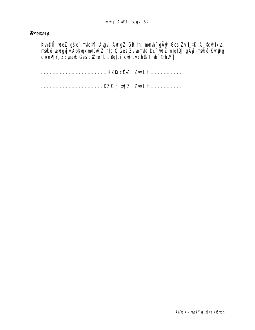#### উপসংহার

**Kvh@ff`vee,Z gše mitci¶ Avgvi AvfgZ GB th, munh gÄyi Ges Zv t\_iK A\_©cvitkva,<br>mské vevagyjv Abljuqx m¤úvù Z ntqtQ Ges Zv vamite Dc "veZ ntqtQ| gÄyi-mské Kvh@g<br>cviex¶Y, ZÉjeavb Ges c∛Zte`b cŸqtbi c∛puqv ch® I vbf@thvM|**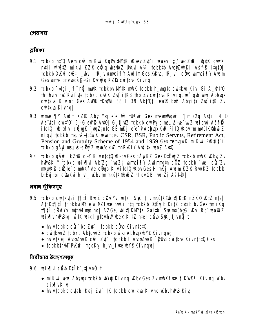#### পেনশন

ভূমিকা

- 9.1 tcbkb n‡'Q Aemic® miKui KgPuixW#K uKsev Zut`i waev "x/wcZuK "tgx#K gunK ntii vfižtz niku KZR ců q batiz UKu A¼ tchkth Abyzulki Ašře itqtů tcbkb XXvi evBti \_wvl tRjvumei¶Y Aultm Ges XXvq, tRjv I côw umei¶Y Aulm Ges wme gnv bgšK-Gi Kvhg g KZR cu tkva Kivng
- 9.2 tcbkb "stgi j¶ nỹ mWK tcbkbu W#K mWK tcbkb h\_vngtq cwitkva Kiv| Gi A\_%t'Q th, huiv miz Ku fyte tchkh côck Zut itkB thb Zv cwika Kiv ng, we gub was Ablyax cuitkua Kiv ng Ges AWU TKuWi 38 I 39 Aby Ot eW but Abyrity Zut itK Zv cwiku Kivng
- 9.3 unnei TIY Audm KZR Abyri Yxq e e 'wi ture Ges meunillywi i'jm (2q Astki 4\_© Aa dri cuit'O 6)-G eW2 AdO 6 tj dZ tchkh cuiPy b msu s-e wiZ wlqw Asfe itqt0 bix[|vi cQuyK `uqZ;nte GB mKj e e v Abhuax KuR Pjt0 uKbv tm mautK@buðZ nigy tchkb manš-tgšjí K waman, CSR, BSR, Public Servnts, Retirement Act, Pension and Grutuity Scheme of 1954 and 1959 Ges temguik mikui PKtif i tcbkb gäyi msuvš-ebij Z veva/cxuZ mnRxKiY Avi tk veaZ AviQ
- 9.4 tcbkb gäyri kZ® ciY KivntqtQ W-bvGes gäyrKZ. Ges DtËvgjZ tcbkb mWK W.by Zv hPBKiY tcbkb wix[|vi Ab Zg `wqZj wmei [|Y Awimngth c0Z tcbkb `wei c0c Zv mnúké cítte b milk fute cügb Kiv itaté ukby Ges H nikj Audm KZR Ruik Z tobkb DIË y ibi cën Ku h\_uh\_ uKbv†mnratiK@bubZ ni qvGB `uniZj Ašf@ |

প্ৰধান ঝুঁকিসমূহ

- 9.5 tcbkb cwikutai t¶iî RwZ cüvi vi wiki SyK tjvmatk®bix¶KiK mZK©\_WtZ nte| AtbKt¶tî tcbkbulW e wPWZ fyte nyRi nta tcbkb DtËvib KitZ cytib by Ges tm iKa 1911 cü vi mih Mmp ng | AZGe, bix | KW#K Gaithi StKnrubosj Kvi Rb ba@iZ wix[vhPBtqi wtK wtkl qtbthMubex KitZ ntel cab StK tjvng t
	- $\bullet$  huiv†cbkb c $\ddot{\mathbf{c}}$  bb Z $\dot{\mathbf{r}}$  i †cbkb c $\ddot{\mathbf{0}}$ b Kivn‡q‡Q;
	- cwitkwaZ tcbkb AbtgwiZ tcbkb w g AbtwarubYQ Kivnqub;
	- huvtKej AudyZwtK cû: Zu î tchkb l AudyZwtK gub cwtku Kivntatû Ges
	- tcbkbthWl PKiji maaKyi h yh fyte wy@Kivnawll

নিরীক্ষার উদ্দেশ্যসম্বহ

- 9.6 bixilui câu Dilk tivnă t
	- mikui wa Abhuax tchkh wy Kivng Why Ges Zv mukfute tiku @? Kivng Why **cixlyKiv**
	- huivtcbkb cyeb tKej Zy\* i#K tcbkb cwikya Kivng WbvhPB Kiv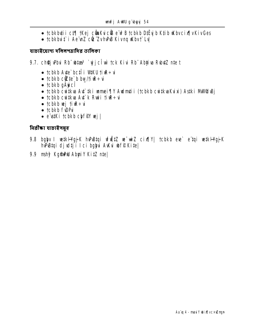- tcbkbuti i ct¶ tKej cünKuicü e wPB tcbkb DiËyjb Ktib uKbvcix [vKivGes
- · tcbkbut" i Ae'unZ cü: ZvhPB Kivna Kbvt" Lvl

যাচাইয়োগ্য দলিলপত্রাদির তালিকা

- 9.7. ch**ệi Phu Rh** bita <sup>3</sup> vi chu tek Kiu Rh Abina Ruhi te t
	- $\bullet$  tcbkb Avte`bctî î $W$ tku tiv $\mathbb{R} \div \dot{\mathbf{u}}$
	- tcbkb ctte b bw/time:  $\ddot{\mathbf{u}}$
	- $\bullet$  tcbkb q $\ddot{\mathbf{A}}$ y c $\hat{\mathbf{I}}$
	- · tcbkb cwikva Ayi iki wmei TV Avdmti i (tcbkb cwikvaKuixi) Asiki MWRUBj
	- tcbkb cwtku Au' k Rwi tiu  $\div$ u
	- $\bullet$  tcbkb wj ti $\mathbb{R}$ ÷u
	- · tcbkb f\DP\i
	- · e'ustKi tcbkb chffV wj

নিৱীক্ষা যাচাইসমূহ

- 9.8 bgbv I vetkHgjk hvPuBtqi vfižtZ ve wiZ cix[|Y| tcbkb eve` e tqi vetkHgjk hvetai djudtji Ici babu Avku wff Kitel
- 9.9 mshỹ Kg**ânhu Abui Y KitZ nte**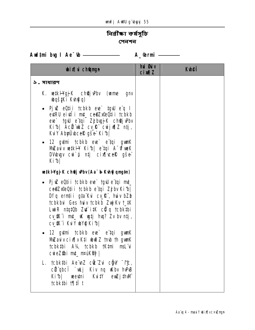# <u>নিৱীক্ষা কৰ্মসূচি</u> পেনশন

Aud‡ni bug I Ae<sup>-</sup>tb <u>\_\_\_\_\_\_\_\_\_\_\_\_\_\_\_\_\_\_</u> A\_@rmi \_\_\_\_\_\_

| <b>bix</b> i champh                                                                                                                                                                                                                                                                               | <b>hui Øuiv</b><br>$ci$ m $z$ | <b>Kuleff</b> |
|---------------------------------------------------------------------------------------------------------------------------------------------------------------------------------------------------------------------------------------------------------------------------------------------------|-------------------------------|---------------|
| ১. সাধারণ                                                                                                                                                                                                                                                                                         |                               |               |
| <b>K. wetkil edge of K. Childen Cumber 2018</b><br><b>wašiki Kwigo)</b>                                                                                                                                                                                                                           |                               |               |
| • Pjuz e0tii tcbkb eue` tguJ eïq l<br>evtRU eivil i mt_ ce@ZxeeQtii tcbkb<br>eve` tgw e tqi Zj bvgj K choej why<br>Kib  Acit wkZ cv_R cwijwq Z ntj,<br><b>KuY AbyÜvceR gše Kibl</b>                                                                                                               |                               |               |
| • 12 gytmi tcbkb eve` eïtqi gymK<br>MZauv wikH Kib  e'tqi A frweK<br>DVobugv cui o ntj cix cell gše<br>Kib                                                                                                                                                                                        |                               |               |
| <b>wik Hgj K ch<b>Qj Pb</b>v (Aa<sup>-</sup>b-Kuh<b>ğ qnyin)</b></b>                                                                                                                                                                                                                              |                               |               |
| • PjuZ eQ‡i i †cbkb eve` †gvJ e`‡qi m‡_<br>ce@ZxeeQtii tcbkb e tqi Zjbv Kib <br><b>Dfq erntii gta Kui cv_R<sup>*</sup>, huiv bZb</b><br><b>tchkhui Ges huiv tchkh Zuji Kv t_#K</b><br>Lwir ntatüb Zu itk cü q tcbktbi<br>$c\chi$ \$K^i mt_ uK ugtj huq? Zv bv ntj,<br><b>CV_SK i KuY wYQ Kib </b> |                               |               |
| • 12 gytmi tcbkb eve` eïtqi gymK<br><b>Mizaviv cix iv K‡i wið Z tmb th gwnK</b><br><b>tcbkibi A¼ tcbkb †Kimi msL`ui</b><br>cuieZ\$bi mt_ maiKRG                                                                                                                                                   |                               |               |
| L. tcbktbi Ae nZ cü Zu cğu <sup>-</sup> t£,<br>cü qbcî `ukj Kiv nq uKbv huPuB<br>KuitY euZjithM<br>Kib  wewtni<br>tcbk#bi t¶ill t                                                                                                                                                                 |                               |               |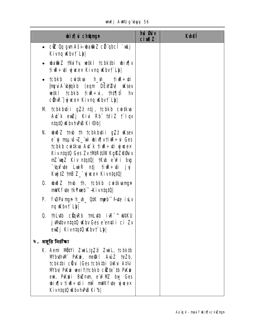unfj AWU g`byyj 56

| <b>bix</b> champh                                                                                                                                                                                                                                                         | <b>hủ Bảy</b><br>$ci$ $\mathbf{M}$ $\mathbf{Z}$ | <b>Kuteff</b> |
|---------------------------------------------------------------------------------------------------------------------------------------------------------------------------------------------------------------------------------------------------------------------------|-------------------------------------------------|---------------|
| • c <b>ë ûq gun Aši-bati Z cë qbcî `uLj</b><br>Kivng Wbvt`Lbl                                                                                                                                                                                                             |                                                 |               |
| • water that y wiki to bkibi wix y<br>tirt + ti ywe× Kivng Kbvt` Ly                                                                                                                                                                                                       |                                                 |               |
| • tcbkb cwikw h_vh_ tiwe÷vii<br><b>Impui A bylakb (eqm DËN 24) uK sev</b><br>wiki tcbkb tiwe÷ui, thi¶ii hv<br><b>cühR'] yj weex Kivnq Wbv† Lbl</b>                                                                                                                        |                                                 |               |
| <b>M tcbkbuti i gzz ntj, tcbkb cwitkva</b><br>At k euzj Kiu Rb tdiZ t Iqv<br>$n!q!0$ KbvhPB $Ki@b $                                                                                                                                                                       |                                                 |               |
| N. ubuð Z tmb th tcbkbuti i g7. ikksev<br>e`yj msµvš–Z_"wì wbix¶v†iuR÷ui Ges<br>tcbkb cwikua Au' k tiur÷ui yjwe×<br>Kiv ntqtQ Ges Zv tMRtUW KgRZOGiv<br>mZ`wqZ Kiv n‡q‡Q  †Kvb e`w <sup>s</sup> i bvg<br>"(apfyte Luir ntj tiur÷yti jyj<br>Kujj#Z tmB Z_" ujuce× Kivn#q#Q |                                                 |               |
| <b>0. www.2 tmb th, tcbkb cwitkuanger</b><br>mWK fute tkYxeb -KivntqtQ                                                                                                                                                                                                    |                                                 |               |
| P. fuDPuingn h_uh_ QIK mpb" fate ivLv<br>$\log$ Kbv $\uparrow$ Lb                                                                                                                                                                                                         |                                                 |               |
| thLutb cüquRb tmLutb iuR <sup>-^</sup> witku<br>$\mathbf{0}$<br>j Withv ntatū uKhv Ges e emti i ci Zv<br>ewZj KivntqtQ wbvt`Lb                                                                                                                                            |                                                 |               |
| ২. মঞ্জুরি নিরীক্ষা                                                                                                                                                                                                                                                       |                                                 |               |
| K. Aemi Mütyi ZwiL/g, zwiL, tcbktb<br><b>M'buthM PKm', metki AuiZ teZb,</b><br><b>tcbkibi cüü (Ges tcbkibi UKui At%i</b><br><b>M'by PKm weiY/tcbkb citte to PKm</b><br>eun, Pullini Bullmun, e up ML buy Ges<br>bix w time this milk five yines<br>KivntqtQ KbvhPB Kib    |                                                 |               |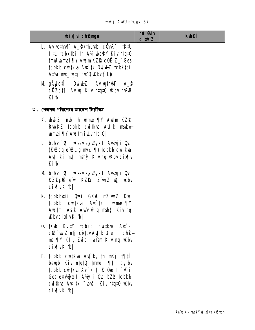unfj AWU g`ubyyj 57

| <b>bix</b> champh                                                                                                                                                                                                                      | hủ <b>G</b> ủy<br><b>cin¶Z</b> | <b>Ktheff</b> |
|----------------------------------------------------------------------------------------------------------------------------------------------------------------------------------------------------------------------------------------|--------------------------------|---------------|
| L. Av with M A_© (th Lutb cühn R') tK#U<br>tit tcbktbi th A% ba@Y Kiv ntqtQ<br><b>tmil umei TV Audm KZR cÖË Z_* Ges</b><br>tcbkb cwikua Au'ik Dyjukz tcbkibi<br>At¼ mt_ wtj hd'Q wbv† Lbl                                              |                                |               |
| M gÄyictî DyjyLZ Av`uqthWi A_O<br>cüzct¶ Av`uq Kiv ntqtQ uKbv hvPuB<br>Kibl                                                                                                                                                            |                                |               |
| ৩. পেনশন পরিশোধ আদেশ নিরীক্ষা                                                                                                                                                                                                          |                                |               |
| K. www.z tmb th wamei TV Awdm KZIQ<br>Ruink Z. tcbkb cuitkva Aut k maké<br>unnei TY Aud tm i duntat0                                                                                                                                   |                                |               |
| L. bgly 'Vii uKsev exvisivel Aviti Que<br>(KuZcq e uZµg mtct¶) tcbkb cwitkw<br>At iki mi_ mshy Kiv ng Kbv cix[v<br>Kibl                                                                                                                |                                |               |
| M bglyv Mi uKseve x V ji x I AV ji uc<br>KZŽC <b>ÜG</b> e'u <del>f</del> KZR mZ'unz uQj uKbv<br>cix[vKib]                                                                                                                              |                                |               |
| N. †cbkbu‡ii Quei GKwJ mZ`um <sub>i</sub> z Kuc<br>tcbkb cwitkva Avt tki wmei¶Y<br>Audtmi Astk Auly witq mshy <sup>2</sup> Kiv nq<br><b>Kbvcix[vKib]</b>                                                                               |                                |               |
| <b>0. tKub Kuity tchkh cuitkua Aut k</b><br><b>ciz tue Z ntj cythv At k 3 ermi ch@</b><br>msi¶Y K‡i, Zvici aŸsm Kiv ng Wabv<br>cix <sup>N</sup> VKib                                                                                   |                                |               |
| P. tcbkb cwiku $A \mathbf{u}$ k, th mKj $1$ qil<br>beugh Kiv ntatu tume that cythy<br><b>tcbkb cwikua Au' k t_iK Que i "viji</b><br>Ges exvisx I Aviji Occ bZb tcbkb<br>cwitkva Avt`tk <sup>-</sup> whisiin Kiv ntatu wibv<br>cixqvKib |                                |               |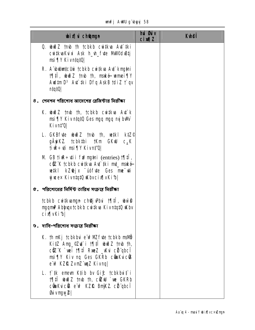#### unfj AWU g'byyj 58

| <b>bixivich@ngn</b>                                                                                                                                                                                       | hú Øúv<br><b>cixqZ</b> | <b>Kuei</b> |
|-----------------------------------------------------------------------------------------------------------------------------------------------------------------------------------------------------------|------------------------|-------------|
| 0. widz twb th tcbkb cwitkua Aut tki<br>cwikuaKuixi Ask h_vh_fute MMPdvBtj<br>msi ¶Y Kivn‡q‡Q                                                                                                             |                        |             |
| <b>R. A bilintelin tebkb curikua Au knyini</b><br><b>1911</b> , which z tmb th, maké wmei 91<br>Awitm D <sup>3</sup> Au <sup>+</sup> iki Dfg AskB tdiZ † gv<br>$n \frac{1}{4}$                            |                        |             |
| ৪. পেনশন পরিশোধ আদেশের রেজির্স্টার নিরীক্ষা                                                                                                                                                               |                        |             |
| <b>K. www.2 tmb th, tcbkb cwitkva Avt k</b><br>msi¶Y Kivn‡q‡Q Ges mgq mgq mjibWr<br>Kivn‡Q                                                                                                                |                        |             |
| <b>L. GKBfvte wind th th, witkl ktz<math>\degree</math></b><br>g <b>ÄyiKZ tcbkibi tKm GKW c</b> <sub>a</sub> K<br>ti <b>R</b> ÷¢i msi¶Y Kivn‡'Q                                                           |                        |             |
| M GB tire÷dii fremgini (entries) t¶il,<br><b>Ciz K tchkh cwikua Au' iki mi_ maké</b><br>wiki kZ@jx ūófue Ges me vi<br><b>yjucex Kivntatü Whycix WKibl</b>                                                 |                        |             |
| $c$ . পরিশোধের নির্দিষ্ট তারিখ সংক্রান্ত নিরীক্ষা                                                                                                                                                         |                        |             |
| <b>tcbkb cwikangn chej Pbu termin duvom</b><br>ngqmP Abhuqx tcbkb cwikua Kivntat0 uKbv<br>cix vKibl                                                                                                       |                        |             |
| ৬. দাবি-পরিশোধ সংক্রান্ত নিরীক্ষা                                                                                                                                                                         |                        |             |
| <b>K. th nKj tcbkbu e wPNZ fyte tcbkb msNB</b><br>Kitz Ang_©Z¢`i †¶‡Î wiðz †mb †h,<br>ctz"K `wei †¶ilî Rmez _wkui cü"qbcî<br>msi¶Y Kiv ng Ges GKRb cünKuicüR<br>ew <sup>2</sup> KZR Zvm2 <i>w</i> z Kivng |                        |             |
| L. i* tk emevn K‡ib bv Gif: tcbkbuit* i<br><b>1911 budz trub th, citul 'we GKRb</b><br><b>cünkucük e'u? KZIR BniKZ cü''qbcî</b><br><b>Givngw2</b>                                                         |                        |             |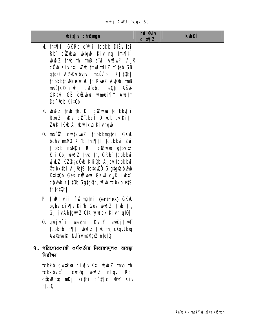unfj AWU gʻbyyj 59

| <b>bix</b> champh                                                                                                                                                                                                                                                                                                                                                | <b>hủ Bảy</b><br>$ci$ m $l$ | <b>Ktiết</b> |
|------------------------------------------------------------------------------------------------------------------------------------------------------------------------------------------------------------------------------------------------------------------------------------------------------------------------------------------------------------------|-----------------------------|--------------|
| M th‡¶‡Î GKRb e wi tcbkb D#`yj#bi<br>Rb c <b>it bia btqM</b> Kiv ng tnt¶ti<br><b>with the the the cive Auture A_C</b><br>cÔ b Kivntj <b>who mid this that CB</b><br>g‡g© A½Kuibugv m¤uvib K‡i‡Ob <br>tcbkb#fWke w <sup>2</sup> W th RxeZ AutOb, tnB<br><b>nrú#K© h_vh_ cë qbcî eQti Aš<del>Z</del></b><br>GKeui GB citubua unnei TV Audim<br>Dc [cb Kit0b]       |                             |              |
| N. $\omega \tilde{\omega}$ z trub th, $D^3$ citude to book but i<br>RNeZ _Kui cit qbcî Dì vcb bv Kitj<br>ZuK 1Kub A_ Cuitkua Kivngub                                                                                                                                                                                                                             |                             |              |
| <b>0. madík cuitkunz tcbkbmgtni GKW</b><br>bglyv msivið Kifb tht¶tî tcbkbui Zui<br>tcbkb msivihi Rb cizulua gtbubiz<br>KtitOb, www.z tmb th, GRb" tcbkbui<br><b>yjul XZ2; cÖb K‡iüb A_ev tcbkbui</b><br><b>Ûcbkibi A_@ijS tctquê G gtg@@wh</b><br>K‡i‡Ob Ges c <b>itube GKW</b> c <sub>a</sub> K iuk‡<br>cĝi/Ab K‡i‡üb Gg‡g@h, uZub †cbkb e\$S<br><b>tctqt0b</b> |                             |              |
| P. tirt÷tii firmytni (entries) GKW<br>bglyv cix[ v Kib Ges ubub Z tmb th,<br>G tj v Abhqui Z QtK yj wex KivntatQ                                                                                                                                                                                                                                                 |                             |              |
| 0. guaj tî weytni Kuity eunzjith Wi<br>tcbktbi 1911 wið Z tmb th, cünRbiq<br>Aaceul R thd Yvmdybe ntqt0                                                                                                                                                                                                                                                          |                             |              |
| ৭. পরিশোধকারী কর্মকর্তার নিবারণমূলক ব্যবস্থা<br><b>बिद्रीका</b>                                                                                                                                                                                                                                                                                                  |                             |              |
| tcbkb cwiku cix w Kii wwo z tmb th<br><b>tcbkbut i cuiPq ubod Z niqui</b><br><b>Rb</b><br>cüqwebuq mKj aithi c`t¶c MÖY Kiv<br> 0                                                                                                                                                                                                                                 |                             |              |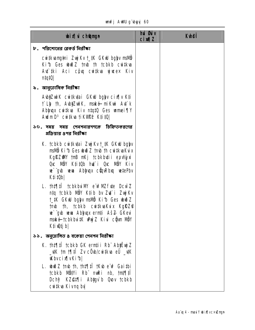## unfj AWU gʻbyyj 60

| <b>bixivich@ngn</b>                                                                                                                                                                                                                                        | hui Guiv<br>$ci$ <i>m</i> $l$ | <b>K</b> hei |
|------------------------------------------------------------------------------------------------------------------------------------------------------------------------------------------------------------------------------------------------------------|-------------------------------|--------------|
| $\nu$ . পরিশোধের রেকর্ড নিরীক্ষা                                                                                                                                                                                                                           |                               |              |
| cwitkvangtni ZwjKv t_tK GKW bglyv msMb<br>Kib Ges who Z tmb th tcbkb cwikus<br>Au iki Aci cŷu cu iku ywex Kiv<br> 0                                                                                                                                        |                               |              |
| ৯. আনুতোষিক নিৱীক্ষা                                                                                                                                                                                                                                       |                               |              |
| <b>AubjZuirK cuitkutai GKW bglyv cix¶v Kti</b><br>f Lip th, AubjZuirK, maké miKui Auf k<br>Abyupx cuitkua Kiv ntqt0 Ges umei¶Y<br>AudmD <sup>3</sup> cuitkua tikvape Ktitu                                                                                 |                               |              |
| ১০. সময় সময় পেনশনারগণকে চিহ্নিতকরণের<br>প্রক্রিয়ার ৪পর নিরীক্ষা                                                                                                                                                                                         |                               |              |
| K. tcbkb cwitkytai ZwiKvt_tK GKW bglyv<br><b>mavö Kib Ges wwo Z tmb th cwitkyaKyix</b><br>KgRZWW tmB nKj tcbkbutii exu/jni<br>Occ NBY KtitOb hut i Occ NBY Kiv<br>we gub wewn Ablyuqu cüquRbuq wetePbv<br>K‡i‡Ob                                           |                               |              |
| L. th‡¶‡Î tcbkbuiM e wPMZ fute Dcw Z<br>ntq tcbkb MÖY Ktib bv Zut i Zujkv<br>t_#K GKW bglyv msNÖ Ki1b Ges ubuðZ<br><b>tmb th, tcbkb cwitkvaKuix KgRZP</b><br>we`"gub wewn Ablyuqx ermti AšZ GKevi<br>mské tchkhuitK whýZ Kiui cium NBY<br>Kti <b>utj</b> b |                               |              |
| ১১. অনুতোলিত ৪ বকেয়া পেনশন নিরীক্ষা                                                                                                                                                                                                                       |                               |              |
| <b>K. tht¶tî tcbkb GK ernti i Rb" AbjËvj Z</b><br><b>_\tK tm t¶ltÎ Zv cÖ\b/cwitk\a eÜ _\tK</b><br><b>Kbvcix</b> [vKib]                                                                                                                                     |                               |              |
| L. wið Z tmb th, tht¶tî tKw e w <sup>o</sup> Gaitbi<br>tcbkb Nütyi Rb nuki nb, tnt¶‡i<br>Dchy <sup>2</sup> KZ@1\]i Abygy`b Quov tcbkb<br>cwika Kivng by                                                                                                    |                               |              |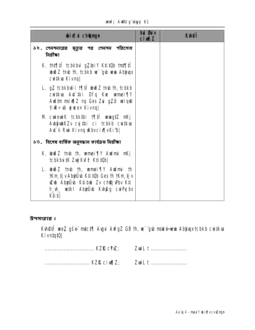| <b>wixivich@mgn</b>                                                                                                                                                               | <b>hú đú</b> v<br>$ci$ m $z$ | <b>Kuhei</b> |
|-----------------------------------------------------------------------------------------------------------------------------------------------------------------------------------|------------------------------|--------------|
| ১২. পেনশনারের মৃত্যুর পর পেনশন পরিশোধ<br>নিৱীক্ষা                                                                                                                                 |                              |              |
| K. th‡¶‡Î tcbkbui g7äeiY K‡i‡Ob tm‡¶‡Î<br><b>wind Z</b> trub th, tobkb we gub www. Ablyuqx<br>cutkua Kivng                                                                        |                              |              |
| L. $gZ$ tcbkbuti i t $f$ ifi with the th, tcbkb<br>cwitkua Aut tki Dfg Kuc wamei¶Y<br>Aud‡m msiv¶Z nq Ges Zui gZzi velqW<br>tirt i gwex Kivng                                     |                              |              |
| M cwiewiK tcbktbi 17  www.gtZ mKj<br>AbyubKZv cyjibi ci tcbkb cwikva<br>At k Rui Kivnq Kbvcix[vKib]                                                                               |                              |              |
| ১৩. বিশেষ বাৰ্ষিক অনুসন্ধান কাৰ্যক্ৰম নিৱীক্ষা                                                                                                                                    |                              |              |
| K. www.z tmb th, wamei TV Audmi mKj<br><b>tcbkbutK Zuj Kuf<sup>2</sup> Ktit0b </b>                                                                                                |                              |              |
| L. www.z tmb th, wamei¶y Audmi th<br><b>tKm tj v Abyü b Kti tüb Ges th tKm tj v</b><br><b>uZub AbyÜub K‡ibub Zv ch@juPbv K‡i</b><br>h_uh_ wetkii Abyrülub Kuh@g cwiPujibu<br>K‡ib |                              |              |

unfj AWU g`byyj 61

উপসংহার ঃ

**Kvh@fî wez gše mici¶ Avgui AvfgZ GB th, w` gvb maké wwa Abijuqx tcbkb cwitkva<br>KivntqtQ|** 

|            | ZwiL t |
|------------|--------|
| KZR cixq2; |        |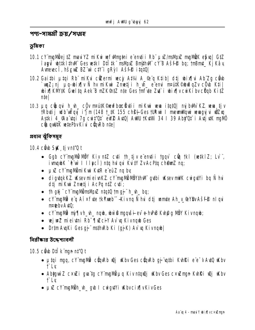পণ্য−সামগ্ৰী ক্ৰয়∕স্প্ৰহ

ভূমিকা

- 10.1 cY mgMiej#Z mauYZ miKu wfWhatni e entii Rb ux/msMpZ mgMiK e\$val G#Z **i'aguī btikl#will Ges wikl Dili#k" maWuZ Bmithwi cYB Ašfi bq; tnBmt\_ KjKav** Avrevec i, hševe BZ w ctV i gRyl Ašfe itat0
- 10.2 Gaithi µtgi Rb" miKu cüzermi vecj At¼ A\_@"q Ktib| dtj wix[\u Ab"Zq cüyb **`uqZ; nj piq-bix¶v Ñ hv miKui Zmetji h\_vh\_e e emi m¤útK©buðqZv cÖb Ktil** wix KW#K Gwlta Aek B mZK@dZ nte Ges mr de Zd i wix y cwKiby c dab KitZ  $n$ tel
- 10.3 µg cüngvi h\_vh\_ cüv nradk©evfboxüytii mikwi wa itatü| mjbWi KZ wa tjv **TRbutij udb uvaj i'j m (148 t 1K 155 chg)-Ges turaj i memiliguj vengujuj vizzg** Astki 4\_@Aa dqi 7g cwit'Ot eW2 AdO| AdU 1KdMi 34 I 39 Aby Ot i AdidK maMO cüngultik wiePbvKiu cünRb niel

প্ৰধান ঝুঁকিসম্বহ

**10.4 cầu SK tivnt 0 t** 

- Gab cY`maMÖ MÖY Kiv n‡Z cv‡i th tjve entii tgqv` c $\ddot{\mathbf{q}}$  tkl (wetklZ; Lv`', ivngbK `ë willet and ntq hulqui Kuity ZvAcPtq chemz nq;
- $\mu \mathbb{Z}$  cY mg Mg mi K wi K  $\mu$ R e eu Z ng by
- digtakKZ. Kesy mieivnKZ. cY ma Wi WöYth Wi qubi Kesy mWK cwigutYi ba Ni hui dti nikui Zmeti i AcPa ntZ cvti:
- th qij" cY`mqMimsMp2 ntqtQ tmqj" h\_vh\_ bq;
- cY`mqMë e`q A`i×f\te †kYxeb``-Kivnq Ñ hui d‡j wmte Ah\_y\_@YBvAšf@ nlqui mpteby Auto:
- cY`mgMü nŷ¶vh\_vh\_ nqub, ubw`@ ngqušii-ev~ o-hvPuB Kvh@g MÖY Kivnqub;
- wejwz mieiyni Rb" ¶wzciY Av` w Kivngb Ges
- Dr‡m Aug Ki Ges q j<sup>\*\*</sup> ms‡hn Rb Ki (q j K) Av`uq Kivn qub |

নিৱীক্ষাৱ উদ্দেশ্যাবলী

**10.5 cầ b Dil k man nt'Q t** 

- µtai mga, cY`mgMi cŵgRb ŵj iKbv Ges cŵgRb gj``wtbi K\hRi e e v A\tQ iKbv f Lv
- Abhawi Z c×wZi gya tg cY mgMi µq Kiv ntqwQj wKbv Ges c×wZman KyhRi wQj wKbv **f** Ly
- µxZ cY`mgM9h\_vh\_ gub I cwigytYi wKbvcix¶vKivGes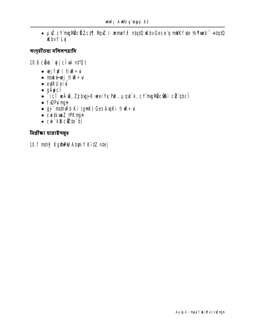• µ>Z cY mgMOcHZct¶ Mpz I wmef<sup>2</sup> ntqtQ wKbvGese q mWKfvte tkYxeb -- ntqtQ **Kbvf Lv** 

সংগৃহীতব্য দলিলপত্রাদি

10.6 chb `wiclw nt'0 t

- $\cdot$  wjfifi tik $\div$ u
- mské vej tive÷vi
- $\cdot$  evtRU  $\tilde{e}$ ivi
- $\bullet$  gÄyic $\widehat{\mathbf{I}}$
- `icî wÁw, Zj buj Kwei Yx Pu?, µqu'k, cY mgMÖc@Gi cü qbcî
- finPumgn
- gj" msthiRb Ki (gnK) Ges AugKi til ÷ui
- cwitkwaZ tPKmgn
- $\cdot$  cui kD cite b

নিৱীক্ষা যাচাইসমূহ

10.7 mshy? KgmmM AbyriY KitZ nte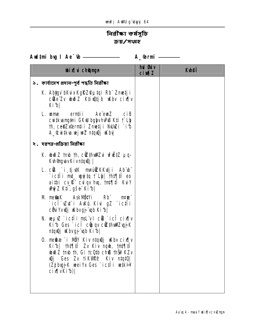# নিৱীক্ষা কৰ্ষসূচি ক্রয়/সংগ্লহ

Aud‡ni bug I Ae<sup>-</sup>tb <u>\_\_\_\_\_\_\_\_\_\_\_\_\_\_\_\_\_</u> A\_@rmi \_\_\_\_\_\_

| <b>bixi</b> champh                                                                                                                                                                                                 | <b>hủ sti</b> v<br><b>cixqZ</b> | <b>K</b> hei |
|--------------------------------------------------------------------------------------------------------------------------------------------------------------------------------------------------------------------|---------------------------------|--------------|
| ১. কাৰ্যাদেশ প্ৰদান-পূৰ্ব পদ্ধতি নিৱীক্ষা                                                                                                                                                                          |                                 |              |
| K. Ab <b>i</b> gv`bKuxKgRZ®µtqi Rb¨Zmetji<br>cüke Zv ubuð Z Ktiuûtji bu ukbv cixflv<br>Kib                                                                                                                         |                                 |              |
| <b>L. ume erntii Ae<sup>r</sup>eus ciB</b><br><b>cu tku ng thi GKW bglyvhPB Kti t`Lly</b><br>th, ce@Zxernții Zmețji NJuZi `i b<br>A_&witkva vejweZ ntqvQj uKbv                                                     |                                 |              |
| <b>২. দূরপত্র-প্রক্রিয়া নিরীক্ষা</b>                                                                                                                                                                              |                                 |              |
| K. www.z tmb th, citthwaters of the pa-<br>K <b>umanga Kivntang  </b>                                                                                                                                              |                                 |              |
| L. cük `i tjutk m¤únizkkutji Ab`ub`<br>`ic‡Îi m‡_ wyj‡q †`Lh  †h‡¶‡Î eo<br>aithi cy <b>R</b> c <b>ul qv hu, tnt fil Ku Y</b><br><b>WýZ K‡i, gše Kifb </b>                                                          |                                 |              |
| <b>M me@aK AskMÖtYi Rb" mrde"</b><br>`icî`\zt`i AKó.Kivi gZ `ic‡îi<br>c <b>iùi Yvŵj Khvgj "un Ki b</b>                                                                                                             |                                 |              |
| N. weµxZ`ic‡Îi msLïv I c®i cîcÎ cix¶v<br>Kib Ges `ici cüuqv cüzthullZujK<br>ntquij ukhvgj "up Ki b                                                                                                                 |                                 |              |
| 0. methæ`i MÖY Kiv n‡quQj uKbv cix¶v<br>Kib  th‡¶‡Î Zv Kiv ngb, tnt¶‡Î<br><b>we Z that th, Gi tc up chis that KZv</b><br>wij Ges Zv tikw <sup>o</sup> j? Kiv ntatu<br>(Zj bujK weiYx Ges `icti u wikH<br>cix[vKib] |                                 |              |
|                                                                                                                                                                                                                    |                                 |              |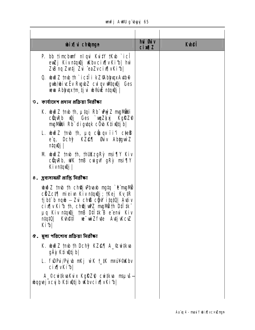| <b>bixi</b> chamun                                                                                                                                                                                                                                                                                      | <b>hui Øui</b> v<br>$ci$ $M1Z$ | <b>Kyhei</b> |
|---------------------------------------------------------------------------------------------------------------------------------------------------------------------------------------------------------------------------------------------------------------------------------------------------------|--------------------------------|--------------|
| P. bb timcbunf nlqui Kuity tKub `icl<br>ewZj Kivn‡quQj wKbvcix¶vKi1b  hw<br>Z <b>B</b> nq Zutj Zu ^eaZvcixqvKib                                                                                                                                                                                         |                                |              |
| <b>0. budz tmb th `icili kZ@bhuxAuth@</b><br>gub/bic Ev Rugb Z cul qv ultquaj Ges<br>veva Abhyyxtm tj vi vb®úŽ ntgvQj                                                                                                                                                                                   |                                |              |
| $v$ . কাৰ্যাদেশ প্ৰদান প্ৰক্ৰিয়া নিৱীক্ষা                                                                                                                                                                                                                                                              |                                |              |
| K. wið Z tmb th, µtqi Rb" why Z mgMWi<br>cümrb wûj Ges `wqZkyj KgRZP<br>mgMilli Rb" digvtqk cÖvb K‡ivûtj b                                                                                                                                                                                              |                                |              |
| L. $\omega \tilde{\omega}$ z tmb th, $\mu q$ cupq ii'i ctess<br>e <sup>"</sup> q, Dchy <sup>2</sup> KZ <b>e</b> : Miv Abhguù Z<br>ntqıQj                                                                                                                                                                |                                |              |
| M who Z tmb th, thukz g Ry msi TV Kiv<br>$c$ <b>Q</b> qvRb, WK triB cwigw gRy msi $\eta$<br>Kivntqu)                                                                                                                                                                                                    |                                |              |
| 8. দ্ৰব্যসামগ্ৰী প্ৰাপ্তি নিৱীক্ষা                                                                                                                                                                                                                                                                      |                                |              |
| <b>wind Z</b> tmb th ch <b>ej Phand myte</b> e mgM<br>cäzct¶ miei n Kiv ntquj; tKej Kv tR<br>tj bi b nqib - Zui ch® cğW itqtQ  Aviv<br>$ci$ x $\beta$  v Ki b th, choq juPZ mg Moth D $\ddot{i}$ I th D $\ddot{i}$<br>µq Kiv n‡qwîj †mB D‡l‡k Be emi Kiv<br>Kuneti w wizfute Auti Kcuz<br>n!q!0<br>Kibl |                                |              |
|                                                                                                                                                                                                                                                                                                         |                                |              |
| <b>K. www.c tmb th Dchy KZ@¶ A_®witkwa</b><br>gAỳ K‡i <b>ŵ</b> tj b                                                                                                                                                                                                                                     |                                |              |
| L. fwPui/Pyjwb mKj wK t_#K m¤uW@Mkbv<br><b>cix</b> vKib                                                                                                                                                                                                                                                 |                                |              |
| <b>A_©cui‡kuaKuix KgŔZ@ cui‡kva msµvš-</b><br><b>bogej xcy b K‡iwtj b Wbvcix [vKi b  </b>                                                                                                                                                                                                               |                                |              |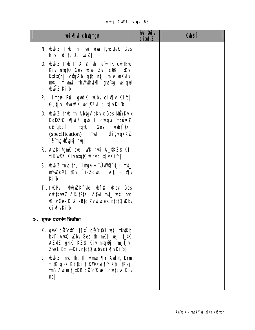| <b>wixivich@mgn</b>                                                                                                                                                                                 | <b>hủ Bủy</b><br><b>cimal</b> | <b>Kulei</b> |
|-----------------------------------------------------------------------------------------------------------------------------------------------------------------------------------------------------|-------------------------------|--------------|
| N. ububiZ tmb th `ue wewn tguZuteK Ges<br>$h_h$ <sub>di</sub> tg Dc <sup>-t</sup> ucZ                                                                                                               |                               |              |
| 0. $\omega \geq 2$ that the A_Gh_uh_e $\omega$ at $\omega$ at $\omega$<br>Kiv n‡q‡Q Ges uZub Zui cũB "Kui<br>K‡i‡Ob  cüqRb g‡b n‡j mieivnKvixi<br>mt_ mivni thMthtMi gvatg velqW<br><b>biðZKibl</b> |                               |              |
| P. `ingn Puf gwdK uKbv cix¶v Ki1b <br>G tju MWZK bffZd cixwkib                                                                                                                                      |                               |              |
| <b>Q. with 2 timb th Abigy bKuix Ges NBYKuix</b><br>KgRZ® MwiZ gub I cwigW matuk2<br>cü qbcî itqtû Ges wewbt fki<br>(specification) <b>mut_ digytqkKZ</b><br>`ê mg <b>ivî ytj hu</b>                |                               |              |
| R. AugKi/gmK eue` WK mți A_GKZD K‡i<br>tiKW&B KivntqtQ Wbvcix[vKib]                                                                                                                                 |                               |              |
| S. which $\mathbb{Z}$ and $\mathbb{N}$ , ing $\div \hat{\mathbb{U}}$ where $\mathbb{Q}$ int $\mathbb{Z}$<br>nt/MZcYP tKub `i-Zdunj _W.tj cix[ v<br>Kib                                              |                               |              |
| T. funi Millex Krite unif Why Ges<br>cwikwaZ A¼ tPiKi At¼ mt_ wij hw<br>Kiby Ges K'ik eBtq Zvyjweex ntqt0 Kiby<br>cix[vKib]                                                                         |                               |              |
| ৬. মুসক প্রত্যর্পণ নিরীক্ষা                                                                                                                                                                         |                               |              |
| K. gnK cë cîvi 1911 cë cîvi vetj tutKb<br>b¤t AutQ uKbv Ges th mKj wej t_tK<br>AZ#Z gmK KZD Kiv n‡qu@j tm tjui<br>Zwil Dtj l-KivntqtQ Wbvcix[ vKib                                                  |                               |              |
| L. widh 7 mb th, th winei TV Audm, Drm<br><b>†_‡K gnK KZ\$bi †iKWPnsi¶Y K‡i, †Kej</b><br><b>tnB Audmt_#KB cë cë uej cuitkua Kiv</b><br>nq                                                           |                               |              |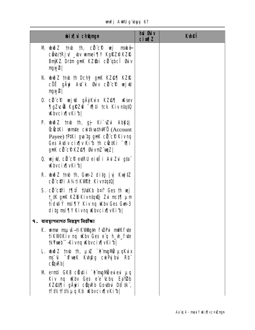unfj AWU g`ubyyj 67

| <b>bix</b> digmyn                                                                                                                                                                                        | hủ <b>Đ</b> iv<br>$ci$ <i>m</i> $l$ | <b>Kuhei</b> |
|----------------------------------------------------------------------------------------------------------------------------------------------------------------------------------------------------------|-------------------------------------|--------------|
| M buð Z tmb th, cil c'e vej maké<br>cent/IRjv _www.mei¶Y KgRZ® KZR<br>BnjKZ. Dr‡m gnK KZ\$bi cë qbcî suv<br>$m\ll 2$                                                                                     |                                     |              |
| N. who Z tmb th Dchy <sup>2</sup> gnk KZ@¶ KZR<br>cÖË gÄyi A√îk Guiv cü c® vejwi<br>ngw2                                                                                                                 |                                     |              |
| 0. cü cip wejwi gäykur kzest uksev<br><b>TigZu: OS KgRZ@ - 07## tck Kiv n#q#Q</b><br><b>Khycix</b> [vKib]                                                                                                |                                     |              |
| P. wwð Z tmb th, gj Ki`vZui Abktji<br><b>ÊËKi umte cu tku thuno (Account</b><br>Payee) <b>IPIKi guatg gnK cite P Kivnq</b><br>Ges Autiv cix w Kib th cut Ki "Vill<br><b>gnK cit cP KZ@¶ GuivmZ umz  </b> |                                     |              |
| <b>Q. wejul, cü cü eyRU eivili Avizui gta </b><br><b>Kbvcix</b> vKib                                                                                                                                     |                                     |              |
| R. wið Z tmb th, Gun 2 ditg jyj KujtZ<br><b>CÜ CHI A¼tikWPP KivntqtQ </b>                                                                                                                                |                                     |              |
| S. citeri mit tutkb b¤t Ges th wij<br>t_#K gnK KZD Kivntqu) Zvi mct¶ µm<br>tidutiv msi¶Y Kiv nq uKbv Ges Gun-3<br>ditg msi¶Y Kivnq Kbvcix¶vKib                                                           |                                     |              |
| <b>9. ব্যবস্থাপনাগত নিয়ন্ত্রণ নিরীক্ষা</b>                                                                                                                                                              |                                     |              |
| <b>K. ume nsuš-tikvingtn f.DPui mWKfvte</b><br>tikW <sup>o</sup> Kiv ng Waby Ges e <sup>"</sup> g h_wh_fyte<br>tkYxeb" Kivnq Wbvcix[vKib]                                                                |                                     |              |
| L. www.z tmb th, µxz `ê`mgMw µqKu`x<br>ms <sup>-</sup> ti <sup>-</sup> tfuek Kuh@g cuiPyjbui Rb <sup>.</sup><br>$c$ <b>Q</b> <sub><math>n</math></sub> $Rb$                                              |                                     |              |
| M ernti GKB cüytii `ê mgM evievi µq<br><b>Kiv ng Why Ges e e Chy Ealend</b><br>KZ@I¶i gÄyii cünRb Goutbui DIIIk",<br><b>tf#2tf#2µq K‡i Wbvcix[vKib </b>                                                  |                                     |              |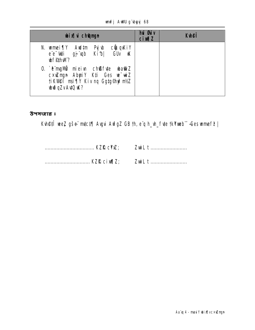#### unfj AWU g'byyj 68

| <b>bix</b> ii ch <b>ûmyn</b>                                                                                                                  | <b>hủ đảy</b><br><b>cimalZ</b> | <b>Kuheff</b> |
|-----------------------------------------------------------------------------------------------------------------------------------------------|--------------------------------|---------------|
| <b>cünqKiY</b><br><b>Aud‡m</b><br>Py w<br>N. wmei¶Y<br><b>GU<sub>v</sub></b> K<br>Kibl<br>e e <b>di</b><br>dp tp<br><b><i>bf#hM?</i></b>      |                                |               |
| 0. `ë mgM <sup>o</sup> miei u ch <b>ßf te bati Z</b><br>cxuzmyn AbyriY K‡i Ges wwiZ<br>ti KVI@T msi TV Kiv ng GgtgGhy?nt/Z<br>wijodZvAvIQ uk? |                                |               |

উপসংহার ঃ

Kuh@fî wez gše mutct¶ Augui AufgZ GB th, e q h\_uh\_fute tkYweb -Ges wmef? |

.................................. KZR cim[Z; ZwiL t ...........................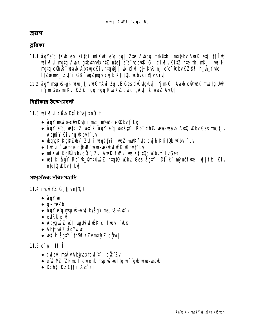#### ञ्जसप

#### ভূমিকা

- 11.1 ågYe q 1K\b eo aitbi miK\mi e q bq| Zte A\bqg msNUtbi m¤tebv A\mk etj 1¶l U wix[|vi mgtq AwaK gtbuthWkntZ nte| e e tcbutK GI cix[|vKitZ nte th, mKj `we H mgtq cũnR wab AbhupxKivntquj | wix[|ui gj KR nj e e tobvKZ@[| h\_m\_fute I htzemt\_Zt i GB `wiZmm cy b Ktit0b Kbvcix[vKiv
- 11.2 ågY msµvš-gj veva tjvveGmAvi 2q LÊ Ges dvÜvtg>Uyj i'jm-Gi Aaxb cömMX mustg>Uwi i'j m Ges mi Kui KZIR mgq mgq Rui KZ cui ci i Aut ik waz Auto |

নিরীক্ষার উদ্দেশ্যাবলী

#### 11.3 bix¶ui câ b D‡Îk ej xnỹt

- ågy mské-cünkvti i mt\_ m½Zc¥®Kbv† Lv
- ågY e'g, w‡kiZ w‡`k ågY e'g whgš‡Yi Rb' ch® www-wayb AytQ wKby Ges tm tjv **AbuiY Kivng Kbvt Lv**
- wquyk KgRZ@;, Zu i wqšžii `wqZ;mWKfute cyjb KtitOb wkbvf Ly
- fizi `wenne cünR" www-wabufülk ükbyt Ly
- mikui KgPixhvcü: , Zui Auak fuzv`ue Ktitüb uKbvt` LvGes
- wet k ågy Rb<sup>-</sup>Q\_©n¤úw`Z n‡g‡Q wkby Ges åg‡Yi D‡Ik" myúófyte `vjjf $\mathcal P$  Kiv ntat0 *Kbvt* Lvl

সংগহীতব্য দলিলপত্রাদি

**11.4 mavi YZ G\_tj vn#Q t** 

- $\bullet$  åqY wj
- $\bullet$  gj teZb
- ågY e<sup>r</sup>q msµvš–Av‡`k/ågY msµvš–Av‡`k
- extRU eivl
- Abygwi Z uktjugUri uf EK c\_fuori PU©
- Abhawd Z  $\triangle qV$ ujuc
- vet k ågt i th vir KZvm¤ng Z c gw |

#### 11.5 e` y i 19.11

- cuieui msÁvAbhugxtcul t i cüc Zv
- e wPMZ "ZRmcil cuient mau is nel to ue" qub ueun ueaub
- Dchỹ KZ@I¶i Au`k|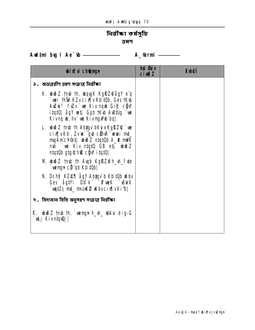# নিৱীক্ষা কৰ্ষসূচি দ্ৰমণ

Aud‡ni bug I Ae<sup>-</sup>tb <u>\_\_\_\_\_\_\_\_\_\_\_\_\_\_\_\_</u> A\_@rmi \_\_\_\_\_\_

| <b>bix</b> champh                                                                                                                                                                                                                 | <b>hủ Bảy</b><br><b>cixqZ</b> | <b>Kyhei</b> |
|-----------------------------------------------------------------------------------------------------------------------------------------------------------------------------------------------------------------------------------|-------------------------------|--------------|
| ১. অভ্যত্তরীণ ভ্রমণ সংক্রান্ত নিরীক্ষা                                                                                                                                                                                            |                               |              |
| <b>K. wō Z tmb th, wqgK KgRZ</b> @ågY e <sup>r</sup> q<br>`wei thŠi?KZvcix[ vK‡i‡Qb, GestKub<br>Auzui <sup>3</sup> fuzv `ue Kiv nqub Gi£ cĝW<br><b>itat0  ågY vetj Ggb †Kvb AvBtUg `ve</b><br>Kivng <b>w</b> , hv`we KivngxPub bg |                               |              |
| L. www.z tmb th Abygy bKuixKgRZQ `we<br>cix[ vK‡i, Zvve`"gvb cümR" vevai mt_<br>mgÄmc¥®tj wiðZ ntqt0b A_@ mWK<br>ndi `we Kiv ntqt0 GB etj who?Z<br><b>ntatüb gtg&amp;hß cğW itatül</b>                                            |                               |              |
| M wwo z tmb th Augb KgRZPh_uh_fute<br>`wengn cii`qb K‡i‡Ob                                                                                                                                                                        |                               |              |
| <b>N. Dchỹ KZ@¶ ågY Ab‡gv`b K‡i‡Ob uKbv</b><br>Ges ågtVi D‡IK T <b>urusk</b> BuiK<br>`wy‡Zj m‡_ m¤úK® Kbvcix¶vKi b                                                                                                                |                               |              |
| ২. বিদ্যমান বিধি অনুসরণ সংক্রান্ত নিরীক্ষা                                                                                                                                                                                        |                               |              |
| K. wwð Z tmb th, `wengn h_vh_ WAvi dig-G<br>`wLj Kivn‡qwQj                                                                                                                                                                        |                               |              |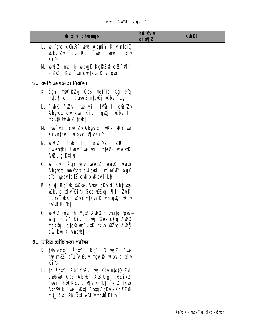unfj AWU gʻbyyj 71

| <b>bix</b> champh                                                                                                                                                                                      | <b>hui Øuiv</b><br>$ci$ m $z$ | <b>K</b> hei |
|--------------------------------------------------------------------------------------------------------------------------------------------------------------------------------------------------------|-------------------------------|--------------|
| L. we gub cühne wurden Abyriy Kiv niqtü<br>Kbv Zv t'Lui Rb', `we mivni cixilv<br>Kibl                                                                                                                  |                               |              |
| M buð Z tmb th, bong K Kgið Zið cíl "villi<br>e ZxZ, †Kub `we cwi‡kva Kivnqub                                                                                                                          |                               |              |
| ७. वर्षाल प्रमणछाठा नित्रीका                                                                                                                                                                           |                               |              |
| <b>K. ågY msfißZg Ges metPtq Kg e'q</b><br>$mtc$ [ $ct$ m¤úni $z$ n‡qu0j uKbv† Lb $ $                                                                                                                  |                               |              |
| L. "White fuzy 'we' util thuw I clet'Zv<br>Abyuqx cuitkua Kiv ntquêj uKbv tm<br>nPitK bið Z tmb                                                                                                        |                               |              |
| M `we`ytii cüc Zv Abyuqx c wis PuR© we<br>Kivntqu) Kbvcix[vKib]                                                                                                                                        |                               |              |
| <b>N. wið Z tmb th, einPMZ 2RmcT</b><br>cuienthi fuov `ue `utii nteoP unjistK<br>Awug K‡i                                                                                                              |                               |              |
| 0. we`gub agYfwZv wewn#Z ewW weaub<br>Abhuax milligx cuietii m'm'll ågY<br>$\ddot{\mathbf{e}}$ a meavictZ cutib $\mathbf{K}$ bvi $\mathbf{L}$                                                          |                               |              |
| P. e`yj Rb <sup>-</sup> tt_ <b>@Ksev Avte`bKui xi Abjivta</b><br><b>Kbv cix y Ki b Ges WiZxq 1 Till ZutK</b><br>ågY/`` wK fwZvcwi‡kwa Kivn‡qwQj wKbv<br><b>hPB Kibl</b>                                |                               |              |
| 0. $\omega \gg 2$ tmb th, Nh) $\chi$ A $\omega$ g h ungtq Povš $\rightarrow$<br><b>wetj myšą Kiv ntanąj Ges c<u>0g</u> Aulij</b><br><b>ngštai cte© ue`ui#K †Kub u0Zxq Aubij</b><br><b>cutka Kivngb</b> |                               |              |
| ৪. দাবির যৌহিকতা পরীক্ষা                                                                                                                                                                               |                               |              |
| K. thivct_ agtVi Rb", DI weZ `we<br>hy?nt/Z eïLïv <b>Guiv ngw2 uKbv cix[ v</b><br>Kib                                                                                                                  |                               |              |
| L. Th åg‡Yi Rb¨ fvZv`we Kiv n‡q‡Q Zvi<br>Lythull Ges Ab b Austurgi wecixtZ<br>`wei thŠifKZv cix¶v Ki1b  `k¨Z tKvb<br>AthŠif K`we _w{tj Abjgv`bKuixKgRZ@<br><b>mt_ Avtj \PbvK‡i e \L vmsMb Ki b  </b>   |                               |              |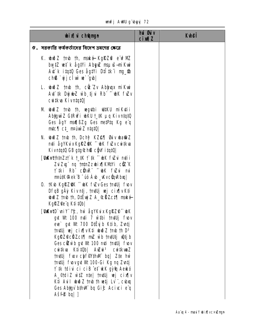|  |  | <b>unfj AWU g`byyj 72</b> |  |
|--|--|---------------------------|--|
|--|--|---------------------------|--|

| <b>bixi</b> champh                                                                                                                                                                                                                                                                                                                                                                                                                                                                                                                                                                                         | hui Gúv<br>$ci$ <i>m</i> $l$ | <b>Ktheff</b> |
|------------------------------------------------------------------------------------------------------------------------------------------------------------------------------------------------------------------------------------------------------------------------------------------------------------------------------------------------------------------------------------------------------------------------------------------------------------------------------------------------------------------------------------------------------------------------------------------------------------|------------------------------|---------------|
| ৫.  সরকারি কর্ষকর্তাদের বিদেশ ভ্রমণের ক্ষেত্রে                                                                                                                                                                                                                                                                                                                                                                                                                                                                                                                                                             |                              |               |
| K. buð Z tmb th, maké Kgi?Zi e u?MZ<br>burtZ vet`k ågtYi Ab <b>yıZ</b> msµvš <del>-n</del> iKwi<br>Au'k itatü Ges ågt Yi Dilk i mu fb<br>$ch$ $\mathbf{B}$ $\mathbf{y}$ $\mathbf{j}$ $c$ $\mathbf{u}$ $\mathbf{w}$ $\mathbf{w}$ $\mathbf{q}$ $\mathbf{w}$                                                                                                                                                                                                                                                                                                                                                  |                              |               |
| L. who z trub th, cot Zv Abyuqx mikuri<br>At ik Dyjul wb tju Rb ~wK fwv<br>cwikua KivniqiQ                                                                                                                                                                                                                                                                                                                                                                                                                                                                                                                 |                              |               |
| M wið Z †mb †h, vegytbi wi‡KU miKytii<br>Abygui Z GIRW i wKU t_1K µq Kivntq10<br>Ges ågY man <sub>i</sub> ßZg Ges metPtq Kg e'q<br>$mtc$ [ $ct$ $nt$ $nt$ $nt$ $nt$ $nt$ $gt$ $lt$ $nt$ $gt$ $lt$ $nt$ $gt$ $lt$ $nt$ $gt$ $lt$ $nt$ $gt$ $lt$ $nt$ $gt$ $lt$ $nt$ $nt$ $gt$ $lt$ $nt$                                                                                                                                                                                                                                                                                                                     |                              |               |
| N. wið Z tmb th, Dchý KZ@¶ Øuiv wa@iZ<br><b>nți ågYKuxKgRZ@K ~ wK fwZvcwikwa</b><br>Kivntatü GB gtg®hß cğW itatü                                                                                                                                                                                                                                                                                                                                                                                                                                                                                           |                              |               |
| [UxKvtjhtnZzj`k t_tK j`tk ^`uk fwZj mtii<br>Zui Zyj na tnin Zzubixi KMIYi cüz K<br><b>fiki Rbî cünRî ^^ wK fizyi mi</b><br>maútK@lek B -úó Áb _wvc@nRbxq                                                                                                                                                                                                                                                                                                                                                                                                                                                   |                              |               |
| 0. TK\b KgRZQK ~ bK f\Zv Ges TmtUj f\ov<br>DfqB gÄÿ Kivn‡j, †m#Uj vej cix¶v K‡i<br><b>widi 2 tmb th, DiEwi Z A_&amp;RZct¶ mské</b><br><b>KgRZ®e q K‡i‡Ob </b>                                                                                                                                                                                                                                                                                                                                                                                                                                              |                              |               |
| <b>[UkvtD`vniY<sup>-</sup>f£, hŵ ågYKvix KgRZ@^`vk</b><br>gut Wt 100 mți 7 w thi †mțilj fuov<br>eve` gvt VIt 700 D‡Ëyjb K‡ib, Zvn‡j<br>tm#Uj wej cix¶vK‡i wwoZ tmb th D <sup>3</sup><br>KgRZ@cHZct¶ mZ wb tmtUtj wtjb<br>Ges citivib gut VIt 100 muti tmutlj fuov<br>cwitkwa Kiiitub   Awzwi <sup>3</sup> cwitkwaZ<br>tm#Uj fuov chtfW#wM bq  Z‡e hw<br>tm#Jj fwvgw Wt 100-Gi Kg ng Zwtj<br>t` #k tdivi ci ciB ^et` \k gy`tq Ae\kó<br>A <sup>c</sup> idiZ wtZ nte mutlj wj cix v<br>K‡i Auil ubuð Z †mb †h vetj Lv`', cubxq<br>Ges Abygv bihw bq Gic Aciwi e'q<br>$A \simeq$ $\blacksquare$ $\blacksquare$ |                              |               |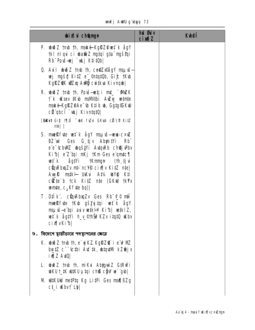unfj AWU g'byy 73

| <b>bix</b> champh                                                                                                                                                                                                                                                                                                                                      | <b>hủ đủy</b><br><b>cimal</b> | <b>K</b> hei |
|--------------------------------------------------------------------------------------------------------------------------------------------------------------------------------------------------------------------------------------------------------------------------------------------------------------------------------------------------------|-------------------------------|--------------|
| <b>P. wwd 7 tmb th, maké-KgRZ@wt k ågY</b><br>tki niqvi ci vbati z ngtqi gta ngštqi<br>Rb" Povš-vej `vkj K‡i‡Ob                                                                                                                                                                                                                                        |                               |              |
| <b>Q. Auil wiž 7 mb th, ce@Zx@agY msuvs-</b><br>wej myšą Ki‡Z e _©n‡ą‡Ob, Gi£ †Kub<br>KgRZQK w3Zxq Awbij cwitkva Kivnqwb                                                                                                                                                                                                                               |                               |              |
| R. www.z tmb th, Pouš-wetji mt_ "WMZK"<br>t`k uKsev #Kub msM4tbi AuZuy undm#e<br>mské KgŘZ®Ae <sup>-</sup> (b K‡ib (b, Gg‡g©KW<br>cit qbcî `ukj Kivn‡q‡Q                                                                                                                                                                                               |                               |              |
| [UKvt Gic 11] T bK fului GKusk cü ci Kitz<br>$nte$   ]                                                                                                                                                                                                                                                                                                 |                               |              |
| <b>S. munifice wet k agy maxis-www-cxuz</b><br>BZ wi Ges G tjv AbyritVi<br><b>Rb</b><br>e e cbWZ bqštvi AvtqRb chQj Pbv<br>Kib  e'Z'tqi mKj †Km Ges e'qmtc¶<br><b>wî k</b> åg!Yi †Knmgn (†h tjvi<br>cünRhuqZv mb`nc¥j® cix¶v Ki‡Z m‡e <br>Awk mskil UKui At% wyq Kti<br>cite b tck Kitz nte (GKW tkYx<br><b>unite, <math>c_{\mu}</math>K f the ba)</b> |                               |              |
| <b>T. Dilk</b> ", cüqRbuqZv Ges Rb <sup>-</sup> t® nti<br><b>muelêfyte tKyb gšyyjtqi vet k ågY</b><br>msµvš–e tqi aviv vetki Ki b  vetki Z,<br>w‡k åg#i h_v_©thŠi?KZv i.tqtQ uKbv<br>cix[vKib]                                                                                                                                                         |                               |              |
| ৬. বিদেশে স্থায়ীভাবে পদস্থাপনের ক্ষেত্রে                                                                                                                                                                                                                                                                                                              |                               |              |
| <b>K. www.tmb th, e`yjKZ.KgRZ@`i e`w?MZ</b><br>bwtZ c`~'(ctbi A\t`tk, wtq\tMi kZ@jx<br><b>ival XIVI</b>                                                                                                                                                                                                                                                |                               |              |
| L. www.z tmb th, mikui Abyguinz GtRufi<br><b>which the state of the state of the state of the state of the state of the state of the state of the state of the state of the state of the state of the state of the state of the state of the state of the state of the sta</b>                                                                         |                               |              |
| M WIKUW metPtq Kg LitPi Ges maq BZg                                                                                                                                                                                                                                                                                                                    |                               |              |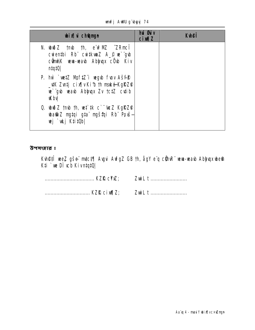**unfj AWU g`byyj 74** 

| <b>bixi</b> champh                                                                                                                                                                              | hu Guv<br><b>cixqZ</b> | <b>K</b> hei |
|-------------------------------------------------------------------------------------------------------------------------------------------------------------------------------------------------|------------------------|--------------|
| N. who is the the energy of the means of the means of the means of the means of the means of the means of the m<br>cuienthi Rb cuitkunZ A pus gub<br>c <b>ünt/K wa-wab Ablyux cüb Kiv</b><br> 0 |                        |              |
| P. hw `wetZ MyftZ"i wegub fuov $A \simeq$<br>_\K Z\ntj cix¶vKib th maké-KgRZ?<br>ue gub weaub Abluqux Zv tctZ cutib<br><b>Khy</b>                                                               |                        |              |
| <b>0. <math>\omega \approx 2</math> tmb th, wet tk c <math>\omega</math> KgRZP</b><br><b>wati Z ngtqi gta ngštqi Rb Povš</b><br>wj `uLj K‡i‡Ob                                                  |                        |              |

**Kvh@fî wez gše mici¶ Avgui AvfgZ GB th, ågY e q cühvR" wew-wavb Abijvqxwhe@n<br>K‡i `we Dìvcb KivntqtQ|**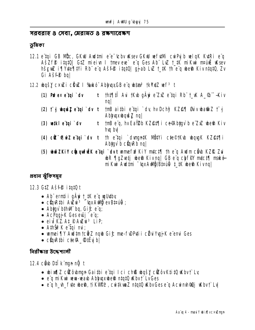সরবরাহ ৪ সেবা, মেরামত ৪ রক্ষণাবেক্ষণ

ভূমিকা

- 12.1 e tai GB Nüc, GKW Audtmi e e tcbv Wsev GKW vefutMi cwPyjb velaK KutRi e a AšZfP itat0 GtZ mieivn I tmev eve` e'a Ges Ab" LvZ t\_tK miKwi m¤uli wksev hševe i Tivte Tivi Rb" e'u Ašfê itatû ujab Lve tik the u best Kivintatû, Zv Gi Aš**fê** bal
- **12.2 bgš<u>y</u> c×u i cũu i %kó AbhuxGB e q btao<sup>3</sup> tkYxtZ wf<sup>3</sup> t**

| $(1)$ Puffex e tupi dv | t th‡¶‡Î Avi tKvb gÄyi e ZxZ e tqi Rb t_vK A_% -Kiv<br>nq                                                                                |
|------------------------|------------------------------------------------------------------------------------------------------------------------------------------|
|                        | (2) tī g bonšī e tai `dv t tnB aithi e tai `dv hv Dchif KZ@¶ Guiv bati Z tī g<br><b>Abhuxbque aql</b>                                    |
| $(3)$ wiki e'tqi dv    | tnB e'q, hv Ea\Pb KZ@t¶i ce@Abtgv`b e ZxZ whe a Kiv<br>hvg by                                                                            |
|                        | (4) cit 'o   ui Z e tqi `dv t   th e tqi `dvngntK MütVi c te©tK b ubqugK KZ@t¶i<br>Abigy b cügRb nq                                      |
|                        | (5) und ZKiY cüpqufü Ketqi `dvt unne fır KiY mutcisi the "q Audm cünb KZIR Zui"<br><b>uhR ¶gZetj uhe@ Kivnq  GB e'q chfiV mtct¶ mské</b> |

mi Kui Aud tmi "ux Audi Albau () + tK ube in Kivng

প্ৰধান ঝুঁকিসমূহ

12.3 GIZ Ašf<sup>®</sup> itat0 t

- Ab ermtii gäyi t\_#K e q ugutuby
- cũnRthi Autu<sup>3</sup> "InxAulin ev Biauli+;
- Abigy bihw bq,  $G$ i $f$ :  $e^{\alpha}q$ ;
- AcPugjiK Gesevûj" e'a;
- eiu KZ At PAZu<sup>3</sup> LiP,
- AthŠiř Ke`tqi mi;
- wmei¶Y Awl‡m†c**ë Z ngb Gi£ me-f\DP\ti i cë u Yyjj K** e emi Ges
- $\bullet$  cùrkthi cte $\mathfrak{A}_-$ ®tëvjb $\mathfrak{b}_-$

নিরীক্ষার উদ্দেশ্যালী

#### 12.4 cầu Dilk man nữ t

- bixflZ cicobmun Gaithi e tui Ici chß bušy cicov KtitQ kbvt Ly
- e'g mi Kui wew-wayb Ablogxubesh ntatu whyt LyGes
- e'q h\_vh\_f ute ubesh, ti KVIPP, cuitk waZ ntatQ uKbv Ges e a Acuimh Qui uKbv t` Lvl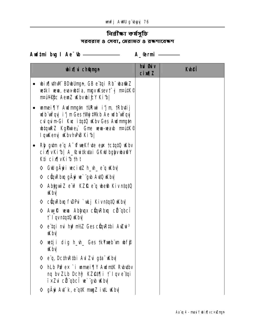# নিৱী**ক্ষা কৰ্মসূচি** সরবরাহ ৪ সেবা, মেরামত ৪ রক্ষণাবেক্ষণ

Aud‡ni bug I Ae<sup>-</sup>tb <u>\_\_\_\_\_\_\_\_\_\_\_\_\_\_\_\_\_\_\_</u> A\_@rmi \_\_\_\_\_\_

| <b>bix</b> champh                                                                                                                                                                                                  | <b>hủ Bảy</b><br><b>cixqZ</b> | <b>Kulef</b> |
|--------------------------------------------------------------------------------------------------------------------------------------------------------------------------------------------------------------------|-------------------------------|--------------|
| <b>bix[ thM BDbUngn, GB e tqi Rb ba@Z</b><br>$\bullet$<br>wetki wwa, evav-witia, mgy wksev t <sup>-</sup> g m¤útk©<br><b>nPuVific AemZ Kbvbi£Y Kib </b>                                                            |                               |              |
| • wmei¶Y Awimmgth tURwi i'jm tRbytij<br>udb uÝqyj i'j m Ges tVýj ‡Wkb Ae udb uÝqyj<br>culquim-Gi Kuc itatü uKbv Ges Audmmatn<br><b>ubtquRZ KgPurie<sub>)</sub></b> , Gme wewn-weaub mattick®<br>Iqukeng KbvhPB Kib |                               |              |
| Rhy gut me e q $A^-$ of we k futce eye to tatiq uk by<br>$\bullet$<br><b>cix[vKi·b  A_&amp;witkvtai GKW bglyv ba@Y</b><br>K‡i cix¶vKib th t                                                                        |                               |              |
| Gw gây i weixtZh_wh_e q wby<br>♦                                                                                                                                                                                   |                               |              |
| ◇ cũn Rh q gấyi ve` gub Avi Q uKh v                                                                                                                                                                                |                               |              |
| Abyguin Z e'u? KZR e'q wheth KivntatO<br>♦<br><b>Khy</b>                                                                                                                                                           |                               |              |
| ◇ cüqvRbxq fwDPui `wkj Kivn#q#Q wKbv                                                                                                                                                                               |                               |              |
| <b>Aug Revent Ablaugx cüm Rhaq cüli qbc T</b><br>♦<br><b>f</b> l qvntqtQ <b>K</b> bv                                                                                                                               |                               |              |
| ◇ e <b>tqi mi hy?nt/Z Ges cüqktbi Awi</b> z3<br><b>Khy</b>                                                                                                                                                         |                               |              |
| ♦<br>wetji dig h_wh_ Ges †kYweb m whf\$<br><b>Khy</b>                                                                                                                                                              |                               |              |
| eï <b>q, Dc#wR#bi Avi Zvi g‡aï uKbvi</b><br>♦                                                                                                                                                                      |                               |              |
| hLb Pufex `i unnei   Y Audn#K Rubutbu<br>♦<br><b>ng by ZLb Dchỹ KZ@t¶i † Iqve tqi</b><br><b>i×Zu cü qbcî w` gu uKbu</b>                                                                                            |                               |              |
| gÄyi Avi`k, e¨q‡K mugZ iv‡L uKbv <br>♦                                                                                                                                                                             |                               |              |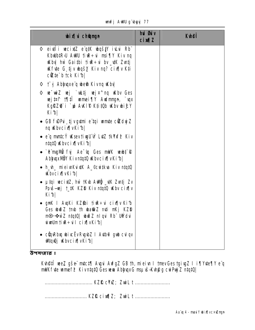unfj AWU g'byyj 77

| <b>bixi</b> change                                                                                                                                                                                                     | hui Øuiv<br><b>cixqZ</b> | <b>Kthei</b> |
|------------------------------------------------------------------------------------------------------------------------------------------------------------------------------------------------------------------------|--------------------------|--------------|
| ◇ eivtli vecixtZ e q#K vbqš#Y ivLvi Rb *<br>KbubtR <sub>&gt;</sub> U AWU fiwe÷u msi¶Y Kiv nq<br><b>Kby hù Gaithi tiù ÷u by WK Zutj</b><br><b>Krite G tjv bašy Kiv na? cix iv Kti</b><br>$c$ $E$ <b>te</b> b tck Ki $b$ |                          |              |
| ◇ † j Abhuqxe q ubesh Kivnq uKbu                                                                                                                                                                                       |                          |              |
| $\Diamond$ we wiz wej `wktj wej¤^nq wkbv Ges<br>wej pat 17  il umei 7  Y Audmngn, `upx<br>KgRZ@ i `w AWIP K‡i‡Ob Wbv bi£Y<br>Kibl                                                                                      |                          |              |
| • GB f\DP\i tjvg\tmi e`tqi umte cikdyjZ<br>ng Wbvcix¶vKib                                                                                                                                                              |                          |              |
| • e' <b>q mntcý uksevtivyUw LvtZ tkYxf&amp; Kiv</b>                                                                                                                                                                    |                          |              |
| • `êmgM <b>î fy</b> Ae <sup>-</sup> 4q Ges mMK wewbt <b>R</b><br>AbhuxMBY Kivntatü Kbvcix[vKib]                                                                                                                        |                          |              |
| • h_wh_ mieiwkudtk A_©cwitkwa Kiv ntatQ<br><b>Khycix</b> wkibl                                                                                                                                                         |                          |              |
| • µtqi vecixtZ, hw`tKub Awhig`_utK Zvntj Zv<br>Povš-vej t_#K KZD Kiv ntatū wklov cix[ v<br>Kibl                                                                                                                        |                          |              |
| • gnK I AvqKi KZ\$bi †i\e÷vi cix¶v Kib<br><b>Ges wiž Z tmb th wa@Z mti mKj KZD</b><br>m⊙·∻ŵZ n‡q‡Q  wiðZ niqui Rb Widui<br>www.htmling.com/witch/                                                                      |                          |              |
| cũn Rha wivc Ëv Rugub ZIA kub ⊕gub cuiqv<br><b>ultquj kb</b> vcix¶vKib                                                                                                                                                 |                          |              |

Kuh@#T wez gše m#c# || Augui Aufg Z GB th, mieiun I tmev Gestgiug Z I i 1 ||Yute ||Y e q milk fute ume f? Kivntatū Ges wa AbhupxG msu š-Kurag curPuj Z ntatū |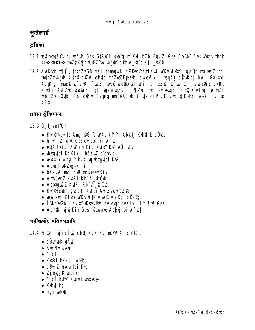## পূৰ্তকাৰ্য

## ভৰিকা

- 13.1 wwfbocyšlyjq, wrfWl Ges GtRw<sup>y</sup>i gwig mikui bZb BguiZ Ges Abiusi Aekulutgv thgb H  $\div$  \* O  $\div$  tm2z Ky fWBZ w bg Y cDi A\_@ q Kti \_\Kb |
- 13.2 AvaKvsk †¶‡Î, †h‡nZzGB nKj †emgviK cZR\h©temiKvi WKv`viMYi gva`‡g nraúniZ nq, **tntnZzubgtV Kuth® ciZuU choq nhZozEjeaub, cuiex[|Y I ubqšy cüquRb| hw`I Gaitbi** Kuh@tgi muel@ Z`uiuKi `umz; maké ubedix GtRuYi Ici eZ@, Z\_ue G\_tjvuba@iz eutRU ei di i Aul Zu uba et Z mgtq ug Ze un Zv I "[Zui mt\_ ev eun Z ntqt0 Gueltq hyPmt/2 **uddiqZv cövtbi Rb" cüzül Kuhâg mai¥©l ublik fvte cix[v Kiv ubix[KMYi Aek" cyj bxq KZ@I**

প্ৰধান ঝুঁকিসমূহ

13.3 G tjvnt<sup>7</sup>Q t

- Kuh maju to Ang © Gić wike u Miyi Abikti Kuho ke COU;
- h\_h\_ Z`uik GescwierfitVi Afre;
- · etRU eit Auzug Kiu KutY KuR eÜ iuk
- · wanythi DcKiY I hšew c'emi;
- whire R Abuily buking way the KuR;
- $\bullet$  Actributions  $K$  i:
- bKkvAbmti KvR nruY®vKiv
- Anrúni Z Kuri Rb A &Öub;
- Abbiguì Z Kuri Rb A Cob;
- · Kuh bethni quost Kutri Aul ZvcuieZD;
- www.eurf@fyte.wKvidtKAwgRAdoKj"cOkD;
- THICY PuP i KutY usev PuP ev explo by Kiu `it 1 The Ges
- Ach<sup>®</sup> ` uj uj Ki Y Ges mozume Abkaj #bi Afre

### পরীক্ষণীয় দলিলপ্যাদি

14.4 **bia<sup>3</sup> `yjjcî w`ch@jPbu**i Rb¨ma**Wh KitZ** n‡e t

- cüvmb $K$  q $\ddot{A}\ddot{\mathbf{v}}$ ;
- K**uilli** aÄvi:
- $\bullet$  `ic $\widehat{\mathbf{l}}$ :
- Kuri bKkvI A1%:
- $\bullet$  cDuriz ve Ávctbi Kvc:
- $\bullet$  ZjbujK weiY;
- `ici hPB Kujuli un vš+
- $\bullet$  Kung  $k$ :
- mg-bNO;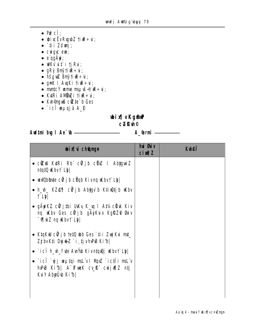- $\cdot$  Pre $\hat{\mathbf{f}}$ :
- $\bullet$  bicEvRybZ tiR $\div$ u;
- $\cdot$  `‡ii Zduj;
- $\bullet$  curgue eur;
- $\bullet$  e qg $\ddot{A}$ y  $\ddot{B}$ ;
- $\bullet$  WK $\vec{v}$  uff i tj Rut;
- gRỳ Bnỹ tiữ $\div$ u;
- $\bullet$  hšguž Bnytiur $\div$ u;
- gnK I AugKi tiur:
- mntcý wme naušia die:<br>• Kutri Andrži tire:
- 
- Kuhinguß citte b Ges
- · `icl reµqjä A\_P

#### **wix vKgAP**

#### **cZR\h©**

Aud<sub>i</sub>mi bug I Ae<sup>-</sup>th —

— **A\_@rmi ————** 

| <b>bix</b> champh                                                                                          | <b>hủ sti</b> v<br><b>cim<sub>12</sub></b> | <b>Kuhei</b> |
|------------------------------------------------------------------------------------------------------------|--------------------------------------------|--------------|
| • CÊLW KURI Rb CÊJb CÜNZ II Abiguni Z<br>ntqtQ \Kbv†`Lb                                                    |                                            |              |
| • www.blate cif jb ciqb Kivnq whut Lip                                                                     |                                            |              |
| • h_w_ KZ@¶ cữjb Abygv`b K‡iwQtjb wKbv<br><b>f</b> Ly                                                      |                                            |              |
| • gäyiKZ cü jibi UKy K_vq I A‡¼cük Kiv<br><b>ng Kiby Ges cữ ji gäykux kgínze đủy</b><br>「饥uiz ng ikbv† Lbl |                                            |              |
| • K‡qKW cữ j b†e‡Q wb Ges`‡i i ZwjKvi m‡_<br>ZjbvK‡i DyjukZ`i tjvhPB Kib                                   |                                            |              |
| • `icî h_vh_fyte Awwb Kivntquyj whot Lbl                                                                   |                                            |              |
| • `icî`yj veµtqi msLïv I MprZ `ic‡î i msLïv<br>hPB Kib  A WweK cy R cwijw 2 mtj<br>KuY AbyÜb Kib           |                                            |              |
|                                                                                                            |                                            |              |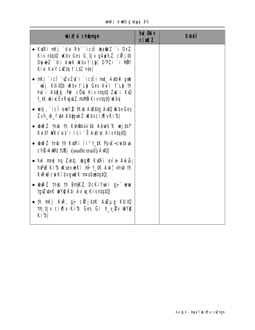| <b>bix i chânge</b>                                                                                                                                                    | hủ <b>Đảy</b><br>$ci$ $M1Z$ | <b>Kuhei</b> |
|------------------------------------------------------------------------------------------------------------------------------------------------------------------------|-----------------------------|--------------|
| • Kuri mkj `dui Rbï `ic‡Î wa@iz `i D×Z<br>Kiv ntqtQ uKbv Ges G tjv gÄyiKZ cÜjtb<br>Duju±Z `‡i i AuaK uKbv † Lip  D'PZi ` i NÖY<br>Kivi KviY LuZ‡q † L‡Z n‡e            |                             |              |
| • nKj`icÎ`\ZvZ\t`i`ic‡Îi mt_A\tb@ gwb<br>`wLj K‡i‡Ob wKbv † Llp Ges Avil † Llp †h<br>hư i Abktj Puf côu Kiv ntạtū Zư i Ku<br>1_#K ubivcËv Rvgub Z msilio Kivntatū uKbv |                             |              |
| • wtj, `ici euf ? tkb AB#Lg A#Q WbvGes<br>Zvh_wh_fute Abiguit Z uKbvcix[ vKib                                                                                          |                             |              |
| • $\omega \tilde{\omega}$ z tmb th Kuhnerio to Abrek K we test<br>Kuty WKv ut i Ici `Ê Avtiv: KivntqtQ                                                                 |                             |              |
| • $\omega \gg 2$ tmb th Kuri ii"t_#K Pouš-cuitkua<br><b>ch<sup>3</sup>-AWU  UBj</b> (audit trail) <b>AVQ</b>                                                           |                             |              |
| • hŵ n¤ê ng Zvitj wheat KutRi ev e Aw Z<br>hvPB Kib usev veKi mi t_tK Avk; +mb th<br>KW curk i bygud K matboatat 0                                                     |                             |              |
| $\bullet$ with $Z$ trub th Brithstand DcKillard and the verture of $\bullet$<br>tgyZyteK wV@K‡i Av`vq KivntqtQ                                                         |                             |              |
| • th nKj KvR, gj cữ jb‡K AwZµg K‡i‡Q<br>tm tjv cix w Kib Ges Gi h_v_ 2v wYQ<br>Kib                                                                                     |                             |              |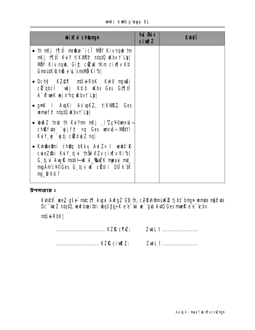unfj AWU g'byyj 81

| <b>bixivich@mgn</b>                                                                                                                                                                                  | <b>hui Øuiv</b><br><b>cixqZ</b> | <b>K</b> hei |
|------------------------------------------------------------------------------------------------------------------------------------------------------------------------------------------------------|---------------------------------|--------------|
| • th nKj t¶il me@æ`icl MÖY Kiv nqub tm<br>nKj †¶‡Î KuiY †iKVØ? n‡q‡Q Kbv †` Lb <br><b>NÖY Kiv ng b, Gi£ ciku †Km cix[v K‡i</b><br>GnrutK ChBe "L'vml DD" Kib                                         |                                 |              |
| • Dchŷ KZ <b>e¶ ntš4RbK Kvh© ngvBi</b><br>cit qbcî `u j K‡ib uKbv Ges G‡¶‡î<br>$A^-$ of we K we j $x^2$ ng why t ` L b                                                                               |                                 |              |
| • gnK I AugKi Av ugKZ, tiKWRZ. Ges<br><b>unnef<sup>2</sup></b> ntqt0 $\mathbf{K}$ bv† L $\mathbf{b}$                                                                                                 |                                 |              |
| • www.tmb th Kuiymn mkj si Zcy©unkvš—<br>chßfute `yjjf? nq Ges unxuš—Nütyi<br>KuY yi `yitj cizdyjZ ng                                                                                                |                                 |              |
| • Kuht <b>here</b> ni ch <b>er</b> q bKky Aul Zv I webt <b>R</b><br>cweZ\$bi KuY tju thŠiPKZv cix[v Kib <br>G tju AugR mskI-K A_SuZK meau mt_<br>mgÄmc¥©Ges G_tjv K cätíi Dtik #K<br><b>ng_DK#i?</b> |                                 |              |

**Kvh@fî wez gše mici¶ Avgui AvfgZ GB th, cZRvh®n¤úiK® tjbi`bnyn wmite nýfvie<br>Dc<sup>-</sup>(weZ ntqtQ, wwfbœitbi wbqšYgjK e e<sup>-</sup>(w) we` gvb AvtQ Ges mweR e e<sup>-</sup>(cbv** 

**ntšu-RbK** 

ZwiL t ........................ 

................................. KZR cim\\\]Z; ZuiL t ..........................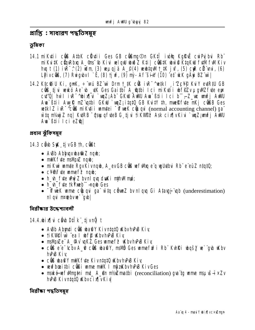প্রাপ্তি : সাধারণ পদ্ধতিসমূহ

ভৰিকা

- 14.1 mikutii cüß AtbK cülutii Ges GB cüßmg On GKti ivin Kgref cui Pyjbui Rb" mi Kui #K cün Rbaq A\_@ns~0 Kivi velgw wwd Z Kti | cün #K www Kta Kw fu M Kiv hu t (1)  $i \dot{R}^{-2}$  (2) wim (3) verigi a A\_ $\mathcal{P}(4)$  verbin t t K j vf, (5) core cit wi, (6) Lyivcüs, (7) Ruigubv I ` È, (8) tjuf, (9) my - Af šiw (10) cf ukk gäyi BZ wi |
- 14.2 Ktc@iU Ki, gnK, ÷ vai BZ wi Drm t\_tK c® ivR<sup>-</sup>^wtkl i'ZcYP KuY edRtU GB cũi tju whó Ae` b \_uk Ges Gai thì A athi I ci mikutii wffizy ugwz fute eur ct<sup>ro</sup>l hwl iR<sup>-</sup>^bix[li `wqZ;Ab" GKW AWU Am `B‡ii Ici b" -Z\_we wnfj AWU Am Bii Aw R m2 utbi GKW `wz; itat0 GB KutY th, mmRfvte mKj cOBB Ges wetklZ ivR<sup>-^</sup>c@ miKytii wmtei <sup>-</sup> of wek counting channel) ga<sup>"</sup> wtq nt/ayj Z nq| KuRB "qsuuqfuteB G tj u fiKVIPP Ask cix[|vKiu `wqZ;wnfj AWU Aw Bii Ici eZ**G**

প্ৰধান ঝুঁকিসম্বহ

**14.3 cầu Sak tiv GB th, cầu t** 

- A Bb Abhunxuba@i Z nqub;
- mWK fute msMtuZ naub:
- · mikui umte Ravkivngb, A\_evGB c@ wfWg e'g wbtbui Rb' e'eüZ ntatQ;
- $\cdot$  cypy fute unner  $\bar{r}$  and  $\cdot$
- h h fute uhu z bvni gu duki nih Mmp;
- h h fute tkYmeb ngu Ges
- $\bullet$   $\overline{\bullet}$  of wek wime current ga" with come by night Gi Atauji "up (underestimation) ldp" sudden in In

নিরীক্ষার উদ্দেশ্যাবলী

### **14.4.bix[|ui câb D‡i k¨ tj vnğ t**

- A&b Abmti cüß wa@Y KivntatQ KbvhPB Kiv
- tiKVID I w ea I wfp Why hPB Kiv
- maVipiZe"  $A_{\alpha}$ 9 v vqKZ. Ges vame f $\beta$  Waby hvPuB Kiv
- cũể e e<sup>-</sup>tcbv A\_**@** cũê wa@Y, mavõi Ges wame fin<sup>2</sup> i Rb KvhRi was ve gub uKbv **hPB Kiv**
- c**us waa'y mWK fyte Kivntat0 Why hPB Kiv**
- vevfboaitbi cüßi vame mWK I môzKbvhvPvB KivGes
- hPB KivntqtQ KbvcixlvKiv

নিৱীক্ষা পদ্ধতিসম্বহ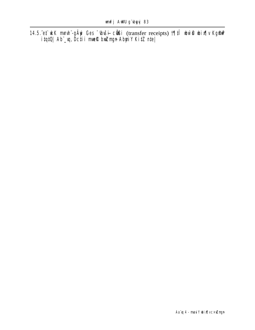**14.5.^et^ uk mmh -gäyi Ges "buši- cüßi** (transfer receipts) **19.11 bùo bix |v KgfaP**<br>itqtQ| Ab **\_vq, Dc‡i i mmR bxZngn AbyiY KitZ nte**|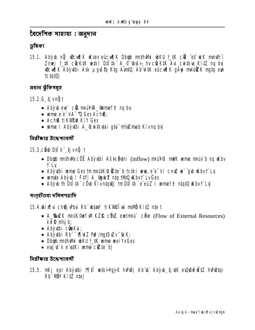বৈদেশিক সাহায্য : অনুদান

ভূমিকা

15.1. Aby to nữ wicufik uksev encufik Dbab muthwi whku t\_tk cik et ukk mnuth i Zmej t\_tK cicktK wtki Dtitk A\_<sup>©+</sup>ibuši<sub>7</sub> hv cicktK Aui cuitkva KitZ nq bv wicwijk Abyubi Ask uguštu Kta Avriu; Ab witk eûcwijk gâw mauikk mata eur tctat0

প্ৰধান ঝুঁকিসমূহ

**15.2.G tjvnğt** 

- Aby  $\psi$  eve  $\tilde{c}$  of mail  $\mathcal{P}$  ame f  $\tilde{r}$  ng by
- $\bullet$  ume  $e^e$   $\bullet$   $\bullet$   $\bullet$   $\bullet$   $\bullet$  Ges Ach<sup>o</sup>s:
- Ach<sup>®</sup> tikWPnPKiY Ges
- wme I Abyubi A\_®ui‡kutai qta nMZmab Kivng by

নিরীক্ষার উদ্দেশ্যাবলী

15.3.cầ b Dịi kë ti vnữ t

- Dbgb muthWkcÖE Abyutbi AšteÖutni ( $\mathrm{inflow}$ ) nru $\mathbf{W}$  mutk unne nruo b ng ukbv **f** Lv
- Aby thi ume Gestm matt the big the test is the computer of the case of the K but Ly
- wmte Abyu I FtVi A\_@yukZ ntq 1M10 uKbvt LvGes
- Aby th Dtitle cot Kivntan) im Dtitle e euz I ume f $\hat{\mathcal{P}}$  ntat th Kbv t Ly

সংগৃহীতব্য দলিলপত্রাদি

15.4. bix[|vi ch@jvPbui Rb" ubtar<sup>3</sup> tiKVI@luv mavi KitZ nte t

- $A$  Suzk mak Gef WIKZR civz entration of  $F$ low of External Resources) kxlR m//jb;
- Abythi cünku;
- Aby thi Rb"  $\neg$  The Z Pu?/nut SuZv  $\neg$  SiK;
- Dbgb mthwli wkU t\_tk wime weiYxGes
- · evsi ut k e wiki wme citte bl

<u> वितीकात ऊँटक गंगतली</u>

15.5. nKj enr Abyubi 17| il watki koji K hunsi Ab b Abyub tjutK eun bufulitz hunstal Rb NBY Kitz ntel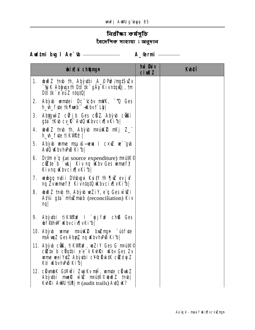# িনি<mark>ৱীক্ষা কৰ্ষসূচি</mark><br>বৈদেশিক সাহায্য**:অ**নুদান

Audtmi bug I Ae<sup>-</sup>tb <u>\_\_\_\_\_\_\_\_\_\_\_\_\_\_\_\_\_\_\_</u> A\_@rmi \_\_\_\_\_\_

|    | <b>bix</b> i champh                                                                                                                                                                              | <b>hui Guiv</b><br>$ci$ $M1Z$ | <b>Kuheff</b> |
|----|--------------------------------------------------------------------------------------------------------------------------------------------------------------------------------------------------|-------------------------------|---------------|
|    | <b>1. www.2 tmb th, Abyutbi A_© Pu?/mgtSvZv</b><br>"ŞiK Abhuxth D‡I ‡k" gAÿ Kivn‡qıQj , tm<br>$D\sharp I\sharp K$ e euz $n!q!Q$                                                                  |                               |               |
| 2. | Aby to uniter Dc Cbv mWK, <sup>- n</sup> Q Ges<br><b>h_vh_fvte tkYmeb"-+Kbvt`Lbl</b>                                                                                                             |                               |               |
|    | 3. AbhuwiZ cül jb Ges cülZ. Abyub cülli<br>g‡a TK\b cy_l\ A\tQ \Kbycix[ vKi^b                                                                                                                    |                               |               |
|    | 4. www.z tmb th, Abyb marike mkj Z_"<br><b>h_w_fye tikWee</b>                                                                                                                                    |                               |               |
|    | 5. Abỳ to manne msun sine and a more we did to string to be stringed<br>A40 KbvhPB Kibl                                                                                                          |                               |               |
| 6. | <b>Dr‡me<sup>"</sup>q</b> (at source expenditure) matural<br>$c \mathcal{C}$ te`b `ukj Kiv nq Wabv Ges wame f $\mathcal{P}$<br>Kivnq Wbvcix¶vKi⁄b                                                |                               |               |
|    | 7. webgq m‡ii DWbugui Kui‡Y th ¶uZ evjuf<br>ng Zvwmef? Kivn#q#Q Wbvcix¶vKib                                                                                                                      |                               |               |
|    | 8. whoi Z tmb th, Aby b we Ziy, e'q Ges will i<br>Atvi gta m/indiation) Kiv<br><b>nq</b>                                                                                                         |                               |               |
| 9. | Abyubi tiKWPnP I `yjjfnP chB Ges<br><b>bf@hWi Kbvcix[vKib]</b>                                                                                                                                   |                               |               |
|    | 10. Aby to more marked budmun - up fuge<br><b>msAuqZ Ges Abyr, ng Kbv hPB Kibl</b>                                                                                                               |                               |               |
|    | <b>11. Aby b cus, tikvinn</b> , weziy Ges G maid <b>K</b> <sup>©</sup><br>c <b>ižie</b> b c <b>igthi</b> e e v Kuhri Why Ges Zv<br><b>ume wei YxtZ Abyubi c¥®ük#K cüZdyj Z</b><br>K‡i KbvhPB Kib |                               |               |
|    | 12. cilvmbK G‡Rwí i ZwjKv ntii, wmnte ciloukZ<br>Abỳ thi musk wid mattik©ubwð z †mb <br><b>Kvhři AWU †UBjm</b> (audit trails) <b>AviQ k?</b>                                                     |                               |               |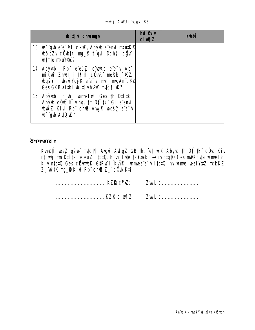unfj AWU g`ubyyj 86

| <b>bixi</b> champh                                                                                                                                      | <b>hui Guiv</b><br><b>cixqZ</b> | <b>K</b> hei |
|---------------------------------------------------------------------------------------------------------------------------------------------------------|---------------------------------|--------------|
| <b>13. w gb e e vi cxu, Aby b e emi matik@</b><br><b>wodzv cü bik mu b f qui Dchy cü V</b><br>winte nruWW?                                              |                                 |              |
| 14. Abyutbi Rb e euz e usus e e v Ab<br>mikui Zmetji 17  tî cühk meRb "KZ<br><b>bqšy I beuYgjK e e u mt_ mgÄmc¥©</b><br>Ges GKB aithi wix when mtc \ \" |                                 |              |
| <b>15. Aby thi h_th_ umeful Ges th Dilitk</b><br>Abỳ b cũ b Kiv nq, 1m Dil tk Gi e emi<br><b>wind X Kivi Rh chß Augle wasy e'e v</b><br>w gb AviQ u2?   |                                 |              |

**Kuhêtî wez gše mict¶ Augui AufgZ GB th, et w.K Abyub th D‡I th cü kiv niquQj tm D‡I th e eüZ niqtQ, h\_uh\_fute tkYweb -Kiv niqtQ Ges mWK fute wamef?<br>Kiv niqtQ Ges cü vmbK GtRwYi KuhRi wamee e v itqtQ, hv wame wei YxtZ tckK** Z\_"witk mg\_D Kivi Rb" chß Z\_" cÖvb K‡i|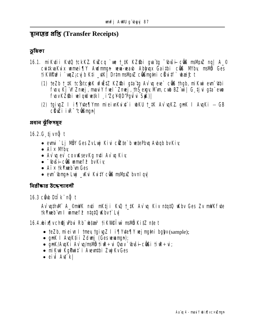म्रानाष्ठत धर्षि (Transfer Receipts)

ভূমিকা

- 16.1. mikuti kutû tekkz kuzeq `we t\_tk kz\$bi qua`tq ~\buši cüB maMpiz ng | A\_© cuitkua Kuix unnei TV Audmign were waab Ablaux Gaithi cüß M/bu mallo Ges tikWPnPi`wqZ;cyib Kti \_ytK DrtmmsMpz c@Smqtni cHivitf` wai£t
	- (1) teZb t\_tK tc bictok uf EtZ KZ\$bi gta tg Av u eve` c B thgb, mi Kwi evn 4bi fwy Kj "V Zmej, mau'Y fwl" Zmej, thš exy Myn cub BZ wil G tivi ata eur fwyKZ\$bi wlgWw#kl i'ZcYQD'Pguu SW)
	- (2) tgivgZ I i¶Yvte¶Ymn mieivnKvixt`i wbKU t\_tK Av`vaKZ anK I AvaKi GB cüki ik<sup>-</sup>cümml

প্ৰধান ঝঁকিসম্বহ

16.2.G tjvn**ğ** t

- evni `Lj NÖY Ges Zv Lujj Kivi citté`b vetePbug Avbgb bv Kiv
- $\bullet$  Aix Mby
- Av un ev covulsev Kg mți Av un Kiv
- $\bullet$   $\overline{\phantom{a}}$  this include the means for  $\overline{\phantom{a}}$  by Kiv
- Aix tk**Ymb** m Ges
- evn Chran Lui \_ Kvi KvitY constant by night

নিরীক্ষার উদ্দেশ্যাবলী

**16.3 cầ b Dil k nữ t** 

Av uthM A\_©mWK mti mKtji Kw t\_tK Av u Kiv ntatQ wkbv Ges Zv mWK fyte tk**Yxeb** om I unnef<sup>2</sup> ntat0 uKbvt Lv

**16.4.bix[vch@jvbuj Rb\* btas<sup>3</sup> tikv@l^w`msv0 KitZ nte t** 

- $\bullet$  teZb, miei u I tmey taivaZ I i stytesty vej matni baby (sample);
- gnK I AugKti i Zdunj (Geswunngn);
- gnK/Ayki Av y/msvo tire ÷ ui Quov buši cüli tire ÷ u;
- mikui Kapuit i Aventhi Zui Ky Ges
- ei**u At kl**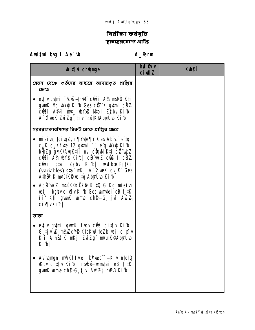# নিৱী**ক্ষা কৰ্মসূচি** श्वानाञ्जतयागा थांछि

| <b>bixi</b> champh                                                                                                                                                                                                                                                                                                                                                                                                                                                                       | hủ <b>G</b> iv<br><b>cixil</b> Z | <b>Kuleff</b> |
|------------------------------------------------------------------------------------------------------------------------------------------------------------------------------------------------------------------------------------------------------------------------------------------------------------------------------------------------------------------------------------------------------------------------------------------------------------------------------------------|----------------------------------|---------------|
| বেতন থেকে কর্তনের মাধ্যমে আদায়কৃত প্রাপ্তির<br>কেত্রে                                                                                                                                                                                                                                                                                                                                                                                                                                   |                                  |               |
| • evtiv gytmi "(buši thvill côli A½ msllí) Kti<br>gun K Nb why Ki b Ges che K gumi chi Z<br>cüßi A‡¼i m‡_ wini Mioi Zjbv Kith<br>A "Ofwek Zui Zg" tj v martik Abyrij b Ki b                                                                                                                                                                                                                                                                                                              |                                  |               |
| সরবরাহকারীগণের নিকট থেকে প্রাপ্তির ক্ষেত্রে                                                                                                                                                                                                                                                                                                                                                                                                                                              |                                  |               |
| • mieiw, tgivgZ, i¶Yvte¶Y Ges Abïvbï eïtqi<br>$c_{\mu}$ K $c_{\mu}$ Kf te 12 g tmi $\tilde{f}$ e q w Y Rib<br>b-bZg gnK/AvqK‡i i mi cüqVII K‡i cü wkZ<br><b>CÜBI A¼ UYO KID  CÜ ULZ CÜB I CÜZ</b><br>c <b>üßi</b> g‡a Zjbv Ki1b  wewfbœ Pj‡Ki<br>(variables) gta mkj A Truek cv R <sup>T</sup> Ges<br>AthŠiř K nrutké velta Abyüvb Ki b <br>• Acii'ukz maik©cökb Kitū Gikg mieiw<br>wetj i bglyv cix [v Ki b Ges wmtei eB t_tK<br>ii" K‡i gunK unne ch <b>\$-G tju Aw 2</b><br>cix[vKib] |                                  |               |
| ভাড়া                                                                                                                                                                                                                                                                                                                                                                                                                                                                                    |                                  |               |
| • evtiv gytmi gwark fuov côus cix $ v $ Ki <sup>4</sup> b<br>G tjv K midle KtakW teZb wj cix iv<br>K‡i AthŠi?K nKj ZuiZg nPútK©AbyÜvb<br>Kib                                                                                                                                                                                                                                                                                                                                             |                                  |               |
| • Av ungn mWKffute tkYmeb — Kiv ntqt0<br><b>Kbv cix v Kib</b> mské umiei eB t_iK<br>gunK ume ch\$-C, tj u Aw 24 hvPB Ki b                                                                                                                                                                                                                                                                                                                                                                |                                  |               |
|                                                                                                                                                                                                                                                                                                                                                                                                                                                                                          |                                  |               |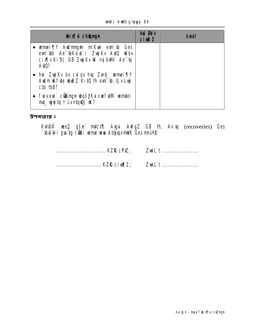unfj AWU g'byyj 89

| <b>bixivich@mgn</b>                                                                                                                      | <b>hui Øuiv</b><br><b>cixqZ</b> | <b>K</b> beî |
|------------------------------------------------------------------------------------------------------------------------------------------|---------------------------------|--------------|
| • warmei¶Y Awdrmmytha miKwi evni b Ges<br>evn üb Ae übKuix i Zujikv Auto ukbv<br>cix[ v Kib  GB Zujj Kv tK myjbWV Ae 'tq<br><b>Aut0?</b> |                                 |              |
| • hŵ Zujky by culqy hu Zuntj unnei¶Y<br>Audm K fute und Z KitO the un to tiv Luj<br>cto thB?                                             |                                 |              |
| • fwvere` c <b>ülmyn wqšykuxwfum umtei</b><br>mt_wyjtq t`Lvntquj uk?                                                                     |                                 |              |

**Kvh@fî wee,Z gše mutct¶ Avgui AvfgZ GB th, Av`uq** (recoveries) **Ges buš‡i gva`tg cüßi wume wewa AblyuqxmMK Ges m¤ú¥®**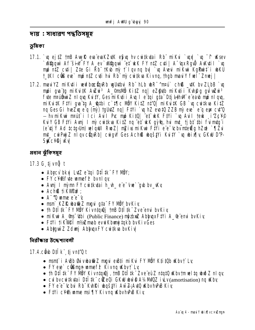দায়: সাধারণ পদ্ধতিসমূহ

ভূমিকা

- 17.1. `w ejtZ tmB AwyR eva evaKZytK e\$w hv cwitkytai Rb miKyi `wyl `w ~f wksev Megquù Af šin FY A\_ev Megquù et kK FY n‡Z cuti | A 'ux Rgui A Kuti I `u mø ntz cuti | Zte Gi Rb \* tKub my t`lqv nq bu `u Avevi miKur KgPurit`i ubKU t IKI c**us** eye mo ntz cyti hy Rb me cytkya Kivng, thab may Y fuel Zmeil
- 17.2. mavi YZ mi Kyti i vevf boe fin Rb w Uytbyi Rb hLb w R<sup>-</sup>nn an ch® tK by ZLbB `vg mpi gva'tg mikutk Avzu<sup>i 3</sup> A\_@msll0 Kitz nq| eZ@4b mikutii Kuh@q quTwzui<sup>3</sup> fute mainting a long Kuity, Gesmi Kuti i Aug I e tai gia Dij Lih M e eau mo ni gua, mi KuitK Fiyi qua ta A atbi c`t¶c Moy KitZ nt'O mi KuitK GB `u cwiku KitZ ng Ges Gi hue Zxq e"q (m) to UAZ ng | FtVi ` vq hZ evot Q ZZB m) eve e" e"q eux cut'Q - hv mi Kui maút i Ici Auil Pic mp Kitol et ukk FtVi `w Auil teuk ji ZpVO Ku'Y GB FtYi Avnj I nỳ cu tkva Kitz ng et ukk gỳ g, hui mt ti bt thi fu mtg i (e ují v Ad tctg/Un) velquil Rvoz| mīzivs mikui Fivi e e tchu mtežg hzal ` fizui mt\_cuiPuj Z nl gv cünRb| cuigw Ges Ach® waštYi KuitY `w wixily GKW D'P-**SKcYOj Wy**

প্ৰধান ঝঁকিসম্বহ

#### 17.3 G tjvn**ğ** t

- Abycy bkyj Lyz e toj Dilitk FY NBY;
- FY  $c\sqrt{2}$  of the unnef  $\tilde{r}$  by nl qv
- Avnj I nỳnn FY cuitkytai h\_vh\_e e vue`gub by\_wky
- Ach<sub>®</sub> tikwere:
- $\bullet$  A<sup>-</sup> $\alpha$  wime e<sup>"e"</sup> $\alpha$
- nam` KZIQ wa@iZ mgui g‡a" FY MÖY bvKiv,
- th Dilitk" FY NÖY Kivntquej the Dilitk" Zve emi byKiv
- mikui A\_%s (thi (Public Finance) mother AbluqxF#Yi A\_@ emi bvKiv
- Fil'i tikvel m/#mab evuKbunjtqkb bvKivGes
- Abhuw Z Zdunj Abhuux FY cuitkua bv Kiv

নিৱীক্ষাৱ উদ্দেশ্যাবলী

### 17.4.cab Dilk tivnt<sup>ot</sup>

- mant` i AvBb Buivuba@iZ mqvi evB‡i miKvi FY NÖY K‡i‡Ob uKbv†` Lv
- FY ew centrum water  $\epsilon$  Kivng Kbvt Ly
- th Dilitk" FY NBY Kivntan i, the Dilitk" Zve euz ntat 0 Kbytm w 1 ta w 3 x n I av
- $\bullet$  culture that the culture of  $\bullet$  culture of  $\bullet$  and  $\bullet$  and  $\bullet$  and  $\bullet$  and  $\bullet$  and  $\bullet$  and  $\bullet$  and  $\bullet$  and  $\bullet$  and  $\bullet$  and  $\bullet$  and  $\bullet$  and  $\bullet$  and  $\bullet$  and  $\bullet$  and  $\bullet$  and  $\bullet$  and  $\bullet$  and  $\bullet$  and
- FY e'e-'Chui Rh' Kuhki wasiyi Aw 2; Au Chu hPB Kiv
- Fivi c¥%ame msi¶Y Kivna KbvhPB Kiv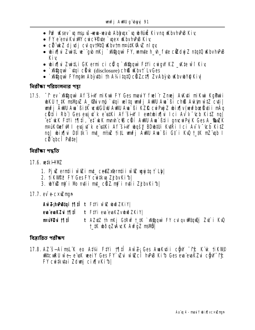- Puf Wisev` un msu vš-veva-veavb Ablaugx` un ub®údž Kiv ng Wabv hvPuB Kiv
- FY e envikum cucy Pute `wex KbyhPB Kiv
- ci wiz dj ulj cul gv tMQ w bv tm matt K SA v ni gv
- whis is zwith we "qub mKj ` superan FY, wante h\_vh\_fute cilled of a tatu of bu hup B Kiv
- birf[vi Zwi‡Li GK ermi ci c $\ddot{\phi}$  q `xV@quv` F#Yi cwiqw` KZ \_vK‡e wī f Kiy
- Magqui · vigi cürk (disclosure) ch® wbvt LvGes
- Mgquy FYman Aby thi th A1/4 tat Cat At Arct T Zv Aby to K by the Kiv

নিৱীক্ষা পৱিচালনাৱ পয়া

17.5. <sup>T</sup>f ev Magon Af šin mikui FY Ges mau'Y fuel r Znuej Avkuti mikui KgPuii bKU t\_tK msMpZ A\_%ivmp ` tqi weltq unfj AWU Au ` Bi ch® Atkim w tZ cti | wnfi AWU Aw` BitK w WGÛW AWU Aw` Bi KZR cw'PwiZ wixiy (wyfboeliatii mâg cüti Rb) Ges evsjut k e waki Af šiw I emtubix w Ici Av v cb Kitz ng *et* **kK Fivi 1911**, et kK mmh c**ß chi AWU Am Bii qmcu Pu K Ges A\_SwZK** mank@efwllesjut k e stki Af šiny wysy BDwilli Kutri Ici Av v cb Kitz ngi wixini Dilijk i mt. ni/xi titl wnfi AWU Aw Bi Gt i Kw t tK mz ab I  $c\ddot{\mathbf{u}}$  abc $\ddot{\mathbf{l}}$  PB<sub>te</sub>

নিৱীক্ষা পদ্ধতি

#### **17.6. wik HWZ**

- 1. Pji ernti i wi i mt\_ce@Zxernti i wi i mgi to t` Lb|
- 2. tikVIPP FY Ges FY cwikva ZjbvKibl
- 3. WYL ni i Nb nții mț\_cüZ ni i nții ZjbvKib|

17.7. ev e-cxizmun

|                     | AwZkhPBtqi 1911 t FtYi wi wi bwo ZKiY                      |
|---------------------|------------------------------------------------------------|
|                     | eva evaKZvi †¶‡Ît F‡Yi eva evaKZvubuði ZKiY                |
| <b>nrú¥®ui †¶ií</b> | t AZ#Z th nKj G#Rw t_#K `xN@qwv FY culqv whiqnQj Zut`i KwQ |
|                     | <b>t_‡K wðqZvÁvcK AvfgZ msl/ö]</b>                         |

বিষ্কাৱিত পৱীক্ষণ

17.8. AZ S-AimsLK eo At¼ Fiyi 1911 Aw 2; Ges Awkutii cŵ Tt K K tikw WitcuRU wie, e usk weei Y Ges FY Wei witzelf huPuB Kith Ges eva evaKZui c GW 1fc FY cwikuai Zdwj cix[vKib]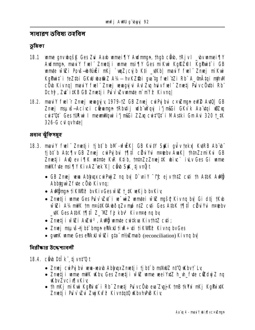সাধারণ ভবিষ্য তহ্হবিল

ভূমিকা

- 18.1 ume gny bošk Ges Zui Aarb umei TV Audmman, thab côub, tRjv I by umei TV Audmman, mauiY fuel" Zmetji ume msi¶Y Ges miKui KgRZPI KgPuit i GB umte wiZi Povš-b®úži nKj `unZ; cvjb Kti \_uKb| maviY fuel" Znuej miKui KqPuit i teZtbi GKW wa@iZ A¼— hvKZ\$bi qva`tq fvel`tZi Rb`` A\_@rÂtqi nthWl cÜb Kivnq| mauiY fuel" Zmej wwagyjui Aul Zuq huiv fuel" Zmetj Pu v cÜubi Rb" Dchỹ, Z¢` i#KB GB Zmetj i Pù v` Zvwmte m` m`f? Kivng|
- 18.2. maui Y fuel"r Zmej wwaqujy 1979-1Z GB Zmej cui Pujbui cxuZman eW2 AutO| GB Znej nsuš-Acivi ciemun tRbitij ulb výgi i'j nici GKvk Aa tqi wiZxq cuit'Of GestURui I meunillyui i'j naGi ZZxq cuit'Of i MAstki GmAui 320 t\_tK 326-G cul gyhute

প্ৰধান ঝুঁকিসমূহ

- 18.3. mau'Y fuel" Zmetji tjbt b bM -vfi K | GB KuitY StKi gulv tekx KutRB Ab b" ti bi` b Atc¶v GB Zmej curPu bu t¶l‡Î cü u Yu n¤tebv AwK| thtnZz mi Ku GB Znuetji Aul ev i TK untrite KuR Ktib, trutn Zz Znuej #K ubivc` i Lv Ges Gi unne mWKfvte msi¶Y KivAZ ek K| cibb StK tjvnůt
	- GB Zmej wa Abhupx cuiPuj Z nq bv| D`vniY <sup>-</sup>ff: ejv thtZ cuti th AtbK Aulti Abbtavù Z fyte c Öyb Kivna:
	- Addyngn tikvop? bvKivGeswi the the wekjb bvKiv
	- · Zmetji ume Ges Pu`v` \t'i w wiZ umtei will myšą Kivną by Gi dtj tKub will als mulk tm neutk@AuboqZv mp ntZ cuti Ges AtbK t¶tT cüviYvi neuebv \_\K Ges AtbK 1\Til Z\_'MZ fj kbv<sup>3</sup> Kivnr# nq by
	- Zmetji w $\alpha$ i A $\alpha$ vi<sup>3</sup>, Adilj umte cvitkva KivthtZ cvti;
	- Zmej msuštjbt bnyn elku tire÷ ti tik viež Kivną bv Ges
	- quark unne Ges etkyl will gta" m/silmab (reconciliation) Kivnq by

নিৱীক্ষাৱ উদ্দেশ্যাবলী

- 18.4. cirb Dilk tjvnt Qt
	- Zmej cu Pri bri rera-rearb Abhrux Zmetj i tj bt b mahluz nt'Q uKbv t Ly
	- Zmetj i wme mWK Wby Ges Zmetj i wie wme wei YxtZ h\_vh\_fyte cidui Z nq **KbyZvcixTvKiv**
	- th nKj niKui KgPixt` i Rb" Zmetj Pu`vcÖvb eva ZvyjK tnB tkYxi nKj KgPixtK Zmetji Pu v Zu Zuj Kuf? Kivntat0 uKbvhPB Kiv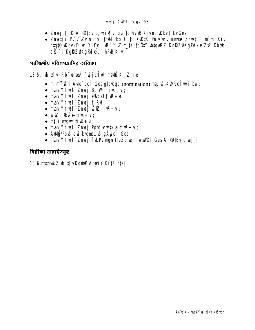- Zmej t\_tK A\_®tËyjb, wix¶vi qva ta hvPB Kivna uKbvt` LvGes
- Zmeti i Pu`v` \v`v` u`n loni th Mi bb Gi & K\D#K Pu`v` \v`v wmte Zmeti i m`m` Kiv ntatû ukbv (D`vniY-te ivR-^LvZ t\_tk tc@tY ubtquRZ KqRZ@KqPuixe ZxZ Dbgb cätí i KgRZØKgPue;; ) hPB Kiv

পরীস্কর্ণীয় দলিলপত্রাদির তালিকা

#### 18.5. bix i Rb biza<sup>3</sup> djc tv mavö KitZ nte;

- mì mi fir i Aute` bcî Ges g‡bubqb (nomination) msu vš-KWRcî wì i bw;
- may I'll Tuel" Zmej BbtW  $\vec{u}$  Till  $\vec{v}$  +  $\vec{u}$ ;
- may  $Y$  fuel" Znuej evikul tiur $\div \mathbf{u}$ ;
- may  $Y$  fuel"  $Z$ nuej tj $R$ ui;
- maxiy fuel" Zmej wie tiue÷u;
- wiz "(buši-tiur÷ui;
- $m\ddot{r}$  i mgui tiur $\div \dot{u}$ ;
- mau'Y fuel" Zmej Povš-evitkva tive $\div$ ui;
- · Aulij/Pouš-suitkvansuvš-gÄyici Ges
- may'l fuel" Zmej funnima (teZb uej, unilluj Ges A\_®#\ijb uej)|

নিৱীক্ষা যাচাইসম্বহ

#### 18.6.msthuRZ bix[vKqftP AbuiY KitZ ntel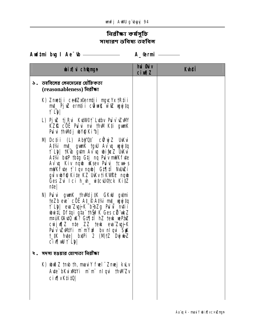# িনৱীক্ষা কৰ্মসূচি<br>সাধাৱণ ভবিষ্য তহবিল

#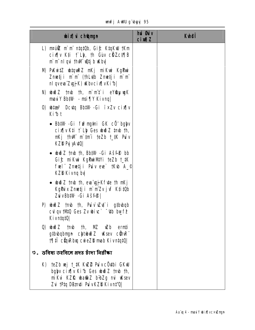unfj AWU gʻbyyj 95

| <b>bix</b> champh                                                                                                                                                                                                                                                                                                                                                                                                                                                                                                                                                                                                                                                               | hủ <b>G</b> iv<br>$ci$ $MZ$ | <b>Kuhei</b> |
|---------------------------------------------------------------------------------------------------------------------------------------------------------------------------------------------------------------------------------------------------------------------------------------------------------------------------------------------------------------------------------------------------------------------------------------------------------------------------------------------------------------------------------------------------------------------------------------------------------------------------------------------------------------------------------|-----------------------------|--------------|
| L) neúí m m ntatúb, Gi£ Ktakw tKm<br>$ci$ x $\beta$ K‡i $\uparrow$ Lb, th Giv c $\ddot{\alpha}$ Zc $\uparrow$ $\beta$<br>m`m`nlqvi †hvVi v2tjb vKbv                                                                                                                                                                                                                                                                                                                                                                                                                                                                                                                             |                             |              |
| M) PuKwitz witquikz mKj miKwi KgPwi<br>Znetji m`m (thLub Znetji m`m<br><b>ni qveva Zvyj K) Wbvcix [vKi·b]</b>                                                                                                                                                                                                                                                                                                                                                                                                                                                                                                                                                                   |                             |              |
| N) whoi z tmb th, m`mit`i eY®yungK<br>maviY Bb‡W - msi¶Y Kivnq                                                                                                                                                                                                                                                                                                                                                                                                                                                                                                                                                                                                                  |                             |              |
| 0) whas Devin Bhiw -Gi ixZv cix<br>Kibt                                                                                                                                                                                                                                                                                                                                                                                                                                                                                                                                                                                                                                         |                             |              |
| • Bb‡W -Gi fn?mg‡ni GK cÖ' bglyv<br>$\operatorname{cis}$ $\left[\n\begin{array}{ccc}\n\text{right} & \text{right} & \text{right} \\ \text{right} & \text{right} & \text{right} \\ \text{right} & \text{right} & \text{right} \\ \text{right} & \text{right} & \text{right} \\ \text{right} & \text{right} & \text{right} \\ \text{right} & \text{right} & \text{right} \\ \text{right} & \text{right} & \text{right} \\ \text{right} & \text{right} & \text{right} \\ \text{right} & \text{right} & \text{right} \\ \text{right} & \text{right} & \text{right} \\ \text{right} & \text{right} & \text{right} \\ $<br><b>nKj thM m`tmi teZb t_tK Pu`v</b><br><b>KZD PyjyAviQ</b> |                             |              |
| • www.z tmb th, Bb#W -Gi Ašf <sup>6</sup> bb<br>Gic mikui KgPuiMVi teZb t_tK<br><b>fuel</b> " Znuetji Puìveue` †Kub A_©<br><b>KZD Kivng by</b>                                                                                                                                                                                                                                                                                                                                                                                                                                                                                                                                  |                             |              |
| • $\omega \geq 2$ tmb th, evalupting is in the theory of $\omega$<br>Kg <b>Pix Znetji m</b> mzvjuf Ktit <b>ü</b> b<br><b>ZuvBb#W -Gi Ašf@ </b>                                                                                                                                                                                                                                                                                                                                                                                                                                                                                                                                  |                             |              |
| P) $\psi \tilde{\psi}$ and the point $\psi$ and $\psi$ in the property of $\psi$<br>cul qv tMQ Ges Zv $\psi$ ivc` $\psi$ b by f $\mathcal P$<br>Kivnta <sub>t</sub> o                                                                                                                                                                                                                                                                                                                                                                                                                                                                                                           |                             |              |
| 0) wið Z †mb †h, MZ uZb ernti<br>gtbubqbngn chtubuð Z uksev cühnR"<br>17: Cüy Rhaq cui eZB mab Kivntqt0                                                                                                                                                                                                                                                                                                                                                                                                                                                                                                                                                                         |                             |              |
| $\mathfrak v$ ় ভবিষ্য তহবিলে প্ৰদূহ চাঁদা নিৱীক্ষা                                                                                                                                                                                                                                                                                                                                                                                                                                                                                                                                                                                                                             |                             |              |
| K) teZb wej t_‡K KwZ® Puì v c0 upi GKwU<br>bglyv cix[ v Ki b Ges ubudi Z tmb th,<br>mikui KZIQ ubatii bibZg mi uksev<br>Zvi †P‡q Dílan¢i Puì v KZD Kivn‡'Q                                                                                                                                                                                                                                                                                                                                                                                                                                                                                                                      |                             |              |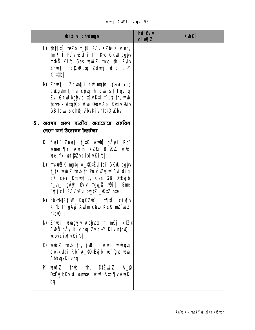## unfj AWU g`byyj 96

| <b>bix</b> champh                                                                                                                                                                                             | <b>hui Bu</b> iv<br><b>cimalZ</b> | <b>Kuhei</b> |
|---------------------------------------------------------------------------------------------------------------------------------------------------------------------------------------------------------------|-----------------------------------|--------------|
| L) th‡¶‡Î teZb t_‡K Pu`v KZD Kiv nq,<br>tnt¶il Pu v vzt i th tKub GKw bglyv<br>msillo Kib Ges ubuo Z tmb th, Zuiv<br>Zmetji cünRbu Zdunj dig ciY<br>KitOb                                                     |                                   |              |
| M) Zmetji Zdurtji frimgini (entries)<br><b>cill gut m tj Rui côu th tcuus f l qv nq</b><br>Zui GKW bglyv cix [v K‡i † Llp th, who<br>tcut s w tatüb w b Quov Ab" Kutiv Guiv<br>GB tout schoej PbvKivntqtQ Wbv |                                   |              |
| ৪. অবসর গ্রহণ ব্যতীত অন্যক্ষেত্রে তহবিল<br>থেকে অৰ্থ উত্তোলন নিৰ্ব্ৰীক্ষা                                                                                                                                     |                                   |              |
| K) fwl" Zmej †_‡K Awl®j gÄyii Rb"<br>wmei TY Awlm KZR BniKZ. will<br>weiYxi wffZvcixVvKib                                                                                                                     |                                   |              |
| L) mruikk ngtq A_@tËyjtbi GKW bglyv<br>t_‡K whi Z tmb th Puì vì vZy wu Avi dig<br>37 ciY K‡iwûtjb, Ges GB DiËyjb<br>h_vh_ gÄyi Øuiv mgw_2 wQj  Gme<br>`yjjcî Pu`v`vZui burtZ _vKtZ n‡e                        |                                   |              |
| <b>N) bb-tMR#UW KgRZ@ i t¶#î cix[v</b><br>Ki 15 th gầy: Audm cầu KZI 2 mi vuy Z<br>ntgŵi l                                                                                                                    |                                   |              |
| N) Zmej vevagyj v Ablyvqx th nKj ktZ©<br>Audij gäy Kivhuq Zvci Y Kivntquyj<br><b>Khycix</b> [vKib]                                                                                                            |                                   |              |
| 0) ubið 2 tmb th, ju8d cyjuni veðgag<br>cwikutai Rb <sup>"</sup> A_ <sup>@</sup> DiEyjb, w`"gub wwa<br>AbyuxKivnq                                                                                             |                                   |              |
| <b>P)</b> $\omega \tilde{\omega}$ 2 $\tau$ tmb th, DiEvij 2 $A_{\varphi}$<br>D‡Ëyj bKui xi umrtei wi la Atc¶v AuaK<br><b>bq</b>                                                                               |                                   |              |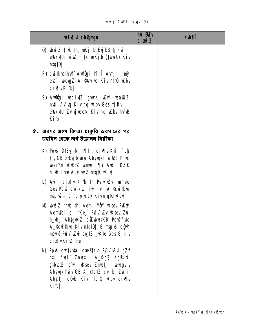| <b>bix</b> champh                                                                                                                                                                                                              | hủ <b>G</b> iv<br><b>cimal</b> | <b>Kuhei</b> |
|--------------------------------------------------------------------------------------------------------------------------------------------------------------------------------------------------------------------------------|--------------------------------|--------------|
| 0) which z tmb th, nKj D‡ËyjbB tj Rvi I<br>eVkxUi will t_#K weKjb (tVdeU) Kiv<br>$n \frac{1}{4}$                                                                                                                               |                                |              |
| R) cwitkwath M Awdy i 1911 Avril I my<br>eve boys A_CAv vq Kiv n#0 wKbv<br>cixqvKib                                                                                                                                            |                                |              |
| S) Addüyi vecixtZ gunK uKwī—uba@iz<br>m‡i Av`uq Kiv nq uKbv Ges tj Rui I<br>eWkxtU Zv yj ucex Kiv nq Wabv hvPuB<br>Kib                                                                                                         |                                |              |
| ৫. অবসর গ্রহণ কিংবা চাকুরি অবসানের পর<br>তহবিল থেকে অর্থ উত্তোলন নির্রীক্ষা                                                                                                                                                    |                                |              |
| K) Povš-D#vj#bi †¶‡Î, cix¶v K‡i † Lh<br>th, GB D‡Ëyj b veva Ablyvqx I vī∉i PjưZ<br>weiYxi vfiž‡Z wme i¶Y Awlm KZf&<br>h_vh_fvte Abtgwi Z ntqt0 uKbv                                                                            |                                |              |
| L) Auil cix iv Kib th Puiv Eui unte<br><b>Ges Povš-cuitkva tiur÷uti A_&amp;uitkva</b><br>msuvš-tj bi` b vjvce× Kivntat0 uKbv                                                                                                   |                                |              |
| M) which z tmb th, Aemi MBY uKsev PuKni<br>Aemthi ci †Kej Puìvì Wv Wsev Zui<br>h_uh_ Abyguin Z citubuatKB Poušfute<br>A_©cwi‡kva Kiv n‡q‡Q  G msµvš-cĝW<br><b>maké Pu`v` iZvi</b> but#Z _wkte Ges G tjv<br>cix[vKitZ nte]      |                                |              |
| <b>N) Povš-cu tkutai cte©tKub Puì vì vZui g7</b> ž<br>ntj frel Zmetji A_©gZ Kg <b>Pi</b> xi<br>g#bubuZ e uP uKsev Zmuetji uewagyjv<br>Abhux huv GB A_&ctZ cutib, Zut i<br>Abktj c <sup>o</sup> ub Kiv ntqtu ukbv cix[ v<br>Kib |                                |              |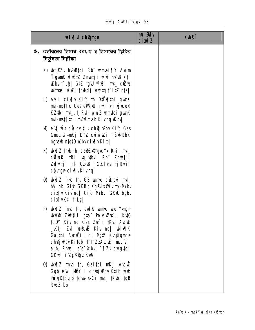| <b>unfj AWU g`byyj 98</b> |  |  |
|---------------------------|--|--|
|---------------------------|--|--|

| <b>bixi</b> champh                                                                                                                                                                                                                                                                                      | hủ <b>G</b> ủy<br><b>cixqZ</b> | <b>Kuhei</b> |
|---------------------------------------------------------------------------------------------------------------------------------------------------------------------------------------------------------------------------------------------------------------------------------------------------------|--------------------------------|--------------|
| ৬. তহবিলের হিসাব এবং য য হিসাবের শ্বিতির<br>নিৰ্ভুলতা নিৱীক্ষা                                                                                                                                                                                                                                          |                                |              |
| K) wf@Zv hvPuBtqi Rb" wmei¶Y Awlm<br><b>Tgunk vfitz Znetji wiz hPB Kti</b><br><b>Kbv t`Lb, G1Z tgU witZi mt_ctZW</b><br>wmtei wieli th Mdj wyjtą t` LtZ nte                                                                                                                                             |                                |              |
| L) Auil cix w Kib th Dirty thi gun K<br>mi-mst¶c Ges eWkxU tiuR÷uti yjueex<br>KZ\$bi mt_, tjRvti vjuk umrtei gunK<br>mi-mst¶‡ci mt/aZmab Kivnq uKby                                                                                                                                                     |                                |              |
| M) e tj w's cupq tj v chup Pbv Ki b Ges<br>Gmsuvš-nKj D <sup>m</sup> Z cuivī@i ntšul-RbK<br><b>ngyavb ntqtQ withvcix[vKib]</b>                                                                                                                                                                          |                                |              |
| N) widi z tmb th, ce@Zx@ngucYxtRtii mt_<br>cüwk tRi wyj ubui Rb Zmetji<br>Zduntji mi Quous abfute tj Rutii<br>cộ vngn cix v Kivng                                                                                                                                                                       |                                |              |
| 0) union the the Gume counquint<br>hỹ bb, Gi£ GKRb Kg <b>PixGivn</b> ỳ-Mbv<br>cix[ v Kiv nq  Gi£ M'bui GKW bglyv<br>cix[vK‡i † Lb]                                                                                                                                                                      |                                |              |
| P) which z trub th, ewife were well young n<br><b>ubwo Zwi‡Li g‡a Puìvì vZur`i Ku‡Q</b><br>tc <b>ë</b> Y Kiv ng Ges Zu i tKub Aucuë<br>_Kṭj Zu w�ái Kiv nq  wix∏K<br>Gaithi Auculi Ici Muz Kunagrugu<br><b>ch@jvPbvKiteb, thtmZzAvcuEimsL"vII</b><br>aib, Zmej e e cbui `¶Zv cuiguci<br>GKW i ZcYgrcKwl |                                |              |
| <b>Q wez the th, Gaithi nKj Avcull</b><br>Ggb e'u? NÖY I choej Pbv K‡ib uhub<br>Pu vD#Eyjb tcwf-s-Gi mt_tKvbµtgB<br>$RwZ$ bb                                                                                                                                                                            |                                |              |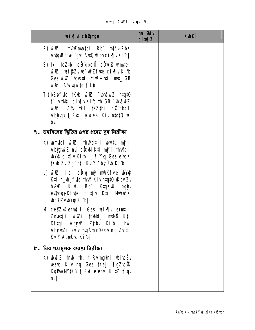| unfj AWU gïbyyj 99 |  |  |  |
|--------------------|--|--|--|
|--------------------|--|--|--|

| <b>bix</b> champh                                                                                                                                                                | <b>hủ đủ</b> y<br><b>cim<sub>12</sub></b> | <b>Kuhei</b> |
|----------------------------------------------------------------------------------------------------------------------------------------------------------------------------------|-------------------------------------------|--------------|
| R) wiZi ni/zimatbi Rb nišd-RbK<br>AttaRb we`"gub AutO uKbvcix[ vKib                                                                                                              |                                           |              |
| S) tkl teZtbi cü qbcti cök2 umtei<br>wizi wff2vw-wiZfde cixjvKib<br>Ges wi c - bušti i ti ne + ti i mt_ GB<br>wiZi A¼ugujtq t`Lbl                                                |                                           |              |
| T) bZbfyte tKyb wigz "Unisying ntatu<br>t` Lv tMtj cix   v Ki b th GB Weise Z<br>wiazi A% tkl teZtbi cürgbci<br>Abhux tj Ruti yjusex Kiv niniu uK<br>bv                          |                                           |              |
| ৭.  তহবিলের ম্থিতির ৪পর প্রদেয় সুদ নিরীক্ষা                                                                                                                                     |                                           |              |
| K) wmtei wiezi thwdtji wwitt mj`i<br><b>Abiguì Z mi cũnM K‡i nỹ i thMdj</b><br><b>WYQ cix[v Kib  j</b> ['Yxq Ges e'vcK<br>†Kıb ZuiZg¨ntj KuiY Abyülb Kifb                        |                                           |              |
| L) wiêzi lici cũn mỳ mink fute which<br>K‡i h_vh_fvte thwl Kiv ntqtQ www.Zv<br>hvPuB Kivi Rb <sup>*</sup> KtqKwU bglyv<br>euDuBgj Kfute cixfly K‡i MuWuZK<br><b>bffZvbYQKibl</b> |                                           |              |
| <b>N) ce@Zx© erntii Ges whix[v erntii</b><br>Zmetji wizi thWdj msWb K‡i<br>Df‡qi AbçıZ Zjbv Kib <br><b>hŵ</b><br>AbytZi auv mgÄmc¥©bv nq Zvntj<br>Kuly Abyüb Kibl                |                                           |              |
| $\nu$ . নিরাপতামূলক ব্যবস্থা নিরীক্ষা                                                                                                                                            |                                           |              |
| K) who z tmb th, tj Ruing ai winc Ev<br>waub Kiv nq Ges tKej ¶gZvc®<br>KgPuiMKB tjRui e emi KitZ t qv<br>nq                                                                      |                                           |              |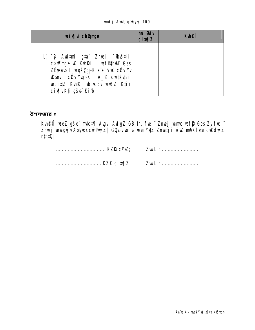#### unfj AWU g'byyj 100

| <b>bix</b> i champh                                                                                                                                                                                                       | <b>hui Guiv</b><br><b>cixqZ</b> | <b>Kuheff</b> |
|---------------------------------------------------------------------------------------------------------------------------------------------------------------------------------------------------------------------------|---------------------------------|---------------|
| L) `B Aud‡mi g‡aï Zmej ~Gvš‡ii<br>cxuzmyn uk Kuhki I ubfethwn Ges<br>ZËjeaub I ubqš <u>Ygj</u> K e'e <sup>-</sup> vuK cülu Yv<br><b>Ksev cü ygjk A_© cu tkutai</b><br>wecixtz Kuhki wiweru wwoz Kti?<br>cix¶vK‡i gše Ki1b |                                 |               |

উপসংহার ঃ

**Kuhêtî wez gše mici¶ Avgui AvfgZ GB th, fwel zmej wme wf\$ Ges Zv fwel de Zweiding (de Super Abjuqx cwiPuji Z| GQuov wme weiYxiZ Zmetji wi@ mWK fvte c@dyjZ<br>ntqtQ|** 

| ZwiLt |
|-------|
|       |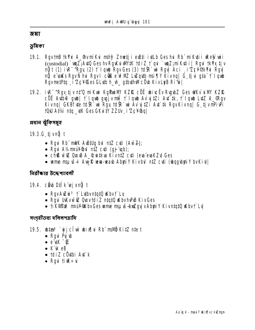*ऊ* सा

ভূমিকা

- 19.1. RavtnB tkYxi A\_@vmiKui mshy? Zmetji evBti ivtLb Ges hui Rb" miKutii uR¤§y wri (custodial) `wqZ;AytQ Ges hv RgyKuixW#K tdiZ t`qui `wqZ;miKytii| Rgui tkYx tjv nữt (1) ivR<sup>-^</sup>Rgy (2) † lgub Rgy Ges (3) tdi Rgy Aci i Zcł (Kristownia Rgy nỹ e vsks Rgv N hui Rgv I của e w MZ Lužqub msi TV Kivna | G tjui gia t' laub RgvmetPtq i'ZcY©es GLutb h\_vh\_gtbuthMcOub KivLeB Ri's
- 19.2. IVR<sup>-^</sup>Rgv\_tjvnt'Q miKwi KgPwiM' KZR cÖË wivcËv RygbZ Ges WKv`viM' KZR cÖË AVD<sup>@</sup> qub | i` lqub qujiv ntti i` lqub Av`vitZi Avt`tk, i` lqub LytZ A\_QRqv Kivng| GKBfte tdfR`wi Rgy tdfR`wi Av`yitZi Atr`tk RgyKivng| G tjvmPiPi t0U AT/4 nta dK Ges GKuitY ZZUv i'ZcY@al

প্ৰধান ঝুঁকিসম্বহ

19.3.G tjvn**ĝ** t

- Rqui Rb" mWK AuB‡Uq bul n‡Z cu‡i (Aw $Z$ );
- Ravi A1/4mpif/@vil ntz cuti (aj "vab);
- chß will Quous A\_Guitkua KivntZ cuti (evaïevaKZ) Ges
- wime msu is-I Aw R win-warb Abyri Y Kivbul nt Z cuti (whygubyri Y bv Kiy)

নিৱীক্ষাৱ উদ্দেশ্যাবলী

- 19.4. cib D‡Îk ej xnỹ t
	- RgvAuZui<sup>3</sup> † Lubvntat Qukbv† Ly
	- Rgui UKVW & QuovtdiZ ntqtQ KbvhPB KivGes
	- ti KVIPnP mai Nakov Ges ume mau iš budguj v Abuti Y Ki v naato ukbyt Lu

সংগৃহীতব্য দলিলপত্রাদি

- 19.5. **biza<sup>3</sup> `gjclu`bix**[hi Rb¨mall0 KitZ nte t
	- Ravi Pui w
	- $\bullet$  e'uk  $\overline{\bullet}$
	- $\bullet$  K  $\dot{\bullet}$  R
	- tdiZ cÖvibi Avt`k
	- Ravi tiur÷vi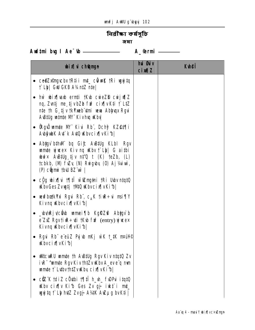# নিৱী**ক্ষা কৰ্মসূচি**

*ऊ* वा

Aud‡ni bug I Ae<sup>-</sup>tb <u>\_\_\_\_\_\_\_\_\_\_\_\_\_\_\_\_\_\_\_\_</u> A\_@rmi \_\_\_\_\_\_

| <b>bixi</b> champh                                                                                                                                                                                                                                                      | <b>hui Øuiv</b><br><b>cimalZ</b> | <b>Kuhei</b> |
|-------------------------------------------------------------------------------------------------------------------------------------------------------------------------------------------------------------------------------------------------------------------------|----------------------------------|--------------|
| • $ce@Zx@nycbx$ tri i mt_cut wikk tri wy ji to<br><b>f`Lb  GW GKB A¼n‡Z n‡e </b>                                                                                                                                                                                        |                                  |              |
| • hù bix $\eta$ ab ernti $\eta$ ik to cure $\zeta$ curically $\eta$ is a bundle of $\eta$ is a bundle of $\eta$<br>nq, Zvntj me tjvbZb fn <sup>2</sup> cix v Kti † LtZ<br>nte th G tjv tk <b>Ymeb umi veva Ablyvqx Rgvi</b><br>A Billg winte M" Kivhq Wbv               |                                  |              |
| • Rgů mmte M" Kivi Rb", Dchý KZ@t¶i<br>AbyubK At k At Q Kbvcix [vKib]                                                                                                                                                                                                   |                                  |              |
| • Abigy bihwi bq Gic Austug KLbl Rgv<br><b>unte gives Kiv ng Kbv <math>\mathbf{r}</math> Lb)</b> G aithi<br><b>when</b> $\times$ A <b>B</b> #Ug tjv n <sup>2</sup> <sup>'</sup> Q t (K) teZb, (L)<br>tcbkb, (II) fuzy (II) Ruiguby (O) Aj Vaivui,<br>(P) cũ mi thu BZ w |                                  |              |
| • c <u>ùg</u> wix¶vi †¶‡lĭ wiazmani †Ri Ubvn‡q‡Q<br><b>KbvGes Zvugtj 1MQ Kbvcix[vKib]</b>                                                                                                                                                                               |                                  |              |
| • wwfbotkYxi Rgui Rb", c $\mu$ K tiur÷ui msi¶Y<br>Kivng Wbvcix[vKib]                                                                                                                                                                                                    |                                  |              |
| <b>_bvejvcê b umei¶b KgRZ@ Abygv`b</b><br>$e^z$ Ziz Rgvtiur÷ti tKub fu? (entry) yjusex<br>Kivng Wbvcix[vKib]                                                                                                                                                            |                                  |              |
| • Rgui Rb" e"eüZ Pyjub mKj w`K †_#K m¤u<br><b>Kbvcix</b> [vKib]                                                                                                                                                                                                        |                                  |              |
| • WitcuRU unite th AuBtug Rgv Kiv ntat0 Zv<br>ivR <sup>-</sup> "um te Rgv Kiv tht Zv width A_ev e"q mm<br>umte † LubvihtZvuKby cix[vKib]                                                                                                                                |                                  |              |
| • ciz K tdi Z cövləi t¶‡î h_vh_ f\DPui itqtQ<br><b>Kbv cix y Kib Ges Zv gj ikt i mt</b><br>wyjtą † Lb hdz Zvgj A¼K Awµg bvKti                                                                                                                                           |                                  |              |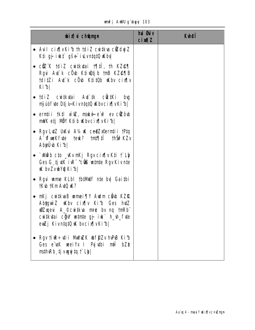|  |  | <b>unfj AWU g'byyj 103</b> |  |
|--|--|----------------------------|--|
|--|--|----------------------------|--|

| <b>bix</b> champh                                                                                                                                                                          | hủ <b>G</b> iv<br>$ci$ $MZ$ | <b>Kuhei</b> |
|--------------------------------------------------------------------------------------------------------------------------------------------------------------------------------------------|-----------------------------|--------------|
| • Auil cix¶vKib th tdiZ cuitkua cüZdujZ<br><b>K‡i gj i\t" gše i\Lvn‡q‡Q\Kbv</b>                                                                                                            |                             |              |
| • $c\bar{C}$ ik tdiz cuitkutai t $\eta$ tii, th kze $\eta$<br>Rgui Aut k cüub Ktiultjib tmB KZ@TB<br>tditZi At'k cÖb Ktitüb uKbv cirilv<br>Kib                                             |                             |              |
| • †diZ cw‡kytai Ayî‡k cûc‡Ki<br>bıq<br>ný úóf te Dtj l-Kivntatů (Kbycix [v Ki b                                                                                                            |                             |              |
| $\bullet$ erntii tk‡l w $\mathcal{Q}$ , maké e $\mathcal{P}$ ev c $\mathcal{Q}$ ôub<br>mWK etj MÖY K‡ib Wbvcix¶vKib                                                                        |                             |              |
| Rgv LutZ Ukkui A1/4 uK ce@Zxeerntii 1Ptq<br>$\bullet$<br>A Cruekfyte teuk? tnt¶ti thšv?KZv<br>AbyÜ ki b                                                                                    |                             |              |
| • `xWab cto _wkvmKj Rgvcix¶vKti † Lb<br>Ges G tj ulk iur <sup>-</sup> culs wurte Rgv Kiv nue<br><b>K by ZvbYQ Kibl</b>                                                                     |                             |              |
| <b>Rgui wme KLbI th#MUf n‡e bv  Gaithi</b><br>tK\b tKmA\tQ \K?                                                                                                                             |                             |              |
| nKj cuitkvaB unnei¶Y Audm cübb KZf2.<br>Abyguiz Kubv cix iv Kib Ges hutz<br><b>Wizxyevi A_© cvitkva m¤e bv ng tmRb</b><br>cuitkutai ciù untre gj iu h_h_fue<br>ewZj KivntqtQ w bvcix[vKib] |                             |              |
| Rgv tiæ÷vti i MwZK wffZv hPB Kib<br>Ges e'usk weeiyx I Pyjuthi mil bZb<br>msthkeb, tj vuguj ta t` Lb                                                                                       |                             |              |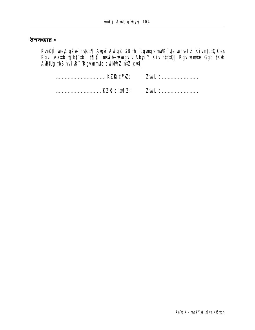#### উপসংহার ঃ

**Kuhêtî wez gše mict¶ Augui AufgZ GB th, Rgungn mWK fute wume fê KivniqiQ Ges<br>Rgui Aauth tjibt`ibi t¶ltî mské wuxayyiv AbyriY Kiv niqiQ| Rgv wumite Ggb tKub<br>AuBillig tbB hviuR<sup>-</sup>'Rgvwumite cui MWZ ni‡Z cuti|** 

ZwiL t ........................ ................................. KZR cim[Z; ZwiL t ............................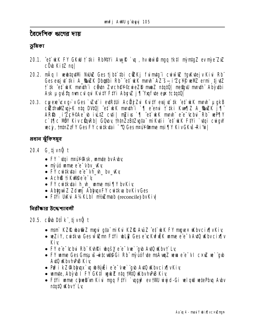বৈদেশিক ঋণের দায়

ভূমিকা

- 20.1. ^et^ kK FY GKW † #ki RbMYi AwK `w, hv ww`@ mgq †k# m`rntgZ ev m`e\*ZxZ cÖvb KitZ nal
- 20.2. mÂq I webtodivi NJMZ Ges tjbt thi cikkj fu mig i cu w iZ tgykytej v Kivi Rb" Ges evsi ut tki A\_SbuZK Dbothi Rb" et ukK mmh" AZ" s- i ZcYP wWZ ermi ti uZ f tk ef ukk minth i côun Zychev©cweZD mm2 ntatû | negalu minth Abyubi Ask µgvšta mmcvl gvi KvitY FtYi AbevZ j¶Yxqfvte eys tctqtQ
- 20.3. cwere cx q v Ges `vz t` i ed R# i Acëj Z u Ku tY ersj t` tk ^et kK mm h u g kB ctrinul Evis K ntq DVtQ| et uk mnth i '\ e emi f tki Kun\z A\_SuZK j\ ARS i'ZcY©Ae biLIZ cutil mZius fi et ukk munh e e chu Rh wPTIY c`t¶ic MBY KivcQnRb| GQwy †htnZzBtZygta miKytii ^et wK FtYi `ytqi cwgW wecy, thtnZzFY Ges FY cwitkytai ~ Q Ges nPuY Qume msi TIY Kiv GKvs-Ri to |

প্ৰধান ঝুঁকিসম্বৃহ

- 20.4 G tjvn**ğ** t
	- $FY$   $\dot{q}$  in  $mW$ ,  $M$ , with  $mQ$  is  $M$
	- · mỹ úó wme e e vbv\_w
	- FY cwitk tai e'e 'vh\_w\_ bv\_wky
	- Ach® tiKW®e"e"'
	- FY cutkytai h\_wh\_ wme msi \ly byKiy
	- Abiguit Z Zdunj Abinux FY cuitikus bv Kiv Ges
	- FIVI UKLI AVAKLbI ni/Emab (reconcile) bvKiv

নিরীক্ষার উদ্দেশ্যাবলী

## 20.5. cib Dilk tivnű t

- nam` KZIQ wa@iZ mgui g‡a¨ miKui KZIQ AuiZ ^e‡` wk FY mgue× wkbvcix¶vKiy
- weZiY, cwitkva Ges widZmn FtYi wbLiZ Ges e vcKwfwEK wame e e v AvtQ wKbv cixfly Kiv
- FY e e-cbu Rb Kuhki wašy e e-vw gu AuQ wbvt Ly
- FY unne Ges Gmsu is intendies of Rb" my us fute ms Aunt zue a e e VI cx iz us "gub Aut0 KbvhPB Kiv
- Pu? i kZ@lbhupx`uq ub®únËi e e vwe` gub AutQ uKbvcix¶vKiy
- · wmte, Abyub i FY GKtî wyuk z ntq tivin uKbvhvPB Kiv
- Fil'i wame chweb un Kivi mgq Fil'i `ugqu? ev tWU wing d-Gi welquU wetePbua Avbv ntatQ Kbv† Ly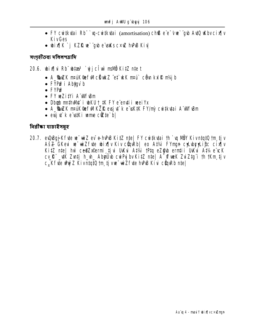- FY cuitkutai Rb" `u-cuitkutai (amortisation) ch® e"e" vue "qub Aut0 uKbv cix[v **KivGes**
- bix[]K `j KZR we`"qub e"waks cxuZ hvPB Kiv

সংগহীতব্য দলিলপত্রাদি

#### 20.6. bix [|vi Rb" bitar<sup>3</sup> `vi j c l w ms Nb KitZ nte t

- A\_**@uZK nruK@fwIcBukZ^et`ukK nru^ côn kxIR ni/jb**
- FYPu<sup>2</sup> i Abtgy b
- $\bullet$  FYP $\mathbf{\hat{P}}$
- FY weZitYi A WF&m
- Dbgb muthvMt` i wKU t\_tK FY e enti i wei Yx
- A\_SwZK nruK @efwIKZR evsjut k e wK#K FY/my cwi#kutai A wWFwBm
- $\bullet$  evsit is a rest to interest in the control of the set of the set of the set of the set of the set of the set of the set of the set of the set of the set of the set of the set of the set of the set of the set of the s

নিৱীক্ষা যাচাইসম্বহ

20.7. eQQBqj Kfyte ve wiz ev e-hvPB KitZ nte | FY cwitkytai th ` u MÖY KivntytQ tm tj v Ašz GKeu w wiZfue wix w Kiv cunkbl eo Atvi FYmun cy bryligc cix Iv KitZ nte | hw ce@Zxeermi tjui UKui Atvi tPtq eZ@b erntii UKui Atv4 e cK CV R \_ VK Zvntj h\_vh\_ AbyUvb cwPy bv KitZ nte | A WweK ZviZtg i th tKm tjv c.Kfyte Www Kivntatü tm tivw wiZfyte hPB Kivi cünRb ntel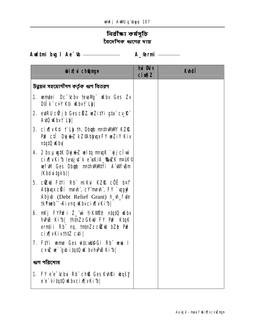# নিৱী**ক্ষা কৰ্মসূচি** বৈদেশিক ঋণের দায়

Audtmi bug I Ae<sup>-</sup>tb <u>\_\_\_\_\_\_\_\_\_\_\_\_\_\_\_\_\_\_\_\_</u> A\_@rmi \_\_\_\_\_\_

| <b>bix</b> champh                                                                                                                                                                      | <b>hui Guiv</b><br>$ci$ $MZ$ | <b>Kuhoji</b> |
|----------------------------------------------------------------------------------------------------------------------------------------------------------------------------------------|------------------------------|---------------|
| উন্নয়ন সহযোগীগণ কৰ্তৃক ঋণ বিতৱণ                                                                                                                                                       |                              |               |
| <b>1. uniter Dc Cby tevally Kby Ges Zv</b><br>DIIK" CIY KII Wbvf Lbl                                                                                                                   |                              |               |
| 2. ed RU cữ j b Ges chi Z we Zi tvi gia cu R<br>Auto Whyt Ly                                                                                                                           |                              |               |
| 3. cix( v K‡i †`Lb †h, Dbab m#hWWW KZR<br>PuP cil Dujuk kZ@AbhuqxFY weZiY Kiv<br>ntqtQ uKbv                                                                                            |                              |               |
| 4. 2 bs µ ug#K Dyj & Z weltq mnqK `yj j ci w<br>cix[ vKi1b (evsjut`k e wk/A_SwZK m¤uK©<br>wefwi Ges Dbgb muthwww.i A wifusm<br><b>/Kbduitgkb)</b>                                      |                              |               |
| 5. c <b>êrul Fiyi Rh</b> miku KZR cöë b¤t<br>Abhuqx cũí mmh", cYmmh", FY `ugy?<br>Abyub (Debt Relief Grant) h_h_fute<br><b>tkYmeb<sup>"</sup>-Kivnq Wbvcix[vKib]</b>                   |                              |               |
| 6. nKj FYPn <sup>2</sup> i Z_wi tiKVn <sup>2</sup> <sup>2</sup> ntqtQ uKbv<br>hPB Kib  thtmZz GKW FY PmP KtqK<br>ernții Rb nq, tntnZz cillul bZb Pm <sup>2</sup><br>cix[vKivth#Z cuti] |                              |               |
| 7. Fivi ume Ges uitculge Gi Rb was I<br>C×uZ ve`"gub itatQ uK bvhvPuB Ki1b                                                                                                             |                              |               |
| ঋণ পরিশোধ                                                                                                                                                                              |                              |               |
| 1. FY e'e 'Chui Rh' chß Ges Kuhki wasy<br>ee-Vitato Kbvcix vKib                                                                                                                        |                              |               |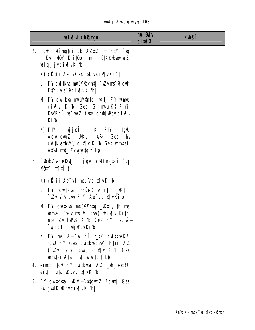|  |  | unfj AWU g`ubyyj 108 |  |
|--|--|----------------------|--|
|--|--|----------------------|--|

| <b>bix</b> champh                                                                                                                                                                                                      | hủ <b>G</b> iv<br><b>cimalZ</b> | <b>Kthell</b> |
|------------------------------------------------------------------------------------------------------------------------------------------------------------------------------------------------------------------------|---------------------------------|---------------|
| 2. người cũ íng thi Rb AZ that The Fty i `u<br>mikui MÖY K‡i‡Ob, †m m¤ú‡K©ubayjuLZ<br>wiq tjvcixwikib:                                                                                                                 |                                 |               |
| K) cütí i Ae <sup>-</sup> vGesmd vcix[ vKib                                                                                                                                                                            |                                 |               |
| L) FY cư tkva n¤ứ¥®v ntj`vZv ms~0 qui<br><b>Fivi Ae vcixvKibl</b>                                                                                                                                                      |                                 |               |
| M) FY cuitkva mauW@ntq _wktj FY wame<br>cix w Kib Ges G matt K <sup>®</sup> Fivi<br>KWRCI w wiZ fue chej Pbv cix[ v<br>Kibl                                                                                            |                                 |               |
| N) Fiyi `yjjcî †_‡K Fiyi tgw<br><b>AcutkunZ</b> UKui A14 Ges hv<br>cuitkvathWI, cix[ v Kib Ges wmtei<br>At¼ mt_ Zvwyjtą † Lbl                                                                                          |                                 |               |
| 3. <sup>-</sup> lab Zvcelktji Pjgb climytni ` u<br><b>NÖIYI 1911Î t</b>                                                                                                                                                |                                 |               |
| K) cütí i Ae <sup>-</sup> vi msl vcix [vKi·b]                                                                                                                                                                          |                                 |               |
| L) FY cwitkva m¤ui¥© by n‡q _vK‡j,<br>`Wws <sup>-</sup> Ulqui F#i Ae <sup>-</sup> vcix[vKib                                                                                                                            |                                 |               |
| <b>M) FY cuitkua m¤uW©ntq _vKtj, th me</b><br><b>ume <math>(\forall x \text{ ms}^t \vee \exists y \text{ min})</math></b> $\psi \text{ in } \mathbb{R}$<br>nte Zv hvPuB Ki1b Ges FY msuvš—<br><b>`yjcî ch@jPbvKib </b> |                                 |               |
| N) FY msuvš—`vjjcî t_#K cwitkvaKZ<br>tgW FY Ges cuitkusthM FtYi A1/4<br>(`WV ms <sup>-</sup> V lqui) cix v Kib Ges<br><b>united At% mt_ ugg tq <math>\uparrow</math> Lb</b>                                            |                                 |               |
| 4. ernti i tgill FY cuitkutai A1/4h_uh_ eutRU<br>eivii gta Wbvcix  vKib                                                                                                                                                |                                 |               |
| 5. FY cuitkutai Ww - Abygui Z Zdunj Ges<br>PuP gudK Wbvcix[vKib]                                                                                                                                                       |                                 |               |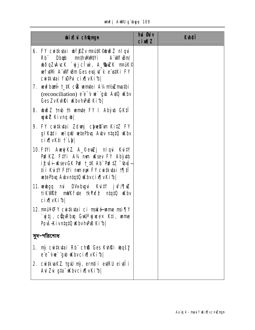|  |  | unfj AWU g`ubyyj 109 |  |
|--|--|----------------------|--|
|--|--|----------------------|--|

| <b>bix</b> champh                                                                                                                                                                                                                                                                     | hui <b>Guiv</b><br>$ci$ $\mathbf{M}$ $\mathbf{Z}$ | <b>Kyleff</b> |
|---------------------------------------------------------------------------------------------------------------------------------------------------------------------------------------------------------------------------------------------------------------------------------------|---------------------------------------------------|---------------|
| <b>6. FY cuitkutai wf@Zv mautK©wii Z niqui</b><br>Dbgb mthwwtYi A WFBm<br><b>Rb</b> ë<br>bðqZvÁucK `yjjcÎw`, A_SwZK mank©<br>we full find the Ges evaluation of the exist of FY<br>cwikuai fude cix v Kibl                                                                            |                                                   |               |
| 7. wwfbond t_tK c® wmtei A1/4mt/nZmathi<br>(reconciliation) $e^{\cdot}e^{\cdot}v$ we $\cdot$ gub Auto uk by<br>Ges ZvKvhŘi WbvhPB Kib                                                                                                                                                 |                                                   |               |
| 8. build 2 trub th unite FY I Aby b GK!<br>wykZ Kivnq b                                                                                                                                                                                                                               |                                                   |               |
| 9. FY cwikutai Zdwy chueb m KitZ FY<br>glktdi wlqw wtePbu Abv ntatū who<br>cix[vK‡i † Lb]                                                                                                                                                                                             |                                                   |               |
| 10. Fivi Awyj KZ A_©ewZj niqui Kuity<br>PuPKZ. FiVi A¼ num uKsev FY Abyutb<br>ićuši–Lisev GK Pu? t_tK Ab" Pu?tZ ~(buš—<br>ti i KutY FtYi mmeys FY cwtkyai 1911<br>wetePbu Abvntat0 Wbvcix[vKib]                                                                                       |                                                   |               |
| 11. verbgq må DVv-bygvå Kvi‡Y jvf/¶vZ<br><b>tikVIPP mUKfute tkYxfP ntqtQ uKbv</b><br>cix[vKib]                                                                                                                                                                                        |                                                   |               |
| 12. n¤ú¥∉Y cui‡kutai ci mské ume msi¶Y<br>`yjij, cŵn Rhwq Gull <sup>a</sup> yjwe× K‡i, wnne<br>Povš–Kivntat0 uKbvhvPuB Ki1b                                                                                                                                                           |                                                   |               |
| সুদ-পরিশোধ                                                                                                                                                                                                                                                                            |                                                   |               |
| <b>1. mỳ cư tkựai Rb</b> ch <b>ß Ges Kuhki wošy</b><br>ee-twe-gub withour status and the end of the end of the end of the end of the end of the end of the end of the the end of the end of the end of the end of the end of the end of the end of the end of the end of the end of t |                                                   |               |
| 2. cwitkvaKZ tgw my, ernții evtRU eivții<br><b>Au Zu gta Kbvcix (vKib)</b>                                                                                                                                                                                                            |                                                   |               |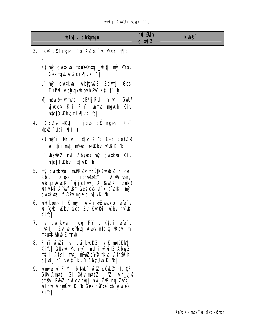|  |  | unfj AWU g'ubyyj 110 |  |
|--|--|----------------------|--|
|--|--|----------------------|--|

| <b>bixivich@ngn</b>                                                                                                                                                                                    | hui <b>G</b> uv<br><b>cimal</b> | <b>Kuhei</b> |
|--------------------------------------------------------------------------------------------------------------------------------------------------------------------------------------------------------|---------------------------------|--------------|
| 3. người cũ í ngàn i Rb AZz `u Ngự i tri t                                                                                                                                                             |                                 |              |
| K) nỳ cư tkva n¤ư¥©ntq _vKtj nỳ M/bv<br>Gestgw A¼cix[vKib]                                                                                                                                             |                                 |              |
| L) mỳ cuitkva, Abyguù Z Zdungj Ges<br><b>FYPE AbyuxuKbvhPB Kti † Ly</b>                                                                                                                                |                                 |              |
| <b>N) mské umiei eB/tj Ruti h_vh_ Gull<sup>a</sup></b><br>yjuce× K‡i F‡Yi unne ngycb Kiv<br>$n!q!0$ Kby cix $\lceil n \rceil$ v $\lceil n \rceil$ b                                                    |                                 |              |
| 4. <sup>-</sup> Caub Zvce <b>Kutji Pjgub clima pri Rb</b> i<br>Mp2`vqi †¶‡Ît                                                                                                                           |                                 |              |
| K) mji Mbv cix w Kib Ges ce@Zxe<br>ernți i mt_ n1/sZc¥®KbvhPB Ki1b                                                                                                                                     |                                 |              |
| L) ubatini Z mai Abyhupx mỳ cuitkva Kiv<br>ntqtQ Wbvcix[vKib]                                                                                                                                          |                                 |              |
| <b>5. mỳ cuitkutai mWKZv m¤útK©buiðZ niqui</b><br>Rb", Dbgb mnthWMVi A"WF\Bm<br>bðqZvÁvcK `yjjcTw`, A_SwZK nruk©<br>we full find the Ges evaluation of the relation of<br>cuitkutai fudPuingn cix[vKib |                                 |              |
| 6. wwfboaii t_tK nij i A¼nt⁄mwaatbi e e v<br>ue gub uKby Ges Zv Kuhili uKby huPuB<br>Kibl                                                                                                              |                                 |              |
| <b>7. mỳ cui‡kutai mgq FY glKtdi e e v</b><br>_Ktj, Zv vetePbvq Avbv ntat0 uKbv tm<br>nPitt Cho Z tmb                                                                                                  |                                 |              |
| 8. Fiyi wieli mt_cwikuakz myik maukhy<br>Kib  GUvuK Mb nij`i ndii vfuttz AbyyZ<br>ný i Atvi mt_ ntvizc¥® tkub Athšířk<br>djulj † Lvùtj KuY Abrüb Kibl                                                  |                                 |              |
| 9. white $\mathbf K$ Five that $\mathbf W$ is $\mathbf Z$ contributed?<br><b>GUv Anne) Gi Guv nnez jizi Ah ye</b><br>eYBui Burz culqv huq huì ZuB ng Zuntj<br>wlqw Abyuvb Kib Ges cite to ywex<br>Kibl |                                 |              |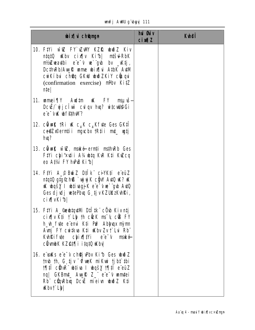#### unfj AWU g'byyj 111

| <b>bix</b> champh                                                                                                                                                                                                                                            | hui Øuiv<br>$ci$ $\mathbf{M}$ $Z$ | <b>Kylef</b> |
|--------------------------------------------------------------------------------------------------------------------------------------------------------------------------------------------------------------------------------------------------------------|-----------------------------------|--------------|
| 10. Fiyi wiz Fy ZWY KZR bið Z Kiv<br>ntqt0 uKbv cix[ v Ki1b  mtšul-RbK<br><b>nt/iZwadbi</b> e <sup>re-y</sup> we gub by _wktj,<br>DcthRb/AugR ume bix[\i AtbK AuM<br>cwkíbu choq GKW wwo ZKiY couqui<br>(confirmation exercise) <b>mPbv KitZ</b><br>nte      |                                   |              |
| 11. umei¶Y Aul‡m uK FY<br>myuš-<br>DcuËs vij ci uve cul qv hun? witcull@Gi<br>e'e 'vik wffthw?                                                                                                                                                               |                                   |              |
| 12. cüwik tri uk c $_{\mu}$ k c $_{\mu}$ kfute Ges GK‡T<br>ce@Zx©erntii ngvcbx tRtii mt_ utj<br><b>hu?</b>                                                                                                                                                   |                                   |              |
| 13. cüwk wiz, maké ernti mshweb Ges<br>Fiyi chi'küi Alata Kur Kii Kuzcq<br>eo At¼ FY hPB Kib                                                                                                                                                                 |                                   |              |
| 14. Fivi A_© BuáZ D‡Ik civktí e euZ<br>ntatû gtg©h <b>ß`uj y</b> K c <b>ÿ\l' A\tû \K? \K</b><br><b>K bašy I bijvagjik e e v programa Avio</b><br>Ges djudj wetePbuq G tjv KZUKzKuhRi,<br>cix[vKib]                                                           |                                   |              |
| 15. Fiyi A_ <b>@eddiquini Dilitk</b> cod Kivntj<br>cix[ v Kti f Ly th cick ms y cik FY<br><b>h_vh_fvte e emui K‡i Pu? Abhyax mymn</b><br><b>Avnj FY cuitkva K‡i uKbv Zv t`Lvi Rb"</b><br><b>Kuhi fi fute</b><br>chixii ee'v maké<br>ciumb KKZ@‡¶i i‡q‡Q uKbv |                                   |              |
| 16. e vaks e e v chej Pbv Kib Ges wið Z<br>tmb th, G_tjv "OfweK miKwi tjbt" thi<br><b>1941 cühr" white I wašy 1941</b> e eüZ<br>ng GKBmt_ Awwk Z_" e"e" v wmtei<br>Rb cünRbıq DcıË miei u www. Kti<br><b>Kbvt Lbl</b>                                        |                                   |              |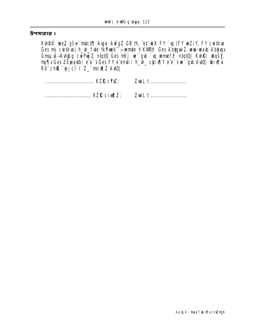উপসংহার ঃ

**Kuh@fî wez gše mict¶ Avgui AvfgZ GB th, ^et` wkK FY `vq (FY weZiY, FY cwitkva<br>Ges mỳ cwitkva) h\_vh\_fvte tkYmeb <sup>--</sup>ramate tiKVWPP Ges Abiygun Z weva-weaub Abiyuqx** Cos ny omenany n\_n\_n\_o politicaly p\_mnpc process rayges to communicate cost.<br>Gmsµvš-Kvh@g cuiPuj Z ntqtQ Ges mKj ue`"gub `u ummef? ntqtQ| KvhRi ubqšy,<br>mj¶v Ges ZÉpeautbi e"e" v Ges FY e"emuti h\_vh\_ chix¶Y e"e" vue`"gub Aut  $Rb^{\dagger}$ ch $B^{\dagger}$ yjcî | Z\_" msiv¶Z AvtQ|

| ZwiL t |
|--------|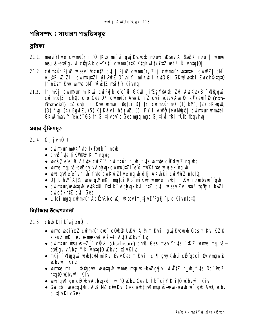পরিসম্পৎ : সাধারণ পদ্ধতিসম্বহ

ভূমিকা

- 21.1. ma i Yfyte cwmpu'r nt'Q tKub ms u gwy Kubuarb mpu'uit uKsev A ShuZK mpu'l wme msuvš-bažquj u cůnRb ci YKtí cumPurtK KtaKW tkYxtZ vef<sup>3</sup> KivntatQ
- 21.2. cuintair Pjuz uksev "taxniz cuti | Pjuz cuintair, Zij cuintair unintel cuiuPZ | bM A\_OPjuž Žij cumputzi uPivaz D`vniy| mikutii kuQ Gi GKW vetki Zvrch@tqtQ thtnZzniKui wme bM vfiEtZ msi ¶Y Kivng|
- 21.3. Th nKj cum¤úr niKui cuiPujb e e<sup>-</sup>ú GKW i Zc¥©Ask Zui AuaKuskB ` xV@quu curinquitz i chosq cto Ges D<sup>3</sup> curinquir Aug R ntz cut i usev Aug R tk Yx em f 2 (nonfinancial) n‡Z cyti | miKui unne c<sup>yj</sup>ątbi D‡I‡k" curn¤úr nỹ (1) bM, (2) BKanul, (3) fyg, (4) Bgui Z, (5) Kj Kâv I hšeu Z, (6) FY I Aulij (eun vigi) cuintuir unutei GKW mau Y euko" GB th G tivev e-Ges maq maq G ti u tRi tuth thay hual

প্ৰধান ঝুঁকিসমূহ

- 21.4 G tjvn**ũ** t
	- cuimpur mulk fute tk Yxeb" nqub
	- chßfute fik Winf Kiy ngub;
	- $\log 2$  e e<sup>-</sup>G A fyte cui Z<sup>-3</sup> cui mair, h\_h\_fyte um te ci**Z**dyj Z nq \;
	- · wime msu is-briZgyj v Ablygx cvintatizie e q mWK f vte yj weex ng w;
	- webtqwlee-vh\_w\_fute cwkw2fute ng w dtj AKuhRi cwWWZ ntqtQ;
	- · Dtj LihM At% white MnKj ngtqi Rb miKwi wmtei e Bti \_ Kui n¤tebvw gub;
	- cuintair/weultonMeatRtUi Dillik Abhanx bul ntZ cati uKsev Zv iatói tošji K bulli cuicškniZ cuti Ges
	- µtqi mgq cuim¤ur Acüqxbxq wùj uksevtm tjvD'Pgtj" µq KivntqtQ|

নিরীক্ষার উদ্দেশ্যাবলী

## 21.5 cib D‡Îk ejxnỹ t

- unne wei Y#Z cwinrur ew` cÖuk@ UKvi A#4miKv#i i qujKubuarb GesmiKvi KZfQ e eüZ nKj ev e-mpaut Ašf<sup>e</sup> AuQ Kbvt Lv
- cuintur maus-Z\_" cituk (disclosure) ch® Ges maulYfute "KZ unne mausbxZqvjvAbyiY KivntatQ KbvcixlvKiv
- · nKj Magyi w btg M ni Kui Øu v Ges ni Kuti i ct T guj Kubui ci gbc î Øu v ngw 2 **Kbywi** Kiv
- wmte nKj `xViĝquù webtqWl wme nsu is-bxizgujui vfu tz h\_vh\_fute Dc wez ntat0 Kbvwf Kiv
- whita Mmun ci kv Abhuaxdj wt Q Kby Ges Dilk ci Y Kti tQ Kbvw i Kiv
- Gaithi white the curve of white consideration of the control of the Auto Kby **cixlyKivGes**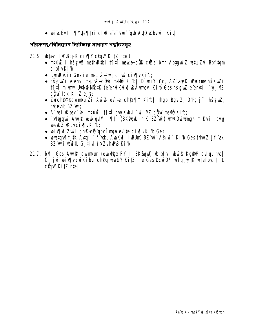• bivcëvi i¶Yvte¶tYi ch® e e vre` ab AvtQ vKbvw i Kivl

পরিসম্পৎ/বিনিয়োগ নিরীক্ষার সাধারণ পদ্ধতিসম্বহ

- 21.6 **bize<sup>3</sup> hPBqjK** cix[|Y cün|MKitZ ntet
	- nrúž I hševiz nsthrtibi 191 maké cůs cíze bm Abtguìz vetuzu Bbftam cix vKib;
	- RunRikly Ges ié myušìgūù cix v Kib;
	- hšguži e emi mauš-ciju mavi Kib | D'uniy te, AZ apk unkrm hšguži **1911** mivni U#MD MC#K (e emiKui) WAMev Kib GeshšcwZ e emtii `vjjMZ **cậy tck KitZ ej b;**
	- Zvch@Y©cwint4i#Zi Aw 2; ev te ch@¶Y Ki1b| thgb Bgvi Z, D'Pgtj i hšcwZ, hubeunb BZ wir
	- A "lei uksev "lei mpuultii † 17. mpuultiku multii "viji MZ cigu" mallii Ki 1b;
	- Magquì Auy RueubtqutMi 1911 (BKzqui, ÷K BZ uì) unkDuiulingn miKuti i butg **bell Z KbycixTyKib;**
	- bix[|vi ZwiL ch@-eil qbc limgn ev te cix[|vKib Ges
	- webtaW1\_tK Avtai [j f vsk, AwaKvi (ivBUm) BZ wi] A14w f Ki1b Ges tNut Z j f vsk BZ wi with G tju ixZvhPB Kib|
- 21.7. bM Ges Aug R cuintair (eun Dax FY I BK and) ubinflui ubw & Kg Rup cult av hual G tju wix work the choque ware Kitz nte Ges Doub<sup>3</sup> wiq witk wtePbu titl  $c$ **Q** $m$ Ki $Z$   $n$ te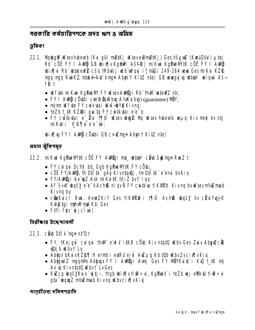সবকাবি কর্মচারিগণকে প্রদূহ ঋণ ৪ অগ্রিম

ভূমিকা

- 22.1. Mnbgill Wsevhbeub (Kui gui mBtKj WseveBmBtKj) Ges hševil (KwuiDUui) µtgi Rb" cÖË FY I AMË GB WIXIV Kgindi Ašfi | mikui KgPuiMYK cÖË FY I AMË bix[\i Rb" btzeeW2 cš4 tRbytij ulb"uÝquj i'j mßi 249-264 ueu Ges miKui KZR mgq mgq RuiKZ maké-Au<sup>+</sup> kmgn AburiY KitZ ntel GB wwaquju u btao<sup>3</sup> wlquv Ašfß t
	- Kifte mikui KgPuiMY FY KsevAuligi Rb" thM wieuPZ nb;
	- FY I Adi cötbi cte<sup>o</sup>cün Rbu A1/2 (guarantee) Miy;
	- nì m K fite FY cuikitai Kw -bY@ Kivng:
	- teZb t\_tK KZ\$bi qva`tq FY cwitkytai e e v
	- FY cu $\vec{i}$ tkytai e  $\vec{e}$ ui 191 $\hat{i}$  Wesev when  $\vec{e}$  Mp Wesev hybeenb were Kiv met by ntj mikutii <sup>-</sup>0 ¶¶ui eïe<sup>-</sup>ui:

**bix[vq FY I Audio coupli GB cxuZmqn Abuniy KitZ ntel** 

প্ৰধান ঝুঁকিসম্বহ

- 22.2. mikui KgPuiNV‡K cÖË FY Aulügi m‡\_ ultar<sup>3</sup> cë b StKmgn RueZ t
	- FY culqui Dchỹ bb, Gqb KqPuiMY#K FY cÖub;
	- $c\ddot{\text{o}}\ddot{\text{E}}$  FY/Adi, th Dtitle  $qA\ddot{y}$  Kivntan), tm Dtitle example by Kiv
	- · FY/AWÖJI Ae wZ Ask mikutk tdiŻ bvt lav
	- Af šin bašy e e v Achß ni gvÑ FY cu tku ti KVIP? Kivng by Ksevn tri mab Kivna by
	- cünkucî Rui, AemZKiY Ges tikWPnPi t¶‡î Ach® wašy hv cüküYvajK Kuh@tqi nthMmp Kti Ges
	- $\bullet$  Fivi fav  $\mathbf{u}$ jc $\widehat{\mathbf{l}}$ w $\mathbf{l}$

নিরীক্ষার উদ্দেশ্যাবলী

22.3. chb Dilk mun nt'0 t

- FY, †Kejgúl̃ culqui †hvi e v?‡ i‡KB c vb Kiv n‡q‡Q uKbv Ges Zuiv AbyuZcü's **Wetj b Wbv t Ly**
- Abigy bKuxKZ@¶ H ernti i eurRU eiu Auzug Ktitüb uKbvZvcix¶vKiy
- Abtuw Z mugmPx Abtugx FY I Audigi Avni Ges FY NÖYKuixt i Ku2 t\_tK my Av v Kivntatū Wbvt LvGes
- Kužcq wąšyku x`ujtji, thgb wix¶v tiur÷ui, KgPuit`i teZb vej eVlkaU tiur÷ui qta : wquz nt/wmab Kivng WbvcixlvKiv

সংগৃহীতব্য দলিলপত্রাদি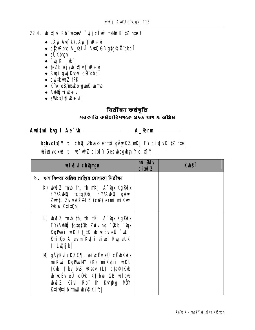- 22.4. bix[|vi Rb" bitas<sup>3</sup> `yjjcltw`msMh KitZ nte t
	- gÄvi Avi k/gÄvi tive÷vi
	- · cüyRbıq A\_@i u Auto GB gtg Cü qbcî
	- $\bullet$  eÜ $\overline{\text{Kb}}$ uv
	- fy Ki ik
	- $\bullet$  teZb wj/bix[vtiule:u
	- · Ruji guji Kubu cü gbcî
	- $\bullet$  cwitk wa  $Z$  tp  $K$
	- · K'ik eB/maké-qurk ume
	- **v**÷sit @uA .
	- · ettkit tire + ul

নিৱীক্ষা কৰ্মসূচি

সৱকাৱি কৰ্মচাৱিগণকে প্ৰদত্ত ঋণ 3 অগ্ৰিম

**Aud‡mi by I Ae<sup>-</sup>th <u>\_\_\_\_\_\_\_\_\_\_</u>** 

**A**<br> **A**<br> **a**<br> **a** 

## bglyvcix[|Y t ch@jvPbvaxberntigÄyrkZmKjFYcix[|vKitZnte|

ubix[vcxuztue=uiZcix[]Y GesubqqubyriYcix[]Y

| <b>bix</b> digmyn                                                                                                                                                                                                    | <b>hủ đủ</b> y<br><b>cixqZ</b> | <b>Kuhoji</b> |
|----------------------------------------------------------------------------------------------------------------------------------------------------------------------------------------------------------------------|--------------------------------|---------------|
| ১. ঋণ কিংবা অগ্রিম প্রাপ্তির যোগ্যতা নিরীক্ষা                                                                                                                                                                        |                                |               |
| K) wið Z tmb th, th nKj A 'qx KgPuix<br>FY/Aung tctqt0b, FY/Aung gÄyi<br>ZwitL ZuvAš2t 5 (cuP) ermi mikui<br><b>PKu Ktitübl</b>                                                                                      |                                |               |
| L) wid Z tmb th, th mKj A 'sqx KgPuix<br>FY/Audi tctqt0b Zuiv ng ^ (Rb ~ ux<br>Kg <b>Puii wku † #K wivcËv eÛ `wkj</b><br>K‡i‡Ob A_ev miK⊈i i eivei Rug eÜK<br><b>titL@tjbl</b>                                       |                                |               |
| M) gÄÿKux KZ@¶, wivcëv eÛ cÖvbKux<br>miKui KgPuiNY (K) miKutii ukU<br><b>TKub the bub ulsey (L) cte®tKub</b><br>bivcëv eû côu Ktibu GB welqul<br><b>w3</b> Z Kivi Rb th Kuh@g MBY<br>K‡iwîtjb tm <b>il w</b> YQ Ki b |                                |               |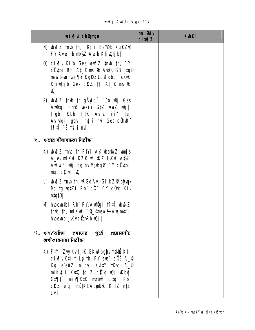unfj AWU g'byyj 117

| <b>bix</b> champh                                                                                                                                                                                                               | hủ <b>Đảy</b><br>$ci$ $M1Z$ | <b>K</b> hei |
|---------------------------------------------------------------------------------------------------------------------------------------------------------------------------------------------------------------------------------|-----------------------------|--------------|
| N) wið Z tmb th, `߇i i Ea¥2b KgRZ@<br>FY Ave to mage Auch Ktivetj b!                                                                                                                                                            |                             |              |
| 0) cix(iv Kib Ges who z trub th, FY<br><b>cô thi Rb At Pm<sup>-</sup> th Aut0, GB gtg<sup>©</sup></b><br><b>mské-umei¶Y KgŘZ¢cü gbcí cövb</b><br>Ktiwtjb Ges cHZct¶ At_P ms b<br>$\mathbf{q}$ j                                 |                             |              |
| P) uhið Z tmb th gäyici -uó wj Ges<br>Aurigi ch® weiY GtZ waZ wij<br>thgb, KLb t_#K Av`uq ii" n‡e,<br>Av vtgi tgqvì, m <b>j</b> ì mi Ges c <b>ũ</b> nR <sup>"</sup><br>$\mathbf{M}$                                             |                             |              |
| ২. ঋণের সীমাবদ্ধতা নিরীক্ষা                                                                                                                                                                                                     |                             |              |
| K) whoich that Find the Find A% what the Length State of the Manuscript State of the Manuscript State of the Ma<br>A_ev miKui KZŘ witKZ. UKui A‡¼i<br>AuZui <sup>3</sup> tQj by hv Mjubgti FY cÖu‡bi<br>$mgq$ cth $R^T$ $Qj$    |                             |              |
| L) www.z tmb th, weGdAui-Gi kZ9Abyuqx<br>Mn tgivg‡Zi Rb¨ cÖË FY cÖvb Kiv<br>n!q!0                                                                                                                                               |                             |              |
| M) hubeuthi Rh FY/Aungi 1911 worz<br>tmb th, miKui ~4_©mské Audm‡i i<br>hubeunb _wvc@qwRb w0j                                                                                                                                   |                             |              |
| ৩. ঋণ/অগ্রিম প্রদানের পূর্বে প্রয়োজনীয়<br>व्यश्रीकातवाया विद्रीका                                                                                                                                                             |                             |              |
| K) Fiyi Zuji Kvt_iK GKW bglyvmsMD K‡i<br>$ci$ xī v K‡i † L v th, F Y e ve` c 0 Ë A_©<br>Kg e'eüZ niqui KuitY †Kub A_©<br>mikutii Kupa taliz cifq waj ukbu<br>G‡¶‡Î bix¶K#K m¤úË µ‡qi Rb<br>cüz e'q mattk©Abyüvb Kitz ntz<br>cti |                             |              |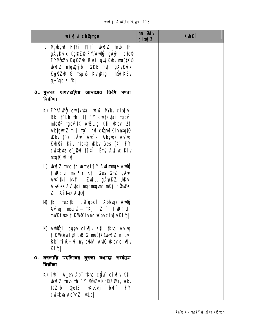#### unfj AWU g'byyj 118

| <b>bix</b> champh                                                                                                                                                                                                                                                                                 | hui <b>Giv</b><br>$ci$ $M1Z$ | <b>Kuhei</b> |
|---------------------------------------------------------------------------------------------------------------------------------------------------------------------------------------------------------------------------------------------------------------------------------------------------|------------------------------|--------------|
| L) Mundig of Fivi 1911 we have to the<br>gäjkux KgRZ® FY/Awÿ gäyi c‡e©<br>FYMDZv KgRZ& Rugi guj Kubv mautk©<br>wið Zntquêtj b  GKB mt_gÄykvix<br>KgRZ& G msuš—Kvh@tgi thŠiPKZv<br>gj "up Ki b                                                                                                     |                              |              |
| ৪. সুদসহ ঋণ/অগ্নিম আদায়ের কিষ্টি গণনা<br>নিৱীক্ষা                                                                                                                                                                                                                                                |                              |              |
| K) FY/Ady cutkutai ukwi-Mbv cix i<br>$Rb^{\prime\prime}$ $\uparrow$ Lb th (1) FY cuitk tai tgqv<br>nte@P tgqv`#K AwZµg K‡i wKbv (2)<br>AbygwiZ mij mj`i mi cQqMKivntqtQ<br>Kbv (3) gÄyi At k Abhuax Av u<br>Kuhki Kiv ntqt0 Kbv Ges (4) FY<br><b>cutkuta e 2u 1911 cm Autic Kiv</b><br>ntqt0 uKbv |                              |              |
| L) wid Z tmb th wmei TV Audmign Audity<br>tiu <b>r</b> ÷ui msi¶Y K‡i Ges G‡Z gÄyi<br>At iki b¤t I Zwil, gÄyiKZ. UKui<br>AVGes Av vtqi ngqmgvm nKj cüntAK<br><b>Z_"Aš#P AviQ</b>                                                                                                                   |                              |              |
| <b>N) tkl teZtbi cü qbcî Abhux Addiy</b><br>Av`q mquš— mKj Z_"†ivR÷¢i<br><b>mWKfde fiKWPKivnq Wbvcix[vKib </b>                                                                                                                                                                                    |                              |              |
| N) Addüyi bgiyv cix¶v K‡i †Kvb Av`vq<br>tikWeuf2 bB G maitK@bwdZ nlqui<br>Rb fix: i mjbW A40 Kbv cix[v<br>Kib                                                                                                                                                                                     |                              |              |
| ৫. সরকারি তহবিলের সুরক্ষা সংক্রান্ত কার্যক্রম<br><b>निर्तीका</b>                                                                                                                                                                                                                                  |                              |              |
| K) iuk` A_ev Ab¨ †Kub c@jw" cix¶v K‡i<br><b>Jub</b> Z tmb th FY NBZv KgRZWY, webv<br>te <b>Ztbi Qutz _KKtj, bM*, FY</b><br><b>cutkua Ae \undots</b> ivtLb                                                                                                                                         |                              |              |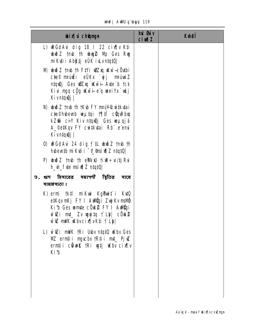|  |  | <b>unfj AWU g'byg 119</b> |  |
|--|--|---------------------------|--|
|--|--|---------------------------|--|

| <b>bix</b> champh                                                                                                                                                                 | hui Guiv<br><b>cimalZ</b> | <b>Kuhei</b> |
|-----------------------------------------------------------------------------------------------------------------------------------------------------------------------------------|---------------------------|--------------|
| L) <b>RGdAu dig 18 I 22 cix iv Kti</b><br><b>with 2 timb th wag 2 My Ges Rug</b><br>miKuti AbKtj eÜK iu.vn.tq.tQl                                                                 |                           |              |
| M) which z tmb th Fty i will want will be withing<br>c‡e© n¤úiŽi eÜKx `yjj m¤únìZ<br>ntquêj Ges wozxq www.ii- Axte`b tck<br>Kivi mgq c <u>ộg</u> Kwii-eg weiYx`wkj<br>Kivn‡qıQj   |                           |              |
| N) wid z tmb th tK to FY mani Cuitkytai<br>cte©hubeunb weµtqi 1¶tii cüqwRbxq<br>kZŴ ciY Kiv ntquuj Ges weµqjä<br>A_©e#Kqv FY cwi#kutai Rb" e"emui<br>Kivn‡qıQj                    |                           |              |
| 0) LRGdAvi 24 dig t the bub 2 tmb th<br>http://www.https.com/https.com/                                                                                                           |                           |              |
| P) www.2 tmb th ethkul tiure:-ui/tjRui<br>h_vh_fvte msivil z ntqtQ                                                                                                                |                           |              |
| ৬. ঋণ হিসাবের সমাপণী স্থিতির সাধে<br>সামঞ্জস্যতা ঃ                                                                                                                                |                           |              |
| K) ermi † k‡l miKui KgPuit i KupQ<br>e‡KqvmKj FY I Addrigi ZujjKvmsMö<br>Kib Ges umte cÖuk FY I Aunügi<br>wioZi mut_ Zv ugyjitq † Lly  cÖuks2<br><b>wiz mNK Kbvcix vK#i f Lbl</b> |                           |              |
| L) will mink tri Uby ntatu Why Ges<br>NZ ermții mycbx tR‡ii mț_ PjuZ<br>erntii cümuk tRi uytj ukbv cix[ v<br><b>Kib</b>                                                           |                           |              |
|                                                                                                                                                                                   |                           |              |
|                                                                                                                                                                                   |                           |              |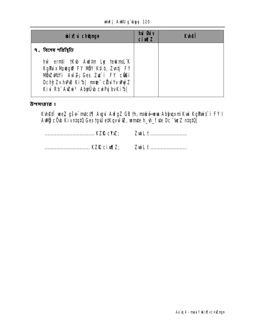#### unfj AWU g'byyj 120

| <b>wixivich@ngn</b>                                                                                                                                                                             | <b>hui Guv</b><br><b>cixqZ</b> | <b>K</b> uhei |
|-------------------------------------------------------------------------------------------------------------------------------------------------------------------------------------------------|--------------------------------|---------------|
| ৭. বিশেষ পরিষ্কিতি                                                                                                                                                                              |                                |               |
| hŵ ern <b>ți †K·b Aud‡m Ly †eukmsL</b> *K<br>KgPix Mubg@ FY NOY Ktib, Zutj FY<br><b>NÜDZWIYI AWZ</b> Ges Zut i FY cüBi<br>Dchỹ Zv hPB Kib  nrie cũu Yv DuýZ<br>Kiu Rb Auzu 3 Abyüub curpu bvKib |                                |               |

উপসংহার ঃ

**Kvh@fî wez gše mict¶ Avgui AvfgZ GB th, maké wwa Abjuqxmi Kui KgPuit` i FY I<br>Awilij cÖvb KivniqiQ Gestgw ei;Kqvwï (@Z, wmnie h\_vh\_fvie Dc<sup>-</sup>twz niqiQ|** 

ZwiL t ......................... ZwiL t .........................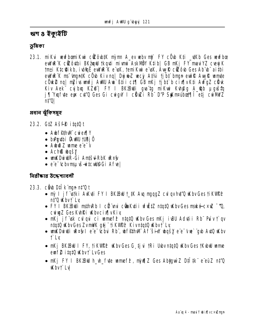ঋণ ৪ ইকুাইটি

ভূমিকা

23.1. miku wufbanikui cükô bik nim A ev wbv ni FY cüb Kii \_ukb Ges wufbæ euWuR K cüzôutbi BKäunul tkquti miumi AskMÖY Ktib GB mKj FY mauiYZ cveyjK tmti Ktc@ikb, ividhë ewlwe K e uK, temiKui e uK, AunR cizob Ges Ab b aitbi euWR K ms 'ingntK c Ob Kiv nq | DyjuLZ weg At/a tj bt bngn euff Aug R wmte cök2 nq| nzivs unfj AWU Au ` B‡i i c‡¶ GB nKj tjb‡ `b cix¶vK‡i AvfgZ cäk Kiv Aek" cyjbrą KŽ® | FY I BKZBWi gva'tg mikui Kvh@g A\_@b µgvštą j¶Yxqfvte eux cvt'0 Ges Gi cwigw I cülwzi Rb D'P StKm¤ubot¶li et i cwiMWZ nt'Ol

প্ৰধান ঝঁকিসমূহ

## 23.2. GIZ Ašf<sup>®</sup> itqt0 t

- AubffithM cwiexflY
- brathi CAWU TUBjÕ
- · Aund Z unne e'e V
- Ach**ß bašy**
- wwW.Duiulin.-Gi Antšul-RbK ursky
- · e'e<sup>-</sup>tcbvmsuvs-witculf9Gi Aftel

নিরীক্ষার উদ্দেশ্যাবলী

- 23.3. cầu Dil k mun nt<sup>7</sup>Q t
	- mỳ I ji f istki Avkiti FY I BKBW t\_tK Aug mgqgZ culqv hut'Q uKbv Ges ti KVUPP nt'Q Kbyt`Lv
	- FY I BKBU i msth Rb I cë mi cën Kuti i vfitiz ntatu u bv Ges maké c×u "Q. cuiu Z Ges Kuhki Wbvcix IvKiv
	- mKj jf usk culqui ci unmef<sup>2</sup> ntqtQ uKbv Ges mKj iuBU Adutii Rb Puìv t`qv ntqtQ uKbvGes ZvmWK gtj tiKVIPP KivntqtQ uKbvt Ly
	- unkDuiwi was I e e tobu Rb, wffthw Af six wqsy e e tue gub Auto Kbv t Lv
	- nKj BKBW I FY, †iKVOPP Why Ges G tjvi †Ri Udby ntatQ wKhy Ges †Kubwi wame eurf<sup>2</sup> itat0 Kbvt LvGes
	- nKj FY I BKBW h\_vh\_fyte wmef<sup>2</sup>, njv(12 Ges Abtgwi Z D‡I tk" e"eüZ nt'Q **Kbvt** Ly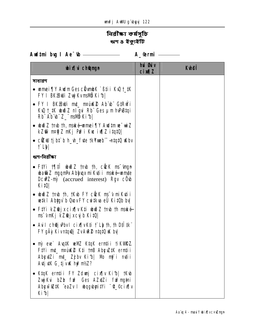# নিৱীক্ষা কৰ্ষসূচি<br>ঋণ ৪ ইক্যুইটি

Aud‡ni bug I Ae<sup>-</sup>tb <u>\_\_\_\_\_\_\_\_\_\_\_\_\_\_\_\_\_\_\_</u> A\_@rmi \_\_\_\_\_\_

| <b>bixi</b> champh                                                                                                                                           | hủ <b>Đảy</b><br>$ci$ $M1Z$ | <b>Kuhei</b> |
|--------------------------------------------------------------------------------------------------------------------------------------------------------------|-----------------------------|--------------|
| সাধারণ                                                                                                                                                       |                             |              |
| • warmei TIY Audm Ges cümmb K ` B‡i i KuQ † ‡K<br>FY I BK <sup>2</sup> BWi ZujKvmWD Ki <sup>4</sup> b                                                        |                             |              |
| • FY I BKBWi mt_ npúK2 Ab b GtRwi<br>KvQ t_#K who Z nl qvi Rb" Ges um hvPBtqi<br>$Rb^T Ab^T b^T Z^T$ ms $M\ddot{o}$ Ki $b$                                   |                             |              |
| • buð Z tmb th, maké umei ¶Y Audtmue ui Z<br>kZŵ n¤@jZ nKj Pu? i Ku: iv¶Z i‡q‡Q                                                                              |                             |              |
| • cit is bit b h_th_f te tk Y web" -ntqt 0 ikbv<br><b>f Light</b>                                                                                            |                             |              |
| ঋণ-নিৱীক্ষা                                                                                                                                                  |                             |              |
| <b>wa@iZ ngqnPx Ablyqx miK\ti i maké-wmte</b><br>DcwZ-my (accrued interest) Rgv cOub<br><b>Kipl</b>                                                          |                             |              |
| • buð Z tmb th, tK b FY cick ms v mikuti i<br>wetki Abygy b QuovFY cwitkva eÜ KitOb bv                                                                       |                             |              |
| • Fini kz@jxcix[ vK‡i wiðz †mb †h maké<br>ms~vmKj kZ@jxcyjb Ki‡Q                                                                                             |                             |              |
| • Auil ch <b>ej Pbv I</b> cix $\mathbf{w}$ with $\mathbf{r}$ the $\mathbf{r}$ th, the $\mathbf{v}$ is the $\mathbf{r}$<br>FY gÄỳ Kivntquy ZvAuR® ntqt0 uK by |                             |              |
| • mỳ eue` Aug‡K weWZ K‡qK erm‡ii †iKWRZ.<br>Fi'i mt_ maike Kti tmB Abgwik erntii<br>Abyuzi mt_ Zjbv Kib  Nb mj`i mtii<br>Avtj vK G tj v K hy?nt/z?           |                             |              |
| K‡qK erm‡ii FY Zdunj cix¶v Ki1b  †Kub<br>Zuj Kui bZb fu <sup>s</sup> Ges AZxtZi fu <sup>s</sup> myani<br>AbywiZ#K eaZv I wogybyni#i "C_@cix[ v<br>Kib        |                             |              |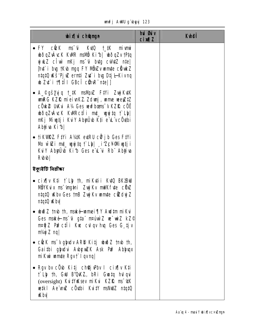|  |  | unfj AWU g`ubyyj 123 |  |
|--|--|----------------------|--|
|--|--|----------------------|--|

| <b>bix</b> champh                                                                                                                                                                                                                                               | hui Guiv<br><b>cimal</b> | <b>Kthei</b> |
|-----------------------------------------------------------------------------------------------------------------------------------------------------------------------------------------------------------------------------------------------------------------|--------------------------|--------------|
| • FY cück ms <sup>-</sup> úi kutū t_tk miumi<br>bðqZvÁcK KWR msMÖ Kib  bðqZv tPtq<br>wink z cîw mKj ms u butg culutz nte<br><b>Int</b> i big tKub mgq FY NibiZvumite citukZ<br>ntatû Wš'Pj wê erntî Zu' i bu Dtj l-Kivnq<br><b>b Zt i filie GBci cinR</b> ntel] |                          |              |
| • A_©gš <b>y</b> yjq †_#K msMpxZ F#Yi ZwjKv#K<br>unRG KZŘ mieivnKZ Zdunj, ume veejZIZ<br>cÖK2 UKui A14 Ges wufbons VKZR cÖË<br>bðqZvÁvcK KWRcflint ugyjta flþl<br>n <b>Kj Muştji Kuly Abyü'b K‡i e L vcÖ4bi</b><br>Ab <b>j</b> iva Kib                          |                          |              |
| • †iKWRZ. F‡Yi A¼K evtRU cứ jb Ges F‡Yi<br>Nb wiZi mt_ wyjtq t` Lh  _iZcYMiwtji<br>Kuly Abyüb Kib Ges e'L'u Rb' Abyiva<br><b>Rubub</b>                                                                                                                          |                          |              |
| ইকুষ্টেটি নিৱীক্ষা                                                                                                                                                                                                                                              |                          |              |
| • cix w K‡i † Lb †h, mikutii Kutū BK`ZBuU<br><b>NÖYKüx ms 'íng‡ni Zujrkv mWKfvte cÖxZ</b><br>ntatü Wabv Ges tmB Zujj Kv wmote cüzduj Z<br>ntqtQ uKbv                                                                                                            |                          |              |
| • buð Z tmb th, maké umei ¶Y Aud‡m mi Kui<br>Ges maké ms ú gta matuù Z ve wiz kz©<br>m¤ti Z Pu <sup>s</sup> c‡î i Kuc cul qv huq Ges G tjv<br>$m/2$ nq                                                                                                          |                          |              |
| • cick ms <sup>-</sup> v gladv ARD Kitj uhið Z tmb th,<br>Gaithi glydui AubyuZK Ask Pu? Ablyuqx<br>mi Kui umte Rgv†` I qvnq                                                                                                                                     |                          |              |
| • Rgv by cÔub Kitj ch@juPby I cix $\P$  v Kti<br>t`Lb th, GW B'QKZ, bRi Gwtq hulqui<br>(oversight) KuitVuksev mikui KZŘ ms <sup>-</sup> UK<br>wetkil Ae uniz cöytbi Kvity manuliz ntatü<br><b>水的</b>                                                            |                          |              |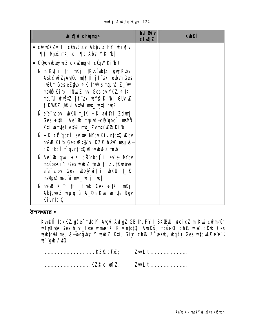|  | unifj AWU g`ubyyj 124 |  |
|--|-----------------------|--|
|  |                       |  |

| <b>bix</b> i champh                                                                                                                                                                                    | hui Guiv<br><b>cim<sub>12</sub></b> | <b>Kulei</b> |
|--------------------------------------------------------------------------------------------------------------------------------------------------------------------------------------------------------|-------------------------------------|--------------|
| • cũnt/KZv I cũn: Zv Abhuax FY whix [vi<br><b>1911 Muz nKj c`t¶c AbyiY Kib </b>                                                                                                                        |                                     |              |
| • GQuovubaujuk Z c×uZmyni cüqvMKi1b t                                                                                                                                                                  |                                     |              |
| Ñ miKutii †h mKj †Kv¤úub‡Z gunjKubuq<br>Askx wiZ; Avt0, tnt¶ti jf usk teubun Ges<br>i <b>BUm Ges eZ@b</b> ÷ K tnui s msu vš-Z_"wi<br>msMÖ Kib  tNutz mi Ges au YKZ ÷#Ki                                |                                     |              |
| msL`ui vfiž‡Z jf`vsk ubY@ Ki1b  GUv uK<br>tikvirz uku Atki mt_ wtj hvq?                                                                                                                                |                                     |              |
| N e e <sup>-</sup> tchu wku t_tk ÷k auitYi Zdwni<br>Ges ÷#Ki Ae <sup>-</sup> \b msµvš-cit qbci msMb<br>K‡i wm‡ei A‡¼ m‡_ Zvn¤úK® Ki b                                                                  |                                     |              |
| $\tilde{N} \div K$ cittation ever the MY by Kiv nitation of Kiv<br>hPB Kib Ges R¤§ u KZŘ hPB mauš-<br>cii qbcî j` qvntqtQ uKbvubwð Z tmb                                                               |                                     |              |
| $\tilde{\mathbf{N}}$ Ae <sup>-</sup> (bilquit ÷K cültüpbc‡li ev $\mathbf{\Theta}$ M/bv<br>maiboki b Ges bud Z tmb th Zv tkvainb<br>e'e tchy Ges <b>R¤§ ut i wKU t_#K</b><br>msMpxZ msL¨vi mt_ vgtj hvq |                                     |              |
| $\hat{\mathbf{N}}$ hPB Kib th jf uk Ges $\div$ tKi nKj<br>AbigwiZ veµqjä A_©niKwi wmte Rgv<br>Kivntat0                                                                                                 |                                     |              |

উপসংহার ঃ

**Kunefî tckKZ gše mici¶ Augui AufgZ GB th, FY I BKZBWi vecixiZ miKwi cwintair<br>whf\$fate Ges h\_vh\_fate wumef& Kiv niqiQ| AwaKš, ntai¥©I ch® wi@ cliak Ges<br>wewitqMI msµaš—whqgubyniY whoiZ Kii, Gi£ ch® ZËpeaub, whqšy Ges witcuW** ue gub Auto

| <b>ZuiL t </b> |
|----------------|
| <b>ZuiL t </b> |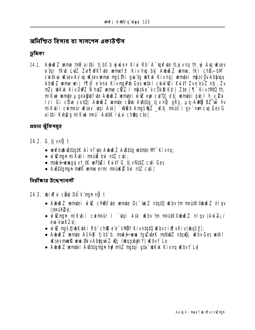অনিশ্চিত হিসাব বা সাসপেস একাউন্টস

ভূমিকা

24.1. Aubii Z ume th'B ai thi tj bt b giusex Kivi Rb A "sporte the youth of Augustsey e'tai 1K\b L\tZ Z\r¶\WKf\te wmef<sup>2</sup> Kiv h\g by A\b\jZ wme, 1kl ch\$-bM cu tkva uksev Av va uksev unne myšthi gva tg ubkvk Kiv na muntei mýzcův Abhyax Abið Z ume vei j 1910 e eni Kivmu Pb Ges vetki cuiw vzi Kvity Zve euz ntj. Zv ní zie bikk KivDiviz N hutz unne cílz. I nýzAe vcÖkD Kti | zte j¶ KivtMQ th, mikui umte µgea§ bfute Aubið Z umtei will eys cu''0| dtj umtei gub I h\_v\_@ui Ici Gi cức cotú| Aubið Z umte cho Austug tjv nữ gRỳ, µq-Ault BZ w hv mi Kuti i cuinrur uksev`utgi Ask | `xWab AngšanŽ \_vktj mrut`i qj mmcu Ges G aithi Kuha mikui mai AUtk iu cha ctol

প্ৰধান ঝঁকিসমূহ

- 24.2. G tjvn**ğ** t
	- wufbol Billgik Aixfute Aubio Z ABillg winte M' Kivng;
	- $\bullet$  will many milotion in many interests and minor  $\bullet$  with  $\bullet$
	- · maké-wuagyjvt\_#K wPaZi Kvi#Y G tjvNU#Z cvti Ges
	- Austugman milK unne ermi matikk@ bul ntZ cuti |

নিরীক্ষার উদ্দেশ্যাবলী

- 24.3. bix¶vi cê b D‡Îk nan nğ t
	- Aubino Z unnutei wi Z cłowarte unnute Dc une z ntatu ukby tm ntautk@buo Z nl gv (npulville)
	- wietman mikutii cwintar I `utai Ask ukby tm ntautk©ubwðZ nlgy (AwZ; / eva evaKZV:
	- wi Zmyšą/bkuki Rb" chß e'e-vMBY Kivntatū Wbvcix[vKiv(bqšy);
	- Aubub Z umnte Ašff<sup>e</sup> ti bi b, maké wya tquzytek maluluz ntquej ukby Ges witk I Ksevmnek wyn GrivAbygwd Z Wi (wogybyn Y) Kbvt Ly
	- Aubið Zumtei Austugman hu?m/z matgi gta ukk Kivng Kbvt Ly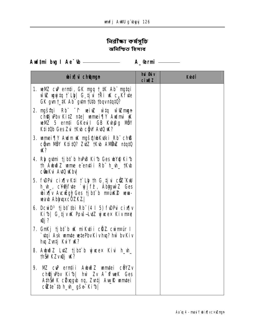# নিৱীক্ষা কৰ্ষসূচি অনিশ্চিত হিসাব

| <b>bix</b> i champh                                                                                                                                                                                                                                                                                                                                   | hủ <b>Gi</b> v<br><b>cin¶Z</b> | <b>K</b> hei |
|-------------------------------------------------------------------------------------------------------------------------------------------------------------------------------------------------------------------------------------------------------------------------------------------------------------------------------------------------------|--------------------------------|--------------|
| <b>1. www.cupernti, GK ngq t_#K Ab ngtqi</b><br>$\vec{w}$ is equity that $\vec{v}$ is the $\vec{v}$ of $\vec{v}$ in the $\vec{w}$ c. K fute<br>GK gwnt_#K Ab" gwmtU#b tbqvn#q#Q?                                                                                                                                                                      |                                |              |
| 2. ngštaj Rb° <sup>–</sup> f veivZ vìta vīdZmgn<br>ch <b>Qj</b> Pbv KitZ nte   wmei¶Y Awimi W<br><b>well 5 ernti GKevil GB Kvh@g MOY</b><br>K‡i‡Ob Ges Zvi †Kvb c@w AvtO uK?                                                                                                                                                                          |                                |              |
| <b>3. umei¶Y Auim uk myšą/ubkutki Rb" chß</b><br>c <b>ồm Nềy Ktitú? ZưZ tKu AMWE ntạtû</b><br>W?                                                                                                                                                                                                                                                      |                                |              |
| 4. Rh gumi tjbt b huPB Kib Ges by Rib<br>th Aububi Zume e emții Rb h_uh_tKub<br>c <b>ûaKu Autû uKhu</b>                                                                                                                                                                                                                                               |                                |              |
| 5. fine cirquiciti that the Guide Changes in the Guide of the Second Second Second Second Second Second Second Second Second Second Second Second Second Second Second Second Second Second Second Second Second Second Second<br>h_wh_, c¥%/fute `ujjf <sup>2</sup> , AbyguinZ Ges<br>bix w Auckig FGes tj bt b manual www-<br><b>wab AbhuxcOZKZ</b> |                                |              |
| 6. Dcubl <sup>3</sup> tjbt thi Rb $(4\ 1\ 5)$ fwricing<br>Kib  G tjvik Povš-LutZ ujucex Kivnro<br><b>Qj?</b>                                                                                                                                                                                                                                          |                                |              |
| 7. GnKj tjbt b 14. mikuti chz. cumpur 1<br>`vtqi Ask vamte vetePbv Kiv hvq? hw` bv Kiv<br>hvq Zvntj KviY W?                                                                                                                                                                                                                                           |                                |              |
| 8. Aubuð Z Lutz tjbt byjunex Kivi h_uh_<br>thŠifKZviQj iK?                                                                                                                                                                                                                                                                                            |                                |              |
| <b>NZ cıP erntii AbuðZ unntei cöyZv</b><br>9.<br>ch@jvPbv Ki1b  hwì Zv A TureK Ges<br>AthŠi?K cëlagob ng, Zvatj Avyk wmtei<br>$c\ddot{\mathbf{z}}$ te`tb h_vh_ gše Ki b                                                                                                                                                                               |                                |              |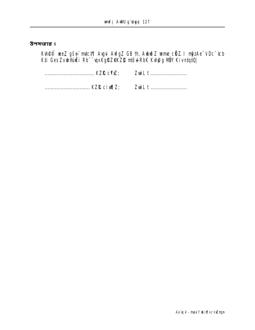উপসংহার ঃ

**Kvh@fî wez gše mict¶ Avgui AvfgZ GB th, AubuðZ unne cili Z. I mjezAe<sup>-</sup>vDc<sup>-</sup>ícb<br>K‡i Ges Zvub®úiËi Rb¨`upxKgRZ®KZj& mtšul-RbK Kvh@g MÖY KivntqtQ|** 

ZwiLt ........................ ZwiLt ........................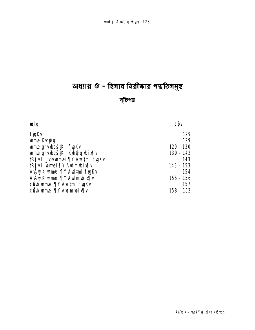# **ম্রধ্যায় ৫ - হিসাব নিরীক্ষার পদ্ধতিসমূহ**

# **m~wPcÎ**

| œlg                                       | <b>CÔV</b> |
|-------------------------------------------|------------|
| <b>fygKv</b>                              | 129        |
| <b>ume Kuh@g</b>                          | 129        |
| <b>ume gnvidšiki fyjkv</b>                | 129 - 130  |
| <b>ume gnvidážki kvh<b>g</b> q ibix¶v</b> | 130 - 142  |
| tRjv I _wvmmei¶Y Awl‡ni fygKv             | 143        |
| tRjv I wmei¶Y Awlmwbix¶v                  | 143 - 153  |
| AvÂyj Kwamei¶Y Awd‡mifyy Kv               | 154        |
| <b>AvÂyj Kuamei ¶Y Awim wix¶v</b>         | 155 - 156  |
| <b>cề bumei ¶Y Aud‡mi fygKv</b>           | 157        |
| <b>cề bumei ¶Y Audmubix¶v</b>             | 158 - 162  |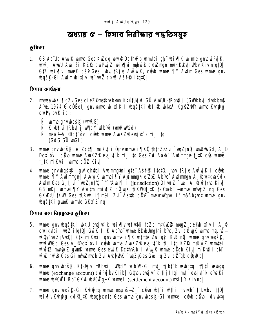# অধ্যায়  $c$  – হিসাব নিরীক্ষার পদ্ধতিসম্বহ

## ভূমিকা

1. GB Aa'dq Auy R ume Ges KuZcq ubw @ Dcth Rb um tei gy" wix | K wtn te gracui Pyj K, unfj AWU Au Bi KZR cu PujZ wix[d mbw@cxwmgn mx KAtj Pbv Kiv ntqtQ G‡Z bix[|vi mnek cšv Ges by tRjy AvÂyjK, câ b mmei [|Y Awdm Ges mme gnv bqšk-Gi Aulmbix ju ve viz cxuz Ašfe itatū

হিসাব কাৰ্যক্ৰম

- 2. mseaubK ¶gZvGes cieZ@nstkuabam K¤útUğui GÛ AWUi-tRbutij (GWkbyj duskbn)k A''t, 1974 G cöëetj gnv mme-bix (K I bgš#Ki bt \$k bta<sup>3</sup> KgRZ W mme Kh@g cwiPui by Ktib:
	- Ñ wme gnvubgšk (wnRG)
	- Ñ K‡Uğu tRbiti jultdý ulb v (unRulGd)
	- Ñ maké-A\_Oct ov I cầub wme AwkZQ evsjut k tij I to  $(GdG \tilde{G} \cup GI)$
- 3. wme gnv bqšk, e<sup>-</sup>Zc‡¶, miKyti i ĝnv wme i¶KÕ †h‡nZzZui `wqZ;nÕj wnRWGd, A\_© Dct ov I cho ume AukZO evg t k tij Itq Ges Zu Aarb-'Audmign t tk co ume 1.#K miKyti i wme cÖZ Kiv
- 4. wme gnv bąš ki gw chŵqi Awlmng in gta Ašff it qt0, by tRjy AvÂyj K I chob umei TV Aulmun Avâyk umei TV Aulmun e Zx Ab b Aulmun A\_CuitkuKux Audm Ges G<sub>s</sub>tj u<sup>\*</sup> \* august 2.0 million of the contract of the contract of the contract of the contract of the contract of the contract of the contract of the contract of the contract of the contract of the contract of t GB nKj wmei TV Awitm nsivilz cowsk tikwer\_tk tkYmeb -wme nt/yjZ nq Ges GKD>U 1KW Ges 1URui i'j m&l Zu Aartb cünZ meuniligui i'j m&Ablaux unne gnv **waš#Ci gunK wmte GKxfZ ngl**

হিসাব মহা নিয়ন্ত্ৰকেৱ ভূমিকা

- 5. ume gny byštki bku evsiyt k bixly vefytni teZb nrukke muz ce@bixly I A\_© cuitkutai `uqZ;itqtQ| GwK t\_tK Ab ib `ume BDubUngtni b q, Zu cQ yK ume nsu s-KCy`unZ; AvtQl Zte miKyti i gnv mme i¶K wtnte Zui gt" KvR nG wme gnv wgšK, unRWGd Ges A\_Oct ov I cab ume AuKZQ esi t k tij Ita KZR msku Z umtei wfieltz must z gunK wime Ges ewife DcthRb I Aug & wime cuqb Kiv miktii bM will hPB Ges Gi nf/s mab Zui Auty MX `unz; Ges Guelta Zui ci ab cünRb|
- 6. ume gnv bašk, K. Vija i tRbitij Witdý ulb V-Gi mt\_ tj bt b vebata i tij ti vebag ume (exchange account) curris by Ktib | GOLOVELS it k tij I tai mt\_elsj it k e ustKi ume bouë i Rb" GKW bouëqj K umel (settlement account) nsi TV Kivng
- 7. wme gnv wyšk-Gi Kvh@tq wme msuvš-Z\_" côvn wtPi wtîi mnyth" † Lytbv nttQ| bix v Kupa ku q tk bætxnte Ges ume anv bašk-Gi umtei cirb cirb dv bta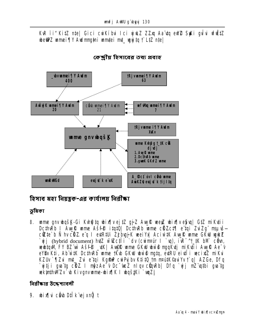# KvR ři"KitZ nte| Gici cuiKíbui Ici yjuLZ ZZxq Aaïtq eW® SyKi gului ufütZ be@2Z mmei¶Y Aulmmani mmtei mt\_ wujta f LtZ ntel



কেন্দ্ৰীয় হিসাবের তথ্য প্ৰবাহ

হিসাব মহা নিয়ন্ত্ৰক-এৱ কাৰ্যালয় নিৱীক্ষা

ভূমিকা

8. ume gny bašk-Gi Khtita bixily ejtz gjz Augli veevz bixily e\$val Gtz miKytii DcthvRb I AvyR wme Asfe itat0| DcthvRb wme cHZct1| e tai ZviZg msuvscitte b Ñ hv citz e q I ed R tu zj buj K wei Y A A c i w t K A w R wme G K W w d Z `uji (hybrid document) hutz wiveciii dv (cum¤ur I `u), iuR<sup>-^†</sup> #K bM com, whitaw FY BZ w ASFP \_ UK | Auf R ume GKW bwo ngqKutj miKuti i Aug R Ae V eYBy Kti, Ab with DcthRb unne thub GKW www mata, evRU ei vil weixtz miku KZUv ` ¶Zvi mt\_ Zvi e tgi KgfwP cviPviby KtitQ tm m¤utK©aviYv t` g| AZGe, Dfg `vitji qva`tq cülZ. I mîz Ae v Dc wcZ nlqv cünvRb| Dfq `vij mZ`vqtbi qva`tq wkinthMZv b Kivanvwme-wixik I wastKi waZj

নিরীক্ষার উদ্দেশ্যাবলী

9. bix¶vi cêvb D‡lk ej xnỹt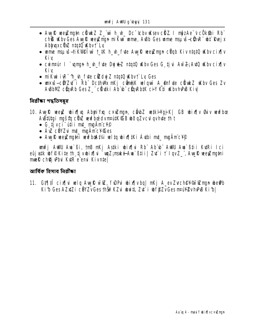- Aug R weyZmgtn c Bluk Z Z\_wi h\_uh\_ Dc C bv uK sev c BZ. I m jz Ae V c Ök fib Rb" ch® Kby Ges Aw R werZman mi Kui ume, AuBb Ges ume mau is-eüh R" uht Rueix Abhuxc**Uz** ntatQ Kbvt Lv
- with mights-tik we fun that he had fite Aug R weight might Kiv ntate who cin in Kiv
- cwintair I `wman h \ fute Duithez ntatQ \Kby Ges G tivi Aw Z: AutQ \Kby cixfly Kiv.
- mi Kui i R<sup>-1</sup>h the fute cied wi Z ntat 0 Waby i Ly Ges
- www.is-cüyzut i Rb" Dethwyk mKj cümte welawi A ênfyte cümtez uKby Ges Zv A\BbNZ cüqRb Ges Z\_" cü\tki Ab"b" cüqRbtK ciY Kti KbvhPB Kiv|

নিৱীক্ষা পদ্ধতিসম্বহ

- 10. Avuk weyl wixjy AbuiYxu cxwlmun, câubl wikHqjK| GB wixjy Suv wufbce Austitta i mašta cihiž veufbædv matik@B uho azv cul av hute th t
	- $\bullet$  G tivei  $\tilde{u}$ tii mt maäme $\tilde{v}$
	- AV cevzu mt multimicy@es
	- Auyf wew main wufboat/a wita wix fithi Authi mt\_maAmcYP

unfj AWU Au Ci, mB nKj Aski wix w Ab Ab Awu Au Chii Kuri Ici eûj wik wf PK ite th tj vwix Ni muz; maké Aw Bti i | Zu i t l gv Z ... Aw R wer Zmatni muell chej Pbu Kurk e emi Kivnte

ब्रार्शिक छित्रात तितीक्का

11. Gt¶ti cix¶u wlq AuyR wi@, f\DPu bix¶vbq| nKj A\_ev Zych@Y@vimyn be@b Kib Ges AZxZi cöYZvGes thšiř KZui wuitL Zui i wf@ZvGes nruH ZvhPB Kibl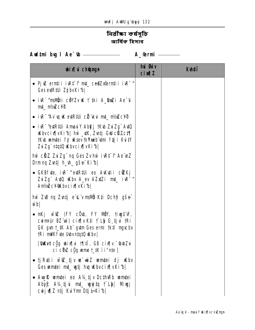# নিৱীক্ষা কৰ্ষসূচি আৰ্থিক হিসাব

Aud‡mi bug I Ae<sup>-</sup>tb <u>entimental</u> A\_@rmi entimated A\_@rmi

| <b>bix</b> i champh                                                                                                                                                             | <b>hui Guiv</b><br>$ci$ $M1Z$ | <b>Kuhei</b> |
|---------------------------------------------------------------------------------------------------------------------------------------------------------------------------------|-------------------------------|--------------|
| • PjuZ ernții ivR‡^1 mt_ ce@Zxernții ivR^^<br>Ges evtR#Ji Zj bvKi b                                                                                                             |                               |              |
| • ivr^msivõhi cëyzvuk † ‡ki A_Bmzi Ae~Gi<br>mt_mt/eZcY?                                                                                                                         |                               |              |
| • ivr~"Av`uq uK evtR‡Ui ci ikui mt_ m½ ikcY?"                                                                                                                                   |                               |              |
| • ivr~evtR#Ji AmaviY AbKj †Kvb ZviZg¨ AvtQ<br><b>Kbvcix[vKib] hẁ_\tK, Zvatj GW cHZct[]</b><br>tKub unmutei fj uksev tk <b>Yme</b> b umi ftji KuitY<br>ZuiZg" ntqtQ Wbvcix[vKib] |                               |              |
| hŵ cliz Zuizg" ng Ges Zvhŵ ivR‡ <sup>-</sup> f Ae"vnZ<br>Drmnq Zvntj h_vh_ gše <del>`</del> Ki <i>f</i> b                                                                       |                               |              |
| • GKBfyte, ivR <sup>-^</sup> eytR#Ji eo Avkytii c <b>ë</b> ZKj<br>ZuiZg" AutO uKbv A_ev AZxtZi mt_ iuR <sup>-^</sup><br><b>Ant/MCYWbvcixTvKibl</b>                              |                               |              |
| <b>hù Zu ng Zuitj e L'v mavi K‡i Dchỹ gše produkti</b><br><b>wbl</b>                                                                                                            |                               |              |
| • nKj wi CI (FY cÖvb, FY NÖY, †ivgU`vÝ,<br>cwmpur BZ wv) cix v Kti f Lb G tju tRi<br><b>GK gwn t_#K Ab gwtm Ges ermi tk#I ngwcbx</b><br><b>TRi mWK fute Udby ntqtQ uKby</b>     |                               |              |
| [UnKvt cüg ubix[ vi †  il], GB cix[ v <sup>-</sup> taxbZvi<br>ci c <b>ünz</b> c <u>üg</u> unne t_#K ri"n‡e ]                                                                    |                               |              |
| • tj Ruti i wiez tj v w die zwerden die ukby                                                                                                                                    |                               |              |
| • Aug R umtei eo A14 tjv DcthRb umtei<br>Abit A'A tju mt_ wyjtq i`Lb  Miwjj<br>cuiju¶Z ntj KulYm Dtjl-Kib                                                                       |                               |              |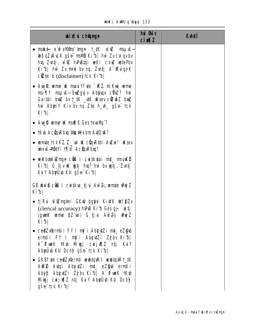|  |  | unfj AWU g'ubyyj 133 |  |
|--|--|----------------------|--|
|--|--|----------------------|--|

| <b>bix</b> champh                                                                                                                                                                                                                                                     | hui Øuiv<br><b>cixqZ</b> | <b>Kthei</b> |
|-----------------------------------------------------------------------------------------------------------------------------------------------------------------------------------------------------------------------------------------------------------------------|--------------------------|--------------|
| • mské e vřeMřns (ngn t_#K w uz msu vš-<br><b>uðqZvÁvcK gše msilö Kifs  hww Zvcul qvbv</b><br>hvq Zvntj, wiez hvPustqi veKí cxvz vetePbv<br>Kib  hŵ Zv nr¢ bv nq, Zvntj A~KvigjK<br>$c$ $E$ <b>te</b> $\mathbf{b}$ (disclaimer) $\mathbf{c}$ <b>k</b> Ki $\mathbf{b}$ |                          |              |
| • Aug R unne uk mau l'fute "SKZ mi Kui unne<br><b>msi ¶Y msµvš—bxiZgyj v Abljuqx c0xiZ? hw</b><br>Gaithi bull bu t_tK _utK uKsev citt wo hull<br>hù AbyiY Kiv bv ng Z‡e h_vh_ gše tck<br>Kib                                                                          |                          |              |
| • Aug R ume uk man B Ges tevally?                                                                                                                                                                                                                                     |                          |              |
| • IKub Acümpedia Vultikkbm Auto uk?                                                                                                                                                                                                                                   |                          |              |
| • umte tckKZ Z_wi uk cünRtbi Auzui <sup>3</sup> uksev<br><b>un: us-Altive 1911 Actin Rbm?</b>                                                                                                                                                                         |                          |              |
| $\bullet$ wwfbon $\bar{u}$ ange cits is curticular mt_ math $\Omega$<br>Kib  G tjv K wytj hwy? hw` bv wytj, Zwtj<br><b>KuY Abyülb K‡i gše Kifol</b>                                                                                                                   |                          |              |
| <b>GB www cond I cuitke tju Aw Z; wmte wy Z</b><br>Kibl                                                                                                                                                                                                               |                          |              |
| • tj Ru wizmytni GKW bglyu KiwK wf\$Zv<br>(clerical accuracy) hPB Kib Ges gj `vitj<br>(gunK ume BZ uv) G tjui Aw 24 uWy Z<br>Kibl                                                                                                                                     |                          |              |
| • ce@Zxerntii FY I njì i AbçutZi mt_eZ@b<br>ermții FY I mj`i AbyuțZi Zjbv Kib <br>A <b>"Of wek" tk b Mi wgj cwij wijz ntj</b> KuiY<br><b>Abyü'dd K‡i Dchŷ gše tck Ki b </b>                                                                                           |                          |              |
| <b>GKBfvte ce@Zxernti verbtqvMl verbtqvMt_tK</b><br>AW2 Avtqi Abçuzi mt_ ez@b erntii<br>Abyc Abydzi Zjbv Kib  A CrueK tKub<br><b>Muj cuju¶Z ntj KuY AbyÜvb K‡i Dchŷ</b><br><b>gše tck Kibl</b>                                                                        |                          |              |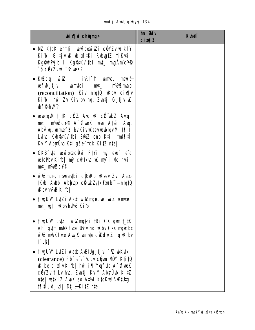|  |  | <b>unfj AWU g`byyj 134</b> |  |
|--|--|----------------------------|--|
|--|--|----------------------------|--|

| <b>bix</b> champh                                                                                                                                                                                                                                               | hui <b>Biv</b><br>$ci$ $M1Z$ | <b>Kulei</b> |
|-----------------------------------------------------------------------------------------------------------------------------------------------------------------------------------------------------------------------------------------------------------------|------------------------------|--------------|
| • NE K‡qK ern‡ii vevfboxū@i cëYZv ve‡kH<br>Kib  G tjv K bix¶#Ki Rbg#Z miKutii<br>Kg@wiPyjb I KgffPuv #bi mt_ mgAmcY?<br>`ó cëYZv <b>K</b> d <b>fueK?</b>                                                                                                        |                              |              |
| • Kuzcq wiuz I iurt f wme, mské<br><b>wfW</b> tj vi wmtei mt_ nt/ximab<br>(reconciliation) Kiv ntqt0 Wbv cix[ v<br>Kib  hẁ Zv Kiv bv nq, Zvntj G tjv K<br><b><i>bf@hM?</i></b>                                                                                  |                              |              |
| • weubtqwn t_tK cHZZ. Auq uK chii uukZ Autqi<br>mt_ m/MZcY? A freeK ubæ At% Aug,<br>Abv u, umef? bvKivuKsevusubtqutMi 191<br>Luiu: Kuhôpun thi Burz enb K‡i  tmt¶‡i<br>KuY Abyüb K‡i gše tck Ki‡Z n‡e                                                           |                              |              |
| • GKBfyte wewfboecitivi F#Yi my eye` e <sup>re</sup> q<br>wetePbv Kib   my cwitkva w k mj i Nb mutii<br>mt_mt/wZc¥©                                                                                                                                             |                              |              |
| • will many manaadibii cüqu Rb uksev Zui Aaxb<br>tKub AuBb Abhuqu cürukZ/tkYmeb" -ntqtQ<br><b>KhyhPB Kibl</b>                                                                                                                                                   |                              |              |
| • tiyyU W LutZi Aaxb w @ngn, w wiZ wmtei<br>mt_ ugtj uKbvhPB Ki1b                                                                                                                                                                                               |                              |              |
| • tiyyü W LutZi wi@mg#ni tRi GK gunt_#K<br>Ab" gutm mWK fute Uubv ng uKbv Ges ngucbx<br>will milk fute Aug & umute cill duj Z nq uk by<br>t Lyl                                                                                                                 |                              |              |
| tiyyU`w⁄ LutZi Aaxb AvB‡Ug tjui`�� wkutki<br>(clearance) Rb e e tcbv com MOY Ktitu<br><b>K by cix[vKib] hw j[TYxqfvte A OfweK</b><br>cëYZv † Lv hvq, Zvntj KviY Abyrüvb KitZ<br>nte   wiki Z Awk eo At%i KtqKW AvBtUtgi<br><b>1¶iÎ, dj ulj Dtj l-KitZ nte  </b> |                              |              |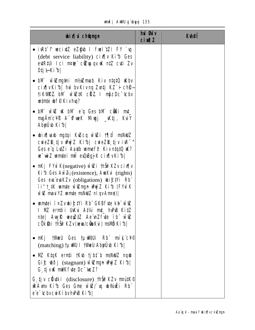|  |  | unfj AWU g`ubyyj 135 |  |
|--|--|----------------------|--|
|--|--|----------------------|--|

| <b>bix</b> champh                                                                                                                                                                                                                                                | hui <b>Guiv</b><br>$ci$ $MZ$ | <b>Kulei</b> |
|------------------------------------------------------------------------------------------------------------------------------------------------------------------------------------------------------------------------------------------------------------------|------------------------------|--------------|
| • ivrt t wecid z ezgyb I fwel zi FY `u<br>(debt service liability) cin With Ges<br>ed R full i l c i n r de cù qu q v u k n t Z c d i Z v<br>DijŀKi⁄b                                                                                                            |                              |              |
| • bM wiZmg‡ni m½Zmab Kiv n‡q‡Q iKbv<br>cix[ vKib  hw bvKivnq Zvntj KZ`i chg-<br><b>fikVIRZ.</b> bM wiZ#K c <b>RZ.</b> I m <sub>p</sub> z Dc <sup>-</sup> tcbv<br>white wife Kivhu?                                                                               |                              |              |
| • bM will uk bM eig Ges bM cültimut<br>mgÄmc¥® A <sup>-</sup> tfueK Miujj _tKtj, KuiY<br>AbyÜb Kib                                                                                                                                                               |                              |              |
| • bix hab ngtqi KuZcq wi Zi tiji mshulz<br>cweZD tjv Www/Z Kib  cweZD tjv iR <sup>-^</sup><br>Ges e'q LutZi Aauth unnef <sup>2</sup> Kivntqt0 UX?<br>we wiZ wmtei nti every k cix v Kib                                                                          |                              |              |
| • $mKj$ FYUK(negative) will thin KZv cir $n$<br><b>Ki<sup>6</sup></b> Ges Aw $\mathbb{Z}_1$ (existence), AunKu (rights)<br>Ges evaïevaKZv (obligations) wift <sup>y</sup> i Rb<br><b>TI"t_#K wmte w@ngn wyz Kib (FYuK</b><br>will maxi YZ umte msNWZ nl qv Anre) |                              |              |
| • umtei i×Zvbi£tYi Rb" GKBfute kb" wiZ<br>I NZ ernții UKui A‡¼ mț_ huPB Ki‡Z<br>nte   Auy R wey ZtZ Ae n2 fyte ib will<br>cÖk\$bi thŠi?KZv(www.cümkui) msilö Ki1b                                                                                                |                              |              |
| • nKj tWeU Ges tµwWUi Rb° mìk°c¥©<br>(matching) <b>tunio I the Abyub Kib</b>                                                                                                                                                                                     |                              |              |
| • NE K‡qK ernti †K\b tjb‡`b msNWZ nqub<br>Gif bồj (stagnant) wiengn wýz Kib <br>G tj vik mik fute Dc "tue Z?                                                                                                                                                     |                              |              |
| <b>G tjv cüyki</b> (disclosure) <b>thš? KZv matk©</b><br><b>RÁmy Kith Ges Gme with y what i Rb"</b><br>e'e <sup>-</sup> tcbvcwiKibvhPBKib                                                                                                                        |                              |              |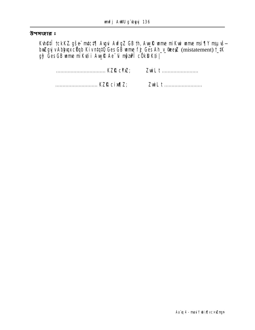#### উপসংহার ঃ

**Kuhêtî tckKZ gše mici¶ Avgui AvfgZ GB th, Avylk ume miKui ume msi¶Y msµuš—<br>bxiZgyjv AbljuqxcÜqb KivntqtQ Ges GB ume fj Ges Ah\_y\_@eeyZ (mistatement) t\_tK<br>gj<sup>2</sup> Ges GB ume miKutii Avylk Ae<sup>-</sup>ui mjziPî cÖkD Kti|**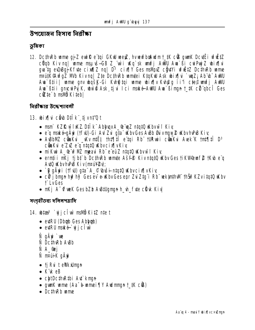উপয়োজন হিসাব নিৰ্বীক্ষা

ভূমিকা

12. DcthRb wme qj Z ewill e taj GKW weyZ, hvwyfboludmt tK cOS gwnK Dcytt i vfuttZ cüqb Kiv nq| ume msus-GB Z\_wi ukq sk unfj AWU Au Si cu Pujz bix[|u gua tg eu0Bgj Kfute cinfiz ng | D<sup>3</sup> cixfiy Ges mslinz ciytYi wfwtz DcthuRb wame madik@Awfg2 Mb Kivnq| Zte DcthRb umtei KtqKW Ask wix[|u `wqZ; Ab \b AWU Aun Attitude on the same way to be a series of the series of the series of the state of the state of the state Au Bili gncu Půk, byl Ask ti u Ici naké Aulu Au Binnn t tk cü gbcî Ges cite b mavi Kitebl

वितीकात উদ্দেশ্যাतली

- 13. bix di câ bii k ti vnt' ut
	- nani KZR wi kKZ Dilik AbhupxA\_@wqZ ntqtQ Kbvwi f Kiy
	- e'q maké-qÄyi († f U)-Gi Au Zui qia Kbv Ges A Bb Guivmay & Kbv h PB Kiv
	- AvBbIVZ cůnku "vkv niža thi i ji e toji Rb" turni cůnku Avek K tni i D<sup>3</sup> cünKu e ZZ e q ntqt0 Kbvcix vKiv
	- mi Kui A\_@ w<sup>2</sup> M2 mpaui Rb e euZ ntqt0 Kbvw i Kiv
	- erntii nKj tjbt b DcthRb umte Asf<sup>®</sup> KivntqtQ Kbv Ges tiKWeuf @ tKb e q AutO uKbvhPB Kiv(mAuY2v);
	- `B gÄyii (tful) gta A\_© buši-ntqt0 uKbvcix[vKiv
	- c $\ddot{\mathbf{v}}$  j bmun hu?hy? Ges ev e-uKbv Ges enr Zvi Ztq"i Rb" vekinth VII th Su?KZv itat0 uKbv **T** LyGes
	- nKj A<sup>-</sup>tfueK Ges bZb AvB#Ugman h\_vh\_fyte clivk Kiv

সংগৃহীতব্য দলিলপত্রাদি

- 14. biza<sup>3</sup> `uj j cî w mavö KitZ nie t
	- eviRU (Dbab Ges Abhab)
	- · evtRU mské gjclw
	- Ñ gÄwi`we
	- **N** DcthRb A&b
	- **N** A **e**j
	- Ñ n¤úiK gÄyi
	- tj RuiteWkkUmgn
	- $\bullet$  K  $\mathbf k$  eB
	- chtDc#wR#bi A4`kmgn
	- gunK ume (Aa<sup>-</sup>b-umei TIY Audmun t\_#K c®)
	- DethuRb ume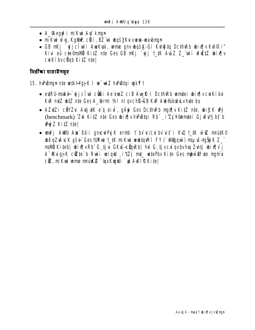- A\_Hequ<sup>2</sup> i mikui Au<sup>+</sup> kmun
- · nikui wq, Kqfw, cüí, BZ w bqšyku xww-wabnun
- GB nKj `yjjclu`i Awkwk, wme gnv wgšk-Gi Kung ta DcthRb wix y Kuh@i" Kivi eû c‡e©malvö Ki‡Z n‡e Ges GB nKj `vjj † #K AvüZ Z\_ wì ufië‡Z wbixa v cuikí byc**va**b Kitz ntel

নিৱীক্ষা যাচাইসমূহ

## 15. hvPBman nte vetk Haj K I ve viz hvPBtgi vakYt

- evtRU-maké `vjjcî w cüli Ae emZ ciB AvyR I Dc#nRb umntei wix¶v cwkí bui KVR mtZ whtZ nte Ges A\_@rmi tkl nl gvch@-GB KVR Aw@ibceLvhute by
- AZXZi cÖYZ A XI VK e'q ei , qäri Ges Dcth Rb mux v KitZ nte, wi£K wy (benchmark) "Zu KitZ nte Ges bix[|v hPBtqi Rb" i'ZcY@umtei Gj Kv'tj bt b Why Z KitZ nte
- unfj AWU Au ` B‡i i gncur Pyj K ernti † bv u / cu bv u t i Ku t\_tK w uZ nrutK© dið q ZvÁvcK gše : Ges turair t\_tK mi Kuir veddtan III FY (`xWarawi) msu vš-taši KZ\_" msWB Kiteb| wix¶vRb" G tjui GKuš-sünRb| hw G tjvcul qvbvhuq Zuntj wix¶v j A Kugj K cëte b Rui velqui i #Zj mt vetePbv Kite Ges mbw Of te ngmui ciz, nikui ume nrúk ? "gxkujui ` y AWIP Kite|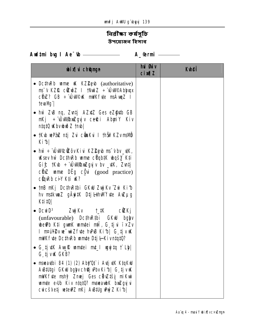# নিৱীক্ষা কৰ্ষসূচি উপযোজন হিসাব

| <b>bixi</b> champh                                                                                                                                                                                                                                                    | hủ <b>Gi</b> v<br><b>cixqZ</b> | <b>Kuhei</b> |
|-----------------------------------------------------------------------------------------------------------------------------------------------------------------------------------------------------------------------------------------------------------------------|--------------------------------|--------------|
| • DcthRb ume K KZ2pb (authoritative)<br>ms v KZR cizoz I tNutz ÷ ÚWPAbhupx<br>c <b>UnZ? GB ÷ ÚWPK mWKfvte msÁvmz I</b><br>tevalM <sub>1</sub>                                                                                                                         |                                |              |
| • hw ZuB nq, Zuntj AZxtZ Ges eZ@utb GB<br>n Kj ÷ ÚW PomZgyj v ce®ci AbyniY Kiv<br>  ntqtQ uKbvubuðZ †mb                                                                                                                                                               |                                |              |
| • †Kub vePaiz ntj zvi cůnkvi i †hŠiř Kzv mavið<br>Kib                                                                                                                                                                                                                 |                                |              |
| • hw $\div$ UWC Covkiu KZ Levb ms v bv $\div$ K,<br><b>Ksev hiv DcthRb ume cUqbtK wasy Kti</b><br>Gif: $tK\Phi \div \hat{U}$ whose gy iv by $\hat{U}K$ , Zutj<br>$c\ddot{\mathbf{v}}$ <b>ume DEg c<u></u></b> $\ddot{\mathbf{v}}$ (good practice)<br>cüyeb ciy K‡i W? |                                |              |
| • tnB nKj DcthRtbi GKW ZwjKv^Zwi Ki1b<br>hv mstkuni gäytt Dtj Lihwifte Auzug<br>K‡i‡Q                                                                                                                                                                                 |                                |              |
| • DcwiD <sup>3</sup> ZwjKv †_#K c <b>ik</b> Kj<br>(unfavourable) <b>Dc#nR#i GKW</b><br><b>bglyv</b><br><b>weth Kti gunk umtei nff, G tju ï×Zv</b><br>I nPuY2v we wiZf the hvPB Ki b  G tj v W<br>mWK fyte Dc#wRb wm#e D‡j I Kivn#q#0?                                 |                                |              |
| • G tjutk Auylk umtei mt_l ungita t Lbl<br>G tjv <b>k</b> GKB?                                                                                                                                                                                                        |                                |              |
| <b>mseadbi 84 (1) (2) Aby'Qi` i AdjidK K‡qKW</b><br>A Billigi GKW bglyvch@j Pbv Ki b  G tj v W<br><b>mi/Kf·te mshy? Zmej Ges cit/Ztši mi Kwi</b><br>umte edb Kiv ntqt0? mseaubK briZgyjui<br>cuicšketj vetev?Z nKj AvBtUg why Z Kib                                   |                                |              |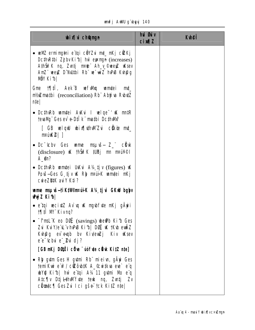### unfj AWU g'byyj 140

| <b>bix</b> champh                                                                                                                                                                                                                 | hui Guv<br>$ci$ m $l$ | <b>Kuhei</b> |
|-----------------------------------------------------------------------------------------------------------------------------------------------------------------------------------------------------------------------------------|-----------------------|--------------|
| • velVZ erming‡ni e tgi côYZvi m‡ nKj cûZKj<br>Dc $\text{Im}$ R $\text{hi}$ Zj bv Ki $\text{hi}$ hw eyengn (increases)<br>AthŠiř K ng, Zvatj mede Ah y ®veeyz uKsev<br>AnZ" weyZ D"NUthi Rb" w "wiZ hvPB Kvh@g<br><b>NÖY Kibi</b> |                       |              |
| Gme 17  11. Aek B we fwlg wm tei mt<br>m/imathi (reconciliation) Rb Abyiva RubutZ<br>nte                                                                                                                                          |                       |              |
| • Dcthweb wantei Awki I welge <sup>-</sup> ik mate<br>tevalVg" Ges ev <sup>-</sup> e-D‡l k" matbi DcthWl?                                                                                                                         |                       |              |
| [ GB welqw wixq\th\MZwi cike mt_<br>min(X)                                                                                                                                                                                        |                       |              |
| • Dc <sup>-</sup> tcbv Ges wime mague Z_" click<br>(disclosure) $\mathbf K$ that $\mathbf K$ tubi m manive<br><b>A</b> en?                                                                                                        |                       |              |
| • DcthRb umtei UKui $A\mathcal{H}$ tjv (figures) $\mathbf{K}$<br>Povš-Ges G tjv uk Rh manik umntei mkj<br>cweZBIK auY Kti?                                                                                                        |                       |              |
| wme msuvš-ti KtVienpui K A14 tj u GKW bglyv<br><b>Whyz Kibl</b>                                                                                                                                                                   |                       |              |
| • e'tgi vecixtZ Av`vq uK mgubfyte mKj gÄyrii<br><b>MIII M' Kivnq?</b>                                                                                                                                                             |                       |              |
| • <b>Finst K eo Dor</b> (savings) <b>been Kit Ges</b><br>Zui KuiV/e''L''v hPB Kib  DO KK 1Kb euilZ<br>Kuhpag ev eugh by Kiveuzj Kiv uKsev<br>e e tchui e Pui dj?                                                                  |                       |              |
| [GB nKj DØJË i cÖve "uof te cürk KitZ nte]                                                                                                                                                                                        |                       |              |
| • Rhy gutm Ges H gutmi Rb" mieiun, gAyi Ges<br>temikui e w?/ cizôub#K A_ Cuitkua eue` e q<br><b>WQ Kib   hw etqi A1411 gutni Mb eq</b><br>Atc¶v Dtj L#hWlfvte †euk ng, Zvntj Zv<br><b>cümic¶ Ges Zvi Ici gšeï tck KitZ nie </b>   |                       |              |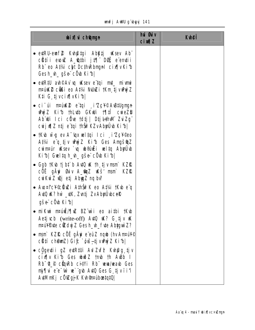|  | unif j AWU që buyji 141 |  |
|--|-------------------------|--|
|  |                         |  |

| <b>bix</b> digmyn                                                                                                                                                                                                                                                                             | hui Øuiv<br><b>cin¶Z</b> | <b>K</b> hei |
|-----------------------------------------------------------------------------------------------------------------------------------------------------------------------------------------------------------------------------------------------------------------------------------------------|--------------------------|--------------|
| • evtRU-eunf $\mathcal P$ Kvh@tgi Abktj uksev Ab"<br>cütíi ewuZ A_othi jt¶ Dor, e emtii<br>Rb" eo A#4 cht Dc#nRbmgnl cix[ vKib<br><b>Gesh_vh_gše: cÔub Kifb </b>                                                                                                                              |                          |              |
| • eure auto and any compute the server of the server of the server of the server of the server of the server of the server of the server of the server of the server of the server of the server of the server of the server o<br>nrúké cůši eo Atvi NJLZi tKm tjvůný Z<br>K‡i G tjvcix¶vKi⁄b |                          |              |
| • ci úi maúké e tai izcy© A&tUgngn<br>Why'Z Kith thLuth GKWi that cureZD<br>Ab Willciclote tdtj   Dtj LthWi ZuiZg"<br>cuiju¶Z ntj e tqi thŠi?KZvAbyÜb Kib                                                                                                                                     |                          |              |
| • tKub wīg ev A "upx veltai Ici i Zc¥©eo<br>Atvi e'q tjv wydz Kib Ges Angšwyz<br>cummur uksev `va ub@uili velta Abudiyb<br>Kib  Gwlta h_h_ gše cÔb Kib                                                                                                                                        |                          |              |
| • Ggb tKub tji bi b Auto uk th tjivmami KZR<br>cốế gầyi <b>Giv A_Gyz u</b> kš' mani KZRL<br>cư Kuí Zu Qjetj Abyy Znq bư                                                                                                                                                                       |                          |              |
| • Aw¤tc¥©cüwzi AthŠifK eo At¼ †Kw eïq<br>AutO uk? hw _uk, Zuntj ZvAbyrUbceR<br><b>gše côu Kibl</b>                                                                                                                                                                                            |                          |              |
| • mikui mauič/¶uz BZ wii eo aithi †Kub<br><b>Aetjuch</b> (write-off) <b>Auto K? G tjv K</b><br><b>nrull Pyte cizdyj Z Ges h_vh_fyte Abygwi Z?</b>                                                                                                                                             |                          |              |
| • mani KZIQ côi gâyi e euz ngub (hv Ampul <sup>y @</sup><br><b>chtí chêmz) Gi<i>t</i>: óvš-tjvuný z Kifi</b>                                                                                                                                                                                  |                          |              |
| c <u>ůg</u> evtii gZ evtR#Ji AvlZvf <sup>2</sup> Kvh@g tjv<br>cix[ v Kib Ges ubub Z tmb th AuBb I<br>Rb <sup>-</sup> t <sup>o</sup> cüyRb citYi Rb vevalueaub Ges<br>mj¶vi e e wi we` gub AvtQ Ges G tjvii'i<br>AutMnKj cÖiZgjK Kuh®mübastqtQ                                                 |                          |              |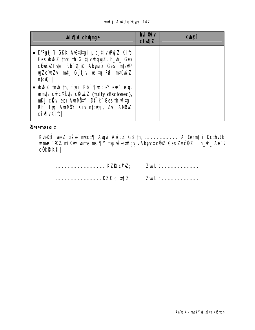#### unfj AWU g'byyj 142

| <b>bixivich@ngn</b>                                                                                                                                                                                                                    | <b>hui Guiv</b><br><b>cixqZ</b> | <b>Kuhei</b> |
|----------------------------------------------------------------------------------------------------------------------------------------------------------------------------------------------------------------------------------------|---------------------------------|--------------|
| • D'Pg右 i GKK AB拟gi µq tjv mýZ Kib<br>Ges with Z tmb th G tjv wquyZ, h_wh_ Ges<br>clide. Rb <sup>-</sup> 4_P Abmix Ges mte@P<br>wyZe wyZui mut_ G tjui welta Pm? mauwiz<br>n‡qıQj                                                      |                                 |              |
| • $\omega \tilde{\omega}$ z tmb th, figst Rb $\eta \tilde{\alpha}$ cil ere e q,<br>umte cuic¥®te cüukz (fully disclosed),<br>nKj c <b>išu epr Aundity i D‡i k</b> " Ges th wī do i<br>Rb" fig Awillow Kiv ntquej, Zui Allow<br>cixvkib |                                 |              |

উপসংহার ঃ

| KZR cixq2; | ZuiL t |
|------------|--------|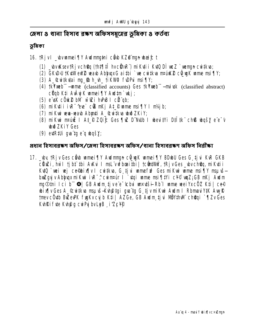জেলা ৪ থানা হিসাব রক্ষণ অফিসসমূহের ভূমিকা ৪ কর্তব্য

# ভূমিকা

16. tRjvl \_bvumei¶Y Aulmnthi côb KZ@mun bai£t

- (1) \_bvuKsev†Rjvch@q (†h‡¶‡Î hvc@nR`) miKu‡i i Ku‡û DÌ un Z`unengn cui‡kva;
- (2) GK\D>U †K\#WeW2 wab AbhyyxG ai #bi `we cwi#kva m¤uikk2 c@wqK wme msi [IY;
- (3) A\_&witkdai mg\_sb h\_uh\_tikW9 f\DPui msi¶Y;
- (4) **tkYmeb** —**ume** (classified accounts) Ges **tkYmeb** —**mixsk** (classified abstract) cüqb Kti AvÂyj K unnei ¶Y Audtm`ukj;
- (5) e uk cörke bin wizi huns I cü ab;
- (6) mikuti i i R<sup>-</sup>ree c's mkj At Pume msi ||Y I mkj b;
- (7) mikui wua-wash Abyati A\_@uitka ubii ZKiY;
- (8) mikui mauli I At P ZQic Ges [|ul D Nub I weuitvi Dilitk chß wqsy e e v **JužZKiY** Ges
- $(9)$  extralli qua ta e a basy;

প্ৰধান হিসাবৱৰূণ অফিস/জেলা হিসাবৱৰূণ অফিস/থানা হিসাবৱৰূণ অফিস নিৱীৰ্কা

17. \_wy tRjv Ges côw wmei TY Awimmyn convert TY BDwU Ges G tju KuR GKB cüwzi, hwl tjbt thi Awi I msl vufboaithi | tcümtum', tRjvGes\_wvch@q, miKutii Kutū `uei vej ce@bix[|v I cwitkva, G tjvi wmefn? Ges miKwi wme msi¶Y msuvšbriZgyj v Abhyax mi Kwi i vR<sup>-</sup>, cui m¤ur i staji unne msi¶i Yi c¥© wqZ; GB mKj Awim ng Omi Ici b 0 GB Audm tjve e tchu undši Rb I ume wei YxcOZ Kti ce® bix[v Ges A\_&witkva msuvš-Kvh@tgi gva tg G tj v mi Kwi Awdm I RbmaviYtK AwyR tmev c**öutb BuZeuPK funkv cu b Kti | AZGe, GB Audm ti u NöYthWi ch@qi ` ¶Zv Ges** Kuhki fute Kuhta cui Pui by LeB i ZcYP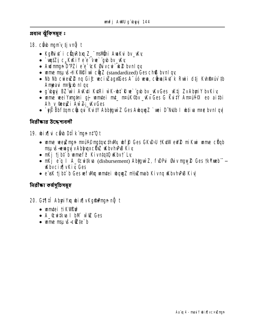প্ৰধান ঝুঁকিসমূহ ঃ

- 18. cib mumv tjvnů t
	- KgPux\* i cünRbxq Z\_" msilüni AvaKvi bv\_W.y
	- $\sqrt{m}$   $\sqrt{Z}i$   $C_{\mu}$ KKiY e e  $\sqrt{w}$  gb by Ky
	- Audmign D'PZi e'e 'tcK Guvcui' un bvnl qv
	- ume maus-#KVIO um cinz (standardized) Ges ch® bvnl qy
	- No No cureuz 2 ng Gif: weciszago Ges A úo wwa, citua/Aut k Ruri dtj Kuhiteniu th Ampaui nright ni qu
	- g'ubyyj BZ'uvi Avkuti KutRi w`K-uht Rue`"gub bv\_wkvGes\_wktj ZvAbyniY bvKiv
	- wime wei Yxngthi gj wimtei mt\_ maik@v\_kv Ges G Kui IY Anrain @ eo aithi Ah v Greyzi Aw Z: KvGes
	- `eg Bbftamcëuqui Kuity Abbigur Z Ges Aubaug Z `ue i D~NJb I ubtiva nret bvnl qv

নিরীক্ষার উদ্দেশ্যবলী

19. bixilvi câ b Dilk man nt'Q t

- wime weekings new? matgrethWk wfp Ges GKWJ tKutWeW 2 miKwi wime cUgb nsuvš-reingvi v Abhunxc Uvz Kbv hvPB Kiv
- nKj tibt b umef? Kivntat0 Kbvt Ly
- nKj e'a I A\_Ccwitkva (disbursement) AbtawiZ, f\DPai Biv may 2 Ges tkYmeb"-**KhycixTyKiv Ges**
- e'uk ti bi b Ges we fully wontei way z nt/# mab Kivng WabvhPB Kiv

নিৱীক্ষা কৰ্ষসূচিসম্বহ

## 20. GIJIÎ AbuiYu bixJvKgfangn nỹ t

- umtei tikvin
- A Cuitku I bM will Ges
- $\bullet$  une maus- $\bullet$  the b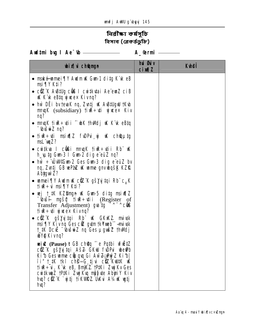নিৱী**ক্ষা কৰ্মসূচি** হিসাব (ৱেকৰ্ডভুঁজি)

Aud‡ni by I Ae<sup>-</sup>th <u>\_\_\_\_\_\_\_\_\_\_\_\_\_\_\_\_\_\_\_\_</u> A\_@rmi \_\_\_\_\_\_

| <b>bixi</b> champh                                                                                                                                                                                                                                                                                | <b>hủ sti</b> v<br><b>cimal</b> | <b>Ktheff</b> |
|---------------------------------------------------------------------------------------------------------------------------------------------------------------------------------------------------------------------------------------------------------------------------------------------------|---------------------------------|---------------|
| • mské-wmei¶Y Awdm W. Gwn-1 di‡g K¨vk e B<br>$msi$ $\gamma$ Kti?                                                                                                                                                                                                                                  |                                 |               |
| • ciz K A Billg cis I cui ikutai Ae emz ci B<br><b>K K k eBtg y weex Kivng?</b>                                                                                                                                                                                                                   |                                 |               |
| • hw DE i by fevaK ng, Zvatj uK AvB#UgwU †Kvb<br>$m \lll$ (subsidiary) $\text{tr} \cdot \text{tr} \cdot \text{tr} \cdot \text{tr} \cdot \text{K}$<br>nq?                                                                                                                                          |                                 |               |
| • muqK tiur÷utii ^wK thwdj uK K*uk eBtq<br><b><i>- thišui</i>z ng?</b>                                                                                                                                                                                                                            |                                 |               |
| • tiue: $\psi$ and $\psi$ is a functional set $\psi$ and $\psi$ and $\psi$<br>$mL$ $mZ$ ?                                                                                                                                                                                                         |                                 |               |
| $\bullet$ cwitke I cust muqk tire.tii Rb K<br>h_utg Gun-3 I Gun-2 dig e euz nq?                                                                                                                                                                                                                   |                                 |               |
| • hw $\div$ U WFG un-2 Ges G un-3 dig e euz by<br>ng, Zvitj GB vePaZ vK vame gnvvbgšK KZR<br>Abygwi Z?                                                                                                                                                                                            |                                 |               |
| • wmei¶Y Awim K cfZ"K gšyjtqi Rb" c <sub>a</sub> K<br><b>fige: insignant K#2</b>                                                                                                                                                                                                                  |                                 |               |
| • wej t_tK KZBmgn uK Gun-5 ditg msiv¶Z<br><b>buši myšų tiur÷vii</b> (Register of<br>Transfer Adjustment) guitg -^ -^ cu<br>tirti ywe× Kivnq?                                                                                                                                                      |                                 |               |
| • ciù K gšyjtai Rb K GKKZ miwk<br>msi ¶Y Kivng Ges ciZ gytm †kYmeb" – miwk<br><b>t_#K DcvE "(bušvi+Z nq Ges µgvnšZ thvMdj</b><br><b>WQ Kivnq?</b>                                                                                                                                                 |                                 |               |
| wiw (Pause) t GB choq re Pqtbi uf EtZ<br><b>ciz K gšyjtqi Aš<del>z</del> GKW fudri wePb</b><br>Ki b Ges wme cüp quq Gi Aw Z wy Z Ki b <br><b>TH</b> THE THE CHEC <sub>1</sub> tju curk when the Theory of The Theory of The Theory of The T<br>tiu <b>R</b> ÷ui, K"uk eB, BnyKZ. tP#Ki ZuyjKv Ges |                                 |               |
| cuitkun Z tPtKi Żujiku njyte AbyniY Kiv<br>hu? cíz K`yitj tikWRZ UKu A¼ K yij<br><b>hu?</b>                                                                                                                                                                                                       |                                 |               |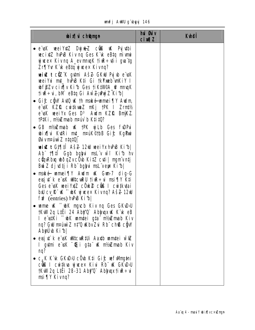|  |  | <b>unfj AWU g`ubyyj 146</b> |  |
|--|--|-----------------------------|--|
|--|--|-----------------------------|--|

| <b>bix</b> i champh                                                                                                                                                                                                                                                                                                                                                                                                                                                                                                                                                                                                                                                                                                                                                                                                                                                                                                                                                                                                                                                                                                                                                                                                                                                                                                                                                                                                                                                                                               | hui <b>Giv</b><br><b>cin¶Z</b> | <b>Kthei</b> |
|-------------------------------------------------------------------------------------------------------------------------------------------------------------------------------------------------------------------------------------------------------------------------------------------------------------------------------------------------------------------------------------------------------------------------------------------------------------------------------------------------------------------------------------------------------------------------------------------------------------------------------------------------------------------------------------------------------------------------------------------------------------------------------------------------------------------------------------------------------------------------------------------------------------------------------------------------------------------------------------------------------------------------------------------------------------------------------------------------------------------------------------------------------------------------------------------------------------------------------------------------------------------------------------------------------------------------------------------------------------------------------------------------------------------------------------------------------------------------------------------------------------------|--------------------------------|--------------|
| • e u wei YxtZ DyjukZ cûnt u K Pyjutbi<br>wecixtZ hvPuB Kiv nq Ges K'vk eBtq mivmi<br>$\boldsymbol{y}$ weex Kiving A_eviming K time + wii gya tg<br>Zr¶Yur K`ik eB‡q yjwe× Kivnq?<br>wiw t ciz"K gumi Aš2 GKW Pyjub e uK<br>weiYxi mt_ hvPuB K‡i Gi †kYxweb vnKiY I<br><b>wffZv cixTv Kib Ges tiK#MPA_@ mmqK</b><br>tiue÷ui, bM eBtq Gi AwīZ;uhuýZ Kib <br>• Gift chiv Auto in the make-umei Tiv Audm<br>e usk KZR cuitkunz mkj tPK I Zrmt½<br>e usk wei Yx Ges D <sup>3</sup> Audm KZP. BnijKZ.<br><b>TPIKi, ni/aZmab n¤úv`b K‡i‡Q?</b><br>• GB mt/s Emab uk tPK wilb Ges fuDPui<br>bix[ vi KutRi mt_ mauk©tbB Gi£ KgPuri<br><b>Givnetion Z ntqtQ</b><br>wiw t Gt¶il Aš <del>Z</del> 12W weiYxhPB Kib <br>Ab 11  11 Ggb bglyu msL'v wi Kib hv<br><b>cünRbıq wõqZvcÖw KitZ cuti   mymvntj</b><br>Buá Z djudtji Rb" bgljui msL"veys Ki b <br>• maké wmei¶Y Awim uK Gun-7 dig-G<br>eusjut k e uK wutcunRU tiure÷ui msi¶Y K‡i<br>Ges e uk wei YxtZ c Ok 2 c OS I cuitkutai<br>biu cy R k ~ bK y wex Kivnq? Aš <del>Z</del> 12W<br>fu <sup>2</sup> (entries) <b>hPB Kib</b><br>• unne u. htc mych Kiv ng Ges GKub/U<br>tKWI 2q LiÊi 24 Abiy Q` AbiyuqxuK K`uk eB<br>I e stKi ~ bK umtei gta nt/m mb Kiv<br>ng? GW m¤úwì Z n‡'Q Wbv Zvi Rb" ch® cĝW<br>AbyÜ ki b<br>• evsju't k e uk ultrouktui Aarth unntei wie<br>I gytmi eïvsK "Grigta" wK mt/wZmab Kiv<br>nq?<br>$c_{\mu}$ K K k GKD $\mu$ củo K‡i Gi $\bm{f}$ : wfWng‡ni<br>cüß I cuitku yiwex Kivi Rb" uk GKuDNU<br><b>†KW2q LiÊi 28-31 Aby'Q` AbhupxtivR÷vi</b> |                                |              |
| msi¶Y Kivnq?                                                                                                                                                                                                                                                                                                                                                                                                                                                                                                                                                                                                                                                                                                                                                                                                                                                                                                                                                                                                                                                                                                                                                                                                                                                                                                                                                                                                                                                                                                      |                                |              |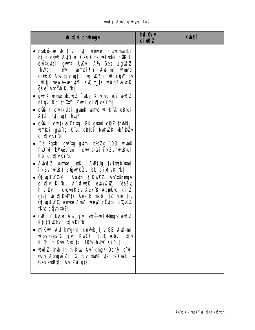|  | unifj AWU q"bur | wi 147 |
|--|-----------------|--------|
|  |                 |        |

| <b>bix</b> champh                                                                                                                                                                                                                                                                    | hui <b>Guiv</b><br>$ci$ $M1Z$ | <b>K</b> hei |
|--------------------------------------------------------------------------------------------------------------------------------------------------------------------------------------------------------------------------------------------------------------------------------------|-------------------------------|--------------|
| • mské vefWl tjvi mt_ vamtei mt/sZmatbi<br>ht_o ciù Aui K Ges Gme wefuini cus I<br>cuitkutai gunK UKui A¼ Ges µgušZ<br>thWdtji mt_ wmei¶Y Awltmi wmte<br>$c$ Ôk $\mathbb Z$ A¼ tj $v$ untj hun uk? ch® cĝ $W$ bv<br>_ktj maké vefutní kv2 t_tk ubðqZvÁvcK<br><b>gše: Aulib Ki bl</b> |                               |              |
| • gwnK wme wong Z `wkj Kiv no uK? wwb Z<br>niqui Rb" †cëtYi ZwiL cix¶vKi1b                                                                                                                                                                                                           |                               |              |
| • c <b>ûß I cuitkutai gunK unne uK K uk eBtqi</b><br>A#4 mt_ wtj hw?                                                                                                                                                                                                                 |                               |              |
| • c <b>ûß i</b> cwikva Dfiqi GK gytmi cliZ thWdj<br>bYfqi gva'tg K'ik eBtqi MiliviZK bf\$Zv<br>cix[vKib]                                                                                                                                                                             |                               |              |
| • ^e Patbi gwitg gutmi bibZg 10% wiwuU<br><b>f DP it TkYmeb 'un I tcut s-Gi i × ZvhPBtqi</b><br>Rb cix vKib                                                                                                                                                                          |                               |              |
| • Aubuð Zumuteinn Kj Austulg tkymeb umi<br><b>TxZvhPBI cŷwKZu Rb cix[vKib]</b>                                                                                                                                                                                                       |                               |              |
| • Otimu wó-Gi Aaxtb tikwrz. Austugman<br>cix[ v Kib  A CofuneK eye/witZ, eaZy<br>h_v_2v I cvgwbKZv Aek B AbyrÜvb KitZ<br>nte   bix¶KMtK Aek B nšó ntZ nte th,<br>ÒtiyyU WÓ, wmte AnZ" veeyZ cÖytbi B'QKZ.<br><b>tKub com the  </b>                                                   |                               |              |
| ivR‡^f Ukkui A¼ tjv maké vefwhmyn uhoðZ<br>K‡i¤ Kbvcix¶vKib                                                                                                                                                                                                                          |                               |              |
| nikui Aut`knytni côwb tjv GB Aultni<br><b>Kbv Ges G tjv tikWPP</b> ntqtQ Kbv cix[ v<br>Kib (miKwi Au`iki 10% huPB Kib)                                                                                                                                                               |                               |              |
| <b>wind 2 timb th mikur Aut knyn Dchy? ew?</b><br><b>Giv AbygwiZ</b>   G tjv mWKfvte †k <b>Ymeb</b><br>Ges evtR#Ji Avi Zvi g‡aï                                                                                                                                                      |                               |              |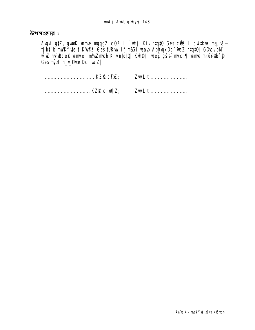### উপসংহার ঃ

**Avgui gtZ, gunK unne ngqgZ cÖZ I`uLj Kiv ntqtQ Ges cÖß I cuitkva nsµvš—<br>tjbt`b mWKfvte tiKVOPP Ges tURui i'jm&Gi waxb AbhuqxDc~wcZ ntqtQ| GQuovbM<br>wiQ hvPbCeR unntei m/sZmab Kiv ntqtQ| Kvh@tî weZ gše= mtct¶ unne m¤wYQbfjP** Ges mozih h\_v\_@dte Dc<sup>-t</sup>ueZ|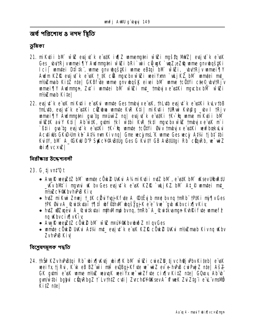অৰ্থ পৱিশোধ ৪ নগদ শ্বিতি

ভূমিকা

- 21. miktii bM wiez ewsjut k e wstk iuf z womennatni wiezi mussta MMZ ewsjut k e wsk Ges\_w/tRjvwmei¶Y Awlmnthi w'azi bRi`wii cowk`wiz;eZ@ wme gnvwgš#Ki Ici] umtei Dtitk", ume gnv bgštKi ume eBtgi bM wūti, bv/fRjv umei¶Y Audm KZIR evsit" k e usk t\_tK cOR myuchxwiOZi weiYam `ukjKZ bM` uamtei mt\_ nt/simab Kitz nte| GKBfvte wme gnv wqšk eivei bM wme tc0tYi cte®\_wVtRjv wmei TV Awinnun, Zut i wmtei bM wizzi mt\_ tmbu x e stKi nuchx bM wizzi nt/sZmab Kitel
- 22. evsjut k e usk mikuti i e usku umute Gestmbujxe usk, th Luth evsjut k e ustki ku Lv th B tní útb, eusjút k e ustki cíkubu umnte Kur Kti mikuti turui Kuhâg by I trijv wheie the state of the state of the control of the control of the control of the control of the control of the<br>with the milk of the state of the state of the control of the control of the with the with the with the with t<br> `B‡ii gya tg eysjyt`k e w\$Ki †K>`\$q wamdte †c@tYi Øwiv †mbyjx e w\$Ki wewFbookyLyi Acutius GKU) Um kb At% nun Kiv ng | Gme wecj md K wme Ges wej At% tj bt tbi KutY, bM A\_GKW D'P SKCYABIUg Ges G KutY GB ABIUtgi Rb cünRb, w-wiZ **bixlvc×ul**

নিরীক্ষার উদ্দেশ্যবলী

- 23. G tjvn#Qt
	- Aug R wealt 2 bM wante could UKui A%miKuti i mtZ bM, e ustK bM uKsev UtbuRtU \_WvbMf i myuni uK bv Ges evsj uf k e usk KZR `ukj KZ. bM At P wantei mt nt/sZc¥@KbvhPBKiv
	- hutz mi Kui Znuej t\_tK citu Yugj Kfute A\_@tičuj b nrot bv nq tmRb" tPtKi njf Tv Ges TPK GuvA\_Quitkyai 1911 bf@hW bqšyqjK e'e-vw` qb KbvcixjvKiv
	- $h\sharp Z$  wiz we A\_&witk $\sharp a$ i nih Mmo bvng, tn $Rb$  A\_&witkengn Kuhki fute wme f $\widehat{P}$ nq Kbvcix IvKiy
	- Aug Ruee (Z12 c Ouk 2 bM w & nran Wakby bud Z n I gy Ges
	- wmte cöwk Ukku Atki mt evsivt k e wk KZR cöwk Ukku mku mah Kivna wkbv **ZvhPBKiv**

বিশ্ৰেষণমূলক পদ্ধতি

24. thŠiř KZvhPBtqi Rb bix ktj bix ktj bix w Zi cuieZD tj v chQj Pbv Kiteb e uK wei'vs tj Rui, K'uk eB BZ'wi i mili euBgjiKfute w "wiZ ev" o hPhB cuiPuj Z nte | Aš2 GK gum e uK ume m// wauk wei Yx w wiZfute cix w KitZ nte GOLOV Ab b gun with i bgbul cünRbgZ f LvthtZ cuti | Zurch@Y@KsevA trueK ZuiZtg i e L vmsMb KitZ ntel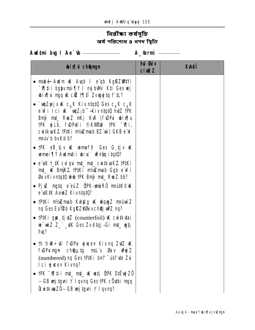# নিরীক্ষা কর্ষসূচি<br>অর্ধ পরিশোধ ৪ নগদ স্থিতি

| <b>bix</b> champh                                                                                                                                                                                                                                                                                                           | hủ <b>B</b> iv<br>$ci$ m $l$ | <b>Kuteff</b> |
|-----------------------------------------------------------------------------------------------------------------------------------------------------------------------------------------------------------------------------------------------------------------------------------------------------------------------------|------------------------------|---------------|
| • mské Audm uK Augb I e qb Kgři Zanty i<br><b>To the independent of the Section of the Section Control of the Control of To the Section Control of the Control of To the Section Control of To Control of To Control of To Control of To Control of To Control of To Contro</b><br>bix[ vi mgq uk cik t[ til Zvugyjtq t`tL? |                              |               |
| • `wqZpejxwK c <sub>as</sub> K KivntqtQ Gesc <sub>as</sub> K c <sub>as</sub> K<br>e w <sup>2</sup> i Ici <b>K</b> `wqZ <sub>i</sub> b T-Kiv ntqt0 hdtZ tPK<br>Bnji mt_ RwZ nKj K\R (f\DPui wix[ y<br>tPK yjLb, f\DP\tii tiK\MPnP tPK "0\" i,<br>cwitkvaKZ tPtKi mt/wZmab BZ"wi) GKB e w?<br>ngúy b by Ktib?                 |                              |               |
| • TPK $eB$ , tjv uk unnef $\mathcal P$ Ges G tjv uk<br>wmei ¶Y Audm‡i i wive` uez§q itqt0?                                                                                                                                                                                                                                  |                              |               |
| • e uk t_#K culqui mt_ mt_ cuitkuaKZ.tP#Ki<br><b>mt_ uK BnjKZ †P‡Ki nt/#Zmab Ggb e wPi</b><br>GivKivntqtQ ub tPK Bnji mt_ RuoZ bb?                                                                                                                                                                                          |                              |               |
| • Pjuz mg‡q e eüz â PK-umir Rôm¤ú‡ K©uK<br>e uk#K AemZ Kivn#q#0?                                                                                                                                                                                                                                                            |                              |               |
| • † $P$ ‡Ki nt⁄sZmab Kvh@g uK wbqugZ nt¤úwìZ<br><b>ng Ges Ea\2b KgRZ@Givch@jw2 nq?</b>                                                                                                                                                                                                                                      |                              |               |
| • <b>PKi gp tj tZ</b> (counterfoil) <b>K</b> cutkuai<br>w wiz z_" _\tK Ges Zv dtqj - Gi mt_ wytj<br>$\mathbf{h}$ $\mathbf{q}$ ?                                                                                                                                                                                             |                              |               |
| • th tirt + of funding the sex Kiving Zotz of<br>f DPuingn châµtg msL'v Guiv why Z<br>(numbered) ng Ges tP#Ki b¤f <sup>-</sup> úófvte Zui<br><b>Ici ywex Kivnq?</b>                                                                                                                                                         |                              |               |
| • tPK "Viti i mt_ mt_ uK wetj QPK DtEwjZ0<br>- GB <b>unj tgyni † I qvnq Ges †PK cöytbi nyq</b><br><b>Ô:ui:KwaZÕ – GB wri tayni † I qvnq?</b>                                                                                                                                                                                |                              |               |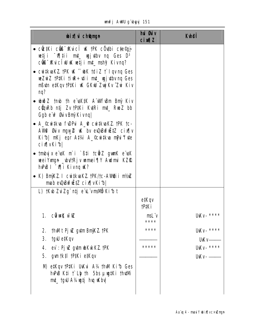|  |  | <b>unfj AWU g`byyj 151</b> |  |
|--|--|----------------------------|--|
|--|--|----------------------------|--|

| hủ <b>Đả</b> y<br><b>cin¶Z</b> | <b>Kulei</b>                         |
|--------------------------------|--------------------------------------|
|                                |                                      |
|                                |                                      |
|                                |                                      |
|                                |                                      |
|                                |                                      |
|                                |                                      |
|                                |                                      |
| e#Kgy<br><b>TP#Ki</b>          |                                      |
| <b>msL</b> v<br>****           | <b>UKV-***</b>                       |
| ****                           | <b>UKV-****</b><br>UK <sub>V</sub> - |
| *****                          | <b>UKV-****</b>                      |
|                                | <b>UKv-</b> —                        |
|                                |                                      |
|                                |                                      |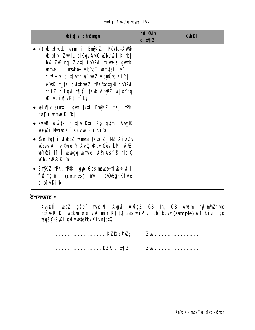|  | <b>unfj AWU g`byyj 152</b> |  |
|--|----------------------------|--|
|  |                            |  |

| <b>bixi</b> champh                                                                                                                                                                                                 | hui Guiv<br><b>cixqZ</b> | <b>K</b> hei |
|--------------------------------------------------------------------------------------------------------------------------------------------------------------------------------------------------------------------|--------------------------|--------------|
| • K) whix was ernt in Brijk Z. † PK/† c-A With<br>bix[\i ZwitL etKqv AvtQ Wbvwii Kib]<br>hŵ ZuB ng, Zuntj fuDPui, tcun <del>t</del> s, guanK<br>unne I maké Abibi unutei eB I<br>tive÷vi cix¶vm ve~viZ Abyüvb Ki1b |                          |              |
| L) e uk t_#K cwi#kwaZ tPK/‡ctg>U fwDPui<br>tdiZ t`lqui t¶‡Î tKub AbyPZ vej¤^nq<br><b>Kbvcix[vK‡i † Lb]</b>                                                                                                         |                          |              |
| • bix¶v ernții gvn †k‡l BnÿKZ. nKj †PK<br><b>b¤ți i ume Kibl</b>                                                                                                                                                   |                          |              |
| • evDuB wfuEtZ cixfly K‡i Rhy gytmi Awyur<br><b>wegzi MuVozK i×Zvubi£Y Kib </b>                                                                                                                                    |                          |              |
| • %e Pathi wfitz wmte tKw Z_WZ AixZv<br><b>Key Ah_y_@meiY AutO Kby Ges bM w@</b><br><b>Wegi 1711 wulgq umtei A14Ašfe ntatü</b><br><b>KhyhPB Kibl</b>                                                               |                          |              |
| <b>BnjKZ †PK, †P‡Ki gyp Ges naké †i R÷ ¢i i</b><br>fu <sup>2</sup> mg mi (entries) mi_ eu0Bgj Kfute<br>cix[vKib]                                                                                                   |                          |              |

উপসংহার ঃ

**Kuhêtî wez gše mici¶ Avgui AvfgZ GB th, GB Awim hyênt⁄Zfvie<br>ntšulRbK cwitkva e e<sup>-</sup>v AbyniY K‡i‡Q Ges wbix¶vi Rb bglyv (sample) wīf Kivi mgq<br>whqšy-SyKi gwtwetePbvKivntq‡Q|** 

.................................. KZR cixq2; ZwiL t ...........................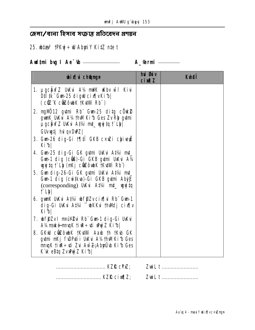# ⊘ লা⁄ থানা হিসাব সংক্রান্ত প্রতিবেদন প্রণয়ন

# 25. bta<sup>3</sup> tPKyj÷W AbyriY KitZ nte t

| <b>bixi</b> champh                                                                                                                                                | hủ <b>G</b> iv<br><b>cimal</b> | <b>Kuhei</b> |
|-------------------------------------------------------------------------------------------------------------------------------------------------------------------|--------------------------------|--------------|
| 1. µgc <b>jixfZ UKui A½ mWK uKbv wi Kiui</b><br>D‡I‡k" Gun25 digw cix¶vKi1b <br>(cüz K cüzôubK †Ku;Mi Rb")                                                        |                                |              |
| 2. mg ND 12 gutmi Rb Gum 25 ditg cOuk 2<br>gun K UKui A¼ thu Kib Ges Zv Rh gumi<br><b>µgcjixfZ UKu A‡¼ mt_ ugjtq † Lbl</b><br>GUvugtj hul qvDuPZ                  |                                |              |
| 3. Gun26 dig-Gi 17 fil GKB cxuZi chive k<br>Kibl                                                                                                                  |                                |              |
| 4. Gun25 dig-Gi GK gumi UKui At¼i mt_<br>Gun-1 dig (cũß)-Gi GKB gựmi UKvi A¼<br>wyjity t` Lb (nKj cũZôwbK †KuWi Rb)                                               |                                |              |
| 5. Gun dig-26-Gi GK gumi UKui A#4 mt<br>Gun-1 dig (cuitkua)-Gi GKB gutni Abit<br>(corresponding) UKui A#4 mt_ uyjtq<br><b>f</b> Lyl                               |                                |              |
| 6. gunK UKui At‰i uhf@Zvcix¶ui Rb" Gun1<br>dig-Gi UKvi A‡¼ ~ wKKvi thWdj cix¶v<br>Kib                                                                             |                                |              |
| 7. wf§Zv I m¤ú¥®ui Rbï Gun-1 dig-Gi Ukkui<br>A¼mské-mnqK tiuR÷vti uhýZ Kib                                                                                        |                                |              |
| 8. GKW c <b>üz</b> ôwbK tKutWi Aaxb th tKub GK<br>gytmi mKj f\DP\ti i UK\i A½†h\MKi1b Ges<br><b>mnqK tire÷vti Zvi Awz;AbyÜvb Kifb Ges</b><br>K'ik eBtg ZvihýZ Kib |                                |              |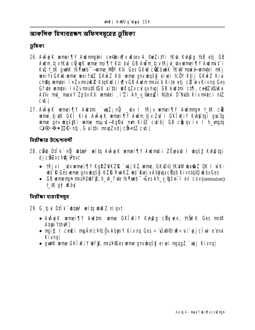আৰ্ম্বলিক হিসাবৱৰ্কণ অফিসসমূহেৱ ভূমিকা

ভূমিকা

- 26. AvÂyi K wmei TV Awlmmani ce@bixTv Wsev A\_@eZitVi tKub Kuh@q tbB etj GB Audm tj v tK b c 0 unK unne msi TIY K ti by GB Audm tj v tR j v bv unnei TIY Audmit i Ku t ik gunk tkymeb - ume MBY Kti Ges GKW cüz ou K tkuV maké umtei mKj wei Yx GKW wme wei YxtZ GKwiZ Kti wme gnv wqšK ei vei tc WY Kti | GKwiZ Kiwi chte umtei i'xZvmaike Ktaku cix[vGB Aulm maiv b Kite etj ci kvKivna Ges Gf te wmtei i × Zv mAutK GK aithi woqZv cul qv hu | GB Audtmi ct | ceeZxeUKui At¼ mt\_maulY Zjbv Kti umtei i'Zi Ah\_v @eeyZi NUbul D"NUb Kiv m¤¢ci ntZ cuti l
- 27. AvÂyj K wamei ¶Y Awd‡mi `wqZ; nỹ \_wv I †Rjv wamei ¶Y Awdmngn t\_#K c® wme ti uK GKT Kiy Avâyi K wmei TV Awlm tiv Zy i GKT Kiy Kyhâtai qui ta wme gny wgśtki wme msuws-Kg?u nun Kitz cytibl GB c@ugy ix I h vngtg ○⊙·  $\cdot \cdot \mathbb{I}$  ( ntj, G aithi mmqZvdj cômtZ cyti |

নিরীক্ষার উদ্দেশ্যবলী

- 28. cërb D‡IK n**ĝ datas velta Avkrik umei¶Y Audm‡ii ZËparb I doqšy Krh@tgi** dj côZvchQj Pbvt
	- †Rjv I \_bv mmei¶Y KgŘZ®KZŘ`vkjKZ. mme, GKD;U †KvW ba@iZ QK I w`K-**Let R Ges ume gnv bgsk KZR Rui KZ Let Rej x Abbuxc Ugb Kivntatü Kbv Ges**
	- GB unnemun mail  $\circ$  ob f  $\hat{p}$ , h th fute the langle  $\tilde{f}$  des Ah  $\tilde{v}$  as  $\tilde{g}$  and  $\tilde{g}$  cov(omission)  $1$   $\mu$   $\alpha$   $\beta$   $\mu$   $\mu$

নিৱীক্ষা যাচাইসম্বহ

- 29. G tju Dtik bia<sup>3</sup> win bož nigyt
	- AvÂyi K wmei TIY Avdtni wme GKÎ KiY Kvhâg cüyi xex, th ŠiPK Ges mutR **I Multy ind A**
	- muit I ceri maÄmc¥©cÖv AbuiY Kiv ng Ges ÷ ÚWGiR÷uf ujcÎw e enu **Kivng**
	- gunK ume GKTxkiy whff, neut These ume gnywgsk eitei maggz `wkj Kivng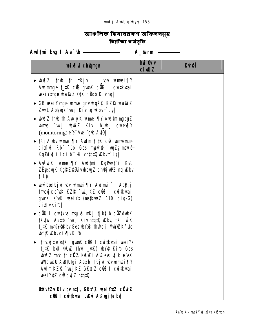# আৰুলিক হিসাবৱস্কণ অফিসসমূহ নিৱীক্ষা কৰ্ষসূচি

| <b>bixi</b> champh                                                                                                                                                                                                                                                               | hủ <b>Gi</b> v<br><b>cinqZ</b> | <b>Kuhei</b> |
|----------------------------------------------------------------------------------------------------------------------------------------------------------------------------------------------------------------------------------------------------------------------------------|--------------------------------|--------------|
| • $\omega \gg 2$ trub th trip I by writing the $\eta$<br><b>Audmmyn † #K c® gunK c@ I cuitkutai</b><br>veeiYxngn wa@fiZ QtK c0qb Kivnq                                                                                                                                           |                                |              |
| • GB weiYmyn wme gnv bqšK KZIQ bati Z<br>Zwil Abhuyx`wkj Kivng Wbvt`Lbl                                                                                                                                                                                                          |                                |              |
| • www.tmb.th AvAyjK wamei TV Awd.tm mgqgZ<br>ume `utj uhið Z Kivi h_uh_ cuiexqy<br>(monitoring) e <sup>"</sup> e <sup>-</sup> vw <sup>-"</sup> gub Au <sup>to</sup>                                                                                                              |                                |              |
| • tRjv_bv wmei¶Y Awim t_tK c® wmengn<br>cix i Rb dó Ges mbuil muz; maké<br>KgPux" i Ici b" -KivntqtQ \bvf` Lb                                                                                                                                                                    |                                |              |
| • AvÂyj Kumei ¶Y Awltmi Kg Puit i KvR<br><b>ZËjeavaK KafêZ@Guivulaya Z ch@j wiPZ na uKbv</b><br><b>f</b> Ly                                                                                                                                                                      |                                |              |
| • wwfbcetRjv_wv wmei¶Y Awlmit`i Abktj<br><b>tmbyixe uk KZQ `uLjKZ c@G I cwitkutai</b><br>gunK e uk wei Yx (mstkunz 110 dig-G)<br>cix[vKib]                                                                                                                                       |                                |              |
| • cũ I cư tku mauš-nKj tjbt b cũ zôubK<br>tKuWi Aaxib `ukj KivntqtQ uKby nKj wK<br><b>1_1K mail Wallu Ges uby 2 th Mulj Mull Ex Fite</b><br><b>bff Kbvcix</b> vKib                                                                                                               |                                |              |
| • †mbyjxeïs#Ki gwnK c <b>ûß I cwitkutai weiYx</b><br>t_#K buU NuUuZ (huu _u#K) ubYo@ Kifb Ges<br><b>budZ tmb th citZ. NUMZi A1/2 exsj df k e uK</b><br><b>WitcuRU A Billigi Aath, 1Rj v_bv umei TY</b><br><b>Audm KZR`uLj KZ GKxfZ cüß I cuitkutai</b><br>wei YxtZ cidwy Z ntqtQ |                                |              |
| <b>UxkvtZv Kiv bv n‡j, GKxfZ veeiYxtZ cÖrk@</b><br><b>cũC I cuitkuai UKui A‰ujite bu</b>                                                                                                                                                                                         |                                |              |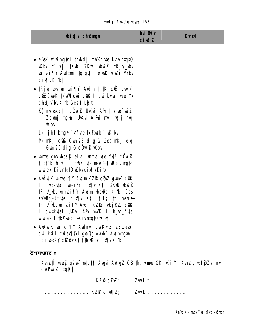|  | unfj AWU g`ubyyj 156 |  |
|--|----------------------|--|
|  |                      |  |

| <b>bix</b> i chemun                                                                                                                                                                                                                                                                  | hủ <b>Giv</b><br><b>cimalZ</b> | <b>Kuhei</b> |
|--------------------------------------------------------------------------------------------------------------------------------------------------------------------------------------------------------------------------------------------------------------------------------------|--------------------------------|--------------|
| • e uk w iZmytni thwdj mikfute Ubv ntatiQ<br><b>Kbv f Lbl fKb GKW but fRjv_bv</b><br>wamei TIY Audimi Og gutmi e usk wiel i Mbv<br>cixwkib                                                                                                                                           |                                |              |
| • tRjv_bv mmei¶Y Audm t_#K c® gunK<br>c <b>üz</b> ôubK †KuM qui cüß I cui‡kutai weiYx<br>chej PbvKib Gest Lbt                                                                                                                                                                        |                                |              |
| K) mivskciî cÖrkê UKvi A14 tiv ve wiZ<br>Zdwy mgini UKui Atki mt_ wtj hu<br><b>Khy</b>                                                                                                                                                                                               |                                |              |
| L) tj bt bngn i × f de tkYmeb -4K bv<br>M) mKj ciù Gun-25 dig-G Ges mKj e q<br>Gun-26 dig-G cÖK2 Kby                                                                                                                                                                                 |                                |              |
| • wime gnv wysk eivei wime wei YxtZ c Ouk 2<br>tjbt`b, h_w_ I mWKfvte makétiuR÷vimg#n<br><b>y</b> weex Kivntato Whycix [vKib]                                                                                                                                                        |                                |              |
| • AvÂyj Kumei ¶Y Audm KZI& cünZ quarK cüß<br>I cutkuai weiYx cix w Kti GKW bwo<br>tRjv_ww wmei¶Y Awdm whe@b Kib, Ges<br>eudBgjKfute cix[ v Kti f Ltp th make-<br><b>tRjv_bv mmei¶Y Audm KZfL`uLjKZ, c@G</b><br>I cuitkutai UKui A¼ mWK I h_uh_fute<br>yjucex I tkYmeb - Kivntat0 Wbv |                                |              |
| • AvÂyj Kumei ¶Y Awlmi cwi Kwí Z ZË jeavb,<br>cui kß I cuiex[  Vi gui tg Aaxb"/Audmmgtni<br><b>Ici wqšy cizôvK‡i‡Ob Wbvcix[vKib]</b>                                                                                                                                                 |                                |              |

উপসংহার ঃ

**Kvh@fî weZ gše mtct¶ Avgui AvfgZ GB th, wme GKÎ)KitYi Kvh@g wf§Zui mt\_<br>cwPujZ ntqtQ|** 

| Z <b>ui</b> L t |
|-----------------|
|                 |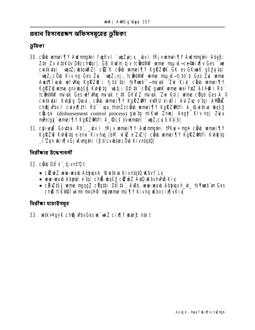প্ৰধান হিসাবৱৰ্কণ অফিসসমূহেৱ ভূমিকা

ভূমিকা

- 30. cih umej¶Y Aulmuthi fukvi `unZejx\_bvi †Rjvumej¶Y Aulmuthi Abit: Zte Zv AtbKUv DBz choqui | GB Audm tiv to that Wi ume msu is-ce bix Tv Ges we cuitkutai `uutz; ustquiez| cüz K cüd umei ¶Y KgRZOK GK ev GKunK gšyuitgi `wyZ; côub Kiv ng Ges Zui `wyZ; nj, tcŵtWw wme msuvš—tj bt b Ges Zui wme Austyliusb wefWig KgRZ@ i tjbt thi tkYmeb - mixk 2u Kiv cab unneigy KgRZQ ume gnvugšK Kuhg ta "uktj i Dtitk" cüz gunk ume weiVxtZ Ašf@ i Rb" tcitt time with the set of the minds that the CKMFZ minds and the case of the CHA Ces A\_© cuitkutai Kuhâq Quoul, cầu mmei TIY Kgiếz AV eu RU ei vii du Zu e tại ANUNZ ch@jvPbv I cwex[|tvi Rb" `vgx thtmZzcebb wmei Tv KgRZ@ttvi A\_&witkva wbgsy cuqui (disbursement control process) quatiq mikui Zmej Aegy Kiv nq Zuiy mpe/at" wmei TV Kalezalty i A ®ct ovwmtel `wz:cu b Ktibl
- 31. chivejË Govtbui Rb", \_wv I tRjv umei TV Awdmng#ni tPKyj÷ngn côwb umei TV KgRZ@ Kuh@tq e emi Kivhuq (bM wiaz e zxz) ceub wamei¶Y KgRz@ntYi Kuh@tq i'Zen wixjvGj Kvnghi i£tiLvwtæcÖw KivntgtQl

निर्वीकात উদ্দেশবেলী

- 32. cib Dilk tjvntQt
	- cizw2 www-wayb AblyuxA\_@witkya KivntqtQ uKbvt`Ly
	- wwn-wash Abynti e tai ch® wašy citosZ AuQ wsbvhPB Kiv
	- city tši ume nggz cigtbi Dilitk, ASb, www.wab Abhuxh\_h\_tkYmeb un Ges ch® tiKVI@ iwim n¤w4 m\$zume msi TY Kivng Kbycix jvKiv

নিৱীক্ষা যাচাইসম্বহ

33. wik Haj K chej Pbv Ges w<sup>-</sup> wiZ cix IV wai f: nte t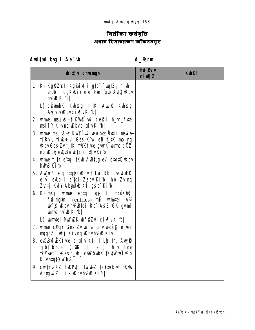# ির**ীক্ষা কর্ষসূচি**<br>প্রধান হিসাবরক্ষণ অফিসসমূহ

| <b>wixivich@mgn</b>                                                                                                                                                                                                                                                                                                                         | hủ <b>G</b> iv<br>$ci$ $M1Z$ | <b>Kuei</b> |
|---------------------------------------------------------------------------------------------------------------------------------------------------------------------------------------------------------------------------------------------------------------------------------------------------------------------------------------------|------------------------------|-------------|
| <b>1. K) KgRZ@I KgPiit`i gta `witZj h_vh_</b><br>edib I c <sub>a</sub> KKiY e e vw gub Aut0 uKbv<br><b>hPB Kibl</b>                                                                                                                                                                                                                         |                              |             |
| L) c <b>indk Kung t_tk Augre Kungg</b><br>Ay v v Kbvcix v Kibl                                                                                                                                                                                                                                                                              |                              |             |
| 2. ume msuvš-tikvnetovi celei h_vh_fvte<br>msi¶Y Kivng Wbvcix¶vKib                                                                                                                                                                                                                                                                          |                              |             |
| 3. ume naučikvelu verbosäti maké<br>tj Rui, ti R÷ui Ges K k eB t_tK mp ng<br><b>Kbv Ges Zv t_#K mWK fvte gunK wme cOZ</b><br>ng Kby e QuBuf EtZ cix [vKi b]                                                                                                                                                                                 |                              |             |
| 4. ume t_#K e tqi tKub AuBtUg ev ctotQ uKbv<br>hPB Kib                                                                                                                                                                                                                                                                                      |                              |             |
| 5. Auzui <sup>3</sup> e' <b>q ntatü ukby j' Lui Rh' Luzufulk</b><br>eiu elb I e'tai Zjbv Kib  hw Zv na<br>Zvutj KviY Abyüyb K‡i gše Ki1b                                                                                                                                                                                                    |                              |             |
| 6. K) mKj unne eBtqi gj I m¤úKRy?<br>fu <sup>2</sup> mgini (entries) mil umitei A1/4<br><b>what we have the U.S. As A SK Grammer of Starting Control of the Starting Control of Starting Control of Starting Control of Starting Control of Starting Control of Starting Control of Starting Control of Starting Control</b><br>ume hPB Kib |                              |             |
| L) umtei MWZK uff2d cix[vKib]                                                                                                                                                                                                                                                                                                               |                              |             |
| 7. ume cüqY Ges Zv ume gnv bqšk eivei<br>ngqgZ `wkj Kivnq WbvhPB Kiv                                                                                                                                                                                                                                                                        |                              |             |
| 8. evABufuEKfute cix[ v Kti f Lip th, Auy R<br>tj bi bngn (cũC I e g) h_w_fute<br><b>tkYxeb<sup>"</sup>-Gesh_uh_ c@ZôubK tKuWwfwRb</b><br>Kivntato <i>Kbe</i>                                                                                                                                                                               |                              |             |
| 9. cuitkuaKZ. fuDPuti DujukZ tkYxueb un tKuW<br>Abigui Z I ix KbvhPB Kibl                                                                                                                                                                                                                                                                   |                              |             |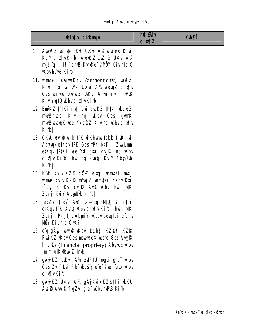|  |  | unfj AWU g`ubyyj 159 |  |
|--|--|----------------------|--|
|--|--|----------------------|--|

| <b>bixi</b> champh                                                                                                                                                                 | hủ <b>G</b> ủy<br>$ci$ $M1Z$ | <b>K</b> hei |
|------------------------------------------------------------------------------------------------------------------------------------------------------------------------------------|------------------------------|--------------|
| 10. Auhið Zumte tKub Ukkui A½ ujuse× Kivi<br>KuY cix  vKib  AbužZ Luff UKu A14<br>ngšta i jt¶ chß Kuh®e v NöY Kivntatū<br><b>KhyhPB Kible</b>                                      |                              |              |
| 11. untei cümVKZv (authenticity) uniz<br>Kivi Rb" wfwlq UKvi A¼ wquyZ cix[ v<br>Ges umte DujukZ UKui At%i mt_ hvPuB<br>Kivn‡q‡Q Wbvcix¶vKi⁄b                                       |                              |              |
| <b>12. BnjKZ 1P1Ki mt_ cwtkukZ 1P1Ki wqyZ</b><br>Kiv ng <b>Kbv Ges gunK</b><br><b>nf/sZmab</b><br>nt/iZwaxqK weiYxcÖZ Kivnq Wbvcix¶v<br>Kibl                                       |                              |              |
| 13. GKW ww@wtb tPK wiKbungtqkb tiuR÷vi<br>Ablyux etKqv tPK Ges tPK b¤t I ZwiLm<br>e#Kqv †P#Ki veeiYxi g‡aï cv_fkï nq wKbv<br>cix[ v Kib  hwì ng Zuntj KuiY AbyuUb<br>Kibl          |                              |              |
| <b>14. Këk kulv KZIQ cënZ e tgi umrtei mt_</b><br>wme kulv KZIQ niviji Z wmitei Zji bv Kti<br>t`Lip th tKub cv_R* AutO uKbu  hw`_utK<br>Zunți Kul Abyüb Kib                        |                              |              |
| <b>15. caZui tgqv AuZµvš—ntq tMQ, G aitbi</b><br>e#Kqv †PK Av#Q wKbv cix¶v Ki b  hwì _v#K<br><b>Zvntj †PK tjv AbyriY vKsev bevqtbi e e-v</b><br>NÖY KivntqtQ W?                    |                              |              |
| 16. e <sup>'</sup> q-g <b>Ày bù@ kby Dchy? KZ@¶ KZR</b><br><b>RuikZ. Kbv Ges manuex wash Ges Aug R</b><br><b>h_v_2v</b> (financial propriety) <b>Ablyax Kbv</b><br>tmnputK@biðZtmb |                              |              |
| 17. gÄyiKZ. UKvi A¼ evtR#J mgvi g‡a Kbv<br><b>Ges Zv† Lui Rb" wašy e e-vue`gub uKbv</b><br>cix[vKib]                                                                               |                              |              |
| 18. gÄyiKZ. UKvi A¼ gÄyKvix KZ@‡¶i uku<br>Auc@ Auy R ¶gZvi g‡a" uKbvhPB Ki b                                                                                                       |                              |              |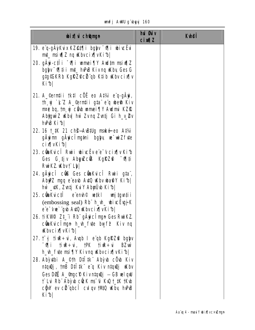| <b>bix</b> champh                                                                                                                                                                         | hủ <b>G</b> ủy<br><b>cin¶Z</b> | <b>K</b> hei |
|-------------------------------------------------------------------------------------------------------------------------------------------------------------------------------------------|--------------------------------|--------------|
| <b>19. e q-gäykux kZ@t¶i bgyv "0¶i wivcËvi</b><br>mt_ msiv¶Z nq \bvcix¶vKi1b                                                                                                              |                                |              |
| 20. gÄyi-c‡Îi <sup>-</sup> Vii umei¶Y Aul‡m msivilZ<br>bgly <sup>-</sup> Mii mt_ hvPB Kivnq w(by Ges G<br>g‡g©GKRb KgRZ@ciïqb K‡ib iKbvcix¶v<br>Kibl                                      |                                |              |
| 21. A_©ermții †k‡l cÖË eo A‡¼i e q-gÄyi,<br>th yj `k Z A_©ernții g‡a e q we® Kiv<br><b>nrê ba, tm yî cầu meni qî Awimi KZR</b><br>Abyguù Z Kbv  hẁ Zvnq Zvntj Gi h_v_2v<br><b>hPB Kib</b> |                                |              |
| 22. 16 1 K 21 ch <sup>e</sup> Aubulg maké eo Atki<br>gärjinn gärjici mathi bahy re-wizfrte<br><b>cix</b> vKib                                                                             |                                |              |
| 23. cünkucî Ruii wivcëve e vcixjv Kib<br>Ges G tjv AbyuZcus Kgraza "vilti<br><b>RuiKZ Kbv† Ly</b>                                                                                         |                                |              |
| 24. gÄyicî cüß Ges cünkuicî Ruii g‡aï,<br>AbyPZ mgq e eab AutO will what Y Kibl<br>hù _\tK, Z\ntj K\iY AbyiJ\b Ki^b                                                                       |                                |              |
| 25. cüm Kuicti e em h© wetki unjigunti i<br>(embossing seal) $Rb^{\dagger} h_h$ witching K<br>e'e-vw gb Auto Kbvcix[vKib]                                                                 |                                |              |
| 26. tikW <sup>e</sup> l Z‡_"i Rb" gÄyicÎngn Ges RwiKZ.<br>c <b>üaku</b> cîngn h_w_fute bwf? Kiv nq<br><b>Khycix</b> [vKib]                                                                |                                |              |
| 27. tūj tiur÷ui, Aupb I eïqb Kgl?Z@ bglyv<br><b>-91 ine</b> ÷ui, †PK †ine÷ui BZwì<br>h_wh_fyte msi¶Y Kivnq Wbvcix¶vKib                                                                    |                                |              |
| 28. Abỳ thi A_©th Diltk Aby b cũ b Kiv<br>ntquêj, tnB Dtitkë e q Kiv ntquêj uKbv                                                                                                          |                                |              |
| Ges Di A  Angc P Kivntque j - GB welqw<br>t` Lui Rb" Abỳub cück ms" ui KuQ t_‡K †Kub<br>cg W ev citt qbc i cuil qv tM10 uKby huPuB<br>Kib                                                 |                                |              |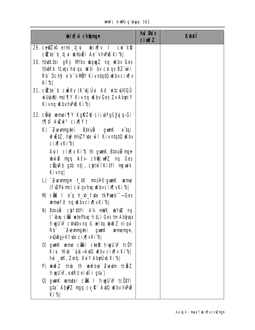unfj AWU g'byyj 161

| <b>bix</b> champh                                                                                                                                                                 | hủ <b>Gi</b> v<br><b>cin¶Z</b> | <b>K</b> hei |
|-----------------------------------------------------------------------------------------------------------------------------------------------------------------------------------|--------------------------------|--------------|
| 29. ce?Zx® ermi tjui wbix¶v I cui`kb?<br>cite b tju b@ati Ae vhPB Kib                                                                                                             |                                |              |
| 30. tutKtbi gRy M'bv wquyZ nq Wbv Ges<br><b>TU#Kb TLugv hui qv, ud‡i</b> bv cuil qv BZ uvi i<br>Rb" Dchy? e"e" v NBY KivntatO why cix  v<br>Kibl                                  |                                |              |
| 31. cite b culky (K tj Û vi Ad witcul©GÛ<br>with the most TV Kiving Why Ges Zv Abyriy<br>Kivng KbvhPB Kib                                                                         |                                |              |
| 32. c <b>é b umei ¶Y KgRZ®</b> ciiva gš <b>yją-Gi</b><br><b>1911 Awi<sup>3</sup> cix Yt</b>                                                                                       |                                |              |
| <b>K) Zvevmytni Braú<del>ů</del> gwnK e taji</b><br><b>uf Etz, hy?nt/z f te wi Kivntat0 uKbv</b><br>cixwkib                                                                       |                                |              |
| Auil cix y Kib th gun K Bizug-myn<br>whit may A sir chi with mq Ges<br>cüquRb gib ntj, chtwiKitYi mewik<br><b>Kivng</b>                                                           |                                |              |
| L) Zwymyn † #K n¤ú¥© gymK wme<br>(fwPuim) culqvhuq ukbvcixqvKib                                                                                                                   |                                |              |
| M) c <b>us I</b> e' <b>q</b> h_wh_fvte tkYmeb" -- Ges<br><b>umef<sup>2</sup></b> ng <b>Kbvcix</b> [vKi <sup>4</sup> b]                                                            |                                |              |
| N) Bi¤úë chfetyi A¼ mWK why mq<br>("Ubrq c <b>üß wtePbuq titL)</b> Ges tm Ablyuqx<br>ti gü w cukibv ng G velta wið Z ni gu<br>Rb Zwymytni gwaK wmenyn,<br>eu0uBgj}Kfute cix[vKib] |                                |              |
| 0) gunK ume cüßi c‡eß tiugUw tcöY<br>Kivi †Kub `guš-Autū uKbv cix¶v Ki1b <br>hŵ _\tK, Z\ntj K\iY AbyiJ\b Ki^b                                                                     |                                |              |
| P) $\psi \tilde{\psi}$ 2 mb th werfbce Zueutm to $\tilde{\psi}$ 2<br>tivgU`w, evtRU eivil i g‡a`l                                                                                 |                                |              |
| 0) gwark wandtei c <b>ôl i tiwyUw tcôltYi</b><br><b>gta" Aby2 mgq cv_ft" Avt0 uKbv hvPuB</b><br>Kibl                                                                              |                                |              |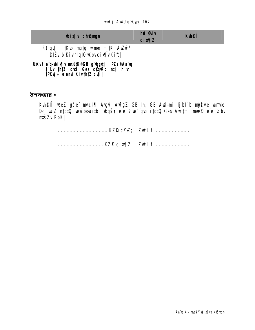#### unfj AWU g'byyj 162

| <b>bixivich@mgn</b>                                                                                                                    | <b>hui stiv</b><br>$ci$ $M1Z$ | <b>K</b> hei |
|----------------------------------------------------------------------------------------------------------------------------------------|-------------------------------|--------------|
| R) gutni tKub ng ta unne t_tK AuZui <sup>3</sup><br>DiËy b Kivntatü Wbvcix [vKib]                                                      |                               |              |
| <b>Uakvt e<sup>r</sup>q-ubix¶v m¤útk©GB g'ugytji PZz©Aa'uq<br/>f Lv th‡Z cuti Ges cüqaRb ntj h_vh_<br/>fPKyj÷ e'emui Kivth‡Z cuti </b> |                               |              |

উপসংহার ঃ

**Kvh@fî wez gše mtct¶ Avgui AvfgZ GB th, GB Audtmi tjbt`b nŷfvte wmte<br>Dc<sup>-</sup>weZ ntqtQ, wwfbœnitbi wbqšY e'e<sup>-</sup>v w`"gvb itqtQ Ges Audtmi mweR e"e<sup>-</sup>vcbv** ntšZuRbK|

................................. KZŔ cixq|Z; ZwiL t ...........................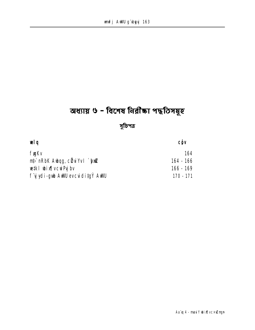# অধ্যায় ৬ - বিশেষ নিরীক্ষা পদ্ধতিসমূহ

# সুচিপত্র

| æl g                                  | CÔV       |
|---------------------------------------|-----------|
| <b>fygKv</b>                          | 164       |
| <b>nt,`nRbK Aubqg, cü u Yv I `huZ</b> | 164 - 166 |
| <b>wiki wixivcwPg by</b>              | 166 - 169 |
| f y ydi-gwb AWU evcuiditg Y AWU       | 170 - 171 |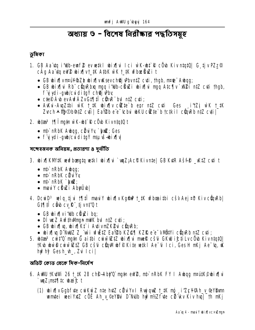# অধ্যায় ৬ - বিশেষ নিরীক্ষার পদ্ধতিসম্বহ

## ভূমিকা

- 1. GB Aa'itq i'ilb-emf @ ev wikl wix ||vi lci w`K-wht R c O wb Kiv ntqt Q G tj v PZz @ cÂa Aa va eW2 wixTvt 1K A1bK wK t 1K wfboelluzi t
	- GB wix[|vm|#i4%Zb wix[|vulksevch@jvPbvn#Z cyti, thqb, n|#e" Awaq;
	- GB wix in Rb" cün Rba maq i'dib-cünzi wix in maq Atc iv M2i ntz cuti thab, f y ydi-qub/cviditg Y chej Pby
	- $\bullet$  ctep  $\acute{A}$  to ev Awf $\acute{A}$ Zv G1911 $\hat{I}$  cün $\hat{R}$  but n1Z cyti:
	- Avku-AugZtbi wK t\_tK ubix¶v cite b enr ntZ cuti Ges [i'tZj wK t\_tK Zvch A m Ob9tZ cuti | Eav2b e e tchui wKU cite b tctkil cünRb ntZ cuti |
- 2. biza<sup>3</sup> 11 lingin wK-bi R c ob Kivnigin t
	- nt `nRbK Aubqq, cü u Yu `bxZ; Ges
	- **Wikid-awan Yptibioldup-ibyiyi** .

সন্দেহজনক অনিয়ম, প্ৰতাৱণা ৪ দৰ্নীতি

- 3. bix kw kw bog to the bix bix to the control CB KuR As to \_KtZ cut t
	- n**t** nRbK Awaq;
	- $\bullet$  mb nRbK civily
	- $\bullet$  nt nRbK  $\bullet$  to  $\alpha$ ;
	- maulY chuzi Abyubl
- 4. DcwD<sup>3</sup> welq tju 17 tî maul bix v Kgân 1\_tK wfboaithi cšv Aej¤b Kiv cün Rb GITIII câu cy R tivnt'Q t
	- GB wix i'll cüyzi ba;
	- $\bullet$  DI we Z Avf#whmun mWK bul n#Z cyti;
	- · GB wix | vq, wix | Kt i Ativm ZK Pui cün Rb;
	- bix[|vq D^NuUZ Z\_\*w`i vfiitz Ea\'2b KZ@{| KZR e\*e<sup>-</sup>vWütYi cüqvRb ntZ cyti;
- 5. bitas<sup>3</sup> cuit'O`ngin G aithi cuiwi Ziz bixi mmelê cšti GKW i£tiLvcÖb KivntqtO| **tKu uw@cww@tZ GB cšu c@wMulf@Kite w#kI Ae-u Ici, Ges H nKj Ae-u, uK** hup hy Gesh\_uh\_, Zui Ici|

অভিট কোড থেকে দিক-নিৰ্দেশ

- 6. AWU TKUWE 26 T\_IK 28 ch<sup>e</sup> Aby'0 mg n eW2, nt nRbK FY I Aubog nrutK<sup>o</sup>ubinflui `unZ;mst¶ic wai£t
	- (1) whing to Gab fute cui Kui Z nte hut Z cükü Yv I Ruj qui t\_tK mp i Z c Y @Ah\_v\_@YBum umtei wei YxtZ c OE Ah y ©eYBu D Nub hw?nt/Z f te c i kv Kiv hu | th nKj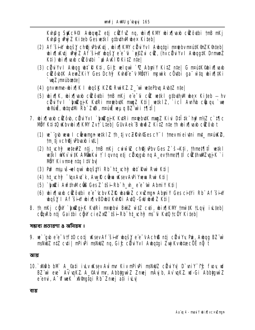Kuhâq Sakc¥©i AubquqZ etj cêkfvz ng, ubix¶kMV ubix¶vaxb cêkôvtbi †mB mKj Kyhân Wy Z Kiteb Ges wiki atbuthWhilex Kitebl

- (2) Af šin bašy chej PbKtj, bin KM cë dvv i Abata i netebv neutk @nZK@teb bix[Ktj wyz Af šiw bašy e e<sup>-c</sup> `efzi ciz, (hvciuvu I Abaatk Drmmz K‡i) wixjean cülôthi `w AWIPKitZ ntel
- (3) cữ viv I Auhog uh: R Kṭi, Gić wilow` \*Z Abyri Y KiṭZ nṭe| G maṭṭK@bix[|wab cizô b‡K AewZKiY Ges Dchỹ Kuhế e v Nihtyi mewik cö thi ga wh wix HKi `**unZ;m¤úboste**
- (4) gnvwme-wix¶K I wgšK KZŘ RwiKZ Z\_"wì wtePbu AwtZ ntel
- (5) whin find the solution of the community of the solution of the community of the community of the community of the community of the community of the community of the community of the community of the community of the co cü u'v I bilanik Kuri matebutk munz Kti| wikiz, icî Avrib cünqy `we **whit, what WE Rb**" Zui, mail was BZ"wi i 1911
- 7. bix wab cilôb, cü u Yv I `bilqi K Kuri ne ebu K mu Z Ki u Di İ ik her ni Z c tilc NÖY Ktitû (Kbylbix IKMY Zyt Lieb) Güy Aek Bub ölz Kitz nie thubix lieb cizôl t
	- (1) w qb we I c**ë ema vikiz** th tjvcZRvh®escY I tmevmieivtni mt\_m¤uk2, tm tj vch@j Phyab i vtL
	- **(2) ht\_vchi? vetew2 ntj, tnB nKj cwivi@ ch@jvPbv Ges Z`š=Kti, thmet¶tiÎ vetkl** wetk I wiky witk Alvinaky † I gyng etj cityggy ng A\_evthmet¶ift citthwill vgjk `i MBY Kivn¤¢ n‡q I‡V bv
	- (3) Pu? msu iš nel guì ubgštvi Rb" ht\_ichý uht Ruì Rui Kti |
	- **(4) ht ch? "wxAyt" k, Aw R che uksev AyPi Yuewa Run Ktill**
	- **(5) `hizî Avf#wicûs Ges Z`tši-Rb" h\_vh\_ e"e" wi Abmiy K‡i |**
	- **(6) bixliarb cizôvbi e e koby KZR batiz c×wma Abriy Ges cityi Rb Af šiny bgšy I Af šin bix v BDbu Kvhři Avil - Gu buž Z K‡i |**
- 8. Th nKj cQW`biZqjK KuRi n¤ebui BuZ wiZ cuti, wix¶KM' †mw#K †Lquj iu\_teb| **cünRb nti Gaithi cüv cieZx2`tši-Rb" ht vch? m5'ü KvQ tcÖY Kitebl**

সম্ভাব্য প্রতারণা ৪ অনিয়ম ঃ

**9. ve`"gub e"e"v†f‡0 co‡j uksevAf šiny ubgšy e"e"vAch® n‡j cëviYv Pri, Aubgg BZ"wi** msNUZ ntZ cvti | mPivPi msNUZ ng. Gić citvi Vv I Avbata i Žvri Kvybtæcö nã t

व्यारा

10.` xWeb bM` A\_@ati iylv uKsev Ayimr Kiv mPiyPi msNulZ cëviYy D`yniY<sup>-</sup>f£ fyoy yul BZ wi eve Av wKZ A\_QAw mr, AbbigwiZ Zmej mÂyjb, Av wKZ wI-Gi AbbigwiZ e emi, A "Ofwek ` xVimptai Rb" Zmej ati i Lv

ব্যয়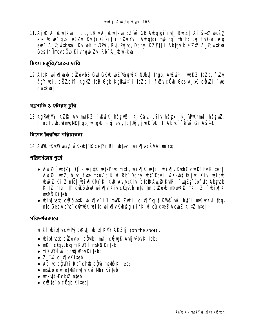11. Aj K A\_&wi‡kva I µg, LPiv A\_&wi‡kva BZ wì GB Avbg‡gi mt\_ Rvo Z| Af šin¥ vbgšy e'e 'q we' "qub `yy Zui Kuity G aithi cükulyv I Aubgtgi mp ng | thqb: Ruj fuDPui, e'q eve` A\_&witkyai Kuíwk funni, Ryj Pyjub, Dchi? KZ@11]i Abygy b e Zyz A\_&witkya Ges th tmevc Ob Kivng b Zui Rb" A\_ @witkval

মিথ্যা মজুৱি ∕ বেতন দাবি

**12. AtbK wixTuarb cilôvtbB Gw GKw w2 "Suguik Nuby thab, Aului<sup>3</sup> `weKZ teZb, fuly ågy vej, chzct¶ Kgflz tbB Ggb KgPuit` i teZb I fuZv c0b Ges Aj K chuzi `we**  $c$ uitkval

যন্ত্রপাতি ৪ স্টোরস্ চুরি

13. KgPuiNY KZIŁ Aul mrKZ ` BuiK hšguz, Kj Kây Lijiv hšgk, kj "Dukrmi hšguz, I Incî, doğiman indb, urtayu, ÷ nj eyi, tctuğ, jupk vum I Ab di `ê uv Gi Ašfe |

বিশেষ নির্ৱীক্ষা পরিচালনা

### **14. ANU †KuWwaZ wK-b‡ R citYi Rb" btæ<sup>3</sup> bix[**wcšvAbuiYxq t

পরিদর্শনের পূর্বে

- $A$ ue $\mathbb{Z}$  `unt $Z$ j D $I$ i k ej xK vetePbu; ti $\mathfrak{U}$ , wix $\P$ K vetk bix $\P$ v Kuth $\mathbb{P}$  cuiKíbv Kiteb  $\P$ Auc@`uqZ; h\_vh\_fyte m¤w`b Kivi Rb" Dchy? uht`Rbv I w`K-uht^R jvf Kivi velgul buð Z KiiZ niel bixilKM/iK, KvR Avi¤okivi ciel Ave 2 KviRi `vuZ; úófvie Abaveb KitZ ntel th cizô bu bixiv Kiv cünRb nte tm cizô b neu K2 mKi Z dixik **mavin** Kitebl
- bix[|axb cûZôb#K bix[|v`i`i'i mWK ZwiL, cix[|Yxq †iKVl@Îwì, hut` i m/[|vKui †bqv nte Ges Ab b c**önt% witu bixl**y Kyhâg fi" Kivi eû c**tel AemZ KitZ nte l**

পরিদর্শনকালে

wiki wixivcure bukti wixiki  $\text{AKZ}$ ti (on the spot) t

- $\cdot$  wix has celoust ceuting to  $\frac{1}{2}$  with a set of  $\frac{1}{2}$  with  $\frac{1}{2}$  with  $\frac{1}{2}$  with  $\frac{1}{2}$  with  $\frac{1}{2}$  with  $\frac{1}{2}$  with  $\frac{1}{2}$  with  $\frac{1}{2}$  with  $\frac{1}{2}$  with  $\frac{1}{2}$  with  $\frac{1}{2}$  with
- nKj cünRbuq tiKVI@I msVD Kiteb;
- tik**Weiw** ch**ej P**bvKiteb;
- $\bullet$  Z  $\dddot{w}$  cix $\eta$ vKi‡eb;
- Aciva c**ğut'i Rb**" ch**ß cğu' ma'ü** Kiteb;
- mské-e w<sup>e</sup> e#MP m/[|vKvi MBY Kiteb;
- $\bullet$  un uts-Dobiz nteb;
- $\bullet$  citte b cugh Kitebl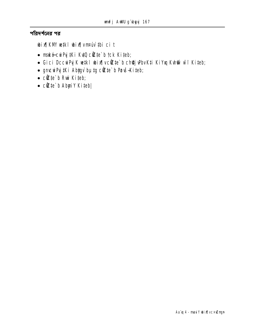পরিদর্শনের পর

bix[KM wikl bix[vnruv ibi ci t

- maké-curPy #Ki KutQ cite b tck Kiteb;
- · Gici DccwPy K wiki wix [vcite`b chij PbvKti KiYxq Kuhtiv wif Kiteb;
- gmcwPyj#Ki Abygv bµtg cite' b Povš-Kiteb;
- $\bullet$  cite b Rui Kiteb;
- $\bullet$  cite b AbyiY Kiteb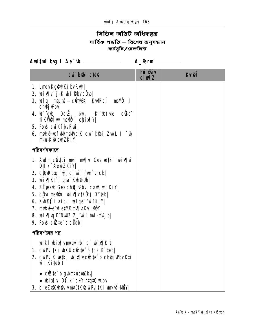# সিডিল অডিট অধিদপ্তর সার্বিক পদ্ধতি – বিশেষ অনুসন্ধান<br>কর্মসূচি/চেকলিস্ট

Aud‡ni bug I Ae<sup>-</sup>tb <u>entimental</u> A\_@rmi entimated A

| cui kibi cie <sup>©</sup>                                                                                                                                                                                                                                                                                                                                                       | hủ <b>G</b> iv<br>$ci$ m $z$ | <b>Kulef</b> |
|---------------------------------------------------------------------------------------------------------------------------------------------------------------------------------------------------------------------------------------------------------------------------------------------------------------------------------------------------------------------------------|------------------------------|--------------|
| 1. LmovKg@wiKíbvRwi                                                                                                                                                                                                                                                                                                                                                             |                              |              |
| 2. $\boldsymbol{\mathsf{bi}}$ $\boldsymbol{\mathsf{N}}$ $\boldsymbol{\mathsf{j}}$ $\boldsymbol{\mathsf{J}}$ $\boldsymbol{\mathsf{K}}$ $\boldsymbol{\mathsf{b}}$ $\boldsymbol{\mathsf{m}}$ $\boldsymbol{\mathsf{R}}$ $\boldsymbol{\mathsf{b}}$ $\boldsymbol{\mathsf{v}}$ $\boldsymbol{\mathsf{c}}$ $\boldsymbol{\mathsf{0}}$ $\boldsymbol{\mathsf{b}}$ $\boldsymbol{\mathsf{l}}$ |                              |              |
| 3. velg msµvš—c <b>önt⁄k</b> KvIRcî msi <b>lo</b> I<br>ch <b>ej Phy</b>                                                                                                                                                                                                                                                                                                         |                              |              |
| <b>4. we go be Deck, buy, the state conder the state of the state of the state of the state of the state of the state of the state of the state of the state of the state of the state of the state of the state of the state o</b><br><b>TIKVISTWI msili il chixily</b>                                                                                                        |                              |              |
| 5. Povš-sviKí bv Rvi                                                                                                                                                                                                                                                                                                                                                            |                              |              |
| 6. maké-vefwimaWbiK cvi`k\$bi ZwiL I <sup>-</sup> 'b<br>npú#K@emZKiY                                                                                                                                                                                                                                                                                                            |                              |              |
| পরিদর্শনকালে                                                                                                                                                                                                                                                                                                                                                                    |                              |              |
| 1. Audm câuthi mt_ mf v Ges w#kl wixf vi<br>D‡IK AemZKiY                                                                                                                                                                                                                                                                                                                        |                              |              |
| 2. cünRbıq `yjcluvi Pun`vtck                                                                                                                                                                                                                                                                                                                                                    |                              |              |
| <b>3. bixikt i gta Kuhellbi</b>                                                                                                                                                                                                                                                                                                                                                 |                              |              |
| 4. ZËpearb Gesch@j Phri c×uZ wifKiY                                                                                                                                                                                                                                                                                                                                             |                              |              |
| 5. cŷw msivni wix  v†KŠkj D™eb                                                                                                                                                                                                                                                                                                                                                  |                              |              |
| 6. Kuneffi aib I wlqe <sup>-/</sup> wiKiY                                                                                                                                                                                                                                                                                                                                       |                              |              |
| 7. maké-e w <sup>e</sup> e#MP m/[vKvi MBY]                                                                                                                                                                                                                                                                                                                                      |                              |              |
| 8. wixilly D"NullZ Z_"wii mi-nt/jbl                                                                                                                                                                                                                                                                                                                                             |                              |              |
| 9. Povš-eikte b cüqb                                                                                                                                                                                                                                                                                                                                                            |                              |              |
| পরিদর্শনের পর                                                                                                                                                                                                                                                                                                                                                                   |                              |              |
| wiki wix vnrw thi ci wix Kt                                                                                                                                                                                                                                                                                                                                                     |                              |              |
| <b>1. cuiPy the unku cite b tck Kiteb</b>                                                                                                                                                                                                                                                                                                                                       |                              |              |
| 2. cu Pyj K wiki wix v cite b chij Pbv Kij<br>wi Kiteb t                                                                                                                                                                                                                                                                                                                        |                              |              |
| $\bullet$ citte b gybrraibakby                                                                                                                                                                                                                                                                                                                                                  |                              |              |
| • bix¶vi D‡lk¨ ciY n‡q‡Q uKbv                                                                                                                                                                                                                                                                                                                                                   |                              |              |
| 3. cieZAR ha ivm tik Cury # Ki un tš-HDY                                                                                                                                                                                                                                                                                                                                        |                              |              |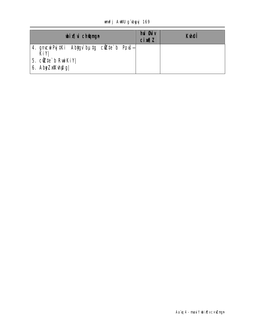### unfj AWU g'byyj 169

| <b>bixi</b> champh                                      | <b>hui Guiv</b><br>$ci$ $M1Z$ | <b>K</b> hei |
|---------------------------------------------------------|-------------------------------|--------------|
| 4. gnucui Pyj#Ki Abygv`bµtg cikte`b Povš—<br><b>KiY</b> |                               |              |
| 5. $c\ddot{\mathbf{z}}$ te b Ruikiy<br>6. AbyZxKvh@g    |                               |              |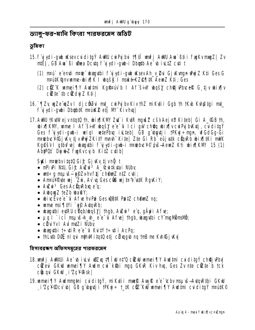ড্যালু-ফর-মানি কিংবা পারফরমেস অডিট

ভূমিকা

- 15. f vivdi-gub uksev cviditg Ý AWU cviPvibvi 1911 umfj AWU Ava`Bti i fygKv mung / Zv **ntÊj, GB Am`ßi wiea Dcitg f yjydi-gub-i Dbgtb Ae`ıb illtZ citi t** 
	- **(1) nruî e enți nre deautoi f gydi-gub ulsev Ah y 2 vi Gjulunge uny 2 K‡i Ges G nrútk@nvmme-bixik I bgšk I naké-KZ@¶#K AemZ K‡i; Ges**
	- (2) ctz K wmei TV Audtmi Kgŵrúv b I Af šin wojšy chej Pbyce G tjv wix Iv  $c$ *d* $c$  **is that if the**  $c$  **<b>d**  $d$  **d**  $d$  **z**  $d$  **k**  $d$  **j**  $f$
- 16.`¶Zy wyZe wyZv I djcô Zvi mt\_cwi Pyjbv Kiv th Z mi Kyti i Ggb th tKub Kuh@tgi mt\_ f úvdi-gubi Dbab#K nrúK® etj M' Kivhal
- **17. AWU †KuWejvntatû th, wixî kwe zu îi kure manisz cšv Aej¤b Kiteb | Gi A\_GB th,** bix[KM', ume I Af sin bqsv e e u I ci gw cheq bix[v cu Pu bKtj, cu ditg Y Ges füjydi-gub-i welgl wetePbug iuLteb| GB g byntji tPKyj÷ngn, wfGdGg-Gi m¤tebuc¥@GjuKv tjvuNyýZKitY mmh Kite| Zte Gi Rb eûjustk cüquRb ubix¶tKi mulK Kg@šv I g#bufve| ubagytbi fyjydi-gwb-i m¤tebvc¥© óvš-AeunZ Kti ubix¶KMV 15 (1) Abiput Dy Le funkvcy b Kitz cuib

**Stki nrebvitatů Gi£ Gjuky tjvnů t** 

- nPiPi NHJ, Gi£ Awi<sup>3</sup> A\_&uitkutai NUby
- $\bullet$  wit÷g msuvš—g§Zvhvftj ch@mZ n‡Z cvti;
- Annuy Pute wy 2ui, Av u Ges cus wy to e wik RgKiy;
- **Auzui<sup>3</sup> Ges Acturation et q;**
- Aubquyz tezh uba@Y;
- wive Eve e<sup>-</sup>G A fue hy Pui Ges WRIK Puitz ch**emy** ng;
- ume  $msi$   $\frac{1}{1}$   $\frac{1}{2}$   $\frac{1}{2}$   $\frac{1}{2}$   $\frac{1}{2}$   $\frac{1}{2}$   $\frac{1}{2}$   $\frac{1}{2}$
- wagytbi eytRU cüqb/wqšy | thgb, Awira e q, gäyri Afve;
- µq I`icî mşuš-h\_vh\_e e i Afve| thgb, wayyibi cY mgMimsMi;
- cü vv I AvimțZi Nuby
- · waqytbi t÷ytiR e e-u KutY t÷ytii AcPq;
- thLutb Dolf ni qui nthuil itatu etj citingub ng tnB me Kuh@j wu

হিসাবরক্ষণ অফিসসম্বহের পারফরমেস

- 18. unfj ANAU i Ae` b i Lui wiZxq 19 îw n‡ 0 cizw umei 9 Y Audtmi cui dita Y ch@j Pbv cizeu CKW wmei TY Audm cui kibi mug CKR Kiv hug, Ges Zv nte cizte b tck cüngyi GKW i Zcyglski
- 19. umei TV Audmutai cuiditgý, nikutii muelė Auglė e e teby nauds-Autor Ribi GKW , i Έρ¥®cv` b | GB g byntj i †PKyj ÷ †\_‡K c@ KwJ wmei¶Y Awd‡mi cvidi‡gÝ m¤ú#K©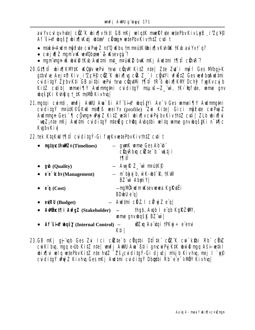au'Yvcul gv hyte | ciz K ubix [v tktl GB nKj welgtK muel@fyte wetePbv KivLeB i'ZcYO Af šin bašy bixlwti bta<sup>3</sup> chann etePbvKivthtZ cyli t

- maké-Audm môf ute cui Puj Z n‡'Q uKbu † m m¤ú#K@b i x[|v Kuh@K † Kub aui Yv †`q?
- $\bullet$  cuively manived verticides  $\sim$  2 december 2
- numvnun u ubir o tKub Audtmi mt mpáké buk nKj Audtmi tTitî cün R
- 20. GITI 1 bix KWIK KOU wPi teva cüm Kitz nie Zie Zu i mui Ges MbgjK qtbufue Aej¤b Kiv i Zc¥® ciz K ubix w cik Z i ciù tYi ufiëtZ Gesueufboludtmi cuiditaÝ ŽibvKti GB aitbi vePui teva cůputNi 1911î 1R o vbixik NV Dchý fynkvcyjb Kitz cutib) wmei¶Y Audmmatni cuiditaý msuvš—Z wì, tKi tafute, wme gnv **waš#Ki Kvhgia † #K msMb Kivhval**
- 21. matai cwmti, wnfj AWU Aw`ßi Af šiw wastyi Ae v Ges wmei¶y Awlmmani cuiditgý matk@CKW mafiß weiYx (profile) 2ui Kitel Gici mofue cuiPujZ Audmun Ges ` I comun wyz Kitz wiki wir w cure by Kiv thtz cui zLb wir lie wuZ; nte nKj Awltni cyjditaý nteža chŵa Aybatbi velta wme anywaštKj n~#1c **Kvgbv Kivl**

22. tek KtaKW 191 CuiditaÝ-Gi fynKvwtePbvKivthtZ cyti t

|           | ngtqcthullEv(Timelines)                                                        | - gunk unne Ges Ab b<br>cünRbm cüte`b `uktji<br><b>MII</b>                          |
|-----------|--------------------------------------------------------------------------------|-------------------------------------------------------------------------------------|
|           | $q\mathbf{b}$ (Quality)                                                        | $-$ Aug R $Z$ wi neut $\mathbb{R}$                                                  |
| $\bullet$ | $\ddot{\mathbf{e}}$ $\ddot{\mathbf{c}}$ $\mathbf{b}$ $\mathbf{v}$ (Management) | $-$ m bky b, w K- $\mathbf{u}$ <sup>+</sup> R, tK $\mathbf{w}$<br><b>BZ</b> w AbyiY |
|           | • $\ddot{e}$ <b>q</b> (Cost)                                                   | <b>— ngMDAudmuKsevueuea KgRufÊi</b><br><b>BDubU</b> e q                             |
|           | $e\nvert RU$ (Budget)                                                          | - <b>Aud‡mi citZ. I ci<sup>o</sup>vjZ</b> e q                                       |
|           | • <b>Awthc#\[i AwfgZ</b> (Stakeholder)                                         | thgb, Aup I e qb KgRZW,<br><b>ume gnvbqšk BZ wi</b>                                 |
| $\bullet$ | <b>Af Sin boz</b> (Internal Control)                                           | <b>wîZxq Aa`itqi †PKyj÷ e`emi</b><br>K‡i                                            |

23.GB nKj qj qb Ges Zui Ici cüzte b cüqtbi Dtitk cüz K cui k\$bi Rb cünz cui Kíbu, mag e Ub Kitz nte | unfj AWU Aua Bti i gnosi Puj KtK shi o mag Aši-setki whix in why where we keep which the butch of the basic distribution of the basic of the butch of the butch of the butch of the butch of the butch of the butch of the butch of the butch of the butch of the butch of the butc cyjditaý www.Z Kivhya GesmKi Awdtmi cyjditaý Dbatbi Rb" e"e-vMÖY Kivhyal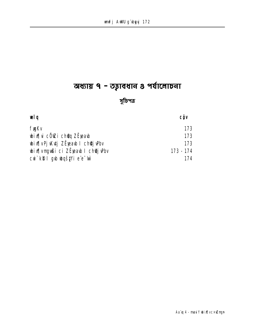# অধ্যায় ৭ - তত্বাবধান ৪ পর্যালোচনা

### সুচিপত্র

| œlg                                     | <b>CÔV</b> |
|-----------------------------------------|------------|
| <b>fygKv</b>                            | 173        |
| <b>bixî</b> li cÖlzi chQq ZË)eab        | 173        |
| <b>bix vej Kutj ZËreab I ch@j Pbv</b>   | 173        |
| <b>bix wrach i ci ZË eab I chej Pbv</b> | 173 - 174  |
| <b>cui`ki? I gub ubqšžyi e e úv</b>     | 174        |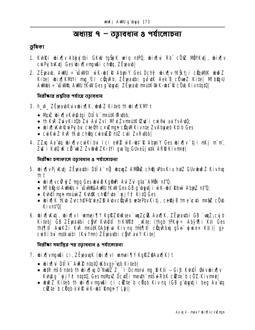### অধ্যায় ৭ – তত্বাবধান ৪ পর্যালোচনা

#### ভূমিকা

- 1. Kuhki wixily Abysgibi GKW tgŠgK wiq ntPQ, wixilvi Rb cöw NöYKutj, wixily cui Pui bykuti Ges ubinflymmußi chom. Z Exeau l
- 2. ZËpeab, AWU ÷ ÚWOI wK-b‡ R AbyiY Ges Dchỹ bix¶v tKŠtji cÔnWtK bwðZ Kite| bix¶KMYi mg\_® I cünRb, ZÉpeathi gutuk Aek B cüweZ Kite| MFb@yU AWMUs : "WWA, AWW TKW/Gesg" bytj ZEjeab mAttK®K-bt" R cOb Kivntat01

নিরীক্ষার প্রস্কৃতির পর্যায়ে তত্নাবধান

- 3. h\_h\_ ZËjeabKuxbix[K, budZ Kiteb th bix[KM t
	- Muz bix |v Kunatqi Dilk mad K Rubb;
	- th KvR ZuivKitūb Zvi AvI Zv I MfxiZvnputK©ut` i cui®ui auiYvAutO;
	- bix[Kh&wPy bui cte®h cxuZmgn cüqMKivnte ZvAbyaeb Ktib Ges
	- cui Kuí Z KuR † Kub choru cui euz 2 n‡ Z cui Z v Rutbb
- 4. ZZxq Aa tq wix w curk i bui l ci ew? w K-wt R Abyriy Ges wix w tj i n Kj m m, Zut i Kutû uk cü ünkz Zvubuð ZKitYi gya tg Güveû justk ARD Kivnræ)

নিৱীক্ষা চলাকালে তত্বাবধান ৪ পৰ্যালোচনা

- 5. bix¶vPjKtij ZËpathi D‡IK nij bong ZANiniz ch@jPbvKiy httZ GUvbwð ZKivhug th t
	- bix¶vcữ y Z muq Ges buì© KgmPi Aul Zui g‡a" AMbi n‡'Q;
	- MFb@pU AuMuls :- "WWWRAWIU TKWIGes GB q" bytj i w K-bt" Rbuv Aby Z nt'Q;
	- Kuhe Tingn neutriv Z Kuhak chas fute `wjjfe KitQ Ges
	- bix[K TKb Zvch@Y&wieZD Abvc DuRb wtePbvKitj, celly B tme cuti mag c Ob Kivnt<sup>'</sup>Ql
- **6. wix[|K\tj, wix[|v I wmei||Y KgRZ@Ksev`wqZc@B Aax[|K, ZË}eatbi GB`wqZ;cyjb<br>Kiteb| GB ZË}eatbi cĝ\V K\h@tî †iK\\@P \_\Kte; (†hgb †PKyj÷ Abỹo¶i Kti Ges** tht¶ti AwKZi KuR maŭtK©Abtiva Kiv ng tmt¶ti cünRbuq gše vjucex Kti)| gj curki bu mstkuabi (KuiYmi) ZËreavibi c**ë**w au Y Kitel

নিরীক্ষা সমাপ্তির পর তত্নাবধান ৪ পর্যালোচনা

- 7. bix[|vmgußi ci, ZË)eaugK (bix[|v | umei [|Y KgRZ@Aax[|K) t
	- bix[\i D‡I`k" A\R\2 ntqtQ \Kbvgj"\qb Kiteb|
	- $\boldsymbol{\psi}$  with ms6 nteb th  $\boldsymbol{\psi}$  in  $\boldsymbol{\psi}$  and  $\boldsymbol{\psi}$  and  $\boldsymbol{\Sigma}$  and  $\boldsymbol{\Sigma}$  and  $\boldsymbol{\Sigma}$  are a set of  $\boldsymbol{\Sigma}$  and  $\boldsymbol{\Sigma}$  are a set of  $\boldsymbol{\Sigma}$  and  $\boldsymbol{\Sigma}$  are a set of  $\boldsymbol{\Sigma}$  and  $\boldsymbol{\Sigma}$  are a set of  $\$ Kupeg `vjjf? ntqtQ, Ges mallpuz Dcutti mmth mtšul RbK cizte b c02 Kivmme|
	- who Z Kiteb th wix yv myw i ci citte b c Uqb Kiv nq (GB g bytji beg Aattq cizte b cüqb kılı wik-bi Rmun t Lb)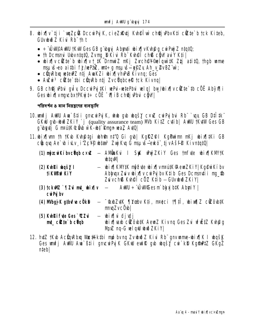- 8. wix [v`tji `wqZc@ DccwPyjK, cieZxRytj Kyh@Îwì ch@jyPbvKti c@te`b tck Kiteb, Glivinaz Kivi Rh" th t
	- $\bullet$  ÷ UUPAUU KWGes GB q bu a Abuti bir JvKhaq cu Puj Z ntatu;
	- th Demand UdvntatQ, Zvmg D Kivi Rb Kvh@l ch® c@W av Y Kti
	- wix  $\psi$  cite b wix  $\psi$  t\_tk Drmm z nKj Zvch@Y® piqwitk Ztj atit0, thgb wame msuvš-eo aithi fj/wPaZ, wt÷g msuvš-e@Zy Ah\_v\_2vBZ wi;
	- chnRbm wte PZ ntj AwKZi wix |vhPB Kivng; Ges
	- Aužui<sup>3</sup> cütte thi cünRb ntj ZvcügbceR tck Kivng
- 9. GB ch@jvPbui guty DccuiPyj#Ki wePui-wetePbui welq| byg/ubixq|v citte`th cÖË Abyiqqi Ges wix [vmqvcbxtPKwjt÷ c0E - 0 liB ch@j vbvi c0W

পরিদর্শন ও মান নিয়ন্ত্রণের ব্যবস্থাদি

- 10. unfj AWU Au ` B‡i i gmcwPyjK, who gub wha sy c xw cwPyjbui Rb ` vax GB D‡I tk ` **GKW qub-undi ZKiY `j** (quality assurance team) **MIb KitZ cytib** | AWU TKYW Ges GB g butj G nrượk cần vik-bị knun waz AvQ
- 11. bix nm th tkb khêtgi bhên n‡'Q Gi gb| KgRZPI KgPuinn nKj bix tki GB cůugy Ae` w i Lv i Zc¥® wtas<sup>3</sup> ZvjKy G msu š–eko ti v Ašf® KivntgtQ

|                                                         | (1) mŷzcwiKibvcUqb c×w – AMDaKui I StK why ZKiY Ges tmf te whiat KMYtK<br><b>M</b> p‡d                                                          |
|---------------------------------------------------------|-------------------------------------------------------------------------------------------------------------------------------------------------|
| (2) Kvhři vbašy I<br><b>tikWerkiy</b>                   | - bix¶KM#K mŷfvte bix¶vm¤ú#K@emZKiY Kg@riKíbv<br>Abhuax Zuiv wix iv cui Puj bv K‡ib Ges Domanuti i mg \$<br>Zuvch® Kuh@Î cÖZ K‡ib – GUvubiðZKiY |
| $(3)$ tckWZ ` $\P$ Zui mt_ wix $\P$<br><b>curily</b> by | <b>AWU ÷ UWGes m bkyj b#K Abyji Y</b>                                                                                                           |
| <b>(4) MbgjK g#vfve cÖkB</b>                            | - "taxbZutK ¶Yodov K‡i, nrotci †¶‡Î, ubixn¶Z cüZôub‡K<br>muqZvcÖvb                                                                              |
| (5) Kuhki fute Ges ` ZZui<br><b>mt_citte</b> b cump     | ibijh ivfkidi -<br><b>wix hash cilout the Manual Kivng Ges Zui ufully Kuhang</b><br>Muz nq-G wlqw woodXKiY                                      |

12. ht Z tK b Ac On Rb u We #Kk tbi mp by ng Zy bud Z Ki u Rb gny wme-bix [K I bg \$K Ges unfi Awu Au Stij ancwrak GKW eutr au wasy cu kP Kampiz GKaz **ntebl**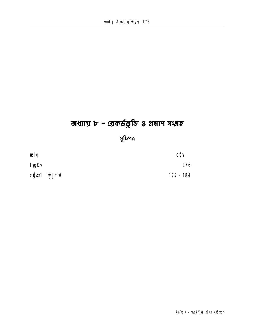# অধ্যায় ৮ - ৱেকর্ডভুক্তি ৪ প্রমাণ সংগ্লহ

সুচিপত্র

wlq CẬV **fygKv** 176 cĝ\Yi`yjfn<sup>2</sup>  $177 - 184$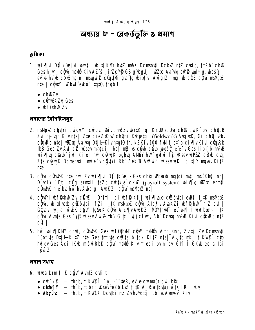### অধ্যায় ৮ - ৱেকর্ডভুক্তি ৪ প্রমাণ

#### ভূমিকা

- 1. bix i Dilk ejxi buit bix KM huz mik Denanti Debyz ntz evtib, tn Rb chß Gesh\_w\_cgw msMb KivAZ s-i Zc¥® GB g bytj i w2xq Aa tq eW2 wt÷g, wqšY I ev e hPB c x Zmytni mag k Z cüntün gva tg bixini AvfgtZi my tb c OE cov malin Z nte | côtivi w bu eko itatū, thab t
	- $\cdot$  chBZ $v$
	- c**öni/**KZy Ges
	- bf@hWZv

প্ৰমাণেৱ বৈশিষ্ট্যসম্বহ

- 2. malih z câyti cuigyti cuigyc Guivch BZv wyw2 nq | KZUKzcâyli ch B cui Kíbui ch QqB Zu gj up Kivnte Zte cieZregW chtui Kuptgi (fieldwork) AujutK, Gi chtej Pbv cünRb nie | wZxq Aa tq Dtj l KivntqtQ th, kZKiv 100 fWl tj bt b cix[v Kivi cünRb the Ges Zv Auftcill usev neecil buj milius carb carb uses e e v Ges tj bt b hPB ubix[|vq cũnb juf Kite| hù cũ ugK bgbvq AMÖYthWI gui i fj uksev vePaz cũ uk cuq, Zte ců un Domantii mie v chůvi Rb Aek B Auzui<sup>3</sup> uksev ue Kí cix (V myuav Kitz  $n$ tel
- 3. cijny cũnt/K n‡e hù Zv ubix[|vi D‡l ‡k ej x Ges ch@j vPbvaxb ng‡qi md\_ n¤uKRy? nq| D'uil <sup>-</sup>ff, cug erntii teZb cutku cxuz (payroll system) bix vizy ernti cünt/K nte by hw bv Aubatg i AuaKZ i cünt matthyz ng
- 4. citYi wf@thMZy citW I Drtmi Ici wf@Kti| wix[|axb citothi ewti t\_tK msMpz cğw, wix[|vaxb cüzôvtbi tfZi t\_tK msMpxZ cğw AtcT|v AwaKZi wff#hwl ntZ cvti| GOLOV`yjjcî w EK câw, tgŠLK câw AtcTvAwKZi NBY#MM| ev et¶tî wwfboaî t\_tK cgw Awte Ges `y y iksev Aw Z; the Gif `yj j c I wi, Ab Doug hu B Ki u cun Rh ntZ **cuți l**
- 5. hw ubix | KM chß, cünt/K Ges ubf@thWi cijw msNün Ang\_©nb, Zutj Zv Dcmsnuti "uof te Dtj l- Kitz nte Ges tuf te citte b tck Kitz nte Av to uKj ti KVIO cjo hul qv Ges Aci †Kub ntšul RbK cijuv mavih Kiv nrueci bv ni qv, Čt¶‡Î GKuU eo aitbi  $\mathsf{X}$ óvš $\mathsf{Z}$

প্ৰমাণ সংগ্ৰহ

- **6. vevea Drmt\_#K câW AvntZ cyli t** 
	- $\mathsf{c} \mathsf{u} \mathsf{r}$  kB  $-$  thgb, tik vield, ` $\mathsf{u} \mathsf{v} \mathsf{r}$  = ter,  $\mathsf{e} \mathsf{v}$  =  $\mathsf{c} \mathsf{u} \mathsf{r}$  matrix  $\mathsf{c} \mathsf{u} \mathsf{r}$  kB;
	- $ch$  $\mathbb{R}$  $\P$ Y thgb, tcbkb usev teZb LuZ t\_tK A\_&uitkutai witK bRi iuLy
	- Abyü'b thgb, tikWPP Dcytei mZ ZvhPBtqi Rb RAvnev Kiy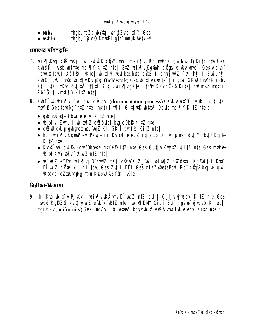- $-$  thab, teZb w Pai wf  $\mathbf{\hat{P}}$ Zvcix $\P$ Y; Ges  $\bullet$  M/by
- $-$  thab, `B cô'Dcut $\ddot{\mathbf{E}}$ i g‡a mauk@e‡k $\mathbf{H}$ |  $\bullet$  wik $\mathbf H$

#### প্ৰমাণেৱ দলিলভক্তি

- 7. bix[|K\tj c® nKj `yjj-vfi K cĝ\Y, mnR ni i f|vi Rb mPf? (indexed) KitZ nte Ges Kuheti i Ask wunte msi []Y KitZ nte | GtZ whi fly Kgm?, clima y Rávnci Ges Ab w Iquk§tbull Ašfê \_Kte| wix¶vi vevfboch@q cükz I ch@jvez ~v¶ih? I ZwiLh? Kuh**et gw chŵg wix y Kungg** (fieldwork) Ges wix y cite thi gta GKw thun i Pbv K‡i \_vtK | †Kvb P`vtj‡Ä i †¶‡Î G`tjvwbix¶vgš‡e i †hŠi?KZvcÖk® Ki‡e | hy?nt/Z ngtqi Rb G tjvmsi¶Y KitZ nte
- 8. Kune Tw bix i j fi cune (documentation process) GKW Aut<sup>o</sup> "Ask | G tjuK mafiß Gestevallg" ntz nte | m¤oci †¶til G tj uk whtaa<sup>3</sup> Dcutq msi¶Y Kitz nte t
	- gubnruubd): kburi e emi KitZ ntel
	- · wirth zwil I wirth z citouthi buy cökb Kitz nte
	- $c$ **in the state of the state of the state of the state of the state of the state of the state of the state of the state of the state of the state of the state of the state of the state of the state of the state of the**
	- hLb wix jv Kgm ev tPKy ÷ m Kvh@î e eüZ ng ZLb Dch f µm tid ti Y tbu Dtj l-Kitz ntel
	- Kuh@Twi cui®ui-cui'Obdeate mpuil@KitZ nte Ges G tjv KunjtZ ujLtZ nte Ges maké **bix KW Giv MuiZ ntZ ntel**
	- we wiz eYBug wix[|ug D^NuUz nKj cünt#K Z\_`wì, wixn[|z cizôutbi KgPwit i KutQ DI weZ cheej xi I ci tbW Ges Zu i DEi Ges cieZx9metePbui Rb chu Rbay welgwi **KsevcieZaRunga matak@bul Asf@\_Ktel**

নিৱীক্ষা-জিজ্ঞাসা

9. Th tKb bix[|v Pj Ktj bix[|v RAw DI wcZ ntZ cti| G tj v y wcex KitZ nte Ges maké KgRZÔ KuQ uju z e u v PBIZ nte wing KM Gici Zu i gše u ucex Kiteb muit:Zv(uniformity) Ges "uoZui Rb" whai<sup>3</sup> bqhywinflywAmciwe emi KitZ nte t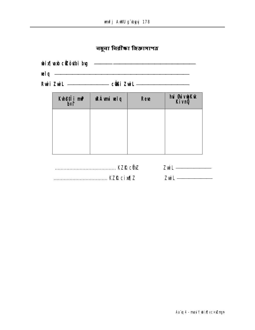व<mark>ब</mark>ूना नि<mark>त्नीका</mark> किछात्राপত्<mark>व</mark>

| <b>wix</b> ed cetter is by |                              |
|----------------------------|------------------------------|
| <b>vel q</b>               |                              |
| <b>Rui Zuil</b>            | c <b>ës</b> i Z <b>uil</b> — |

| Kuh@‡i`m?<br>b¤t | <b>RÁmi velq</b> | <b>Reve</b> | <b>hủ Bảy bK k</b><br>Kivn <b>ỹ</b> |
|------------------|------------------|-------------|-------------------------------------|
|                  |                  |             |                                     |
|                  |                  |             |                                     |
|                  |                  |             |                                     |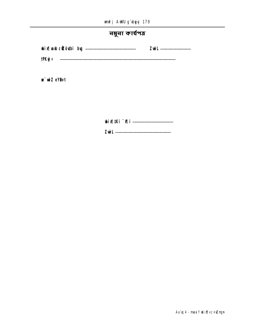|  |  | unifj Awill gï byyj 179 |  |  |  |
|--|--|-------------------------|--|--|--|
|--|--|-------------------------|--|--|--|

নমুনা কাৰ্যপ**ত্ৰ** 

w wiZ eYBvt

**bix[|Ki ^0||i ----------------------------**

**Zwil** ————————————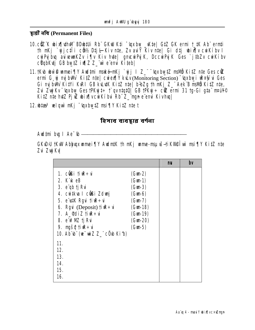द्यार्थी नथि (Permanent Files)

- 10. ctZ K wix[|\thM BDwtUi Rb" GKW Kti "\gxby \_\Kte| GtZ GK ermi t\_tK Ab" ermti th mKj `vjjc‡Îi côt⁄2 D‡j l Kiv n‡e, Zv aviY Kiv n‡e| Gi d‡j wbix w cwiKiby l cuiPy bu au remKZv i¶v Kiv hute| gnocuiPyjK, DccuiPyjK Ges `jtbZv cuiKíbv c**UgbKtj GB bwtZ ivilZ Z\_wi** e emi Kitebl
- 11. tKub ubwê un mei Tiy Aud tmi maké-nKj `yjj I Z\_" "upx burtZ maWb KitZ nte Ges ciz ermi G uj mj bWi KitZ nte | cuiex[|Y kuLv(Monitoring Section) "taxburi uR¤§ ui Ges Gi mj bWV KitYi KWI GB kutK KitZ nte| b-bZg th mKj Z\_" Aek B msWi KitZ nte, Zui Zuji Kv "kuxbuy GestPKyjt÷t" gv ntatQ| GBtPKyj÷ cir ermi 31 tg-Gi gta nravi © KitZ nte hutZ PjuZ whix [vcurKibu Rb" Z\_"ngn e"emi Kivhuq|

12. what's welqu's mKj "(gxbytz msi TIY Kitz nhe t

হিসাব ব্যবস্থার বর্ণনা

**Aud‡mi bug I Ae^(b-**

GKD<sub>3</sub>U tKW Abbyyx wmei TY AwintK th nKj wme-nsu is-ti KVI@ i w nsi TY KitZ nte Zvi ZvjKv

|                                                                                                                                                                                                                                                                                                                                                                                                                                                                           | mu | bv |
|---------------------------------------------------------------------------------------------------------------------------------------------------------------------------------------------------------------------------------------------------------------------------------------------------------------------------------------------------------------------------------------------------------------------------------------------------------------------------|----|----|
| 1. cüli tir÷vi<br>(Gun2)<br>(Gun1)<br><b>2. K k eB</b><br>(Gun3)<br>3. e <sup>"</sup> qb tj Rui<br>4. cuitkva I cüßi Zdunj<br>(Gun 6)<br>(Gun7)<br>5. e'us#K Rgui tiuR÷ui<br><b>6. Rgui</b> (Deposit) $\mathbf{f} \mathbf{i} \mathbf{R} \div \mathbf{u}$<br>(Gun18)<br>7. A_¶diZ †i <b>£÷</b> u<br>(Gun19)<br>(Gun.20)<br>8. e'w <sup>e</sup> MZ tj Rvi<br>$(Gun-5)$<br><b>9. myšų tiur÷vi</b><br>10. Ab b (w = wiz z_ c0b Kib)<br>11.<br>12.<br>13.<br>14.<br>15.<br>16. |    |    |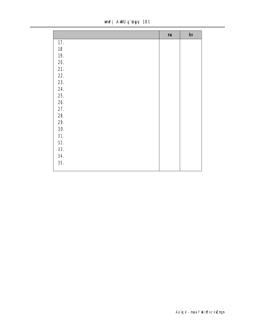unfj AWU g'byyj 181

|            | mu | $bv$ |
|------------|----|------|
| 17.        |    |      |
| 18         |    |      |
| <b>19.</b> |    |      |
| 20.        |    |      |
| 21.        |    |      |
| 22.        |    |      |
| 23.        |    |      |
| 24.        |    |      |
| 25.        |    |      |
| 26.        |    |      |
| 27.        |    |      |
| 28.        |    |      |
| 29.        |    |      |
| 30.        |    |      |
| 31.        |    |      |
| 32.        |    |      |
| 33.        |    |      |
| 34.        |    |      |
| 35.        |    |      |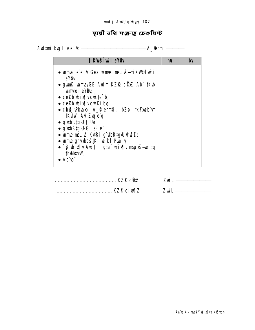### স্থায়ী নথি সংক্ৰান্ত চেকলিপ্ট

Aud‡mi bug I Ae<sup>-</sup>tb <u>- and a serve and a serve and a serve and a server and a server and a server and a server and a server and a server and a server and a server and a server and a server and a server and a server and a </u>

| tikvelwi eYbv                                                                                                                                                                                                                                                                                                                                                                                                     | bv |
|-------------------------------------------------------------------------------------------------------------------------------------------------------------------------------------------------------------------------------------------------------------------------------------------------------------------------------------------------------------------------------------------------------------------|----|
| • wime e'e 'v Ges wime mau is-tikwe liw i<br><b>eYBy</b><br>• gunK unne/GB Audm KZIQ cünZ Ab TKub<br><b>umtei eYBy</b><br>$\bullet$ ce2b $\boldsymbol{\omega}$ ix $\boldsymbol{\omega}$ ivc $\boldsymbol{\alpha}$ te b;<br>$\bullet$ ce2b $\boldsymbol{\omega}$ ix $\boldsymbol{\eta}$ vcurkíby<br>• ch <b>êj Pharb</b> A_© ern <b>ți, bZb †kYmeb</b> un<br><b>TKANI Au Zu eg</b><br>• g <b>\thRtg&gt;U tj Ud</b> |    |
| • g'ithRtgJLGi e <sup>3</sup> e"<br>· ume msu iš-KutRi g'utbRtg: U urufD;<br>• wme gnvwqš <b>iki wiki Pun</b> `y<br>p‡ler—ăvran v∏kidu "ista indiku A" o "ista Q" o<br><b>thM#hW</b><br>• up.m.                                                                                                                                                                                                                   |    |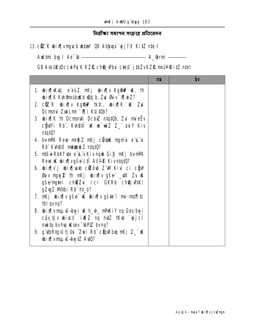নিৱীক্ষা সমাপন সংক্ৰান্ত প্ৰতিবেদন

### 13. ciz K wix w mych włac<sup>3</sup> OK Ablyupa vjj fê Kitz nie t

GB AskUKzDccuiPyj K KZIR chQj vPbui c‡e® jibZvKZIR m¤ú¥%itZ n‡et

|                                                                                                                                                                                                                                                                                                                                                                                                                                                                                                                                                                                                                                                                                                                                                                                                              | by |
|--------------------------------------------------------------------------------------------------------------------------------------------------------------------------------------------------------------------------------------------------------------------------------------------------------------------------------------------------------------------------------------------------------------------------------------------------------------------------------------------------------------------------------------------------------------------------------------------------------------------------------------------------------------------------------------------------------------------------------------------------------------------------------------------------------------|----|
| <b>1. bix[kktj e euz nkj bix[v kgfnP uk, th</b><br>bix[K Kvh Prúbok‡ivítjb, Zvi Guiv Miniz?<br>2. ctz K bix¶v Kgind †k‡l, bix¶K uk Zui<br>Domanui Zwilm "Vii K‡i‡Ob?<br>3. bix in Domanti Doby atqtub, Zui mieëv<br>cânt Yi Rh", Kuh@‡î uk we wiz Z_" ani Y Kiv<br>n!q!0?<br>4. bu-nPK Reve n¤lji Z nKj cikodk ngmë e Lë<br>Rb" Kvh@#T mbtek Z ntqtQ?<br>5. ntšdRbKfute e L v Kiv ngb Git nKj bunPK<br>Reve W wix   vgše ctî Aš# Kivnta#0?<br>6. bix i bix nab cíc ôu Z W Kiu ci cộ V<br><b>Biv myw2 th mKj wixty gše _uK Zv uK</b><br>gše ng mi ch®Zui Ici GKRb ch@jvP#Ki<br>gZygZ MIbi Rb ht_ó?<br>7. nKj bix¶v gše K bix¶v gšte i mi-nst¶tc<br><b>tbl</b> gyng?<br>8. wix   v msu is wishing in the mean of the cess buy is<br>cộv tjv wivet iv¶Z nq hutZ †Kw `vjjcî<br>muitq by hug uK sev "UbPiZ by nq? |    |
| 9. g ubRtg:U tj Uui ^Zui i Rb" cüqaRbuq mKj Z_" uK<br><b>bix[vmsuvš-bwtZ Avt0?</b>                                                                                                                                                                                                                                                                                                                                                                                                                                                                                                                                                                                                                                                                                                                           |    |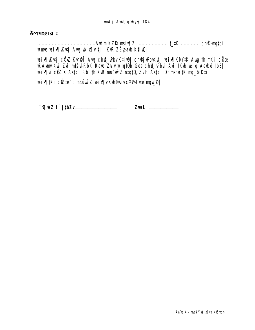#### উপসংহার ঃ

ume bix[Ktj Aug bix[|v' tj i KuR ZËjeab Ktiu2|

bix[|K\tj c02 K\h@l Awy ch@j\PbvKtiQ| ch@j\PbK\tj bix[|KM'#K Awy th mKj c0e RAvn Kui Zui mtšul Rbk Reve Zuiv w tatūb Ges châj vidui Aui tKub velg Aeuko the **bix[|vi ctx K Aski Rb" th K\R neuture Z ntat0, ZvH Aski Demand tK mg\_b Kti |** 

bix[|tki cite`b maturiz bix[|vK\h@divcY@f\te mgw2|

 $Z$ wil  $\longrightarrow$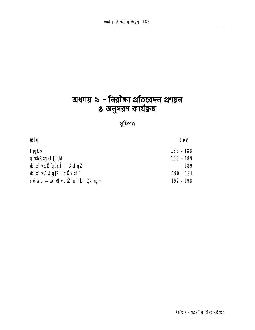# অধ্যায় ৯ - নিরীক্ষা প্রতিবেদন প্রণয়ন  $\boldsymbol{s}$  অনুসরণ কার্যক্রম

### সুচিপত্র

| <b>CÔV</b> |
|------------|
| 186 - 188  |
| 188 - 189  |
| 189        |
| 190 - 191  |
| 192 - 198  |
|            |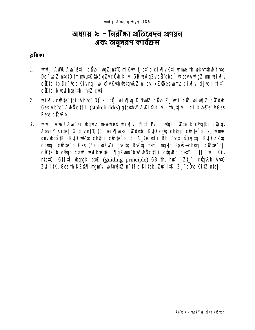### অধ্যায় ৯ - নিরীক্ষা প্রতিবেদন প্রণয়ন এবং অনুসরণ কার্যক্রম

ভূমিকা

- unfj AWU Au ` B‡i i cëvb ` wqZ; n‡'Q mi Kwi tj b‡ b c ix[|v K‡i unne th wekjnthWl fvte  $1<sub>1</sub>$ Dc wez ntatū tm matk@dqZvcOb Kiv GB bdqZvci qbcî WsevAwfgZ m bix[v cite to Dc tcb Kivng | wix | v Kuh Sutan R and wi k Z Ses ume cix | vi djudj tft cite b wwfboaithi ntZ cyti
- ubin qu cù te thi Ab b Dilk ng ubin qu D Null cub Z wi cù ubin q cù cù ou 2. Ges Ab b Awthct¶i (stakeholdrs) gibthw AKIP Kiv- th tju Ici Kue e-vGes Reve cünRb
- 3. unfj AWU Au Bi bougz maeuex bix[u to the cheqi cizte b cuqtbi cuuqv AbyriY Kite| G tjvnt'Q (1) wir Jab cilôuthi KuQ côg choqi cilte b (2) wme gnv baštki KuQ wiZxa chotai cüzte`b (3) A\_@iutii Rb `upxgšyjujtai KuQ ZZxa chorqi cütte b Ges (4) iviculi quatg Ruluq mani mgrtc Povs-chorqi cülte b cite b cüqb cxul wufbo #ii | qzunaibosAwbct| i cüqRb citVi jt| wi Kiv ntat0| Gt¶tî wagK buZ (guiding principle) GB th, hut i Zt\_"i cünRb Au0 Zu` itK, Ges th KZ@¶ ngmdi w@akEtZ n<sup>-</sup>#¶c Kiteb, Zu` itK, Z\_" c0b KitZ nte|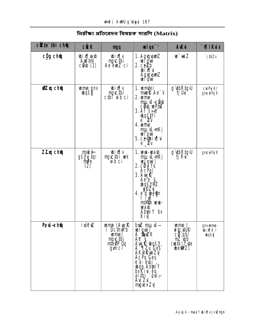| cite thi che     | <b>cü</b> :K                                             | <b>mgq</b>                                                                    | $w$ lge <sup><math>-1</math></sup>                                                                                                                                                                                                                                        | <b>A</b> Wui                                                                                  | <b>Mikux</b>                                    |
|------------------|----------------------------------------------------------|-------------------------------------------------------------------------------|---------------------------------------------------------------------------------------------------------------------------------------------------------------------------------------------------------------------------------------------------------------------------|-----------------------------------------------------------------------------------------------|-------------------------------------------------|
| <b>củg chê</b>   | qial yi q<br><b>Audimi</b><br><b>câb (1)</b>             | y[kidu<br><b>ngucthi<br/>Ae emiz ci</b>                                       | 1. AgxgramZ<br>ve i awi<br>2. ce <sup>p</sup> b<br>i Xi d<br><b>AgxjismZ</b><br><b>uel quir</b>                                                                                                                                                                           | w wiZ                                                                                         | `j#Zv                                           |
| <b>Wizy che</b>  | <b>ume gnv<br/>bqšk</b>                                  | v kid<br><b>myctbi</b><br><b>cthi whci</b>                                    | <b>1. umtei</b><br><b>muele</b> Ae <sup>-</sup> V<br><b>2. wme</b><br><b>mguš-eâtb</b><br>cell what<br><b>3. Af šin</b><br><b>uvišt</b> vi<br>$e^{\cdot}$ $\mathbb{Z}$<br><b>4. ume</b><br><b>msuvš-nkj<br/>veľguv</b><br>5. ce <b>gbix</b><br>$e^{\cdot}$ $\mathbf{z}$ v | g ybRtg U<br>ti Vi                                                                            | <b>cui Pyj K/</b><br><b>gnicuri Pyr K</b>       |
| ZZxq ch <b>û</b> | <b>mské-</b><br><b>gš<b>ý ý tai</b><br/>mile<br/>(2)</b> | ијијф<br><b>ngwibi wek</b><br>wb ci                                           | 1. <b>we-wab</b><br><b>mguvš÷nKj</b><br>ve fan y<br><b>2. citi Yu</b><br><b>AcPu</b><br><b>3. AwR</b><br>Ae <sup>T</sup> e <sup>-</sup><br><b>wašynich</b><br><b>yyzv</b><br><b>4. e'g beth</b><br>ik <sup>-</sup><br>msMin veva-<br>wado<br>AbriY bv<br><b>Kiv</b>       | g ybRtg <sub>b</sub> U<br>ti Rvi                                                              | gnac <b>ir Prij</b> K                           |
| Povš-ch <b>û</b> | <b>i vócuz</b>                                           | <b>ume (AyyR</b><br>I DcthyRb<br><b>ume)<br/>ngyctbi</b><br>ntelP Oq<br>gymci | <b>-auprilists</b><br>wlgw]<br>A_ <b>Su</b> ZK<br><b>Ae-Y</b><br><b>Aw R wašy,<br/>A` ¶izy Ges<br/>AK hRwz Zy</b><br>AcPq Ges<br>e'q- euj<br><b>Jodg Abyr Y</b><br>byKivi éo<br><b>aithi`ģuš<del>,</del><br/>Avizu</b> i<br><b>mg</b> rex Zv                              | <b>ume I</b><br><b><i>uite:400<br/>cm qb/<br/>mz .vp<br/>(wiki fyte)</i></b><br><b>betPZ)</b> | gnvwme-<br>p!vilk I<br><b><i><u>pd</u>z</i></b> |

### নিরীক্ষা প্রতিবেদন বিষয়ক সারণি (Matrix)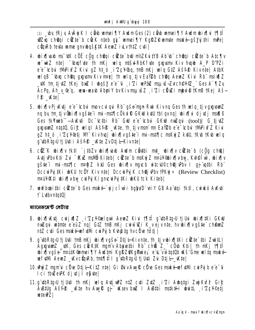(1) \_by tRjy AvÂyj K I cầub wmei TIY Audm Ges (2) cầub wmei TIY Audm wix Tuiff **WZxu châu i cîzte b cück nteb gi umei TV kgřZ®umte nské gšyjthi mPe cünRb tevta ume gnybgšK#K AeuZ i LythtZ cvti |** 

- 4. bix wab ms tk c oc c g cheqi c te bu m/z Ku ty B Ab b cheqi c te b Atc Tv w = wiZ nte | bugfyte th mKj welg mtšvi-RbKfyte guguanu Kiv hugub A\_P D'PZi e'e 'chu tMPixfZ Kiu qZ ht\_o \_i'ZcY%q, tnB nKj wlq GtZ Ašf<sup>®</sup> Kivnte| AtbK weigB <sup>-</sup> (bxq ch@q gxqvanv Kiv n¤\*) th weig tiv Ea\\\ ch@q Aew2 Kivi Rb" msiv(2 **\_\K tm\_tj\tZ tKej bxZ I \bqš\/ e e u \_i Zi \ePaZ msµ\š=Zvch@Y@\_^ Ges A` q|Zy** AcPq, Ah\_y\_@"q, wew-wayb Abyriy by KivmsuvšZ i'Zi cüvzi mbw0tKmBtKej Aš  $fP$  \_K‡e|
- 5. bix [v Pj K tj e e "chu mov cul qui R b" gše man R wi Kiv ng Ges th welg tj v gxgwar? ng by tm tjv**ûb**ix [vgš‡e¨i mi-mst¶cÕkxlik GKwl kxtU tbl gvng| wix [ki djvdj man [ß Ges tkymeb" - Aukuti Dc tctbi Rb" Gul e'e tchui GKul muzqui (tool) | G tjutz gxgxanZ ntqtQ, Gi£ wlql Ašf@ \_Kte, th\_tjvman`mn Ea\2b e e Cbui tMPixfZ Kivi gZ ht\_ó \_i'Zc¥®tj M' Kivhq| bix¶vgšte i mi-nst¶c nskýZ kxW, †Kb †Kb velg g ubRtg: U tj U ti i Ašf<sup>e</sup> \_ K te Zv Dtj l-Kivnte |
- 6. ctZK whix[v tktl `jtbZv whix[\axb Audm cextbi mt\_ whix[v ctZte`b (c0g chts) Atj Pbv K‡i Zui ~ KuZ maNÖ Ki‡eb| cüZ‡e`b maKuj Z m¤ú¥@bix¶v-buy, Kvh@Îwì, ubix¶v gšte i mi-mst¶c m¤lji z kru Ges ubirajv myrch witcul©ch@juPhv I gj uqthi Rh" **Dccurru #Ki wkU tcëV Kiv ntel Dccurru K ch@j Pbv tPKuj ÷** (Review Checklist) nrúf (Kti wix | why cui Puj K/ gmcui Puj #Ki wku tck Kiteb
- 7. vevfboaitbi cütte`b Gesmaké `vi i cîviv i babyD`vniY GB Aa dai tktl, cwiykó Avkyti **f** Lubyntat0

#### ম্যানেজমেন্ট লেটাব

- 8. bix[|K\tj cuij\q]Z i'ZcY@elquì AemZ Kivi †¶li q`\tbRtq;U tjUd bix[|tKi GKW null qui untrite e euz ng Gtz triB nKj cuiwill i K vej v nte, hvubix (v gšte chêmil ntz cuti Gesmaké vefutuli cui Pujb Kuhâtg hvcü ve tdtj |
- 9. g ubRtou tj uti tnB nKj wix[|vgše Dtj l-Kivnte, th tj vwix[|tKi cite thi ZwitLl AgrgusmZ \_uK, Ges cuck#K mgmv Absuetbi Rb chos Z\_ c0ub Kti| th mKj t¶tî bix vaše naútk@mei¶Y Aultni Kařz@Kapuie, e L vutatüb Kš'Gne w Ita naké wfulli Aemz \_WvcQyRb, tnt¶ili g`ubRtgJU tjUti Zui Dtj L-Wte|
- **10. Wy Z namu côre Dij l-Kitz nie ci Gi Giv Aw R côre Ges maké w frijh cui Puj be e-ci 1** Ici thue ePK djudji e\$tel
- 11. a utbRto U ti Udi th nKi wla Adiul Z ntZ cdi ZdZ i Zi Adatai ZwiKuf? Gić AB#Uq Aš#P \_Wte hv AwrR qj Wsev bxZ I AB#bi ms#k#i wwi# i?Zc¥©etj **usteurz**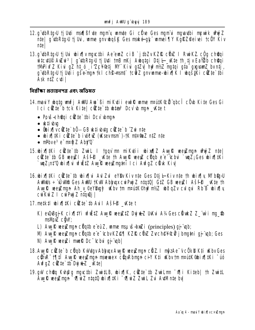- 12. a utbRta U ti Udi mafißf de maniv unnte Gi cite Ges manivi mavadbi mewik uwiZ ntel a **úbrtou tilui, wme anywašk Ges nské-ak** wmei¶Y Ka**rz**êeivei tc**ë**Y Kiv **ntel**
- 13. g utb Rtoll tj Usi whis Tiv muncton Ae em Z ciB `j th Zv KZR c Uz I RwiKZ c Qq chiqqi witcutUP Auzwi<sup>3</sup> | g'utbRtgvU tj U4i tmB mKj Augtgi Dtj L-\_Kte th tj v Eal2D chQqi tMPixfZ Kivi qZ ht\_ó i ZcY@tj M" Kivi qtZv| hy?nt/Z ngtqi qta" qxqvanZ bvntj, g ubRto U tj Uti i gše mun tkl ch**e nant** tců Z gnv mme bix lk I boštki cůte tbi Ask ntZ cvti l

নির্বীক্ষা প্রত্যয়নপত্র এবং অভিমত

- 14. mayî Y ybata yanf ji AWU Aya` Bi mi Kyti ji eydi R yame m¤ydK®ë abcî cöyb Kite Ges Gi I ci citte`b tck Kite| citte`th whan? Dov`w mun\_whe t
	- Povš-chtaj citte thi Dcv whan
	- $\cdot$  ktibu
	- Ôbixilvcête`bố— GB uktivbuta cêtte`b ^Zwinte
	- bixfliki cëte`b ivicië (ksevmani)-tk nt¤maz ntz nte
	- $mPbve^3e^m$   $mQ^m$   $Z$   $AbYQ^m$
- 15. bix that it is a state to zuit. I to go m miket i bix the Aug R week man enter the 1 citte to GB weut I Asff<sup>e</sup> Wite th Aug R weut cund e e<sup>-</sup>icbui `unZ; Ges whin that `wıZ:nt'Q (bixl) u vfittz Awr@ wew.mathi ilci Avfaz cükk Kivl
- 16. bix like cite to bix is Ad Zul eyso Kiv nte Ges Dti L Kiv nte th bix is Mingul AWMUIS ÷ "WWAR Ges AWWU TKW Abhwax cwiPwriZ ntatQl GtZ GB wee ZII A sfep Kte Th Aug R weyZmyn Ah\_y\_@eYByg P uKbv tm mautK@huPmi2 ubodzv culoui Rb B ubixTlv cui Kuí Z I cui Pui Z ntauli I
- **17. metkil bixlitki cikte`th Avil Ašfi® Ktet** 
	- K) eQQBaiK cixillYi wfütZ Aww wew 12 Dwidez UKui A¼Ges cümdez Z "wìi mu \$b msMpxZ câW;
	- L)  $\Delta$ une wee permain culture e e de  $\mathbb{Z}$ , une manistration (principles) qui und;
	- M) Avyř veevzman cüqtb e e tcbv KZ@¶ KZř cüvz Zvch@Y®Ö j bmatni qj dp; Ges
	- M Aw R weezi muer Dc cbui ai ubl
- **18. Aw R cête`b cüab Küktav Abiyax Aw R weet man câz 1 mîz Ae-v cökid Kti ku by Ges** cünR" † 111 Awir wewman maewex cünRbman ci YKti Wbytm mattK@bix11Ki "uó  $A$ wfgZ c $\mathbf{\hat{z}}$ te` tb Dwj $\mathbf{L}$ z \_wtel
- 19. gw chŵg Kyhâg ngycibi ZwitLB, wixijK, cù te`tb Zwilm ~9 i Kiteb! th Zwitl Aw R weyZman - Vilvi Z ntatū ubixitKi - Vilvi Z Zwi L Zui AutMnte by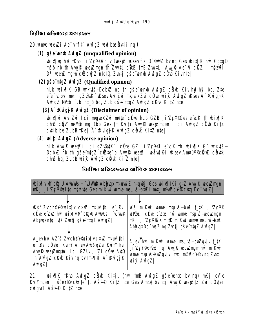নিরীক্ষা অভিমতের প্রকারভেদ

#### 20. mme weezi Ae<sup>-</sup>Vtft AvfgZ werboeästiing t

(1) **gsevent AufgZ** (unqualified opinion)

**ubix[\q hw tKub i'ZcYQh\_v\_@eeyZ uKsev fj D"NuUZ bv nq Ges ubix[|K hw Ggtg©** mšő nb th Avy R weyznyn th Zwitt. cüz tnB Zwitt i Avy R Ae 'G cüz. I nýzu'l D<sup>3</sup> wey<sup>7</sup> mg in ci<sup>2</sup>dyj Z ntat0, Zvrtj gše wnb AwfgZ cOb Kivnte

**(2) gše-ntg Z Aufg Z** (Qualified opinion)

hLb wix K GB wrts-Dcbiz nb th gsevent AvfgZ cärk Kiv hy?hy? bg, Zte e'e 'chui mt\_ gZVAK" Wsev Avi Zui mgye×Zui cüve wei£ AvfgZ Wsev A "KvigjK AvfgZ M#bi Rb" ht\_ó bq, ZLb gše=ntgZ AvfgZ clkk KitZ nte|

(3) A<sup>-</sup> Kuigj K Aufg Z (Disclaimer of opinion)

bix[|vi AviZvi Ici mqvexZvi n¤te" cote hLb GZB i'ZcY©es e ck th ubix[|K ch® cầy mườn mụ Cho Ges tm Kuity Aug Rwee Zmatai Ici Awfg Z cũ b Kitz cuib by ZLbB †Kej A<sup>-</sup>Kugj K AwfgZ cäyk KitZ ntel

**(4) with AufgZ** (Adverse opinion)

hLb Augic weyzi Ici gzvatk i cüre GZ izc¥©I e ck th, wix∏K GB wrxts— Dobiz nb th gše ntg z cížte b Augi? vegži veavšici vksev Anruh ©cišuz cišuk ch® bq, ZLbB wif AufgZ cävk KitZ ntel

| নিরীক্ষা প্রতিবেদনের মৌলিক প্রকারডেদ |  |
|--------------------------------------|--|
|                                      |  |

| <b>bix[vMFb&amp;yU AWdds : "UWA Abhux main Z ntqQj Ges bix[iKi gtZ AugR weyZmgn</b><br>nKj i'Zcłeltą nýfute Gesmikui ume nauvšianki mt_nt/akcł@cutq Dc "usk                             |                                                                                                                                                                 |  |  |
|-----------------------------------------------------------------------------------------------------------------------------------------------------------------------------------------|-----------------------------------------------------------------------------------------------------------------------------------------------------------------|--|--|
| <b>Kš' Zvch@Y©bix[v c×uZ maniv thi e _ Pui</b>                                                                                                                                          | <b>Kš' nikui ume nauš-buž t_tk i ZcY®</b>                                                                                                                       |  |  |
| cute e ZxZ hw wix w MFb 2010 AWMUs ÷ WWA<br>Abhuxntu _uK Zurtj gše ntgZ AvfgZ                                                                                                           | vePaZi cüve e ZxZ hw wme mauxs-veeyZman<br>nkj, i Zcy wk t_tk nikui ume nsušbul<br>AbhuxDc <sup>-</sup> tueZ nq Zvntj gše ntgZ AvfgZ                            |  |  |
| A_evhw AZ s-Zvch@Y@bix[vcxw man thi<br>e"_ <b>2ui cüytei Kuity A_ev AubõqZui Kuity hui</b><br>Auyll weyZmytni Ici GZUv i'Zi cüre AuQ<br>th AwfgZ clkk Kivng by tnt¶#î A~KuigjK<br>AvfgZ | A_ev hw mi Kwi wme msu vs-bxizgyj v t_tK<br><b>i Zc<sup>y@</sup>ePaZ nq, AvyR veejZnyn hw miKwi</b><br>ume msuvš-briZgyj vi mt_ nt/sZc¥®vnq Zvntj<br>with AufgZ |  |  |

**wix Kw AwfgZ cärk Kitj, (hw tnB AwfgZ gše wend by na) nKj eve-**21. KulYmutni "uoeYBy citte" th Ašfi? KitZ nte Ges Anre by nti AwiR weutZ Zu cotei cwigw I Ašf<sup>e</sup> Kitz ntel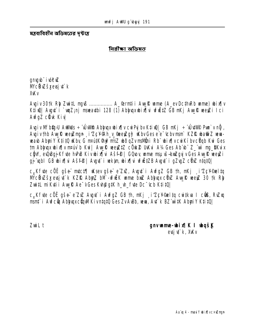মন্তব্যবিহীন অভিমতের দুষ্টান্ত

নিৱীক্ষা অভিমত

gng b i véc **z McŘížševají** k **XKV** 

Avgiv 30tk Rb Zwith mg S ................ A\_@rmtii Avg R wme (A\_ev Dcth Rb wme) bix[lv K‡ivî | Avgyî i `wqZ;nj mseayibi 128 (1) Abiyyxubix¶yi vfwEtZ GB mKj AvyfR veeyZi Ici **AvfgZ cäkk Kivl** 

Avgiv MFb@yU AuMuls: "ÚuMA Abhugx bix[|v cuiPyj bv KtivQ| GB nKj : "ÚutMP Pun' v n**ỹ**, Augiv thb Aug & weyZmgn \_ i'ZcY Ah\_v\_ @eeyZgy? Why Ges e e c tchyman KZR what Z wwwwab AbyiY K‡itQ kby G maitK@wPnt/Z boqZvmaWhi Rb" bix[|vcwKibvcUgb Kw Ges tm Abbuyx ubix iv mativ b Kui | Aug R wee 212 c Ouk 2 UKui A14 Ges Ab b Z wi my BKuix cĝW, eudBgj Kfute huPB Kivubix (lui Ašff® | GOLov, unne mapuš-banZgyj v Ges Aun R weyZi qj qbl GB bix[hi Ašf@ | Avqt` i vekim bix[hi vfižtZB Avqt` i qZvqZ cüxZ ntqtQ |

c<sub>a</sub>Kfute cöë gše mutct¶ uksev gše e ZxZ, Avgu i AvfgZ GB th, mKj i Zc¥©neltq M'city Z's x evsi u k KZIR Abuy, bM - wfulk unne buil Abuyux cünz Avu R wey, 30 tk Rh ZwitL miKyti i Avy R Ae VGes Kyh@qtK h\_vh\_fyte Dc Cb KtitQ|

c<sub>a</sub>kfyte cöë gše e ZxZ Avgyt i AvfgZ GB th, nKj si ZcY®eltq cwitkva I c**üS**, RvZxq mant i Aufc & Abhunc An MKivntat 0 Ges Zv Ausb, www. Aut k BZ wit K Abuni Y Ktit Q|

ZwiL t

**gnvmme-bix¶K I bqš<u>K</u>** evsi vi`k, XvKv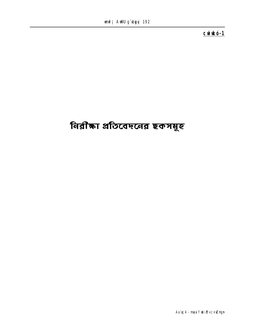cuirkó-1

# নিরীক্ষা প্রতিবেদনের ছকসমূহ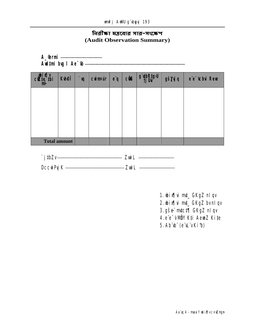### নিরীক্ষা মন্তব্যের সার−সংক্ষেপ (Audit Observation Summary)

| <b>A_@rmi</b><br>Audtmi bug I Ae <sup>-</sup> tb- |                     |    |                 |             |            |           |               |                             |
|---------------------------------------------------|---------------------|----|-----------------|-------------|------------|-----------|---------------|-----------------------------|
| lie ibi                                           | <b>Kuei</b>         | ÌЩ | <b>Cuinfuir</b> | $e\ddot{q}$ | <b>cis</b> | g ybRtgvU | gš <b>yjq</b> | e'e <sup>-</sup> tchui Reve |
|                                                   |                     |    |                 |             |            |           |               |                             |
|                                                   |                     |    |                 |             |            |           |               |                             |
|                                                   |                     |    |                 |             |            |           |               |                             |
|                                                   | <b>Total amount</b> |    |                 |             |            |           |               |                             |

| `j#Zv            | <b>Zuil</b> |
|------------------|-------------|
| <b>Dccurry K</b> | — Zwil      |

- 1. bix[|vi mt\_ GKgZ nlqv
- 2. bix[|vi mt\_ GKgZ bvnlqv
- 3. gše mtct¶ GKgZ nl qv
- 4. e<sup>e</sup> VMBY K<sup>#</sup>i AemZ Ki#e
- 5. Ab b (e L vKib)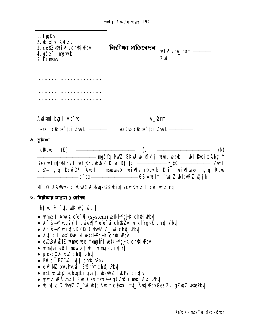| 1. fyyKv<br>2. bix¶u Aul Zv<br>3. ce@Zx@bix\vch@jvPbv<br>4. gše <del>:</del> I nywik<br>5. Dcmani                                                                                                                                                                                                                                                                                                                                                                                                                                                                                                                                                               | নিৱী <b>ক্ষা প্ৰতিবে</b> দন | bix[vbw b¤f _____<br><b>Zuil</b> <u>__________</u>                                            |
|-----------------------------------------------------------------------------------------------------------------------------------------------------------------------------------------------------------------------------------------------------------------------------------------------------------------------------------------------------------------------------------------------------------------------------------------------------------------------------------------------------------------------------------------------------------------------------------------------------------------------------------------------------------------|-----------------------------|-----------------------------------------------------------------------------------------------|
| _____________________________________<br>,,,,,,,,,,,,,,,,,,,,,,,,,,,,,,,,,,,                                                                                                                                                                                                                                                                                                                                                                                                                                                                                                                                                                                    |                             |                                                                                               |
|                                                                                                                                                                                                                                                                                                                                                                                                                                                                                                                                                                                                                                                                 |                             |                                                                                               |
| meski cütte`tbi Zwil elenedlerini eZgub cütte`tbi Zwil elenedlerini                                                                                                                                                                                                                                                                                                                                                                                                                                                                                                                                                                                             |                             |                                                                                               |
| ১. छृत्रिका                                                                                                                                                                                                                                                                                                                                                                                                                                                                                                                                                                                                                                                     |                             |                                                                                               |
|                                                                                                                                                                                                                                                                                                                                                                                                                                                                                                                                                                                                                                                                 |                             | <b>CM</b>                                                                                     |
|                                                                                                                                                                                                                                                                                                                                                                                                                                                                                                                                                                                                                                                                 |                             | ch <sup>e</sup> —ngtq DcwiD <sup>3</sup> Awdtmi maeuae× whix[v m¤uvb Kti  whix[vaxb mgtq Rbve |
| MFb@pU AWMUs÷ UWRAbhyqxGB wix[ vcwkwiZI cwPyjZnq                                                                                                                                                                                                                                                                                                                                                                                                                                                                                                                                                                                                                |                             |                                                                                               |
| ২. নিরীক্ষার আগুতা ৪ কৌশল                                                                                                                                                                                                                                                                                                                                                                                                                                                                                                                                                                                                                                       |                             |                                                                                               |
| $[ht_cch\mathcal{F}$ (th wik $\mathbf{F}$ y wh $]$                                                                                                                                                                                                                                                                                                                                                                                                                                                                                                                                                                                                              |                             |                                                                                               |
| • warme I Awyl Refe <sup>-</sup> ti (system) wetk <b>H'gji K chêj Pbvi</b><br>• Af šin bqšy I cwex¶Y e e ú chßZu wikHgj K ch@j Pbv<br>• Af šiny wix¶vKZR D~NdIZ Z_wi chQj vbv<br>• Adîk li datî Reji ni wetki Hajji Ki chêj (Pbvl<br>• evQuBufuˇZ uame vee i Yxng‡ni ve‡k HYgjjK ch@jvPbv <br>• umitei eB I maké tiuR÷uingn cix[ Y <br>• µq-cQvc×uZ chQj Pbv<br>• Pu <sup>2</sup> cî BZ wì `yjj ch@j Pbv<br>• e w <sup>e</sup> MZ bw/PKwi i BuZmunch <b>Qj Pbv</b><br>• msL i Zwick bglyuqtbi gva tg whe SOZ f i DP ui cix [ v <br>• yjul Zu Dalmc I Rui Gesmaké Kgřzi i mt_ Avtju Pbv<br>• bix¶yq D~NxWZ Z_wi ubtq Awdmc@ytbi mt_AytjyPbvGes Zvi gZygZ vetePby |                             |                                                                                               |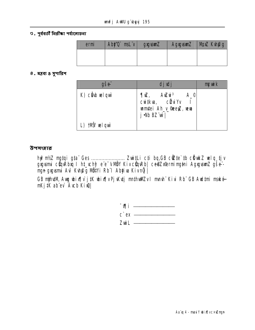७. পূর্ববর্তী নিরীক্ষা পর্যালোচনা

| ermi | Aby'0 md. v gyguanZ |  | AgxgvsunZ   MpxZ Kvh@g |
|------|---------------------|--|------------------------|
|      |                     |  |                        |
|      |                     |  |                        |

৪. মন্তব্য ৪ সুপারিশ

| <b>gše</b>      | djulj                                                                                                          | myuik |
|-----------------|----------------------------------------------------------------------------------------------------------------|-------|
| K) cầu vel quù  | $A^{\circ}$<br><b>¶wz, Awzwi<sup>3</sup><br/>cwi‡kva, cŵzwiYv</b><br>umtei Ah_v_@eeyZ, ww<br>j <b>Mb BZ</b> wi |       |
| L) thấy velouvi |                                                                                                                |       |

#### উপসংহাৱ

nga gagusmi Aur Kuhpig Matvi Rb I Abyiua Kivng |

GB njih#M, Aug bix[|v j #K bix[|v Pj \Kutj mn#hullEv I mmh" Kivi Rb" GB Aud‡mi mské nKj#K ab ev Avcb Kive

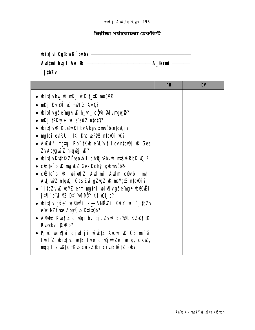নিৱীক্ষা পৰ্যালোচনা চেকলিক্ট

| <b>wix kg&amp;wkibvbs</b> |                    |
|---------------------------|--------------------|
| <b>Aud‡ni by I Ae~tb</b>  | — <b>A_@rmi</b> —— |

**j#Zv** 

|                                                                                        | ПW | by |
|----------------------------------------------------------------------------------------|----|----|
| • bix¶vbw K nKj ẁK t_‡K n¤ú¥®                                                          |    |    |
| • nkj kvhet uk minfe avto?                                                             |    |    |
| • bix¶vgše=ngn ik h_vh_ cĝW Ødvngw@?                                                   |    |    |
| • $mKj$ tp $Kg + Ke$ e euz ntqt0?                                                      |    |    |
| • bix¶vuK Kg@uiKíbvAbljuqxm¤úbastquQj?                                                 |    |    |
| • ngtqi edRU †_tK †K\b vePaZ ntqvQj vK?                                                |    |    |
| • Auzui <sup>3</sup> mgtqi Rb" †Kub e L v† I qv ntquQj uK Ges<br>Zv Abyguì Z ntquy uk? |    |    |
| • bix¶vKuth® ZËpearb I ch@j PbvK ntšdRbK w2j?                                          |    |    |
| • $c$ <b>if</b> te' b <b>ik</b> m <b>j ik</b> Z Ges Dchi <sup>2</sup> gibm rijbæ       |    |    |
| • ciùte`b uk ubixu¶Z Audtmi Audm ciùthi mut_                                           |    |    |
| Avtj w <sup>o</sup> Z ntqw)j Ges Zui gZvgZ w msWpxZ ntqw)j?                            |    |    |
| • `jibZvuK veMZ ermingini wix¶vgše ngn w®úËi<br><b>jt¶ e wPNZ D‡ "WINBY K‡iwtjb?</b>   |    |    |
| • bix¶v gše b®úËi k_ ANÖMZi KviY vK `j‡bZv<br>e w <sup>o</sup> NZ fyte Abyrub Ktit0b?  |    |    |
| • AMÖNZ Kun¶Z ch@qi bvntj, ZvuK EaY2b KZ@¶#K<br>Rubuthy current?                       |    |    |
| • Pjez wix¶vi djudtji vfettz Aucub uK GB ms~vi                                         |    |    |
| fuel"Z ubix[\q wikif\te ch@j\PZe" wiq, cxiZ,                                           |    |    |
| ngq I e whith the cure of the cing k out of Pb?                                        |    |    |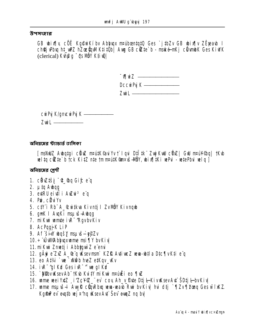#### উপসংহার

GB bix iv cöë Kg@wiKíbv Abhuax mathantatu Ges `jtb Zv GB bix iv Zëreab I ch@jvPbujht\_wPZ hZos@nWKtitOb Awg GB ctZte`b - maké-nKj clivmbK Ges KiwK (clerical) Kung - the MUY Ktive

| <u> Ми́Z</u> ———— |                        |
|-------------------|------------------------|
|                   | <b>Dccurry K</b> ————— |
|                   |                        |

**curPy K/gncurPy K** —  $Z$ wil  $\qquad$ 

অনিয়মের স্ট্যান্ডার্ড তালিকা

[msNWZ Avbgtgi cũnZ maútk@aiYv†`lgvi DtÎtk¨ZwjKwU cünZ| GwU maúY@g| tKvb welta citte` b tck Kitz nte tmmnutK@mxvs-NBY, wixiliki wePui - wtePbui wela j

অনিয়মের শেণী

- 1. chvztši "" hq Gif e"q
- 2. µ‡q Awaq
- 3. edRU eidi i Auzui<sup>3</sup> e'a
- 4. Pri, cülüyv
- 5. ctV'i Rb" A\_&witkva Kivntj I ZvMÖY Kivngb
- 6. gnK I AugKi msuvš-Aubga
- 7. mikui umțe i R<sup>-</sup>RgvbvKiv
- 8. AcPaajK LiP
- 9. Af šin bąšy nauš-ęj?Zv
- 10. ÷ ÚWAbhuxume msi TY bvKiv
- 11. mi Kui Zmetj i Abbyguì Z e emi
- 12. gÄri e ZxZ A\_@ q Ksevmani KZR AvtiveZ veva-b‡la Dtc¶vKti e q
- 13. eo A#4 `we `x\@b heZ e#Kqv\_wkv
- 14. iv R<sup>-</sup>'glkd Ges iv R<sup>-</sup> we glkd
- 15. Miloviksev Ab" 1K b Kuity mikui maulii eo ¶ul
- 16. ume wei YxtZ i'ZcYZ ev coy Ah\_y Pute Dtj l-KivuKsev Aut SDtj l-bvKiv
- 17. ume nau š-l Aug R cün Rbu wu-wab Rui by Kiv hui dtj ` ¶Zv ¶Yong Ges wi i KZ. Kgft ev evatb vej ¤'ng uksev Avt" Šev evaz ng by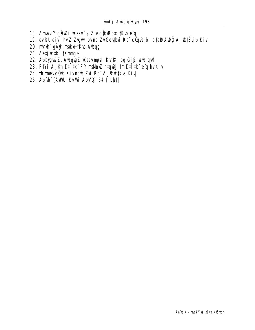- 18. Amaul Y cünzi uksev k Z AcünRbu tkub e q
- 19. evtRU eivi hvtZ Zvguv bvng ZvGovtbu Rb cünRtbi cteD Aulij A\_OtEy b Kiv
- 20. mmh gÄyi mské-tKub Aubqg
- 21. Aetj chi Kmmyn
- 22. Abbiguè Z, Aubquy Z u sev mozil Kuhki ba Gif weutawi
- 23. Fivi A\_@h Dilik FY msMpZ ntquj tm Dilik eq bvKiv
- 24. Th tmevcOub Kivnqub Zui Rb" A\_ Cuitkva Kiv
- 25. Ab b (AWU TKUW AbyO 64 T Lb)